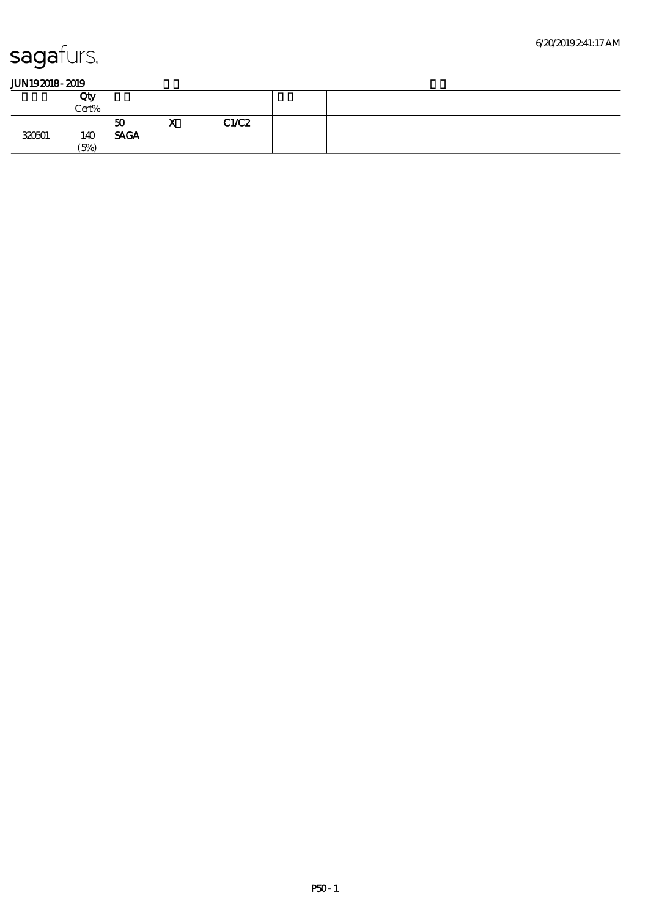|        | Qty<br>Cert% |                                  |              |      |  |
|--------|--------------|----------------------------------|--------------|------|--|
| 320501 | 140<br>(5%)  | $\boldsymbol{50}$<br><b>SAGA</b> | $\mathbf{v}$ | CLC2 |  |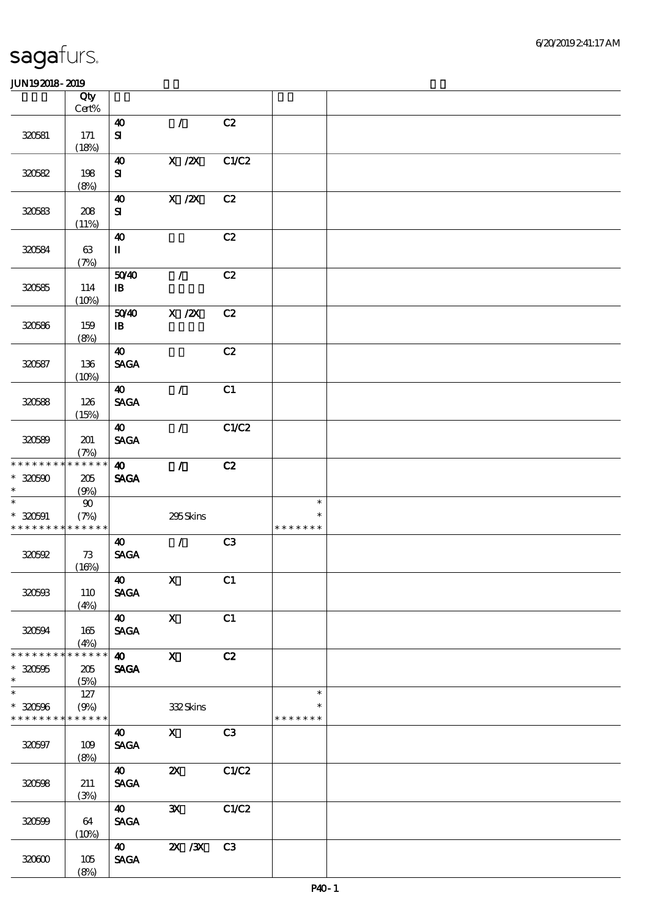|                                                                    | Qty<br>$Cert\%$               |                                                         |                                        |                |                                   |  |
|--------------------------------------------------------------------|-------------------------------|---------------------------------------------------------|----------------------------------------|----------------|-----------------------------------|--|
| 320581                                                             | 171<br>(18%)                  | $\boldsymbol{\omega}$<br>${\bf S}$                      | $\mathcal{T}$                          | C2             |                                   |  |
| 320582                                                             | 198<br>(8%)                   | 40<br>${\bf s}$                                         | $X$ / $ZX$                             | C1/C2          |                                   |  |
| 320583                                                             | 208<br>(11%)                  | 40<br>${\bf s}$                                         | $X$ / $ZX$                             | C2             |                                   |  |
| 320584                                                             | 63<br>(7%)                    | $\boldsymbol{\omega}$<br>$\mathbf{I}$                   |                                        | C2             |                                   |  |
| 320585                                                             | 114<br>(10%)                  | 5040<br>$\mathbf{B}$                                    | $\mathcal{L}$                          | C2             |                                   |  |
| 320586                                                             | 159<br>(8%)                   | 5040<br>$\, {\bf I} \! {\bf B} \,$                      | $X$ / $ZX$                             | C2             |                                   |  |
| 320587                                                             | 136<br>(10%)                  | $\boldsymbol{\omega}$<br><b>SAGA</b>                    |                                        | C2             |                                   |  |
| 320588                                                             | 126<br>(15%)                  | $\boldsymbol{\omega}$<br><b>SAGA</b>                    | $\mathcal{T}$                          | C1             |                                   |  |
| 320589                                                             | 201<br>(7%)                   | $\boldsymbol{\omega}$<br><b>SAGA</b>                    | $\mathcal{F}$                          | C1/C2          |                                   |  |
| * * * * * * * *<br>$* 30500$<br>$\ast$<br>$\overline{\phantom{0}}$ | * * * * * *<br>205<br>(9%)    | $\boldsymbol{\omega}$<br><b>SAGA</b>                    | $\mathcal{L}$                          | C2             |                                   |  |
| $* 320591$<br>* * * * * * * *                                      | $90\,$<br>(7%)<br>* * * * * * |                                                         | 295Skins                               |                | $\ast$<br>$\ast$<br>* * * * * * * |  |
| 320592                                                             | 73<br>(10%)                   | $\boldsymbol{\omega}$<br><b>SAGA</b>                    | $\mathcal{L}$                          | C <sub>3</sub> |                                   |  |
| 320593                                                             | 110<br>(4%)                   | $\boldsymbol{\omega}$<br><b>SAGA</b>                    | $\mathbf{x}$                           | C1             |                                   |  |
| 320594                                                             | 165<br>(4%)                   | $\boldsymbol{40}$<br><b>SAGA</b>                        | $\mathbf{X}$                           | C1             |                                   |  |
| * * * * * * * *<br>$* 30000$<br>$\ast$<br>$\overline{\ast}$        | * * * * * *<br>205<br>(5%)    | $\boldsymbol{\omega}$<br><b>SAGA</b>                    | $\mathbf{x}$                           | C2             |                                   |  |
| $* 320506$<br>* * * * * * * * * * * * * *                          | 127<br>(9%)                   |                                                         | 332Skins                               |                | $\ast$<br>$\ast$<br>* * * * * * * |  |
| 320597                                                             | 109<br>(8%)                   | $\boldsymbol{\omega}$<br>$\operatorname{\mathbf{SAGA}}$ | $\mathbf X$                            | C3             |                                   |  |
| 320598                                                             | 211<br>(3%)                   | $\boldsymbol{\omega}$<br><b>SAGA</b>                    | $\boldsymbol{\mathsf{z}}$              | C1/C2          |                                   |  |
| 320599                                                             | 64<br>(10%)                   | 40<br><b>SAGA</b>                                       | $\mathbf{x}$                           | C1/C2          |                                   |  |
| 320600                                                             | 105<br>(8%)                   | $\boldsymbol{40}$<br><b>SAGA</b>                        | $\overline{\mathbf{X}}$ / $\mathbf{X}$ | C3             |                                   |  |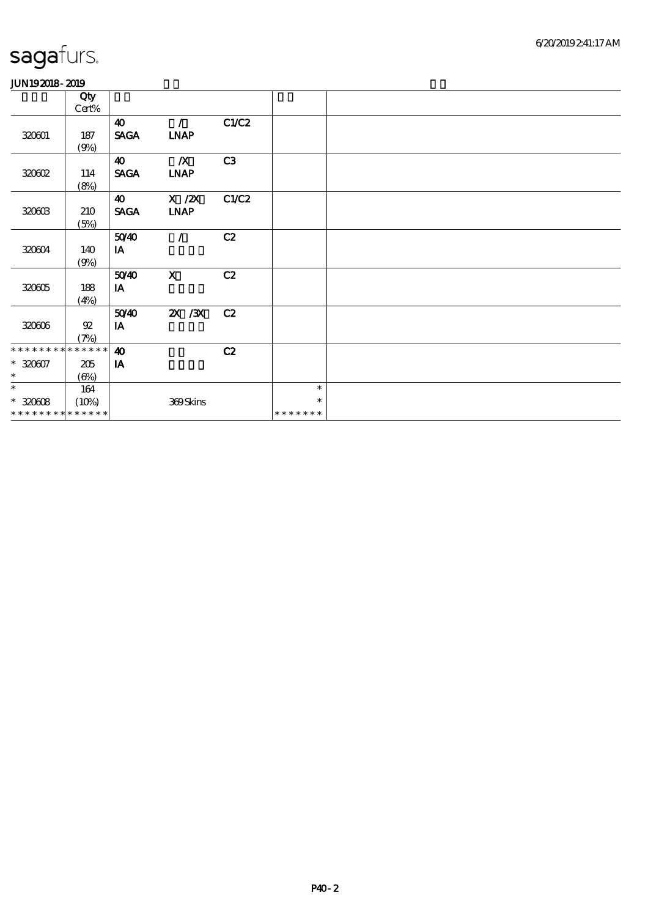|                             | Qty<br>Cert%             |                                      |                              |       |               |  |
|-----------------------------|--------------------------|--------------------------------------|------------------------------|-------|---------------|--|
| 320001                      | 187<br>(9%)              | $\boldsymbol{\omega}$<br><b>SAGA</b> | $\mathcal{L}$<br><b>INAP</b> | C1/C2 |               |  |
| 320602                      | 114<br>(8%)              | $\boldsymbol{\omega}$<br><b>SAGA</b> | $\mathbb{X}$<br><b>LNAP</b>  | C3    |               |  |
| 320603                      | 210<br>(5%)              | $\boldsymbol{\omega}$<br><b>SAGA</b> | X / ZX<br><b>INAP</b>        | C1/C2 |               |  |
| 320604                      | 140<br>(9%)              | 5040<br>IA                           | $\mathcal{T}$                | C2    |               |  |
| 320005                      | 188<br>(4%)              | 5040<br>$I$ A                        | $\mathbf{x}$                 | C2    |               |  |
| 320606                      | ${\mathfrak{A}}$<br>(7%) | 5040<br>IA                           | $\chi$ / $\chi$              | C2    |               |  |
| * * * * * * * *             | $******$                 | $\boldsymbol{\omega}$                |                              | C2    |               |  |
| $* 320007$                  | 205                      | IA                                   |                              |       |               |  |
| $\ast$                      | (6%)                     |                                      |                              |       |               |  |
| $\ast$                      | 164                      |                                      |                              |       | $\ast$        |  |
| $* 320008$                  | (10%)                    |                                      | 369Skins                     |       | $\ast$        |  |
| * * * * * * * * * * * * * * |                          |                                      |                              |       | * * * * * * * |  |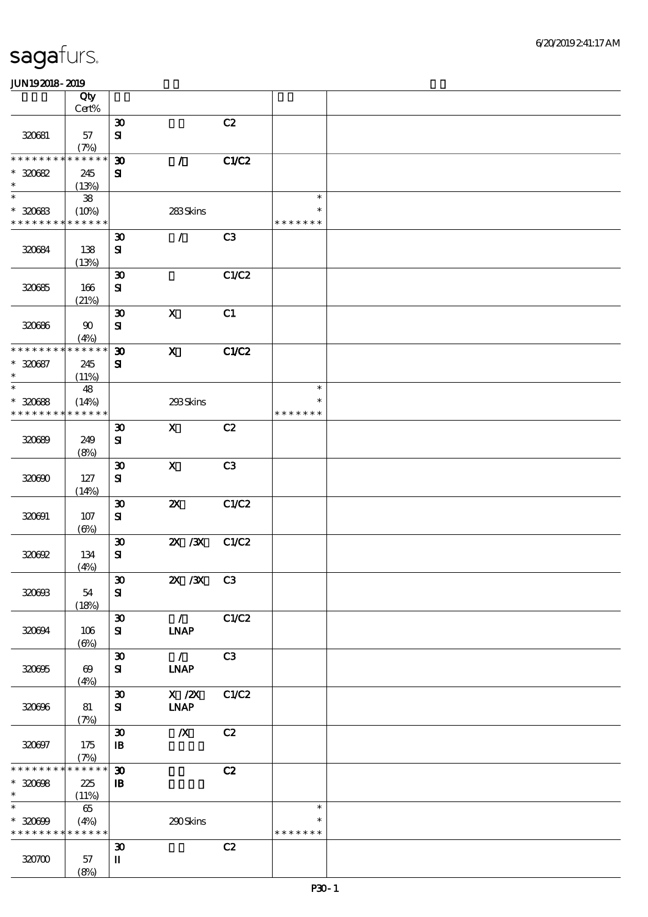|                                            | Qty<br>Cert%                  |                             |                           |       |               |  |
|--------------------------------------------|-------------------------------|-----------------------------|---------------------------|-------|---------------|--|
|                                            |                               | $\boldsymbol{\mathfrak{D}}$ |                           | C2    |               |  |
| 320681                                     | 57                            | ${\bf s}$                   |                           |       |               |  |
| ********                                   | (7%)<br>* * * * * *           |                             | $\mathcal{L}$             | C1/C2 |               |  |
| $*30682$                                   |                               | $\boldsymbol{\mathfrak{D}}$ |                           |       |               |  |
| $\ast$                                     | 245<br>(13%)                  | ${\bf S}$                   |                           |       |               |  |
| $\ast$                                     | ${\bf 38}$                    |                             |                           |       | $\ast$        |  |
| $*30083$                                   | (10%)                         |                             | 283Skins                  |       | *             |  |
| * * * * * * * * * * * * * *                |                               |                             |                           |       | * * * * * * * |  |
|                                            |                               | $\boldsymbol{\mathfrak{D}}$ | $\mathcal{L}$             | C3    |               |  |
| 320684                                     | 138                           | $\mathbf{S}$                |                           |       |               |  |
|                                            | (13%)                         |                             |                           |       |               |  |
|                                            |                               | $\boldsymbol{\mathfrak{D}}$ |                           | C1/C2 |               |  |
| 320685                                     | 166                           | ${\bf s}$                   |                           |       |               |  |
|                                            | (21%)                         |                             |                           |       |               |  |
|                                            |                               | $\boldsymbol{\mathfrak{D}}$ | $\boldsymbol{\mathrm{X}}$ | C1    |               |  |
| 320686                                     | $90\,$                        | ${\bf s}$                   |                           |       |               |  |
|                                            | (4%)                          |                             |                           |       |               |  |
| * * * * * * * *                            | * * * * * *                   | $\boldsymbol{\mathfrak{D}}$ | $\mathbf{X}$              | C1/C2 |               |  |
| $* 320687$<br>$\ast$                       | 245                           | $\mathbf{S}$                |                           |       |               |  |
| $\overline{\ast}$                          | (11%)<br>48                   |                             |                           |       | $\ast$        |  |
| $*30088$                                   | (14%)                         |                             | 293Skins                  |       | $\ast$        |  |
| * * * * * * * *                            | * * * * * *                   |                             |                           |       | * * * * * * * |  |
|                                            |                               | $\boldsymbol{\mathfrak{D}}$ | $\mathbf{x}$              | C2    |               |  |
| 320699                                     | 249                           | ${\bf s}$                   |                           |       |               |  |
|                                            | (8%)                          |                             |                           |       |               |  |
|                                            |                               | $\boldsymbol{\mathfrak{D}}$ | $\mathbf X$               | C3    |               |  |
| 320600                                     | 127                           | ${\bf s}$                   |                           |       |               |  |
|                                            | (14%)                         |                             |                           |       |               |  |
|                                            |                               | $\boldsymbol{\mathfrak{D}}$ | $\boldsymbol{\mathsf{z}}$ | C1/C2 |               |  |
| 320691                                     | 107                           | ${\bf s}$                   |                           |       |               |  |
|                                            | $(\Theta)$                    | $\boldsymbol{\mathfrak{D}}$ | $X \, X$                  | C1/C2 |               |  |
| 320692                                     | 134                           | ${\bf s}$                   |                           |       |               |  |
|                                            | (4%)                          |                             |                           |       |               |  |
|                                            |                               | $\pmb{\mathfrak{D}}$        | 2X / 3X C3                |       |               |  |
| 320603                                     | 54                            | ${\bf s}$                   |                           |       |               |  |
|                                            | (18%)                         |                             |                           |       |               |  |
|                                            |                               | $\boldsymbol{\mathfrak{D}}$ | $\mathcal{L}$             | C1/C2 |               |  |
| 320694                                     | 106                           | ${\bf s}$                   | <b>INAP</b>               |       |               |  |
|                                            | $(\Theta)$                    |                             |                           |       |               |  |
|                                            |                               | $\boldsymbol{\mathfrak{D}}$ | $\mathcal{L}$             | C3    |               |  |
| 320695                                     | $\boldsymbol{\omega}$<br>(4%) | ${\bf s}$                   | <b>INAP</b>               |       |               |  |
|                                            |                               | $\pmb{\mathfrak{D}}$        | $X$ / $ZX$                | C1/C2 |               |  |
| 320696                                     | 81                            | ${\bf s}$                   | <b>LNAP</b>               |       |               |  |
|                                            | (7%)                          |                             |                           |       |               |  |
|                                            |                               | $\boldsymbol{\mathfrak{D}}$ | $\boldsymbol{X}$          | C2    |               |  |
| 320697                                     | 175                           | $\mathbf{B}$                |                           |       |               |  |
| * * * * * * * *                            | (7%)<br>* * * * * *           |                             |                           |       |               |  |
|                                            |                               | $\boldsymbol{\mathfrak{D}}$ |                           | C2    |               |  |
| $* 320008$<br>$\ast$                       | 225<br>(11%)                  | $\mathbf{B}$                |                           |       |               |  |
| $\ast$                                     | $65\,$                        |                             |                           |       | $\ast$        |  |
| $* 320009$                                 | (4%)                          |                             | 290Skins                  |       | $\ast$        |  |
| * * * * * * * * <mark>* * * * * * *</mark> |                               |                             |                           |       | * * * * * * * |  |
|                                            |                               | $\boldsymbol{\mathfrak{D}}$ |                           | C2    |               |  |
| 320700                                     | 57                            | $\mathbf I$                 |                           |       |               |  |
|                                            | (8%)                          |                             |                           |       |               |  |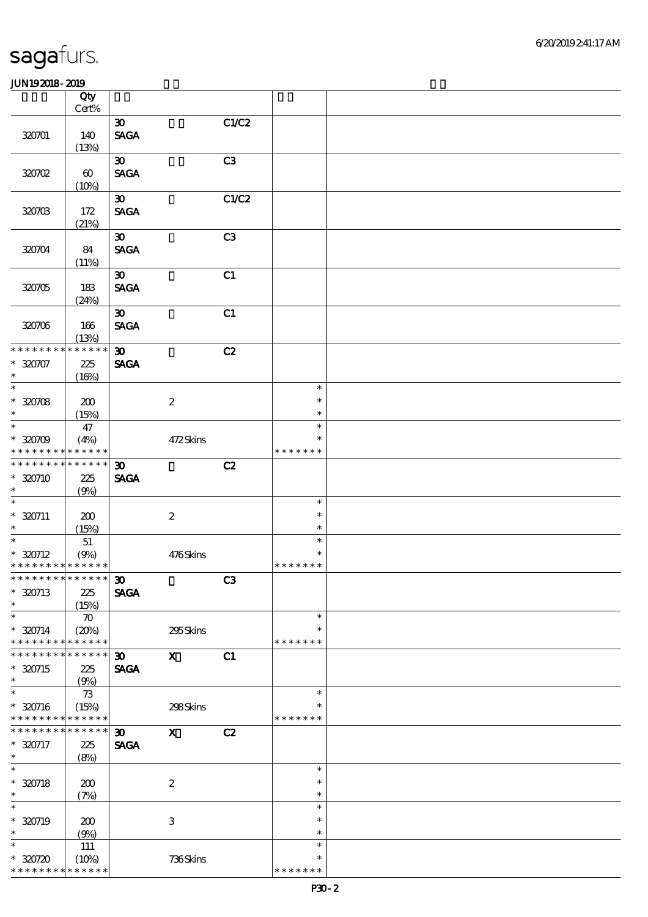|                                        | Qty                   |                             |                           |       |                  |  |
|----------------------------------------|-----------------------|-----------------------------|---------------------------|-------|------------------|--|
|                                        | Cert%                 |                             |                           |       |                  |  |
|                                        |                       | $\boldsymbol{\mathfrak{D}}$ |                           | C1/C2 |                  |  |
| 320701                                 | 140                   | <b>SAGA</b>                 |                           |       |                  |  |
|                                        | (13%)                 |                             |                           |       |                  |  |
|                                        |                       | 30 <sup>2</sup>             |                           | C3    |                  |  |
| 320702                                 | $\boldsymbol{\omega}$ | <b>SAGA</b>                 |                           |       |                  |  |
|                                        | (10%)                 | $\boldsymbol{\mathfrak{D}}$ |                           | C1/C2 |                  |  |
|                                        |                       | <b>SAGA</b>                 |                           |       |                  |  |
| 320703                                 | 172<br>(21%)          |                             |                           |       |                  |  |
|                                        |                       | $\boldsymbol{\mathfrak{D}}$ |                           | C3    |                  |  |
| 320704                                 | 84                    | <b>SAGA</b>                 |                           |       |                  |  |
|                                        | (11%)                 |                             |                           |       |                  |  |
|                                        |                       | $\boldsymbol{\mathfrak{D}}$ |                           | C1    |                  |  |
| 320705                                 | 183                   | <b>SAGA</b>                 |                           |       |                  |  |
|                                        | (24%)                 |                             |                           |       |                  |  |
|                                        |                       | $\boldsymbol{\mathfrak{D}}$ |                           | C1    |                  |  |
| 320706                                 | 166                   | <b>SAGA</b>                 |                           |       |                  |  |
|                                        | (13%)                 |                             |                           |       |                  |  |
| * * * * * * *                          | * * * * * *           | $\boldsymbol{\mathfrak{D}}$ |                           | C2    |                  |  |
| $*30007$                               | 225                   | <b>SAGA</b>                 |                           |       |                  |  |
| $\ast$                                 | (16%)                 |                             |                           |       |                  |  |
| $\overline{\ast}$                      |                       |                             |                           |       | $\ast$           |  |
| $*30708$                               | 200                   |                             | $\boldsymbol{2}$          |       | $\ast$           |  |
| $\ast$<br>$\ast$                       | (15%)                 |                             |                           |       | $\ast$           |  |
|                                        | 47                    |                             |                           |       | $\ast$<br>$\ast$ |  |
| $*3000$<br>* * * * * * * * * * * * * * | (4%)                  |                             | 472Skins                  |       | * * * * * * *    |  |
| * * * * * * * *                        | $******$              | $\boldsymbol{\mathfrak{D}}$ |                           | C2    |                  |  |
| $*320710$                              | 225                   | <b>SAGA</b>                 |                           |       |                  |  |
| $\ast$                                 | (9%)                  |                             |                           |       |                  |  |
| $\ast$                                 |                       |                             |                           |       | $\ast$           |  |
| $* 320711$                             | 200                   |                             | $\boldsymbol{2}$          |       | $\ast$           |  |
| $\ast$                                 | (15%)                 |                             |                           |       | $\ast$           |  |
| $\overline{\phantom{0}}$               | 51                    |                             |                           |       | $\ast$           |  |
| $*320712$                              | (9%)                  |                             | 476Skins                  |       | $\ast$           |  |
| * * * * * * * * * * * * * *            |                       |                             |                           |       | * * * * * * *    |  |
| ******** <mark>******</mark>           |                       | $\boldsymbol{\mathfrak{D}}$ |                           | C3    |                  |  |
| $*320713$                              | 225                   | <b>SAGA</b>                 |                           |       |                  |  |
| $\ast$                                 | (15%)                 |                             |                           |       |                  |  |
| $\ast$                                 | $\boldsymbol{\pi}$    |                             |                           |       | $\ast$           |  |
| $* 320714$                             | (20%)                 |                             | 295Skins                  |       | $\ast$           |  |
| * * * * * * * *                        | * * * * * *           |                             |                           |       | * * * * * * *    |  |
| * * * * * * *                          | * * * * * *           | $\boldsymbol{\mathfrak{D}}$ | $\mathbf{x}$              | C1    |                  |  |
| $*320715$<br>$\ast$                    | 225                   | <b>SAGA</b>                 |                           |       |                  |  |
| $\ast$                                 | (9%)<br>$73\,$        |                             |                           |       | $\ast$           |  |
| $* 320716$                             | (15%)                 |                             | 298Skins                  |       | $\ast$           |  |
| * * * * * * * *                        | * * * * * *           |                             |                           |       | * * * * * * *    |  |
| * * * * * * *                          | * * * * * *           | $\boldsymbol{\mathfrak{D}}$ | $\boldsymbol{\mathrm{X}}$ | C2    |                  |  |
| $* 320717$                             | 225                   | <b>SAGA</b>                 |                           |       |                  |  |
| $\ast$                                 | (8%)                  |                             |                           |       |                  |  |
| $\ast$                                 |                       |                             |                           |       | $\ast$           |  |
| $* 320718$                             | 200                   |                             | $\boldsymbol{2}$          |       | $\ast$           |  |
| $\ast$                                 | (7%)                  |                             |                           |       | $\ast$           |  |
| $\ast$                                 |                       |                             |                           |       | $\ast$           |  |
| $* 320719$                             | 200                   |                             | $\ensuremath{\mathsf{3}}$ |       | $\ast$           |  |
| $\ast$                                 | (9%)                  |                             |                           |       | $\ast$           |  |
| $\ast$                                 | 111                   |                             |                           |       | $\ast$           |  |
| $*30720$                               | (10%)                 |                             | 736Skins                  |       | $\ast$           |  |
| * * * * * * * *                        | * * * * * *           |                             |                           |       | * * * * * * *    |  |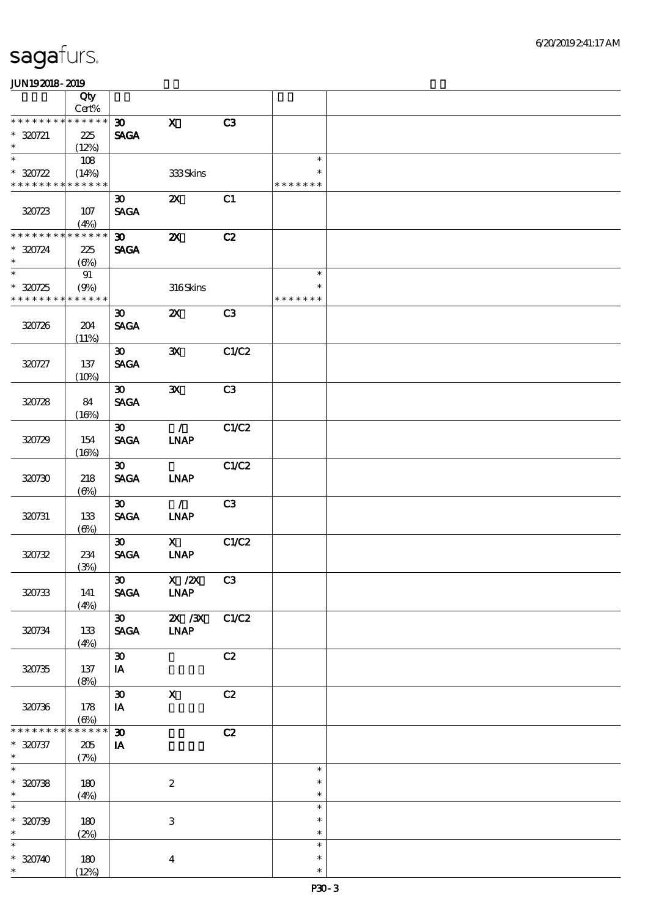|                                    | Qty<br>$Cert\%$           |                             |                              |       |               |  |
|------------------------------------|---------------------------|-----------------------------|------------------------------|-------|---------------|--|
| * * * * * * * *                    | * * * * * *               | $\boldsymbol{\mathfrak{D}}$ | $\mathbf x$                  | C3    |               |  |
| $* 320721$                         | 225                       | <b>SAGA</b>                 |                              |       |               |  |
| $\ast$                             |                           |                             |                              |       |               |  |
| $\ast$                             | (12%)                     |                             |                              |       | $\ast$        |  |
|                                    | 108                       |                             |                              |       | $\ast$        |  |
| $*30722$<br>* * * * * * * *        | (14%)<br>* * * * * *      |                             | 333Skins                     |       | * * * * * * * |  |
|                                    |                           |                             |                              |       |               |  |
|                                    |                           | $\boldsymbol{\mathfrak{D}}$ | $\boldsymbol{\mathsf{X}}$    | C1    |               |  |
| 320723                             | 107                       | <b>SAGA</b>                 |                              |       |               |  |
|                                    | (4%)                      |                             |                              |       |               |  |
| * * * * * * * *                    | * * * * * *               | $\boldsymbol{\mathfrak{D}}$ | $\boldsymbol{\mathsf{z}}$    | C2    |               |  |
| $* 320724$                         | 225                       | <b>SAGA</b>                 |                              |       |               |  |
| $\ast$                             | $(\Theta)$                |                             |                              |       |               |  |
| $\ast$                             | 91                        |                             |                              |       | $\ast$        |  |
| $*30725$                           | (9%)                      |                             | $316$ Skins                  |       | $\ast$        |  |
| * * * * * * * * * * * * * *        |                           |                             |                              |       | * * * * * * * |  |
|                                    |                           | $\boldsymbol{\mathfrak{D}}$ | $\boldsymbol{\mathsf{X}}$    | C3    |               |  |
| 320726                             | 204                       | <b>SAGA</b>                 |                              |       |               |  |
|                                    | (11%)                     |                             |                              |       |               |  |
|                                    |                           | $\boldsymbol{\mathfrak{D}}$ | $\mathbf{x}$                 | C1/C2 |               |  |
| 320727                             | 137                       | <b>SAGA</b>                 |                              |       |               |  |
|                                    | (10%)                     |                             |                              |       |               |  |
|                                    |                           | $\boldsymbol{\mathfrak{D}}$ | $\mathbf{x}$                 | C3    |               |  |
|                                    |                           | <b>SAGA</b>                 |                              |       |               |  |
| 320728                             | 84                        |                             |                              |       |               |  |
|                                    | (16%)                     |                             |                              |       |               |  |
|                                    |                           | $\boldsymbol{\mathfrak{D}}$ | $\mathcal{L}$                | C1/C2 |               |  |
| 320729                             | 154                       | <b>SAGA</b>                 | <b>INAP</b>                  |       |               |  |
|                                    | (16%)                     |                             |                              |       |               |  |
|                                    |                           | $\boldsymbol{\mathfrak{D}}$ |                              | C1/C2 |               |  |
| 320730                             | 218                       | <b>SAGA</b>                 | <b>INAP</b>                  |       |               |  |
|                                    | $(\Theta)$                |                             |                              |       |               |  |
|                                    |                           | $\boldsymbol{\mathfrak{D}}$ | $\mathcal{L}$                | C3    |               |  |
| 320731                             | 133                       | <b>SAGA</b>                 | <b>INAP</b>                  |       |               |  |
|                                    | $(\Theta)$                |                             |                              |       |               |  |
|                                    |                           | $\boldsymbol{\mathfrak{D}}$ | $\mathbf{X}$                 | C1/C2 |               |  |
| 320732                             | 234                       | <b>SAGA</b>                 | <b>INAP</b>                  |       |               |  |
|                                    | (3%)                      |                             |                              |       |               |  |
|                                    |                           | $\boldsymbol{\mathfrak{D}}$ | X / ZX                       | C3    |               |  |
| 320733                             | 141                       | <b>SAGA</b>                 | <b>LNAP</b>                  |       |               |  |
|                                    | (4%)                      |                             |                              |       |               |  |
|                                    |                           | $\boldsymbol{\mathfrak{D}}$ | $X \, X$                     | C1/C2 |               |  |
| 320734                             | 133                       | <b>SAGA</b>                 | $\ensuremath{\mathbf{INAP}}$ |       |               |  |
|                                    | (4%)                      |                             |                              |       |               |  |
|                                    |                           | $\boldsymbol{\mathfrak{D}}$ |                              | C2    |               |  |
| 320735                             | 137                       | IA                          |                              |       |               |  |
|                                    | (8%)                      |                             |                              |       |               |  |
|                                    |                           | $\boldsymbol{\mathfrak{D}}$ | $\boldsymbol{\mathrm{X}}$    |       |               |  |
|                                    |                           |                             |                              | C2    |               |  |
| 320736                             | 178                       | IA                          |                              |       |               |  |
| * * * * * * *                      | $(\Theta)$<br>* * * * * * |                             |                              |       |               |  |
|                                    |                           | $\boldsymbol{\mathfrak{D}}$ |                              | C2    |               |  |
| * 320737                           | 205                       | IA                          |                              |       |               |  |
| $\ast$<br>$\overline{\phantom{0}}$ | (7%)                      |                             |                              |       |               |  |
|                                    |                           |                             |                              |       | $\ast$        |  |
| $* 320738$                         | 180                       |                             | $\boldsymbol{2}$             |       | $\ast$        |  |
| $\ast$                             | (4%)                      |                             |                              |       | $\ast$        |  |
| $\overline{\ast}$                  |                           |                             |                              |       | $\ast$        |  |
| $* 320739$                         | 180                       |                             | $\,3\,$                      |       | $\ast$        |  |
| $\ast$                             | (2%)                      |                             |                              |       | $\ast$        |  |
| $\ast$                             |                           |                             |                              |       | $\ast$        |  |
| $* 320740$                         | 180                       |                             | $\bf{4}$                     |       | $\ast$        |  |
| $\ast$                             | (12%)                     |                             |                              |       | $\ast$        |  |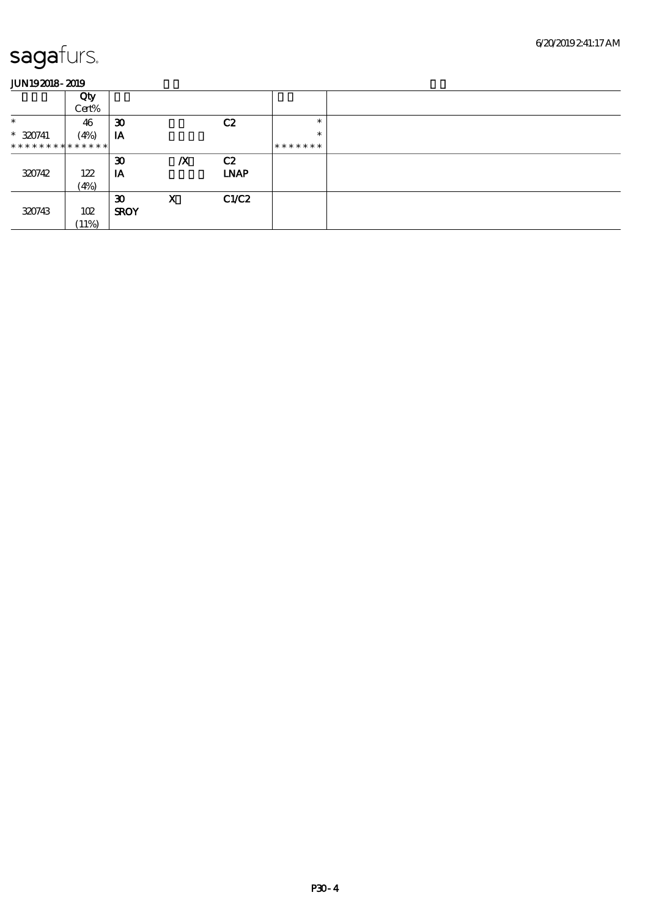|                               | Qty   |                             |                  |             |         |
|-------------------------------|-------|-----------------------------|------------------|-------------|---------|
|                               | Cert% |                             |                  |             |         |
| $\ast$                        | 46    | $\boldsymbol{\mathfrak{D}}$ |                  | C2          | $\ast$  |
| $* 320741$                    | (4%)  | IA                          |                  |             | $\ast$  |
| * * * * * * * * * * * * * * * |       |                             |                  |             | ******* |
|                               |       | $\boldsymbol{\mathfrak{D}}$ | $\boldsymbol{X}$ | C2          |         |
| 320742                        | 122   | IA                          |                  | <b>LNAP</b> |         |
|                               | (4%)  |                             |                  |             |         |
|                               |       | $\boldsymbol{\mathfrak{D}}$ | X                | C1/C2       |         |
| 320743                        | 102   | <b>SROY</b>                 |                  |             |         |
|                               | (11%) |                             |                  |             |         |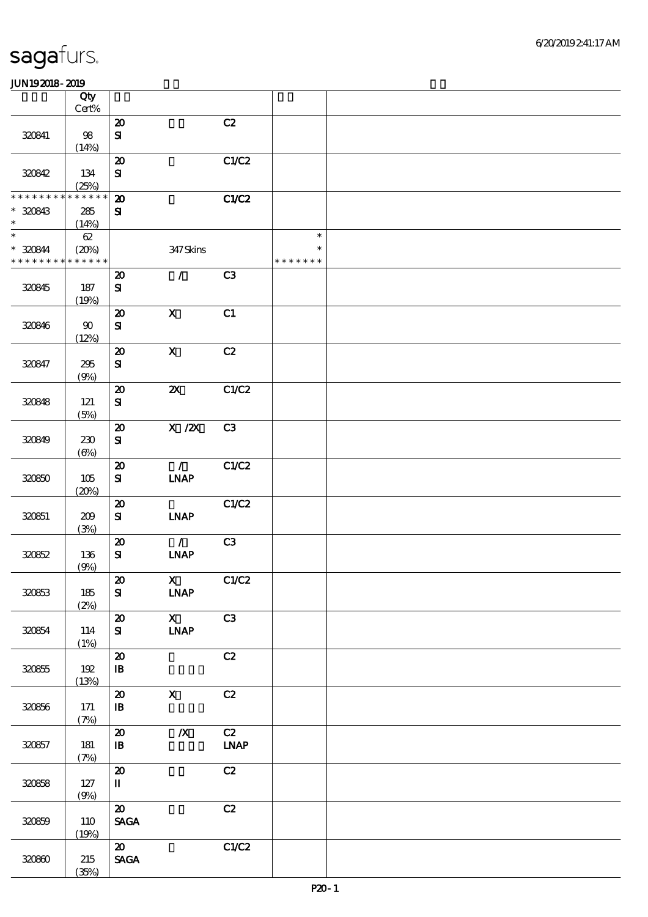|                                         | Qty<br>Cert%                   |                                                               |                                              |                                  |                                   |  |
|-----------------------------------------|--------------------------------|---------------------------------------------------------------|----------------------------------------------|----------------------------------|-----------------------------------|--|
| 320841                                  | 98<br>(14%)                    | $\boldsymbol{\mathsf{20}}$<br>$\mathbf{S}$                    |                                              | C2                               |                                   |  |
| 320842                                  | 134<br>(25%)                   | $\boldsymbol{\mathfrak{D}}$<br>${\bf s}$                      |                                              | C1/C2                            |                                   |  |
| * * * * * * *<br>$*30843$<br>$\ast$     | * * * * * *<br>285<br>(14%)    | $\boldsymbol{\mathbf{z}}$<br>$\mathbf{S}$                     |                                              | C1/C2                            |                                   |  |
| $\ast$<br>$* 320844$<br>* * * * * * * * | $62\,$<br>(20%)<br>* * * * * * |                                                               | 347 Skins                                    |                                  | $\ast$<br>$\ast$<br>* * * * * * * |  |
| 320845                                  | 187<br>(19%)                   | $\boldsymbol{\mathfrak{D}}$<br>${\bf S}$                      | $\mathcal{T}$                                | C <sub>3</sub>                   |                                   |  |
| 320846                                  | $90\,$<br>(12%)                | $\boldsymbol{\mathfrak{D}}$<br>${\bf S\!I}$                   | $\boldsymbol{\mathrm{X}}$                    | C1                               |                                   |  |
| 320847                                  | 295<br>(9%)                    | $\boldsymbol{\mathfrak{D}}$<br>${\bf S}$                      | $\mathbf X$                                  | C2                               |                                   |  |
| 320848                                  | 121<br>(5%)                    | $\boldsymbol{\mathfrak{D}}$<br>${\bf S}$                      | $\boldsymbol{\mathsf{X}}$                    | C1/C2                            |                                   |  |
| 320849                                  | 230<br>$(\Theta)$              | $\boldsymbol{\mathfrak{D}}$<br>${\bf S\!I}$                   | $X$ / $ZX$                                   | C3                               |                                   |  |
| 320850                                  | 105<br>(20%)                   | $\pmb{\mathcal{X}}$<br>$\bf S$                                | $\mathcal{L}$<br>INAP                        | C1/C2                            |                                   |  |
| 320851                                  | 209<br>(3%)                    | $\boldsymbol{\mathbf{z}}$<br>${\bf s}$                        | <b>INAP</b>                                  | C1/C2                            |                                   |  |
| 320852                                  | 136<br>(9%)                    | $\boldsymbol{\mathsf{20}}$<br>${\bf s}$                       | $\mathcal{L}$<br>INAP                        | C3                               |                                   |  |
| 320853                                  | 185<br>(2%)                    | $\boldsymbol{\mathfrak{D}}$<br>${\bf s}$                      | $\mathbf{X}$<br><b>LNAP</b>                  | C1/C2                            |                                   |  |
| 320854                                  | 114<br>(1%)                    | $\boldsymbol{\mathfrak{D}}$<br>${\bf s}$                      | $\mathbf{X}$<br>$\ensuremath{\mathbf{INAP}}$ | C3                               |                                   |  |
| 320855                                  | $192$<br>(13%)                 | $\pmb{\mathcal{D}}$<br>${\bf I\!B}$                           |                                              | $\mathbf{C2}$                    |                                   |  |
| 320856                                  | 171<br>(7%)                    | $\boldsymbol{\mathfrak{D}}$<br>$\, {\bf I} \! {\bf B} \,$     | $\mathbf{X}$                                 | C2                               |                                   |  |
| 320857                                  | 181<br>(7%)                    | ${\bf Z}$<br>$\, {\bf I} \! {\bf B} \,$                       | $\pmb{X}$                                    | C2<br>$\ensuremath{\text{INAP}}$ |                                   |  |
| 320858                                  | 127<br>(9%)                    | $\pmb{\mathcal{X}}$<br>$\mathbf I$                            |                                              | C2                               |                                   |  |
| 320859                                  | 110<br>(19%)                   | $\boldsymbol{\mathfrak{D}}$<br>$\operatorname{\mathsf{SAGA}}$ |                                              | C2                               |                                   |  |
| 320800                                  | 215<br>(35%)                   | $\boldsymbol{\omega}$<br>$\operatorname{\mathsf{SAGA}}$       |                                              | C1/C2                            |                                   |  |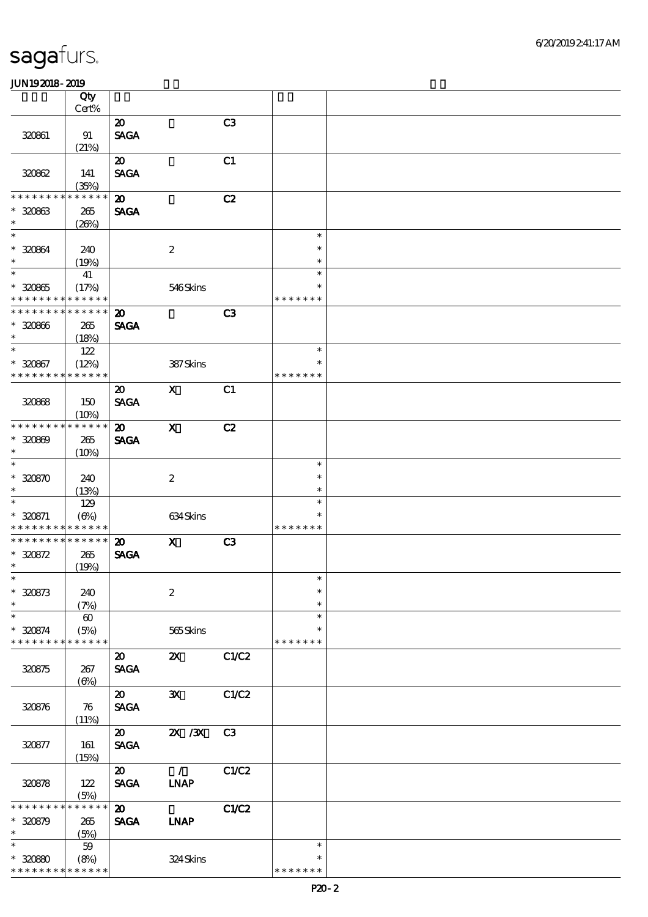|                               | Qty                         |                                      |                                           |       |                  |  |
|-------------------------------|-----------------------------|--------------------------------------|-------------------------------------------|-------|------------------|--|
|                               | Cert%                       |                                      |                                           |       |                  |  |
|                               |                             | $\boldsymbol{\mathfrak{D}}$          |                                           | C3    |                  |  |
| 320861                        | 91                          | <b>SAGA</b>                          |                                           |       |                  |  |
|                               | (21%)                       |                                      |                                           |       |                  |  |
|                               |                             | $\boldsymbol{\mathfrak{D}}$          |                                           | C1    |                  |  |
| 320862                        | 141                         | <b>SAGA</b>                          |                                           |       |                  |  |
| * * * * * * *                 | (35%)<br>* * * * * *        |                                      |                                           |       |                  |  |
|                               |                             | $\boldsymbol{\mathbf{z}}$            |                                           | C2    |                  |  |
| $* 30863$<br>$\ast$           | 265                         | <b>SAGA</b>                          |                                           |       |                  |  |
| $\ast$                        | (20%)                       |                                      |                                           |       | $\ast$           |  |
| $* 320864$                    | 240                         |                                      | $\boldsymbol{2}$                          |       | $\ast$           |  |
| $\ast$                        | (19%)                       |                                      |                                           |       | $\ast$           |  |
| $\overline{\phantom{1}}$      | 41                          |                                      |                                           |       | $\ast$           |  |
| $* 320865$                    | (17%)                       |                                      | 546Skins                                  |       | $\ast$           |  |
| * * * * * * * *               | * * * * * *                 |                                      |                                           |       | * * * * * * *    |  |
| * * * * * * * *               | * * * * * *                 | $\boldsymbol{\mathbf{z}}$            |                                           | C3    |                  |  |
| $* 320866$                    | 265                         | <b>SAGA</b>                          |                                           |       |                  |  |
| $\ast$                        | (18%)                       |                                      |                                           |       |                  |  |
| $\ast$                        | 122                         |                                      |                                           |       | $\ast$           |  |
| $* 320867$                    | (12%)                       |                                      | 387Skins                                  |       | $\ast$           |  |
| * * * * * * * *               | * * * * * *                 |                                      |                                           |       | * * * * * * *    |  |
|                               |                             | $\boldsymbol{\mathfrak{D}}$          | $\mathbf{X}$                              | C1    |                  |  |
| 320868                        | 150                         | <b>SAGA</b>                          |                                           |       |                  |  |
|                               | (10%)                       |                                      |                                           |       |                  |  |
| * * * * * * *                 | * * * * * *                 | $\boldsymbol{\mathsf{20}}$           | $\mathbf x$                               | C2    |                  |  |
| $* 30000$                     | 265                         | <b>SAGA</b>                          |                                           |       |                  |  |
| $\ast$                        | (10%)                       |                                      |                                           |       |                  |  |
| $\ast$                        |                             |                                      |                                           |       | $\ast$           |  |
| $* 320870$                    | 240                         |                                      | $\boldsymbol{z}$                          |       | $\ast$           |  |
| $\ast$<br>$\ast$              | (13%)                       |                                      |                                           |       | $\ast$           |  |
|                               | 129                         |                                      |                                           |       | $\ast$<br>$\ast$ |  |
| $* 320871$<br>* * * * * * * * | $(\Theta\%)$<br>* * * * * * |                                      | $634\mspace{3mu}\mathrm{S} \mathrm{kins}$ |       | * * * * * * *    |  |
| * * * * * * *                 | * * * * * *                 | $\boldsymbol{\mathbf{z}}$            | $\mathbf{X}$                              | C3    |                  |  |
| $* 30872$                     | 265                         | <b>SAGA</b>                          |                                           |       |                  |  |
| $\ast$                        | (19%)                       |                                      |                                           |       |                  |  |
| $\ast$                        |                             |                                      |                                           |       | $\ast$           |  |
| $* 320873$                    | 240                         |                                      | $\boldsymbol{2}$                          |       | $\ast$           |  |
| $\ast$                        | (7%)                        |                                      |                                           |       | $\ast$           |  |
| $\ast$                        | $\boldsymbol{\omega}$       |                                      |                                           |       | $\ast$           |  |
| $* 320874$                    | (5%)                        |                                      | 565Skins                                  |       | $\ast$           |  |
| * * * * * * * *               | * * * * * *                 |                                      |                                           |       | * * * * * * *    |  |
|                               |                             | $\boldsymbol{\mathfrak{D}}$          | $\boldsymbol{\mathsf{Z}}$                 | C1/C2 |                  |  |
| 320875                        | 267                         | <b>SAGA</b>                          |                                           |       |                  |  |
|                               | $(\Theta)$                  |                                      |                                           |       |                  |  |
|                               |                             | $\boldsymbol{\mathfrak{D}}$          | $\mathbf{x}$                              | C1/C2 |                  |  |
| 320876                        | 76                          | <b>SAGA</b>                          |                                           |       |                  |  |
|                               | (11%)                       |                                      |                                           |       |                  |  |
|                               |                             | $\boldsymbol{\omega}$<br><b>SAGA</b> | $\chi$ / $\chi$                           | C3    |                  |  |
| 320877                        | 161<br>(15%)                |                                      |                                           |       |                  |  |
|                               |                             | $\boldsymbol{\mathfrak{D}}$          | $\mathcal{L}$                             | C1/C2 |                  |  |
| 320878                        | 122                         | <b>SAGA</b>                          | <b>INAP</b>                               |       |                  |  |
|                               | (5%)                        |                                      |                                           |       |                  |  |
| * * * * * * *                 | * * * * * *                 | $\boldsymbol{\mathfrak{D}}$          |                                           | C1/C2 |                  |  |
| $* 30879$                     | 265                         | <b>SAGA</b>                          | <b>INAP</b>                               |       |                  |  |
| $\ast$                        | (5%)                        |                                      |                                           |       |                  |  |
| $\ast$                        | $59\,$                      |                                      |                                           |       | $\ast$           |  |
| $*3080$                       | (8%)                        |                                      | 324Skins                                  |       | $\ast$           |  |
| * * * * * * * *               | * * * * * *                 |                                      |                                           |       | * * * * * * *    |  |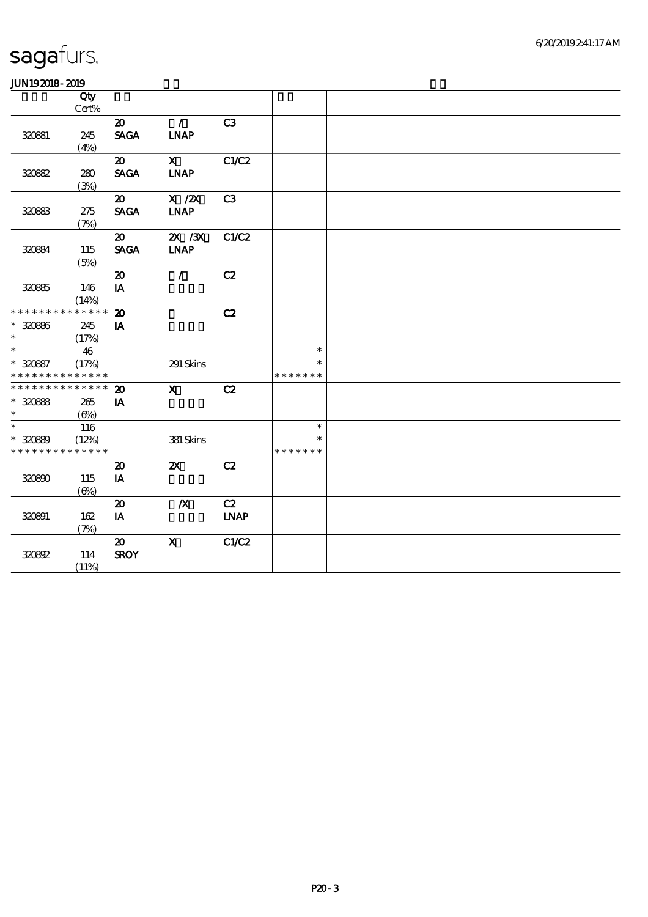| .                           |                            |                             |                  |             |               |  |
|-----------------------------|----------------------------|-----------------------------|------------------|-------------|---------------|--|
|                             | $\overline{Q}$ ty<br>Cert% |                             |                  |             |               |  |
|                             |                            | $\boldsymbol{\mathfrak{D}}$ | $\mathcal{L}$    | C3          |               |  |
|                             |                            | <b>SAGA</b>                 |                  |             |               |  |
| 320881                      | 245                        |                             | <b>LNAP</b>      |             |               |  |
|                             | (4%)                       | $\boldsymbol{\omega}$       |                  |             |               |  |
|                             |                            |                             | $\mathbf X$      | C1/C2       |               |  |
| 320882                      | 280                        | <b>SAGA</b>                 | <b>INAP</b>      |             |               |  |
|                             | (3%)                       |                             |                  |             |               |  |
|                             |                            | $\boldsymbol{\mathsf{20}}$  | $X$ / $ZX$       | C3          |               |  |
| 32083                       | 275                        | <b>SAGA</b>                 | <b>INAP</b>      |             |               |  |
|                             | (7%)                       |                             |                  |             |               |  |
|                             |                            | $\boldsymbol{\mathfrak{D}}$ | $X \, X$         | C1/C2       |               |  |
| 320884                      | 115                        | <b>SAGA</b>                 | <b>INAP</b>      |             |               |  |
|                             | (5%)                       |                             |                  |             |               |  |
|                             |                            | $\boldsymbol{\mathfrak{D}}$ | $\mathcal{L}$    | C2          |               |  |
| 320865                      | 146                        | IA                          |                  |             |               |  |
|                             | (14%)                      |                             |                  |             |               |  |
| * * * * * * * *             | * * * * * *                | $\boldsymbol{\mathfrak{D}}$ |                  | C2          |               |  |
| $* 320866$                  | 245                        | IA                          |                  |             |               |  |
| $\ast$                      | (17%)                      |                             |                  |             |               |  |
| $\ast$                      | 46                         |                             |                  |             | $\ast$        |  |
| $* 320887$                  | (17%)                      |                             | 291 Skins        |             | $\ast$        |  |
| * * * * * * * * * * * * * * |                            |                             |                  |             | * * * * * * * |  |
| * * * * * * * *             | * * * * * *                | $\boldsymbol{\mathfrak{D}}$ | $\mathbf{x}$     | C2          |               |  |
| $* 30888$                   | 265                        | IA                          |                  |             |               |  |
| $\ast$                      | $(\Theta)$                 |                             |                  |             |               |  |
| $\ast$                      | 116                        |                             |                  |             | $\ast$        |  |
| $* 320889$                  | (12%)                      |                             | 381 Skins        |             | $\ast$        |  |
| * * * * * * * * * * * * * * |                            |                             |                  |             | * * * * * * * |  |
|                             |                            | $\boldsymbol{\mathsf{20}}$  | ZX               | C2          |               |  |
| 320890                      | 115                        | $\mathbf{I}\mathbf{A}$      |                  |             |               |  |
|                             | $(\Theta)$                 |                             |                  |             |               |  |
|                             |                            | $\boldsymbol{\mathfrak{D}}$ | $\boldsymbol{X}$ | C2          |               |  |
| 320891                      | 162                        | IA                          |                  | <b>LNAP</b> |               |  |
|                             | (7%)                       |                             |                  |             |               |  |
|                             |                            | $\boldsymbol{\mathfrak{D}}$ | $\mathbf{x}$     | C1/C2       |               |  |
| 320892                      | 114                        | <b>SROY</b>                 |                  |             |               |  |
|                             | (11%)                      |                             |                  |             |               |  |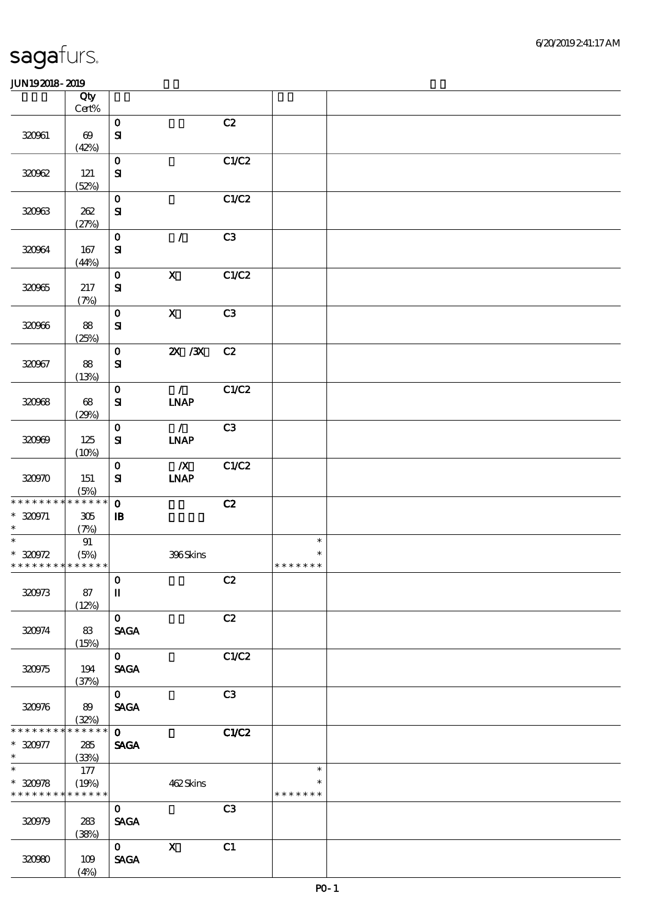| 6/20/2019241:17AM |
|-------------------|
|-------------------|

|                                                   | Qty<br>Cert%                   |                                                      |                              |       |                                   |  |
|---------------------------------------------------|--------------------------------|------------------------------------------------------|------------------------------|-------|-----------------------------------|--|
| 320061                                            | $\boldsymbol{\omega}$<br>(42%) | $\mathbf{o}$<br>$\mathbf{S}$                         |                              | C2    |                                   |  |
| 320962                                            | 121<br>(52%)                   | $\mathbf 0$<br>${\bf s}$                             |                              | C1/C2 |                                   |  |
| 320963                                            | 262<br>(27%)                   | $\mathbf 0$<br>$\mathbf{S}$                          |                              | C1/C2 |                                   |  |
| 320964                                            | 167<br>(44%)                   | $\mathbf O$<br>${\bf s}$                             | $\mathcal{L}$                | C3    |                                   |  |
| 320965                                            | 217<br>(7%)                    | $\mathbf 0$<br>${\bf s}$                             | $\boldsymbol{\mathsf{X}}$    | C1/C2 |                                   |  |
| 320966                                            | 88<br>(25%)                    | $\mathbf O$<br>$\mathbf{S}$                          | $\mathbf{X}$                 | C3    |                                   |  |
| 320967                                            | 88<br>(13%)                    | $\mathbf{o}$<br>$\mathbf{S}$                         | $X \, X$                     | C2    |                                   |  |
| 320968                                            | 68<br>(29%)                    | $\mathbf{o}$<br>${\bf s}$                            | $\mathcal{T}$<br><b>INAP</b> | C1/C2 |                                   |  |
| 320999                                            | 125<br>(10%)                   | $\mathbf O$<br>${\bf s}$                             | $\mathcal{L}$<br><b>INAP</b> | C3    |                                   |  |
| 320970                                            | 151<br>(5%)                    | $\mathbf 0$<br>${\bf s}$                             | $\boldsymbol{X}$<br>INAP     | C1/C2 |                                   |  |
| * * * * * * * *<br>$* 320971$<br>$\ast$           | * * * * * *<br>305<br>(7%)     | $\mathbf 0$<br>$\mathbf{B}$                          |                              | C2    |                                   |  |
| $\ast$<br>$*30972$<br>* * * * * * * * * * * * * * | 91<br>(5%)                     |                                                      | 396Skins                     |       | $\ast$<br>$\ast$<br>* * * * * * * |  |
| 320973                                            | 87<br>(12%)                    | $\mathbf 0$<br>$\rm I\hspace{-.1em}I\hspace{-.1em}I$ |                              | C2    |                                   |  |
| 320974                                            | 83<br>(15%)                    | $\mathbf{O}$<br><b>SAGA</b>                          |                              | C2    |                                   |  |
| 320975                                            | 194<br>(37%)                   | $\mathbf{O}$<br><b>SAGA</b>                          |                              | C1/C2 |                                   |  |
| 320976                                            | 89<br>(32%)                    | $\mathbf{O}$<br>$\ensuremath{\mathsf{SAGA}}$         |                              | C3    |                                   |  |
| * * * * * * *<br>$*320977$<br>$*$ and $*$         | * * * * * *<br>285<br>(33%)    | $\mathbf{O}$<br><b>SAGA</b>                          |                              | C1/C2 |                                   |  |
| $\overline{\ast}$<br>$*30978$<br>* * * * * * * *  | 177<br>(19%)<br>* * * * * *    |                                                      | 462Skins                     |       | $\ast$<br>$\ast$<br>* * * * * * * |  |
| 320979                                            | 283<br>(38%)                   | $\mathbf{O}$<br>$\ensuremath{\mathsf{SAGA}}$         |                              | C3    |                                   |  |
| 32090                                             | 109<br>(4%)                    | $\mathbf{O}$<br><b>SAGA</b>                          | $\mathbf X$                  | C1    |                                   |  |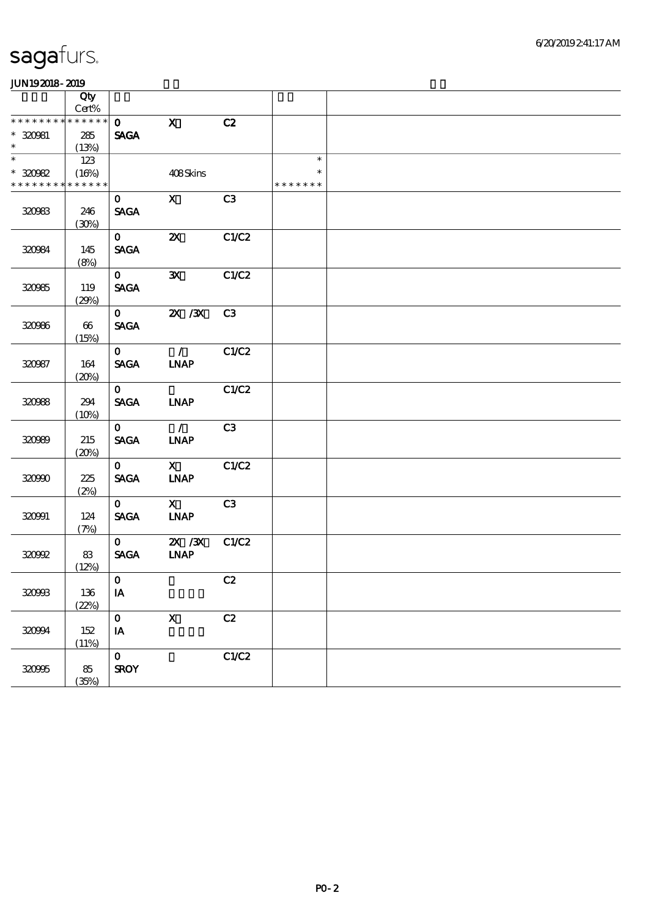| ------                      |             |                        |                           |       |               |  |
|-----------------------------|-------------|------------------------|---------------------------|-------|---------------|--|
|                             | Qty         |                        |                           |       |               |  |
|                             | $Cert\%$    |                        |                           |       |               |  |
| * * * * * * * * * * * * * * |             | $\mathbf{O}$           | $\mathbf{x}$              | C2    |               |  |
| $* 320981$                  | 285         | <b>SAGA</b>            |                           |       |               |  |
| $\ast$                      | (13%)       |                        |                           |       |               |  |
|                             | 123         |                        |                           |       | $\ast$        |  |
| $*30082$                    | (16%)       |                        | 408Skins                  |       | $\ast$        |  |
| * * * * * * * *             | * * * * * * |                        |                           |       | * * * * * * * |  |
|                             |             |                        |                           |       |               |  |
|                             |             | $\mathbf{O}$           | $\mathbf{X}$              | C3    |               |  |
| 320983                      | 246         | <b>SAGA</b>            |                           |       |               |  |
|                             | (30%)       |                        |                           |       |               |  |
|                             |             | $\mathbf{O}$           | $\boldsymbol{\mathsf{Z}}$ | C1/C2 |               |  |
| 320984                      | 145         | <b>SAGA</b>            |                           |       |               |  |
|                             | (8%)        |                        |                           |       |               |  |
|                             |             |                        |                           |       |               |  |
|                             |             | $\mathbf{O}$           | $\mathbf{x}$              | C1/C2 |               |  |
| 320985                      | 119         | <b>SAGA</b>            |                           |       |               |  |
|                             | (29%)       |                        |                           |       |               |  |
|                             |             | $\mathbf{O}$           | $X \, X$                  | C3    |               |  |
| 320966                      | $66\,$      | <b>SAGA</b>            |                           |       |               |  |
|                             | (15%)       |                        |                           |       |               |  |
|                             |             | $\mathbf{O}$           | $\mathcal{L}$             | C1/C2 |               |  |
| 320987                      | 164         | <b>SAGA</b>            | <b>INAP</b>               |       |               |  |
|                             |             |                        |                           |       |               |  |
|                             | (20%)       |                        |                           |       |               |  |
|                             |             | $\mathbf{O}$           |                           | C1/C2 |               |  |
| 320988                      | 294         | <b>SAGA</b>            | <b>INAP</b>               |       |               |  |
|                             | (10%)       |                        |                           |       |               |  |
|                             |             | $\mathbf{O}$           | $\overline{1}$            | C3    |               |  |
| 320999                      | 215         | <b>SAGA</b>            | <b>LNAP</b>               |       |               |  |
|                             | (20%)       |                        |                           |       |               |  |
|                             |             | $\mathbf{O}$           | $\mathbf x$               | C1/C2 |               |  |
| 320900                      | $225\,$     | <b>SAGA</b>            | <b>INAP</b>               |       |               |  |
|                             | (2%)        |                        |                           |       |               |  |
|                             |             | $\mathbf{O}$           | $\mathbf{x}$              | C3    |               |  |
|                             |             |                        |                           |       |               |  |
| 320991                      | 124         | <b>SAGA</b>            | <b>INAP</b>               |       |               |  |
|                             | (7%)        |                        |                           |       |               |  |
|                             |             | $\mathbf{O}$           | 2X / 3X                   | C1/C2 |               |  |
| 320992                      | 83          | <b>SAGA</b>            | <b>INAP</b>               |       |               |  |
|                             | (12%)       |                        |                           |       |               |  |
|                             |             | $\mathbf 0$            |                           | C2    |               |  |
| 32093                       | 136         | $\mathbf{I}\mathbf{A}$ |                           |       |               |  |
|                             | (22%)       |                        |                           |       |               |  |
|                             |             | $\mathbf 0$            | $\mathbf X$               | C2    |               |  |
|                             |             |                        |                           |       |               |  |
| 320994                      | 152         | IA                     |                           |       |               |  |
|                             | (11%)       |                        |                           |       |               |  |
|                             |             | $\mathbf 0$            |                           | C1/C2 |               |  |
| 320995                      | $8\!5$      | <b>SROY</b>            |                           |       |               |  |
|                             | (35%)       |                        |                           |       |               |  |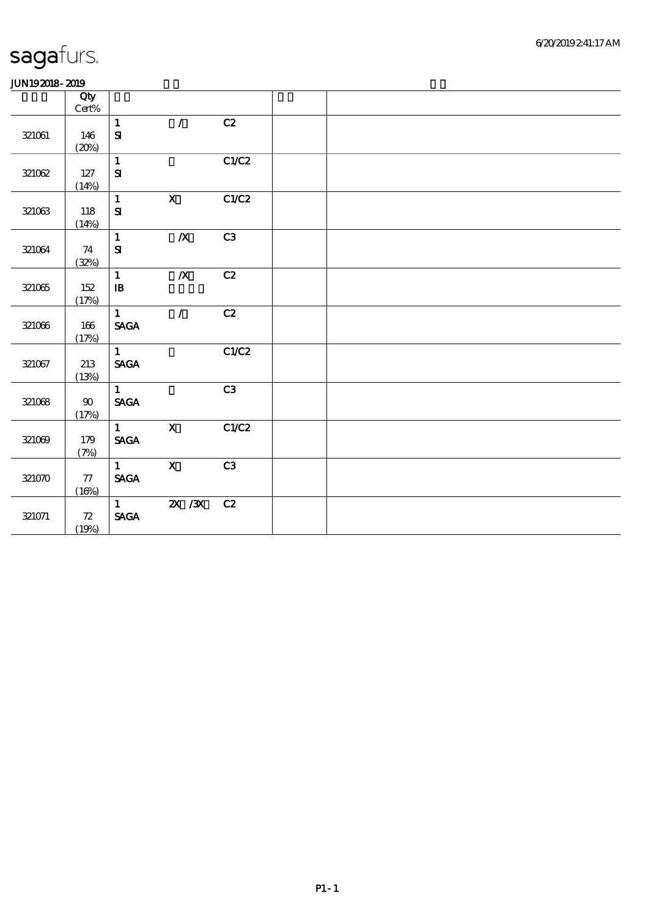#### 6/20/2019 2:41:17 AM

# sagafurs.

|            | Qty<br>$Cert\%$    |                                |                  |                |  |  |  |
|------------|--------------------|--------------------------------|------------------|----------------|--|--|--|
|            |                    | $\mathbf{1}$                   | $\mathcal{L}$    | C2             |  |  |  |
| $321061\,$ | 146                | ${\bf S\hspace{-.075ex}I}$     |                  |                |  |  |  |
|            | (20%)              | $\mathbf{1}$                   |                  | C1/C2          |  |  |  |
| 321062     | $127\,$            | ${\bf S}$                      |                  |                |  |  |  |
|            | (14%)              |                                |                  |                |  |  |  |
|            |                    | $\mathbf{1}$                   | $\mathbf{X}$     | C1/C2          |  |  |  |
| 321063     | 118                | ${\bf S\!I}$                   |                  |                |  |  |  |
|            | (14%)              | $\mathbf{1}$                   | $\boldsymbol{X}$ | C3             |  |  |  |
| 321064     | 74                 | $\mathbf{S}$                   |                  |                |  |  |  |
|            | (32%)              |                                |                  |                |  |  |  |
|            |                    | $\mathbf{1}$                   | $\boldsymbol{X}$ | C2             |  |  |  |
| 321065     | 152                | $\, {\bf I} \! {\bf B} \,$     |                  |                |  |  |  |
|            | (17%)              | $\mathbf{1}$                   | $\mathcal{L}$    | C2             |  |  |  |
| 321066     | 166                | $\operatorname{\mathsf{SAGA}}$ |                  |                |  |  |  |
|            | (17%)              |                                |                  |                |  |  |  |
|            |                    | $\mathbf{1}$                   |                  | C1/C2          |  |  |  |
| 321067     | 213                | <b>SAGA</b>                    |                  |                |  |  |  |
|            | (13%)              | $\mathbf{1}$                   |                  | C <sub>3</sub> |  |  |  |
| 321068     | $90\,$             | $\ensuremath{\mathsf{SAGA}}$   |                  |                |  |  |  |
|            | (17%)              |                                |                  |                |  |  |  |
|            |                    | 1                              | $\mathbf X$      | C1/C2          |  |  |  |
| 321069     | 179                | $\operatorname{\mathsf{SAGA}}$ |                  |                |  |  |  |
|            | (7%)               | $\mathbf{1}$                   | $\mathbf{X}$     | C <sub>3</sub> |  |  |  |
| 321070     | ${\bf 77}$         | $\ensuremath{\mathsf{SAGA}}$   |                  |                |  |  |  |
|            | (16%)              |                                |                  |                |  |  |  |
|            |                    | $1 \qquad \qquad$              | $X \, X$         | C2             |  |  |  |
| 321071     | ${\bf Z}$<br>(19%) | $\operatorname{\mathsf{SAGA}}$ |                  |                |  |  |  |
|            |                    |                                |                  |                |  |  |  |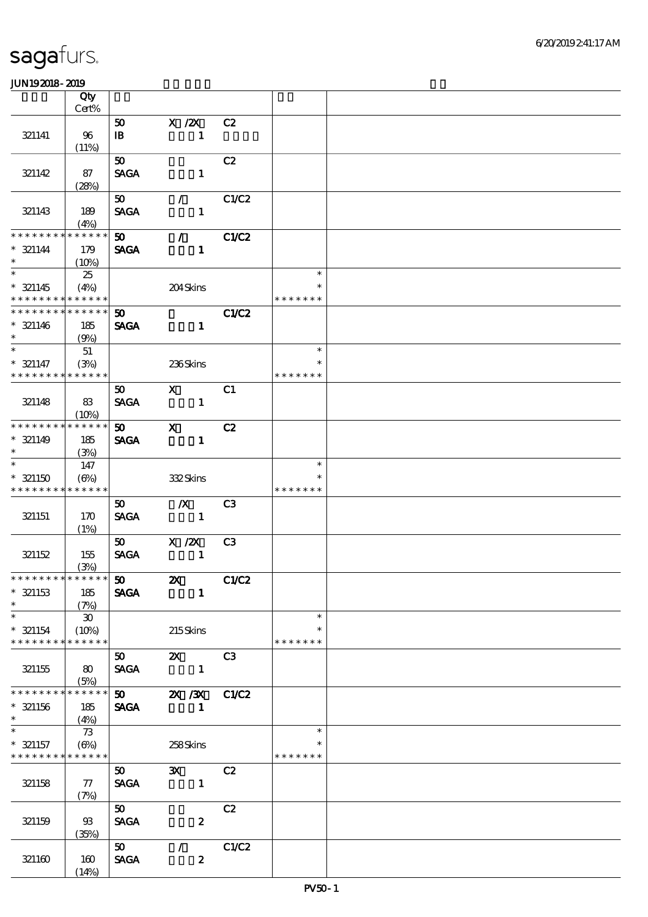|                                                     | Qty                         |                                            |                                                                             |                |                                   |  |
|-----------------------------------------------------|-----------------------------|--------------------------------------------|-----------------------------------------------------------------------------|----------------|-----------------------------------|--|
|                                                     | $\mbox{Cert}\%$             |                                            |                                                                             |                |                                   |  |
| 321141                                              | 96<br>(11%)                 | 50<br>$\mathbf{B}$                         | $X$ / $ZX$<br>$\mathbf{1}$                                                  | C2             |                                   |  |
|                                                     |                             | $\boldsymbol{\mathfrak{D}}$                |                                                                             | C2             |                                   |  |
| 321142                                              | 87<br>(28%)                 | <b>SAGA</b>                                | $\blacksquare$                                                              |                |                                   |  |
| 321143                                              | 189<br>(4%)                 | 50<br><b>SAGA</b>                          | $\mathcal{L}$<br>$\mathbf{1}$                                               | C1/C2          |                                   |  |
| ********<br>$* 321144$<br>$\ast$                    | * * * * * *<br>179<br>(10%) | 50<br><b>SAGA</b>                          | $\mathcal{L}$<br>$\mathbf{1}$                                               | C1/C2          |                                   |  |
| $* 321145$<br>* * * * * * * *                       | 25<br>(4%)<br>******        |                                            | 204Skins                                                                    |                | $\ast$<br>$\ast$<br>* * * * * * * |  |
| * * * * * * * *<br>$*$ 321146<br>$\ast$             | * * * * * *<br>185<br>(9%)  | $\boldsymbol{\mathfrak{D}}$<br><b>SAGA</b> | $\mathbf{1}$                                                                | <b>C1/C2</b>   |                                   |  |
|                                                     | 51                          |                                            |                                                                             |                | $\ast$                            |  |
| $* 321147$<br>* * * * * * * *                       | (3%)<br>* * * * * *         |                                            | 236Skins                                                                    |                | $\ast$<br>* * * * * * *           |  |
| 321148                                              | 83<br>(10%)                 | 50<br><b>SAGA</b>                          | $\mathbf{X}$<br>$\mathbf{1}$                                                | C1             |                                   |  |
| * * * * * * * *                                     | * * * * * *                 | 50                                         | $\mathbf{x}$                                                                | C2             |                                   |  |
| $* 321149$<br>$\ast$                                | 185<br>(3%)                 | <b>SAGA</b>                                | $\mathbf{1}$                                                                |                |                                   |  |
| $\overline{\ast}$                                   | 147                         |                                            |                                                                             |                | $\ast$                            |  |
| $* 321150$<br>* * * * * * * *                       | $(\Theta)$<br>* * * * * *   |                                            | 332Skins                                                                    |                | $\ast$<br>* * * * * * *           |  |
|                                                     |                             | 50                                         | $\mathbb{X}$                                                                | C <sub>3</sub> |                                   |  |
| 321151                                              | 170<br>(1%)                 | <b>SAGA</b>                                | $\sim$ 1                                                                    |                |                                   |  |
|                                                     |                             | 50                                         | $X$ / $ZX$                                                                  | C <sub>3</sub> |                                   |  |
| 321152                                              | 155<br>(3%)                 | <b>SAGA</b>                                | $\blacksquare$                                                              |                |                                   |  |
| **************                                      |                             |                                            |                                                                             |                |                                   |  |
| $*$ 321153<br>$\ast$                                | 185<br>(7%)                 | <b>SAGA</b>                                | $\blacksquare$                                                              |                |                                   |  |
| $\ast$                                              | $\boldsymbol{\mathfrak{D}}$ |                                            |                                                                             |                | $\ast$                            |  |
| $* 321154$<br>* * * * * * * * * * * * * *           | (10%)                       |                                            | 215Skins                                                                    |                | $\ast$<br>* * * * * * *           |  |
| 321155                                              | 80<br>(5%)                  | 50<br><b>SAGA</b>                          | $\mathbf{x}$<br>$\blacksquare$                                              | C <sub>3</sub> |                                   |  |
| * * * * * * * *                                     | * * * * * *                 |                                            | $\overline{50}$ $\overline{2}$ $\overline{2}$ $\overline{3}$ $\overline{3}$ | C1/C2          |                                   |  |
| $*$ 321156<br>$\ast$                                | 185<br>(4%)                 | <b>SAGA</b>                                | $\mathbf{1}$                                                                |                |                                   |  |
| $\ast$<br>$*$ 321157<br>* * * * * * * * * * * * * * | 73<br>(6%)                  |                                            | 258Skins                                                                    |                | $\ast$<br>* * * * * * *           |  |
|                                                     |                             | 50                                         | $\mathbf{x}$                                                                | C2             |                                   |  |
| 321158                                              | $\tau$<br>(7%)              | <b>SAGA</b>                                | $\blacksquare$                                                              |                |                                   |  |
|                                                     |                             | 50                                         |                                                                             | C2             |                                   |  |
| 321159                                              | $\mathfrak{B}$<br>(35%)     | <b>SAGA</b>                                | $\boldsymbol{z}$                                                            |                |                                   |  |
|                                                     |                             | 50                                         | $\mathcal{L}$                                                               | C1/C2          |                                   |  |
| 321160                                              | 160<br>(14%)                | <b>SAGA</b>                                | $\boldsymbol{z}$                                                            |                |                                   |  |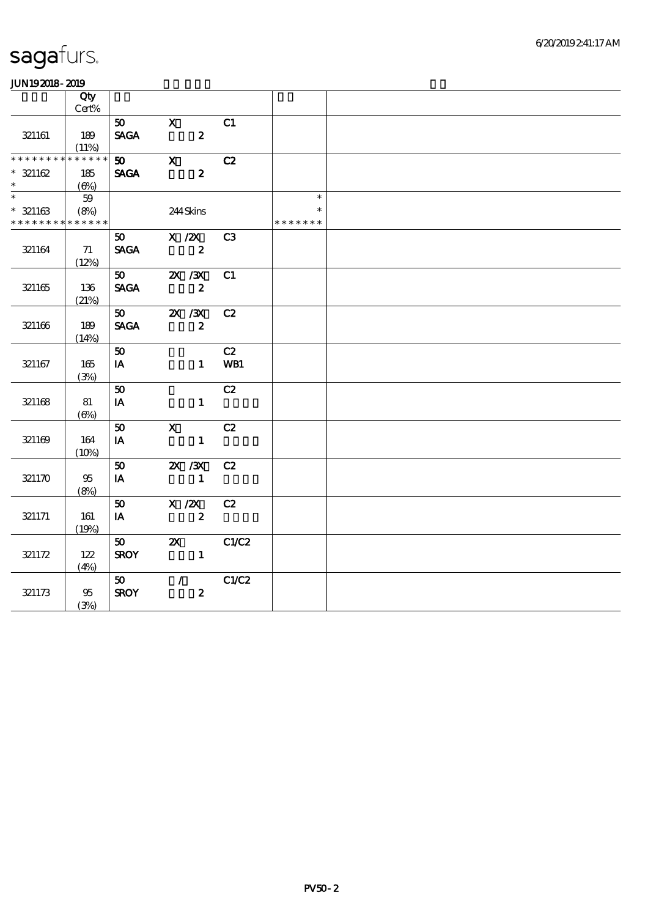| www.ww                     |                   |              |                         |                  |                 |               |  |
|----------------------------|-------------------|--------------|-------------------------|------------------|-----------------|---------------|--|
|                            | $\overline{Q}$ ty |              |                         |                  |                 |               |  |
|                            | Cert%             |              |                         |                  |                 |               |  |
|                            |                   | 50           | $\mathbf{X}$            |                  | C1              |               |  |
| 321161                     | 189               | <b>SAGA</b>  | $\sim$ 2                |                  |                 |               |  |
|                            | (11%)             |              |                         |                  |                 |               |  |
|                            | * * * * * *       | 50           | $\mathbf{x}$            |                  | C2              |               |  |
| $* 321162$                 | 185               | <b>SAGA</b>  | $\overline{\mathbf{z}}$ |                  |                 |               |  |
| $\ast$                     | $(\Theta)$        |              |                         |                  |                 |               |  |
| $\overline{\phantom{a}^*}$ | 59                |              |                         |                  |                 | $\ast$        |  |
| $* 321163$                 | (8%)              |              | $244\,$ Skins           |                  |                 |               |  |
| * * * * * * * *            | * * * * * *       |              |                         |                  |                 | * * * * * * * |  |
|                            |                   |              | 50 $X / ZX$             |                  | C3              |               |  |
| 32164                      | 71                |              | SAGA 2                  |                  |                 |               |  |
|                            | (12%)             |              |                         |                  |                 |               |  |
|                            |                   | 50           |                         | <b>2X / 3X</b>   | C1              |               |  |
| 321165                     | 136               | <b>SAGA</b>  |                         | $\boldsymbol{2}$ |                 |               |  |
|                            |                   |              |                         |                  |                 |               |  |
|                            | (21%)             |              |                         |                  |                 |               |  |
|                            |                   |              | $50$ $2X / 3X$          |                  | C2              |               |  |
| 321166                     | 189               | <b>SAGA</b>  |                         | $\mathbf{2}$     |                 |               |  |
|                            | (14%)             |              |                         |                  |                 |               |  |
|                            |                   | 50           |                         |                  | C2              |               |  |
| 321167                     | 165               | IA           |                         | $1 -$            | WB1             |               |  |
|                            | (3%)              |              |                         |                  |                 |               |  |
|                            |                   | 50           |                         |                  | C2              |               |  |
| 321168                     | 81                | IA           |                         | $\mathbf{1}$     |                 |               |  |
|                            | $(\Theta)$        |              |                         |                  |                 |               |  |
|                            |                   | 50           | $\mathbf{X}$            |                  | C2              |               |  |
| 321169                     | 164               | $I$ <b>A</b> |                         | $\mathbf{1}$     |                 |               |  |
|                            | (10%)             |              |                         |                  |                 |               |  |
|                            |                   | 50           | <b>2X /3X</b>           |                  | C2              |               |  |
| 321170                     | 95                | IA           | $\sim$ $\sim$ 1         |                  |                 |               |  |
|                            | (8%)              |              |                         |                  |                 |               |  |
|                            |                   | 50           |                         | $X \, / ZX$      | C2              |               |  |
| 321171                     | 161               | $I$ A        |                         |                  |                 |               |  |
|                            |                   |              | $\overline{\mathbf{z}}$ |                  |                 |               |  |
|                            | (19%)             |              |                         |                  |                 |               |  |
|                            |                   | 50           |                         |                  | <b>2X</b> C1/C2 |               |  |
| 321172                     | 122               | <b>SROY</b>  |                         | $\sim$ 1         |                 |               |  |
|                            | (4%)              |              |                         |                  |                 |               |  |
|                            |                   | 50           | $\mathcal{L}$           |                  | C1/C2           |               |  |
| 321173                     | 95                | <b>SROY</b>  |                         | $\boldsymbol{z}$ |                 |               |  |
|                            | (3%)              |              |                         |                  |                 |               |  |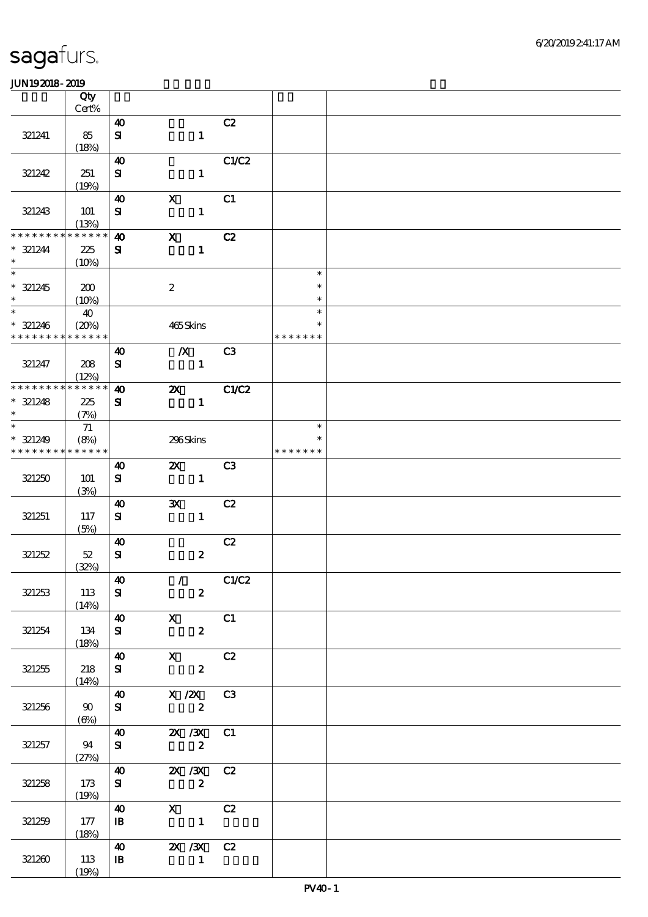|                               | Qty<br>Cert%                        |                                    |                            |                  |                                                    |                         |  |
|-------------------------------|-------------------------------------|------------------------------------|----------------------------|------------------|----------------------------------------------------|-------------------------|--|
|                               |                                     | $\boldsymbol{\omega}$              |                            |                  | C2                                                 |                         |  |
| 321241                        | 85<br>(18%)                         | ${\bf s}$                          |                            | $\mathbf{1}$     |                                                    |                         |  |
|                               |                                     | $\boldsymbol{\omega}$              |                            |                  | C1/C2                                              |                         |  |
| 321242                        | 251<br>(19%)                        | ${\bf s}$                          |                            | $\mathbf{1}$     |                                                    |                         |  |
| 321243                        | <b>101</b><br>(13%)                 | $\boldsymbol{\omega}$<br>${\bf s}$ | $\mathbf x$                | $\mathbf{1}$     | C1                                                 |                         |  |
| * * * * * * * *               | * * * * * *                         | $\boldsymbol{\omega}$              | $\mathbf{x}$               |                  | C2                                                 |                         |  |
| $* 321244$<br>$\ast$          | 225<br>(10%)                        | ${\bf s}$                          |                            | $\mathbf{1}$     |                                                    |                         |  |
| $\overline{\phantom{0}}$      |                                     |                                    |                            |                  |                                                    | $\ast$                  |  |
| $* 321245$<br>$\ast$          | 200<br>(10%)                        |                                    | $\boldsymbol{2}$           |                  |                                                    | $\ast$<br>$\ast$        |  |
|                               | 40                                  |                                    |                            |                  |                                                    | $\ast$                  |  |
| $* 321246$<br>* * * * * * * * | (20%)<br>* * * * * *                |                                    | 465Skins                   |                  |                                                    | $\ast$<br>* * * * * * * |  |
|                               |                                     | $\boldsymbol{\omega}$              |                            | $\boldsymbol{X}$ | C <sub>3</sub>                                     |                         |  |
| 321247                        | 208<br>(12%)                        | ${\bf s}$                          |                            | $\mathbf{1}$     |                                                    |                         |  |
| * * * * * * * *               | * * * * * *                         | $\boldsymbol{\omega}$              | $\boldsymbol{\mathsf{X}}$  |                  | C1/C2                                              |                         |  |
| $* 321248$<br>$\ast$          | 225<br>(7%)                         | ${\bf s}$                          |                            | $\mathbf{1}$     |                                                    |                         |  |
| $\overline{\phantom{0}}$      | 71                                  |                                    |                            |                  |                                                    | $\ast$                  |  |
| $* 321249$<br>* * * * * * * * | (8%)<br>* * * * * *                 |                                    | 296Skins                   |                  |                                                    | *<br>* * * * * * *      |  |
|                               |                                     | $\boldsymbol{\omega}$              |                            | $\mathbf{z}$     | C3                                                 |                         |  |
| 321250                        | 101<br>(3%)                         | ${\bf s}$                          |                            | $\mathbf{1}$     |                                                    |                         |  |
|                               |                                     | $\boldsymbol{\omega}$              | $\mathbf{x}$               |                  | C2                                                 |                         |  |
| 321251                        | 117<br>(5%)                         | ${\bf s}$                          |                            | $\mathbf{1}$     |                                                    |                         |  |
|                               |                                     | $\boldsymbol{\omega}$              |                            |                  | C2                                                 |                         |  |
| 321252                        | $52\,$<br>(32%)                     | ${\bf s}$                          |                            | $\boldsymbol{z}$ |                                                    |                         |  |
|                               |                                     | $\boldsymbol{40}$                  | $\mathcal{L}(\mathcal{L})$ |                  | C1/C2                                              |                         |  |
| 321253                        | 113<br>(14%)                        | ${\bf s}$                          |                            | $\boldsymbol{z}$ |                                                    |                         |  |
|                               |                                     |                                    | $\sqrt{40}$ X              |                  | $\overline{\text{c}}$ 1                            |                         |  |
| 321254                        | 134<br>(18%)                        | ${\bf s}$                          |                            | $2^{\circ}$      |                                                    |                         |  |
|                               |                                     |                                    | 40 X C2                    |                  |                                                    |                         |  |
| 321255                        | 218<br>(14%)                        | ${\bf s}$                          | $\overline{\mathbf{z}}$    |                  |                                                    |                         |  |
|                               |                                     |                                    | 40 X /2X C3                |                  |                                                    |                         |  |
| 321256                        | $\boldsymbol{\omega}$<br>$(\Theta)$ | $S_{\text{I}}$                     | $\overline{\mathbf{z}}$    |                  |                                                    |                         |  |
|                               |                                     |                                    | 40 2X /3X C1               |                  |                                                    |                         |  |
| 321257                        | 94<br>(27%)                         | ${\bf S}$                          | $\overline{\mathbf{z}}$    |                  |                                                    |                         |  |
|                               |                                     |                                    | 40 2X /3X C2               |                  |                                                    |                         |  |
| 321258                        | 173<br>(19%)                        | ${\bf s}$                          | $\overline{\mathbf{z}}$    |                  |                                                    |                         |  |
|                               |                                     | 40                                 |                            |                  | $\begin{array}{ccc} X & & C2 \\ & 1 & \end{array}$ |                         |  |
| 321259                        | 177<br>(18%)                        | $\mathbf{B}$                       |                            |                  |                                                    |                         |  |
|                               |                                     |                                    | 40 2X /3X C2               |                  |                                                    |                         |  |
| 321260                        | 113<br>(19%)                        | $\mathbf{B}$                       |                            | $\blacksquare$   |                                                    |                         |  |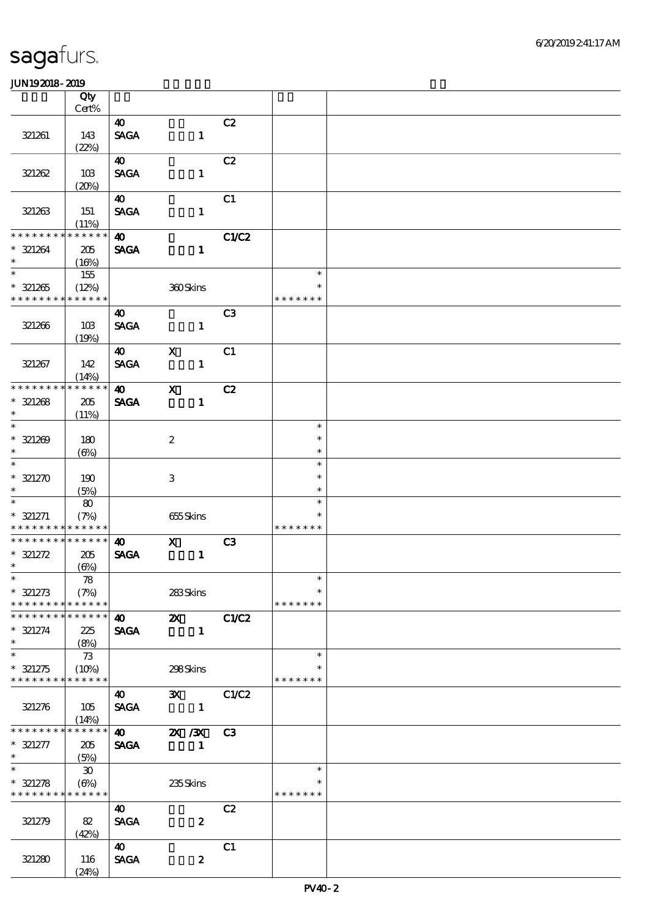|                                           | Qty                 |                                      |                                                              |                |                         |  |
|-------------------------------------------|---------------------|--------------------------------------|--------------------------------------------------------------|----------------|-------------------------|--|
|                                           | Cert%               |                                      |                                                              |                |                         |  |
| 321261                                    | 143                 | 40<br>$\operatorname{\mathsf{SAGA}}$ | $\mathbf{1}$                                                 | C2             |                         |  |
|                                           | (22%)               |                                      |                                                              |                |                         |  |
|                                           |                     | 40                                   |                                                              | C2             |                         |  |
| 321262                                    | 10B                 | <b>SAGA</b>                          | $\mathbf{1}$                                                 |                |                         |  |
|                                           | (20%)               |                                      |                                                              |                |                         |  |
|                                           |                     | $\boldsymbol{\omega}$                |                                                              | C1             |                         |  |
| 321263                                    | 151                 | <b>SAGA</b>                          | $\mathbf{1}$                                                 |                |                         |  |
|                                           | (11%)               |                                      |                                                              |                |                         |  |
| * * * * * * * *                           | * * * * * *         | $\boldsymbol{\omega}$                |                                                              | C1/C2          |                         |  |
| $* 321264$                                | 205                 | <b>SAGA</b>                          | $\mathbf{1}$                                                 |                |                         |  |
| $\ast$<br>$\overline{\phantom{a}^*}$      | (16%)               |                                      |                                                              |                | $\ast$                  |  |
|                                           | 155                 |                                      |                                                              |                | $\ast$                  |  |
| $* 321265$<br>* * * * * * * * * * * * * * | (12%)               |                                      | 360Skins                                                     |                | * * * * * * *           |  |
|                                           |                     | 40                                   |                                                              | C <sub>3</sub> |                         |  |
| 321266                                    | 10B                 | <b>SAGA</b>                          | $\mathbf{1}$                                                 |                |                         |  |
|                                           | (19%)               |                                      |                                                              |                |                         |  |
|                                           |                     | $\boldsymbol{\omega}$                | $\mathbf x$                                                  | C1             |                         |  |
| 321267                                    | 142                 | <b>SAGA</b>                          | $\mathbf{1}$                                                 |                |                         |  |
|                                           | (14%)               |                                      |                                                              |                |                         |  |
| * * * * * * * *                           | * * * * * *         | $\boldsymbol{40}$                    | $\mathbf{X}$                                                 | C2             |                         |  |
| $* 321268$                                | 205                 | <b>SAGA</b>                          | $\mathbf{1}$                                                 |                |                         |  |
| $\ast$<br>$\overline{\phantom{0}}$        | (11%)               |                                      |                                                              |                |                         |  |
|                                           |                     |                                      |                                                              |                | $\ast$                  |  |
| $* 321209$<br>$\ast$                      | 180                 |                                      | $\boldsymbol{2}$                                             |                | $\ast$<br>$\ast$        |  |
| $\ast$                                    | $(\Theta)$          |                                      |                                                              |                | $\ast$                  |  |
| $* 321270$                                | 190                 |                                      | 3                                                            |                | $\ast$                  |  |
| $\ast$                                    | (5%)                |                                      |                                                              |                | $\ast$                  |  |
| $\ast$                                    | 80                  |                                      |                                                              |                | $\ast$                  |  |
| $* 321271$                                | (7%)                |                                      | 655Skins                                                     |                |                         |  |
| * * * * * * * *                           | * * * * * *         |                                      |                                                              |                | * * * * * * *           |  |
| * * * * * * * * * * * * * *               |                     | $\boldsymbol{\omega}$                | $\mathbf{x}$                                                 | C3             |                         |  |
| $* 321272$                                | 205                 | <b>SAGA</b>                          | $\blacksquare$                                               |                |                         |  |
| $\ast$                                    | $(\Theta)$          |                                      |                                                              |                |                         |  |
| $*$                                       | 78                  |                                      |                                                              |                | $\ast$                  |  |
| $* 321273$<br>* * * * * * * *             | (7%)<br>* * * * * * |                                      | 283Skins                                                     |                | $\ast$<br>* * * * * * * |  |
| * * * * * * * * * * * * * *               |                     | <b>40</b>                            | $\mathbf{X}$                                                 | C1/C2          |                         |  |
| $* 321274$                                | 225                 | <b>SAGA</b>                          | $\mathbf{1}$                                                 |                |                         |  |
| $\ast$                                    | (8%)                |                                      |                                                              |                |                         |  |
| $\ast$                                    | 73                  |                                      |                                                              |                | $\ast$                  |  |
| $* 321275$                                | (10%)               |                                      | 298Skins                                                     |                | *                       |  |
| * * * * * * * * * * * * * *               |                     |                                      |                                                              |                | * * * * * * *           |  |
|                                           |                     | <b>40</b>                            | 3X C1/C2                                                     |                |                         |  |
| 321276                                    | 105                 | <b>SAGA</b>                          | $\sim$ $\sim$ 1                                              |                |                         |  |
|                                           | (14%)               |                                      |                                                              |                |                         |  |
| * * * * * * * *                           | * * * * * *         |                                      | $\overline{40}$ $\overline{2}$ $\overline{3}$ $\overline{3}$ | C3             |                         |  |
| $* 321277$                                | 205                 | <b>SAGA</b>                          | $\mathbf{1}$                                                 |                |                         |  |
| $\ast$<br>$\ast$                          | (5%)                |                                      |                                                              |                | $\ast$                  |  |
| $* 321278$                                | 30<br>$(\Theta_0)$  |                                      | 235Skins                                                     |                |                         |  |
| * * * * * * * * * * * * * *               |                     |                                      |                                                              |                | * * * * * * *           |  |
|                                           |                     | 40                                   |                                                              | C2             |                         |  |
| 321279                                    | 82                  | <b>SAGA</b>                          | $\boldsymbol{2}$                                             |                |                         |  |
|                                           | (42%)               |                                      |                                                              |                |                         |  |
|                                           |                     | $\boldsymbol{\omega}$                |                                                              | C1             |                         |  |
| 321280                                    | 116                 | <b>SAGA</b>                          | $\boldsymbol{z}$                                             |                |                         |  |
|                                           | (24%)               |                                      |                                                              |                |                         |  |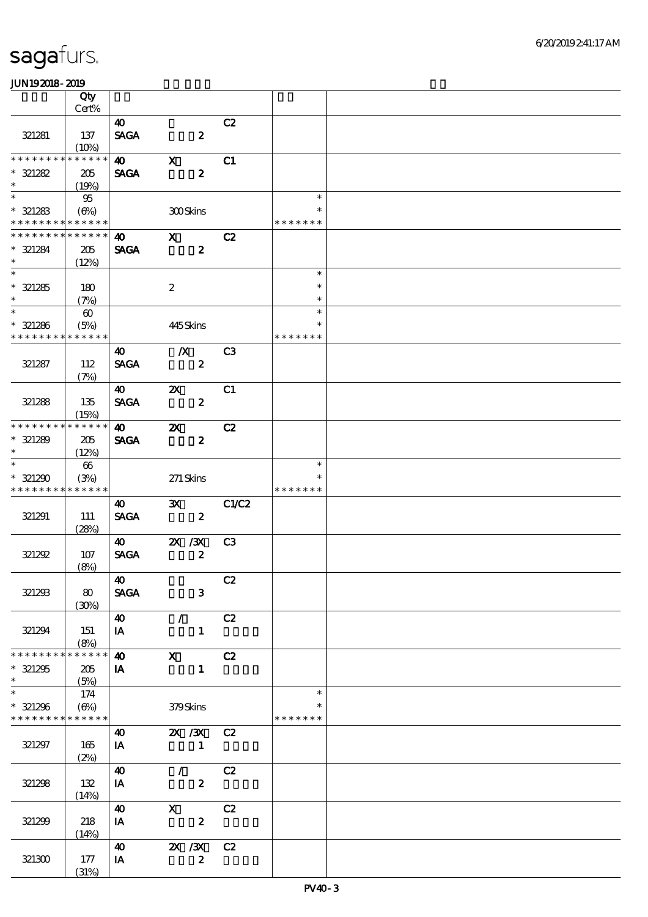|                                           | Qty<br>Cert%                |                             |                           |                        |                     |  |
|-------------------------------------------|-----------------------------|-----------------------------|---------------------------|------------------------|---------------------|--|
|                                           |                             | $\boldsymbol{\omega}$       |                           | C2                     |                     |  |
| 321281                                    | 137<br>(10%)                | <b>SAGA</b>                 | $\boldsymbol{z}$          |                        |                     |  |
| ********                                  | * * * * * *                 | $\boldsymbol{\omega}$       | $\mathbf{x}$              | C1                     |                     |  |
| $* 321282$<br>$\ast$                      | 205<br>(19%)                | <b>SAGA</b>                 | $\boldsymbol{z}$          |                        |                     |  |
| $\ast$<br>$* 321283$                      | 95<br>(6%)                  |                             | 300Skins                  |                        | $\ast$<br>$\ast$    |  |
| * * * * * * * * <mark>* * * * * *</mark>  |                             |                             |                           |                        | * * * * * * *       |  |
| * * * * * * * *<br>$* 321284$<br>$\ast$   | * * * * * *<br>205<br>(12%) | 40<br><b>SAGA</b>           | $\mathbf{x}$              | C2<br>$\boldsymbol{z}$ |                     |  |
| $\overline{\phantom{a}^*}$                |                             |                             |                           |                        | $\ast$              |  |
| $* 321285$<br>$\ast$                      | 180<br>(7%)                 |                             | $\boldsymbol{2}$          |                        | $\ast$<br>$\ast$    |  |
| $\overline{\ast}$                         | $\boldsymbol{\omega}$       |                             |                           |                        | $\ast$              |  |
| $* 321286$<br>* * * * * * * *             | (5%)<br>* * * * * *         |                             | 445Skins                  |                        | $\ast$<br>* * * * * |  |
|                                           |                             | $\boldsymbol{\omega}$       | $\mathbf{X}$              | C <sub>3</sub>         |                     |  |
| 321287                                    | 112<br>(7%)                 | <b>SAGA</b>                 | $\boldsymbol{z}$          |                        |                     |  |
|                                           |                             | 40                          | $\boldsymbol{\mathsf{X}}$ | C1                     |                     |  |
| 321288                                    | 135<br>(15%)                | <b>SAGA</b>                 |                           | $\boldsymbol{2}$       |                     |  |
| * * * * * * * *                           | * * * * * *                 | $\boldsymbol{\omega}$       | $\boldsymbol{\alpha}$     | C2                     |                     |  |
| $* 321289$<br>$\ast$                      | 205<br>(12%)                | <b>SAGA</b>                 | $\boldsymbol{z}$          |                        |                     |  |
| $\ast$                                    | $66\,$                      |                             |                           |                        | $\ast$              |  |
| $* 321290$<br>* * * * * * * * * * * * * * | (3%)                        |                             | $271$ Skins               |                        | * * * * * * *       |  |
|                                           |                             | 40                          | $\mathbf{x}$              | C1/C2                  |                     |  |
| 321291                                    | 111<br>(28%)                | <b>SAGA</b>                 |                           | $\boldsymbol{z}$       |                     |  |
|                                           |                             | <b>40</b>                   | $\chi$ / $\chi$           | C <sub>3</sub>         |                     |  |
| 321292                                    | 107<br>(8%)                 | <b>SAGA</b>                 | $\boldsymbol{z}$          |                        |                     |  |
|                                           |                             | $\boldsymbol{\omega}$       |                           | C2                     |                     |  |
| 321233                                    | 80<br>(30%)                 | <b>SAGA</b>                 |                           | $\mathbf{3}$           |                     |  |
|                                           |                             | $\boldsymbol{\omega}$       | $\mathcal{L}$             | C2                     |                     |  |
| 321294<br>* * * * * * * *                 | 151<br>(8%)<br>* * * * * *  | IA                          |                           | $\mathbf{1}$           |                     |  |
|                                           |                             | $\boldsymbol{\omega}$       | $\mathbf x$               | C2                     |                     |  |
| $* 321295$<br>$\ast$                      | 205<br>(5%)                 | IA                          |                           | $\mathbf{1}$           |                     |  |
| $\ast$                                    | 174                         |                             |                           |                        | $\ast$              |  |
| $* 321296$<br>* * * * * * * * * * * * * * | $(\Theta)$                  |                             | 379Skins                  |                        | * * * * * * *       |  |
|                                           |                             | 40                          |                           | 2X / 3X C 2            |                     |  |
| 321297                                    | 165<br>(2%)                 | IA                          | $\mathbf{1}$              |                        |                     |  |
| 321298                                    | 132<br>(14%)                | $\boldsymbol{\omega}$<br>IA | $\mathcal{L}$             | C2<br>$\boldsymbol{z}$ |                     |  |
|                                           |                             | 40                          | $\mathbf{x}$              | C2                     |                     |  |
| 321299                                    | 218<br>(14%)                | IA                          | $\boldsymbol{z}$          |                        |                     |  |
|                                           |                             | $\boldsymbol{\omega}$       | $X \, X$                  | C2                     |                     |  |
| 321300                                    | 177<br>(31%)                | IA                          |                           | $\boldsymbol{z}$       |                     |  |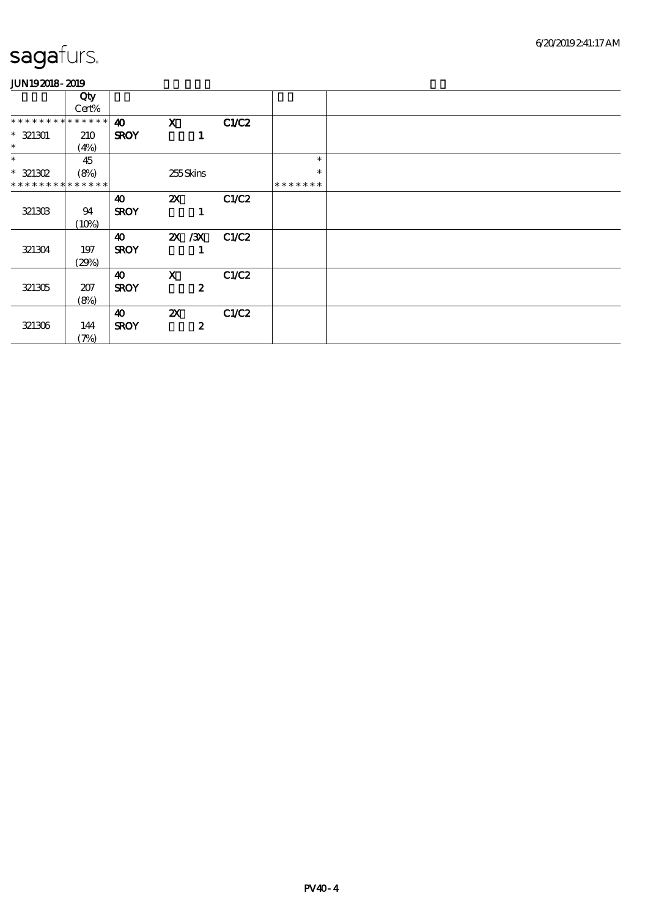|                               | Qty<br>Cert% |                       |                           |       |               |  |
|-------------------------------|--------------|-----------------------|---------------------------|-------|---------------|--|
| * * * * * * * * * * * * * * * |              | $\boldsymbol{\omega}$ | $\mathbf{X}$              | C1/C2 |               |  |
| $* 321301$                    | 210          | <b>SROY</b>           | 1                         |       |               |  |
| $\ast$                        | (4%)         |                       |                           |       |               |  |
| $\ast$                        | 45           |                       |                           |       | $\ast$        |  |
| $* 321302$                    | (8%)         |                       | 255Skins                  |       | $\ast$        |  |
| * * * * * * * * * * * * * *   |              |                       |                           |       | * * * * * * * |  |
|                               |              | 40                    | $\mathbf{x}$              | C1/C2 |               |  |
| 321303                        | 94           | <b>SROY</b>           | 1                         |       |               |  |
|                               | (10%)        |                       |                           |       |               |  |
|                               |              | $\boldsymbol{\omega}$ | 2X / 3X C1/C2             |       |               |  |
| 321304                        | 197          | <b>SROY</b>           | 1                         |       |               |  |
|                               | (29%)        |                       |                           |       |               |  |
|                               |              | 40                    | $\mathbf{x}$              | C1/C2 |               |  |
| 321305                        | 207          | <b>SROY</b>           | $\boldsymbol{z}$          |       |               |  |
|                               | (8%)         |                       |                           |       |               |  |
|                               |              | $\boldsymbol{\omega}$ | $\boldsymbol{\mathsf{Z}}$ | C1/C2 |               |  |
| 321306                        | 144          | <b>SROY</b>           | $\boldsymbol{z}$          |       |               |  |
|                               | (7%)         |                       |                           |       |               |  |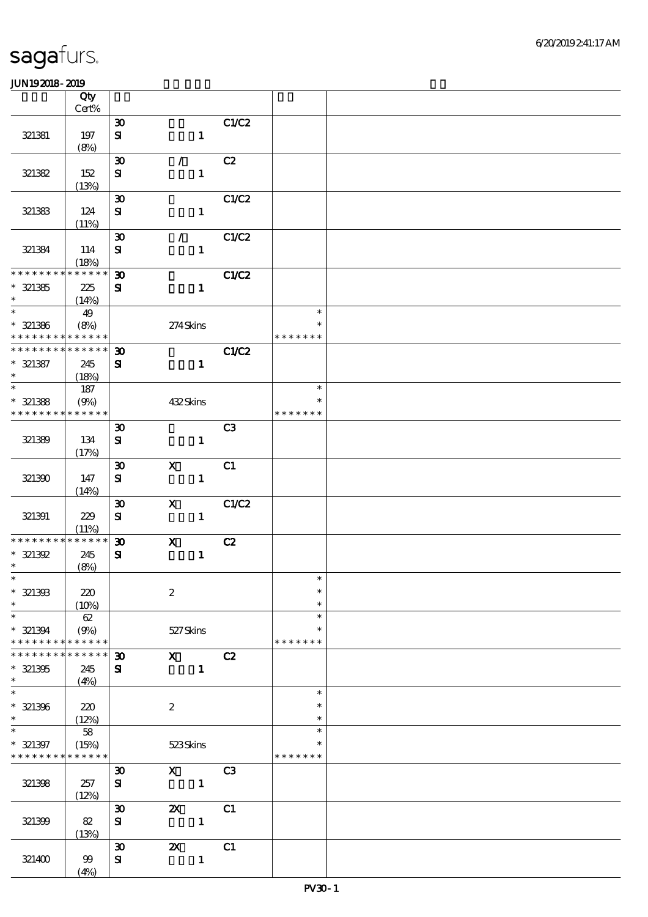|                                                        | Qty         |                             |                           |                |                  |  |
|--------------------------------------------------------|-------------|-----------------------------|---------------------------|----------------|------------------|--|
|                                                        | Cert%       |                             |                           |                |                  |  |
|                                                        |             | $\boldsymbol{\mathfrak{D}}$ |                           | C1/C2          |                  |  |
| 321381                                                 | 197         | ${\bf s}$                   | $\mathbf{1}$              |                |                  |  |
|                                                        | (8%)        |                             |                           |                |                  |  |
|                                                        |             | $\boldsymbol{\mathfrak{D}}$ | $\mathcal{L}$             | C2             |                  |  |
| 321382                                                 | 152         | ${\bf S}$                   | $\mathbf{1}$              |                |                  |  |
|                                                        | (13%)       |                             |                           |                |                  |  |
|                                                        |             | $\boldsymbol{\mathfrak{D}}$ |                           | C1/C2          |                  |  |
| 321383                                                 | 124         | ${\bf s}$                   | $\mathbf{1}$              |                |                  |  |
|                                                        | (11%)       |                             |                           |                |                  |  |
|                                                        |             | $\boldsymbol{\mathfrak{D}}$ | $\mathcal{L}$             | C1/C2          |                  |  |
| 321384                                                 | 114         | ${\bf s}$                   | $\mathbf{1}$              |                |                  |  |
|                                                        | (18%)       |                             |                           |                |                  |  |
| * * * * * * * * * * * * * *                            |             | $\boldsymbol{\mathfrak{D}}$ |                           | C1/C2          |                  |  |
| $* 321385$                                             | 225         | ${\bf s}$                   | $\mathbf{1}$              |                |                  |  |
| $\ast$                                                 | (14%)       |                             |                           |                |                  |  |
|                                                        | 49          |                             |                           |                | $\ast$           |  |
| $*$ 321386                                             | (8%)        |                             | 274Skins                  |                | $\ast$           |  |
| * * * * * * * *                                        | * * * * * * |                             |                           |                | * * * * * * *    |  |
| * * * * * * * *                                        | * * * * * * | $\boldsymbol{\mathfrak{D}}$ |                           | C1/C2          |                  |  |
| $* 321387$                                             | 245         | ${\bf s}$                   | $\mathbf{1}$              |                |                  |  |
| $\ast$                                                 | (18%)       |                             |                           |                |                  |  |
| $\overline{\phantom{0}}$                               | $187\,$     |                             |                           |                | $\ast$           |  |
| $*$ 321388                                             | (9%)        |                             | 432Skins                  |                | $\ast$           |  |
| * * * * * * * * <mark>* * * * * *</mark>               |             |                             |                           |                | * * * * * * *    |  |
|                                                        |             | $\boldsymbol{\mathfrak{D}}$ |                           | C <sub>3</sub> |                  |  |
| 321389                                                 | 134         | ${\bf s}$                   | $\mathbf{1}$              |                |                  |  |
|                                                        | (17%)       |                             |                           |                |                  |  |
|                                                        |             | $\boldsymbol{\mathfrak{D}}$ | $\mathbf X$               | C1             |                  |  |
| 321390                                                 | 147         | ${\bf s}$                   | $\mathbf{1}$              |                |                  |  |
|                                                        | (14%)       |                             |                           |                |                  |  |
|                                                        |             | $\boldsymbol{\mathfrak{D}}$ | $\boldsymbol{\mathsf{X}}$ | C1/C2          |                  |  |
| 321391                                                 | 229         | ${\bf s}$                   | $\mathbf{1}$              |                |                  |  |
|                                                        | (11%)       |                             |                           |                |                  |  |
| * * * * * * * *                                        | * * * * * * | $\boldsymbol{\mathfrak{D}}$ | $\boldsymbol{\mathrm{X}}$ | C2             |                  |  |
| $* 321392$                                             | 245         | ${\bf s}$                   | $\mathbf{1}$              |                |                  |  |
| $\ast$                                                 | (8%)        |                             |                           |                |                  |  |
| $\ast$                                                 |             |                             |                           |                | $\ast$           |  |
| $* 321303$                                             | 220         |                             | $\boldsymbol{2}$          |                | $\ast$           |  |
| $\ast$                                                 | (10%)       |                             |                           |                | $\ast$           |  |
| $\ast$                                                 | 62          |                             |                           |                | $\ast$           |  |
| $* 321394$                                             | (9%)        |                             | 527Skins                  |                | $\ast$           |  |
| * * * * * * * *                                        | * * * * * * |                             |                           |                | * * * * * * *    |  |
| * * * * * * *                                          | * * * * * * | $\boldsymbol{\mathfrak{D}}$ | $\mathbf{x}$              | C2             |                  |  |
| $* 321305$<br>$\ast$                                   | 245         | ${\bf s}$                   | $\mathbf{1}$              |                |                  |  |
| $\ast$                                                 | (4%)        |                             |                           |                | $\ast$           |  |
|                                                        |             |                             |                           |                |                  |  |
| $* 321396$<br>$\ast$                                   | 220         |                             | $\boldsymbol{2}$          |                | $\ast$<br>$\ast$ |  |
| $\ast$                                                 | (12%)       |                             |                           |                | $\ast$           |  |
|                                                        | 58          |                             |                           |                | $\ast$           |  |
| $* 321397$<br>* * * * * * * * <mark>* * * * * *</mark> | (15%)       |                             | 523Skins                  |                | * * * * * * *    |  |
|                                                        |             |                             | $\mathbf x$               | C <sub>3</sub> |                  |  |
|                                                        |             | $\boldsymbol{\mathfrak{D}}$ |                           |                |                  |  |
| 321398                                                 | 257         | ${\bf s}$                   | $\mathbf{1}$              |                |                  |  |
|                                                        | (12%)       |                             |                           |                |                  |  |
|                                                        |             | $\boldsymbol{\mathfrak{D}}$ | $\boldsymbol{\mathsf{z}}$ | C1             |                  |  |
| 321399                                                 | 82          | ${\bf S}$                   | $\mathbf{1}$              |                |                  |  |
|                                                        | (13%)       |                             |                           |                |                  |  |
|                                                        |             | $\boldsymbol{\mathfrak{D}}$ | $\boldsymbol{\mathsf{z}}$ | C1             |                  |  |
| 321400                                                 | 99          | ${\bf s}$                   | $\mathbf{1}$              |                |                  |  |
|                                                        | (4%)        |                             |                           |                |                  |  |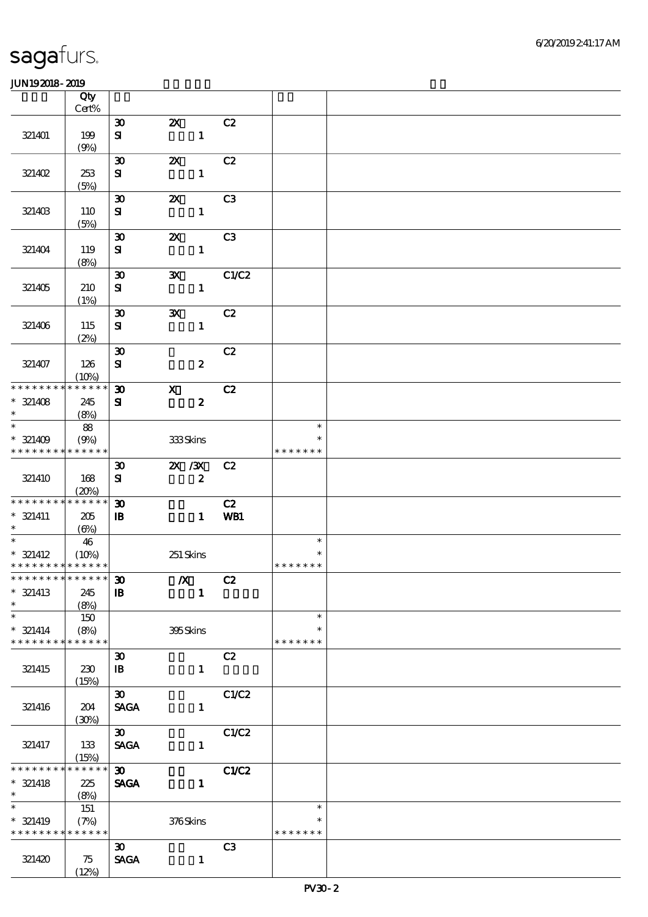|                                          | Qty                  |                             |                           |                |               |  |
|------------------------------------------|----------------------|-----------------------------|---------------------------|----------------|---------------|--|
|                                          | $Cert\%$             |                             |                           |                |               |  |
|                                          |                      | $\boldsymbol{\mathfrak{D}}$ | $\boldsymbol{\alpha}$     | C2             |               |  |
| 321401                                   | 199                  | ${\bf s}$                   | $\mathbf{1}$              |                |               |  |
|                                          | (9%)                 |                             |                           |                |               |  |
|                                          |                      | $\boldsymbol{\mathfrak{D}}$ | $\boldsymbol{\mathsf{z}}$ | C2             |               |  |
| 321402                                   | 253                  | ${\bf s}$                   | $\mathbf 1$               |                |               |  |
|                                          | (5%)                 |                             |                           |                |               |  |
|                                          |                      | $\boldsymbol{\mathfrak{D}}$ | $\boldsymbol{\mathsf{Z}}$ | C <sub>3</sub> |               |  |
| 321403                                   | 110                  | ${\bf s}$                   | $\mathbf{1}$              |                |               |  |
|                                          | (5%)                 |                             |                           |                |               |  |
|                                          |                      | $\boldsymbol{\mathfrak{D}}$ | $\boldsymbol{\mathsf{Z}}$ | C <sub>3</sub> |               |  |
| 321404                                   | 119                  | ${\bf s}$                   | $\mathbf{1}$              |                |               |  |
|                                          | (8%)                 |                             |                           |                |               |  |
|                                          |                      | $\boldsymbol{\mathfrak{D}}$ | $\mathbf{x}$              | C1/C2          |               |  |
| 321405                                   | 210                  | ${\bf s}$                   | $\mathbf{1}$              |                |               |  |
|                                          | (1%)                 |                             |                           |                |               |  |
|                                          |                      | $\boldsymbol{\mathfrak{D}}$ | $\mathbf{x}$              | C2             |               |  |
| 321406                                   | 115                  | ${\bf s}$                   | $\mathbf{1}$              |                |               |  |
|                                          | (2%)                 |                             |                           |                |               |  |
|                                          |                      | $\boldsymbol{\mathfrak{D}}$ |                           | C2             |               |  |
| 321407                                   | 126                  | $\mathbf{S}$                | $\boldsymbol{z}$          |                |               |  |
| * * * * * * * *                          | (10%)<br>******      | $\boldsymbol{\mathfrak{D}}$ | $\mathbf{x}$              | C2             |               |  |
| $* 321408$                               | 245                  | ${\bf s}$                   | $\boldsymbol{z}$          |                |               |  |
| $\ast$                                   | (8%)                 |                             |                           |                |               |  |
| $\ast$                                   | 88                   |                             |                           |                | $\ast$        |  |
| $* 321409$                               | (9%)                 |                             | 333Skins                  |                | $\ast$        |  |
| * * * * * * * *                          | * * * * * *          |                             |                           |                | * * * * * * * |  |
|                                          |                      | $\boldsymbol{\mathfrak{D}}$ | $X \, X$                  | C2             |               |  |
| 321410                                   | 168                  | ${\bf s}$                   | $\boldsymbol{z}$          |                |               |  |
|                                          | (20%)                |                             |                           |                |               |  |
| * * * * * * * *                          | * * * * * *          | $\boldsymbol{\mathfrak{D}}$ |                           | C2             |               |  |
| $* 321411$                               | 205                  | $\mathbf{B}$                | $\mathbf{1}$              | WB1            |               |  |
| $\ast$                                   | (6%)                 |                             |                           |                |               |  |
| $\ast$                                   | 46                   |                             |                           |                | $\ast$        |  |
| $* 321412$                               | (10%)                |                             | 251 Skins                 |                |               |  |
| * * * * * * * * * * * * * * *            |                      |                             |                           |                | * * * * * * * |  |
| ************** 30                        |                      |                             | $X$ C <sub>2</sub>        |                |               |  |
| $* 321413$                               | 245                  | $\mathbf{B}$                | $\mathbf{1}$              |                |               |  |
| $\ast$                                   | (8%)                 |                             |                           |                |               |  |
| $\ast$                                   | 150                  |                             |                           |                | $\ast$        |  |
| $* 321414$                               | (8%)                 |                             | 395Skins                  |                | $\ast$        |  |
| * * * * * * * *                          | * * * * * *          |                             |                           |                | * * * * * * * |  |
|                                          |                      | $\boldsymbol{\mathfrak{D}}$ |                           | C2             |               |  |
| 321415                                   | 230                  | $\, {\bf I} \! {\bf B} \,$  | $\mathbf{1}$              |                |               |  |
|                                          | (15%)                |                             |                           |                |               |  |
|                                          |                      | $\boldsymbol{\mathfrak{D}}$ |                           | C1/C2          |               |  |
| 321416                                   | 204                  | <b>SAGA</b>                 | $\mathbf{1}$              |                |               |  |
|                                          | (30%)                |                             |                           |                |               |  |
|                                          |                      | $\infty$                    |                           | C1/C2          |               |  |
| 321417                                   | 133                  | <b>SAGA</b>                 | $\mathbf{1}$              |                |               |  |
| * * * * * * * *                          | (15%)<br>* * * * * * | $\boldsymbol{\mathfrak{D}}$ |                           |                |               |  |
| $* 321418$                               |                      |                             |                           | <b>C1/C2</b>   |               |  |
| $\ast$                                   | 225<br>(8%)          | <b>SAGA</b>                 | $\mathbf{1}$              |                |               |  |
| $\overline{\phantom{0}}$                 | 151                  |                             |                           |                | $\ast$        |  |
| $* 321419$                               | (7%)                 |                             | $376\mbox{Skins}$         |                | $\ast$        |  |
| * * * * * * * * <mark>* * * * * *</mark> |                      |                             |                           |                | * * * * * * * |  |
|                                          |                      | $\boldsymbol{\mathfrak{D}}$ |                           | C <sub>3</sub> |               |  |
| 321420                                   | 75                   | <b>SAGA</b>                 | $\mathbf{1}$              |                |               |  |
|                                          | (12%)                |                             |                           |                |               |  |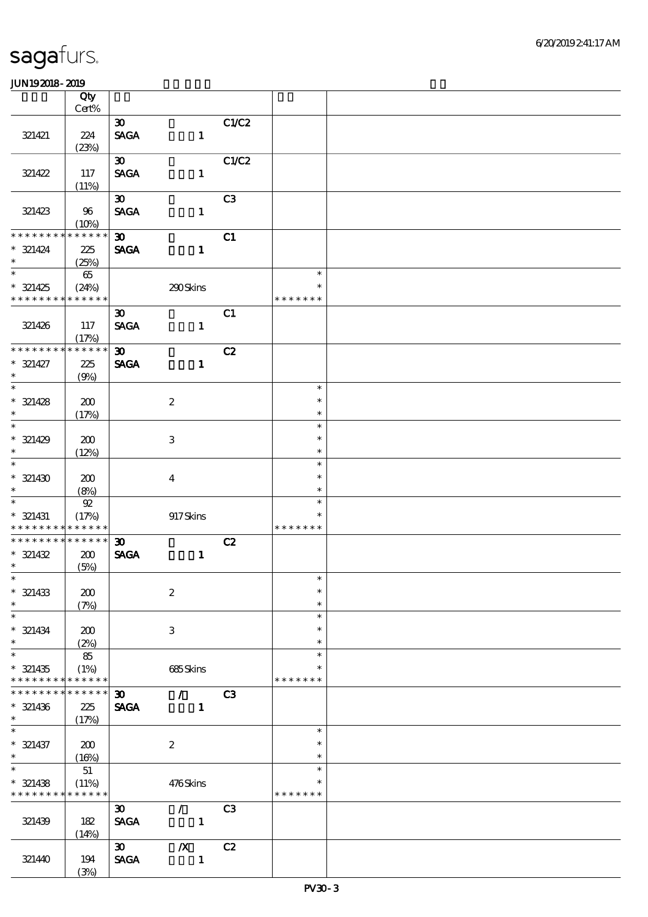|                                          | Qty             |                                |                  |                |                  |  |
|------------------------------------------|-----------------|--------------------------------|------------------|----------------|------------------|--|
|                                          | $Cert\%$        |                                |                  |                |                  |  |
|                                          |                 | $\boldsymbol{\mathfrak{D}}$    |                  | C1/C2          |                  |  |
| 321421                                   | 224             | $\operatorname{\mathsf{SAGA}}$ | $\mathbf{1}$     |                |                  |  |
|                                          | (23%)           | $\boldsymbol{\mathfrak{D}}$    |                  | C1/C2          |                  |  |
| 321422                                   | 117             | <b>SAGA</b>                    | $\mathbf{1}$     |                |                  |  |
|                                          | (11%)           |                                |                  |                |                  |  |
|                                          |                 | $\boldsymbol{\mathfrak{D}}$    |                  | C3             |                  |  |
| 321423                                   | 96              | <b>SAGA</b>                    | $\mathbf{1}$     |                |                  |  |
|                                          | (10%)           |                                |                  |                |                  |  |
| * * * * * * * *                          | * * * * * *     | $\boldsymbol{\mathfrak{D}}$    |                  | C1             |                  |  |
| $* 321424$                               | $225\,$         | <b>SAGA</b>                    | $\mathbf{1}$     |                |                  |  |
| $\ast$                                   | (25%)           |                                |                  |                |                  |  |
| $\overline{\phantom{0}}$                 | 65              |                                |                  |                | $\ast$           |  |
| $* 321425$                               | (24%)           |                                | 290Skins         |                | $\ast$           |  |
| * * * * * * * *                          | * * * * * *     |                                |                  |                | * * * * * * *    |  |
|                                          |                 | $\boldsymbol{\mathfrak{D}}$    |                  | C1             |                  |  |
| 321426                                   | 117             | <b>SAGA</b>                    | $\mathbf{1}$     |                |                  |  |
|                                          | (17%)           |                                |                  |                |                  |  |
| * * * * * * * *                          | * * * * * *     | $\boldsymbol{\mathfrak{D}}$    |                  | C2             |                  |  |
| $* 321427$                               | 225             | <b>SAGA</b>                    | $\mathbf{1}$     |                |                  |  |
| $\ast$                                   | (9%)            |                                |                  |                |                  |  |
| $\ast$                                   |                 |                                |                  |                | $\ast$           |  |
| $* 321428$<br>$\ast$                     | 200             |                                | $\boldsymbol{2}$ |                | $\ast$<br>$\ast$ |  |
| $\overline{\phantom{0}}$                 | (17%)           |                                |                  |                | $\ast$           |  |
| $* 321429$                               | 200             |                                | $\,3$            |                | $\ast$           |  |
| $\ast$                                   | (12%)           |                                |                  |                | $\ast$           |  |
| $\overline{\ast}$                        |                 |                                |                  |                | $\ast$           |  |
| $* 321430$                               | 200             |                                | $\boldsymbol{4}$ |                | $\ast$           |  |
| $\ast$                                   | (8%)            |                                |                  |                | $\ast$           |  |
| $\ast$                                   | ${\mathfrak A}$ |                                |                  |                | $\ast$           |  |
| $* 321431$                               | (17%)           |                                | 917Skins         |                | $\ast$           |  |
| * * * * * * * * <mark>* * * * * *</mark> |                 |                                |                  |                | * * * * * * *    |  |
| * * * * * * * * * * * * * *              |                 | $\boldsymbol{\mathfrak{D}}$    |                  | C2             |                  |  |
| $* 321432$                               | 200             | <b>SAGA</b>                    | $\mathbf{1}$     |                |                  |  |
| $*$                                      | (5%)            |                                |                  |                |                  |  |
| $*$                                      |                 |                                |                  |                | $\ast$           |  |
| $* 321433$                               | 200             |                                | $\boldsymbol{2}$ |                | $\ast$           |  |
| $\ast$<br>$\ast$                         | (7%)            |                                |                  |                | $\ast$<br>$\ast$ |  |
|                                          |                 |                                |                  |                | $\ast$           |  |
| $* 321434$<br>$\ast$                     | 200<br>(2%)     |                                | 3                |                | $\ast$           |  |
| $\ast$                                   | 85              |                                |                  |                | $\ast$           |  |
| $* 321435$                               | (1%)            |                                | 685Skins         |                | *                |  |
| * * * * * * * *                          | * * * * * *     |                                |                  |                | * * * * * * *    |  |
| * * * * * * *                            | * * * * * *     | $\boldsymbol{\mathfrak{D}}$    | $\mathcal{L}$    | C <sub>3</sub> |                  |  |
| $* 321436$                               | 225             | <b>SAGA</b>                    | $\mathbf{1}$     |                |                  |  |
| $\ast$                                   | (17%)           |                                |                  |                |                  |  |
| $\ast$                                   |                 |                                |                  |                | $\ast$           |  |
| $* 321437$                               | 200             |                                | $\boldsymbol{2}$ |                | $\ast$           |  |
| $\ast$                                   | (16%)           |                                |                  |                | $\ast$           |  |
| $\ast$                                   | 51              |                                |                  |                | $\ast$           |  |
| $* 321438$                               | (11%)           |                                | 476Skins         |                | $\ast$           |  |
| * * * * * * * *                          | * * * * * *     |                                |                  |                | * * * * * * *    |  |
|                                          |                 | $\boldsymbol{\mathfrak{D}}$    | $\mathcal{L}$    | C <sub>3</sub> |                  |  |
| 321439                                   | 182<br>(14%)    | <b>SAGA</b>                    | $\sim$ 1         |                |                  |  |
|                                          |                 | $\boldsymbol{\mathfrak{D}}$    | $\boldsymbol{X}$ | C2             |                  |  |
| 321440                                   | 194             | <b>SAGA</b>                    | $\mathbf 1$      |                |                  |  |
|                                          | (3%)            |                                |                  |                |                  |  |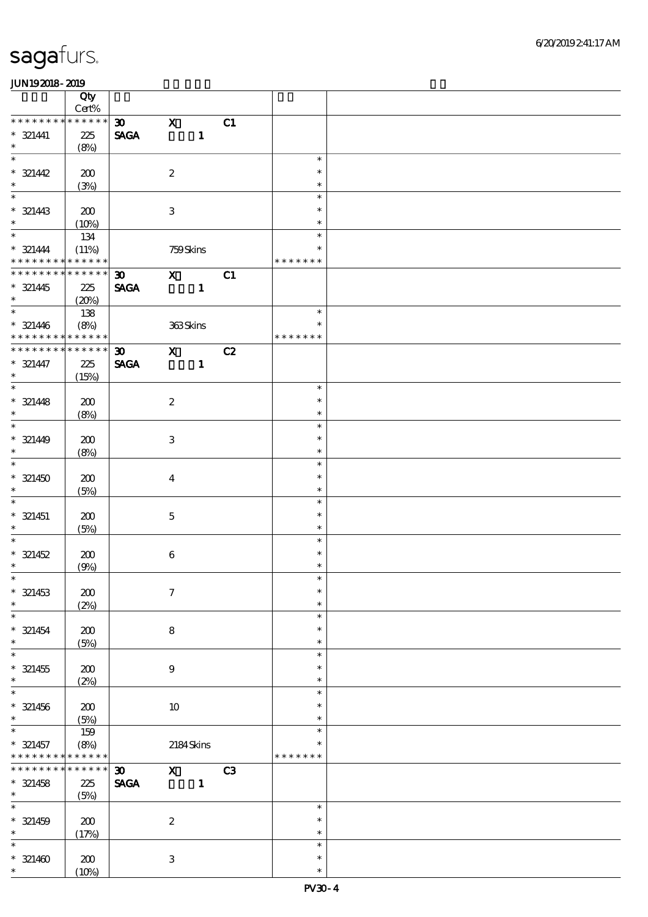|                                           | Qty                            |                             |                  |              |    |                  |  |
|-------------------------------------------|--------------------------------|-----------------------------|------------------|--------------|----|------------------|--|
| * * * * * * * *                           | $\mbox{Cert}\%$<br>* * * * * * |                             |                  |              |    |                  |  |
|                                           |                                | $\boldsymbol{\mathfrak{D}}$ | $\mathbf x$      |              | C1 |                  |  |
| $* 321441$<br>$\ast$                      | 225                            | <b>SAGA</b>                 |                  | $\mathbf{1}$ |    |                  |  |
| $\overline{\ast}$                         | (8%)                           |                             |                  |              |    | $\ast$           |  |
|                                           |                                |                             |                  |              |    | $\ast$           |  |
| $* 321442$<br>$\ast$                      | 200                            |                             | $\boldsymbol{2}$ |              |    | $\ast$           |  |
| $\overline{\phantom{0}}$                  | (3%)                           |                             |                  |              |    | $\ast$           |  |
|                                           |                                |                             |                  |              |    | $\ast$           |  |
| $*$ 321443                                | 200                            |                             | $\,3\,$          |              |    | $\ast$           |  |
| $\overline{\ast}$                         | (10%)                          |                             |                  |              |    | $\ast$           |  |
|                                           | 134                            |                             |                  |              |    | $\ast$           |  |
| $* 321444$<br>* * * * * * * * * * * * * * | (11%)                          |                             | 759Skins         |              |    | * * * * * * *    |  |
| ********                                  | * * * * * *                    |                             |                  |              |    |                  |  |
|                                           |                                | $\boldsymbol{\mathfrak{D}}$ | $\mathbf{x}$     |              | C1 |                  |  |
| $* 321445$<br>$\ast$                      | 225                            | <b>SAGA</b>                 |                  | $\mathbf{1}$ |    |                  |  |
|                                           | (20%)                          |                             |                  |              |    | $\ast$           |  |
|                                           | 138                            |                             |                  |              |    |                  |  |
| $* 321446$<br>$* * * * * * * * *$         | (8%)                           |                             | 363Skins         |              |    | $\ast$           |  |
| * * * * * * * *                           | * * * * * *<br>* * * * * *     |                             |                  |              |    | * * * * * * *    |  |
|                                           |                                | $\boldsymbol{\mathfrak{D}}$ | $\mathbf{X}$     |              | C2 |                  |  |
| $* 321447$<br>$\ast$                      | 225                            | <b>SAGA</b>                 |                  | $\mathbf{1}$ |    |                  |  |
| $\overline{\ast}$                         | (15%)                          |                             |                  |              |    | $\ast$           |  |
|                                           |                                |                             |                  |              |    |                  |  |
| $* 321448$<br>$\ast$                      | 200                            |                             | $\boldsymbol{2}$ |              |    | $\ast$           |  |
| $\overline{\phantom{0}}$                  | (8%)                           |                             |                  |              |    | $\ast$           |  |
|                                           |                                |                             |                  |              |    | $\ast$           |  |
| $* 321449$                                | 200                            |                             | $\,3\,$          |              |    | $\ast$           |  |
| $\ast$<br>$\overline{\phantom{0}}$        | (8%)                           |                             |                  |              |    | $\ast$           |  |
|                                           |                                |                             |                  |              |    | $\ast$           |  |
| $* 321450$                                | 200                            |                             | $\boldsymbol{4}$ |              |    | $\ast$           |  |
| $\ast$                                    | (5%)                           |                             |                  |              |    | $\ast$           |  |
| $\ast$                                    |                                |                             |                  |              |    | $\ast$           |  |
| $* 321451$                                | 200                            |                             | $\mathbf 5$      |              |    | $\ast$           |  |
| $\ast$                                    | (5%)                           |                             |                  |              |    | $\ast$           |  |
| $\ast$                                    |                                |                             |                  |              |    | $\ast$           |  |
| $* 321452$                                | 200                            |                             | $\,6\,$          |              |    | $\ast$           |  |
| $\ast$<br>$*$                             | (9%)                           |                             |                  |              |    | $\ast$<br>$\ast$ |  |
|                                           |                                |                             |                  |              |    |                  |  |
| $* 321453$                                | 200                            |                             | $\boldsymbol{7}$ |              |    | $\ast$           |  |
| $\ast$                                    | (2%)                           |                             |                  |              |    | $\ast$           |  |
| $\ast$                                    |                                |                             |                  |              |    | $\ast$           |  |
| $* 321454$                                | 200                            |                             | $\bf 8$          |              |    | $\ast$           |  |
| $\ast$                                    | (5%)                           |                             |                  |              |    | $\ast$           |  |
| $\ast$                                    |                                |                             |                  |              |    | $\ast$           |  |
| $* 321455$                                | 200                            |                             | $\bf{9}$         |              |    | $\ast$           |  |
| $\ast$<br>$\ast$                          | (2%)                           |                             |                  |              |    | $\ast$           |  |
|                                           |                                |                             |                  |              |    | $\ast$           |  |
| $* 321456$                                | 200                            |                             | $10\,$           |              |    | $\ast$           |  |
| $\ast$                                    | (5%)                           |                             |                  |              |    | $\ast$           |  |
| $\ast$                                    | 159                            |                             |                  |              |    | $\ast$           |  |
| $* 321457$                                | (8%)                           |                             |                  | 2184Skins    |    | $\ast$           |  |
| * * * * * * * * <mark>* * * * * *</mark>  |                                |                             |                  |              |    | * * * * * * *    |  |
| * * * * * * *                             | * * * * * *                    | $\boldsymbol{\mathfrak{D}}$ | $\mathbf{x}$     |              | C3 |                  |  |
| $* 321458$                                | $225\,$                        | <b>SAGA</b>                 |                  | $\mathbf{1}$ |    |                  |  |
| $*$<br>$\overline{\phantom{1}}$           | (5%)                           |                             |                  |              |    |                  |  |
|                                           |                                |                             |                  |              |    | $\ast$           |  |
| $* 321459$                                | 200                            |                             | $\boldsymbol{2}$ |              |    | $\ast$           |  |
| $\ast$                                    | (17%)                          |                             |                  |              |    | $\ast$           |  |
| $\ast$                                    |                                |                             |                  |              |    | $\ast$           |  |
| $* 321400$                                | 200                            |                             | $\,3\,$          |              |    | $\ast$           |  |
| $\ast$                                    | (10%)                          |                             |                  |              |    | $\ast$           |  |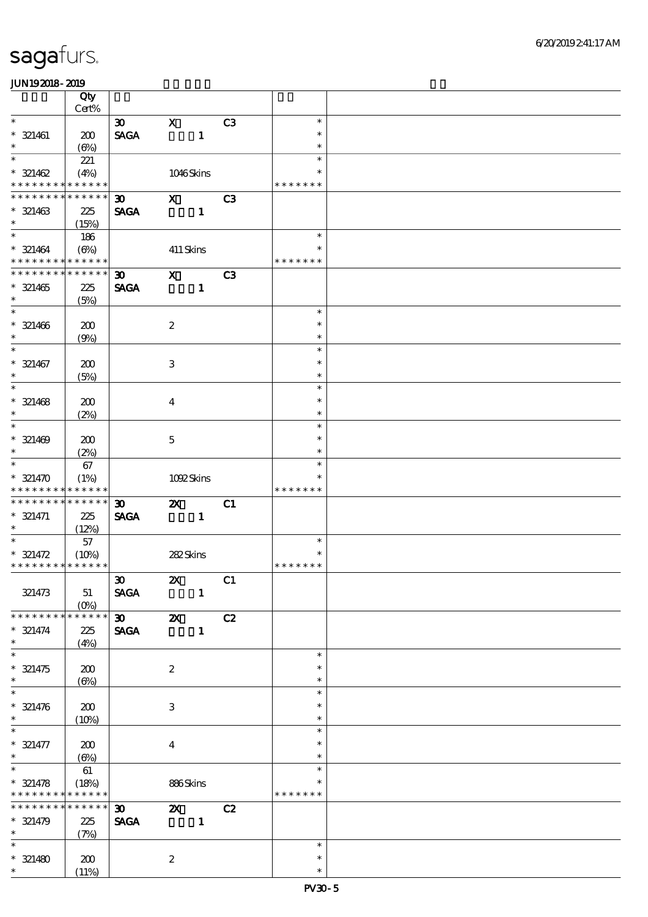|                                          | Qty                  |                                                               |                         |                |                |                  |  |
|------------------------------------------|----------------------|---------------------------------------------------------------|-------------------------|----------------|----------------|------------------|--|
| $\overline{\ast}$                        | Cert%                |                                                               |                         |                |                | $\ast$           |  |
| $* 321461$                               | 200                  | $\boldsymbol{\mathfrak{D}}$<br>$\operatorname{\mathsf{SAGA}}$ | $\mathbf{x}$            | $\mathbf{1}$   | C <sub>3</sub> | $\ast$           |  |
| $\ast$                                   | $(\Theta\%)$         |                                                               |                         |                |                | $\ast$           |  |
| $\ast$<br>$* 321462$                     | 221<br>(4%)          |                                                               |                         | 1046Skins      |                | $\ast$<br>$\ast$ |  |
| * * * * * * * *                          | * * * * * *          |                                                               |                         |                |                | * * * * * * *    |  |
| * * * * * * *                            | * * * * * *          | 30                                                            | $\mathbf{x}$            |                | C3             |                  |  |
| $* 321463$<br>$\ast$                     | 225<br>(15%)         | <b>SAGA</b>                                                   |                         | $\mathbf{1}$   |                |                  |  |
| $\overline{\ast}$                        | 186                  |                                                               |                         |                |                | $\ast$           |  |
| $* 321464$                               | $(\Theta\%)$         |                                                               | 411 Skins               |                |                | $\ast$           |  |
| * * * * * * * * <mark>* * * * * *</mark> |                      |                                                               |                         |                |                | * * * * * * *    |  |
| * * * * * * * *                          | * * * * * *          | $\boldsymbol{\mathfrak{D}}$                                   | $\mathbf x$             |                | C <sub>3</sub> |                  |  |
| $* 321465$                               | 225                  | <b>SAGA</b>                                                   |                         | $\mathbf{1}$   |                |                  |  |
| $\ast$                                   | (5%)                 |                                                               |                         |                |                |                  |  |
| $\ast$                                   |                      |                                                               |                         |                |                | $\ast$           |  |
| $* 321466$                               |                      |                                                               | $\boldsymbol{2}$        |                |                | $\ast$           |  |
| $\ast$                                   | 200                  |                                                               |                         |                |                | $\ast$           |  |
| $\overline{\ast}$                        | (9%)                 |                                                               |                         |                |                | $\ast$           |  |
|                                          |                      |                                                               |                         |                |                | $\ast$           |  |
| $* 321467$<br>$\ast$                     | 200                  |                                                               | $\,3$                   |                |                |                  |  |
| $\ast$                                   | (5%)                 |                                                               |                         |                |                | $\ast$<br>$\ast$ |  |
|                                          |                      |                                                               |                         |                |                |                  |  |
| $* 321468$                               | 200                  |                                                               | $\overline{\mathbf{4}}$ |                |                | $\ast$           |  |
| $\ast$                                   | (2%)                 |                                                               |                         |                |                | $\ast$           |  |
| $\ast$                                   |                      |                                                               |                         |                |                | $\ast$           |  |
| $* 321469$                               | 200                  |                                                               | $\mathbf 5$             |                |                | $\ast$           |  |
| $\ast$                                   | (2%)                 |                                                               |                         |                |                | $\ast$           |  |
| $\overline{\ast}$                        | 67                   |                                                               |                         |                |                | $\ast$           |  |
| $* 321470$                               | (1%)                 |                                                               |                         | 1092Skins      |                | $\ast$           |  |
| * * * * * * * *                          | * * * * * *          |                                                               |                         |                |                | * * * * * * *    |  |
| * * * * * * * *                          | * * * * * *          | $\boldsymbol{\mathfrak{D}}$                                   | $\boldsymbol{\alpha}$   |                | C1             |                  |  |
| $* 321471$                               | 225                  | <b>SAGA</b>                                                   |                         | $\blacksquare$ |                |                  |  |
| $\ast$                                   | (12%)                |                                                               |                         |                |                |                  |  |
| $\ast$                                   | 57                   |                                                               |                         |                |                | $\ast$           |  |
| $* 321472$                               | (10%)                |                                                               | 282Skins                |                |                | $\ast$           |  |
| * * * * * * * * * * * * * *              |                      |                                                               |                         |                |                | * * * * * * *    |  |
|                                          |                      | $\boldsymbol{\mathfrak{D}}$                                   | $\mathbf{x}$            |                | C1             |                  |  |
| 321473                                   | 51                   | <b>SAGA</b>                                                   |                         | $\mathbf{1}$   |                |                  |  |
|                                          | $(0\%)$              |                                                               |                         |                |                |                  |  |
| * * * * * * * *                          | * * * * * *          | $\infty$                                                      | $\boldsymbol{\alpha}$   |                | C2             |                  |  |
| $* 321474$                               | 225                  | <b>SAGA</b>                                                   |                         | $\mathbf{1}$   |                |                  |  |
| $\ast$                                   | (4%)                 |                                                               |                         |                |                |                  |  |
| $\ast$                                   |                      |                                                               |                         |                |                | $\ast$           |  |
| $* 321475$                               | 200                  |                                                               | $\boldsymbol{2}$        |                |                | $\ast$           |  |
| $\ast$                                   | $(\Theta)$           |                                                               |                         |                |                | $\ast$           |  |
| $\overline{\phantom{0}}$                 |                      |                                                               |                         |                |                | $\ast$           |  |
| $* 321476$                               | 200                  |                                                               | 3                       |                |                | $\ast$           |  |
| $\ast$                                   | (10%)                |                                                               |                         |                |                | $\ast$           |  |
|                                          |                      |                                                               |                         |                |                | $\ast$           |  |
| $* 321477$                               | 200                  |                                                               | $\overline{\mathbf{4}}$ |                |                | *                |  |
| $\ast$                                   | $(\Theta)$           |                                                               |                         |                |                | $\ast$           |  |
| $\overline{\ast}$                        | 61                   |                                                               |                         |                |                | $\ast$           |  |
| $* 321478$                               |                      |                                                               |                         |                |                | *                |  |
| * * * * * * * *                          | (18%)<br>* * * * * * |                                                               | 886Skins                |                |                | * * * * * * *    |  |
| * * * * * * *                            | * * * * * *          |                                                               |                         |                |                |                  |  |
|                                          |                      | $\boldsymbol{\mathfrak{D}}$                                   | $\mathbf{X}$            |                | C2             |                  |  |
| $* 321479$<br>$\ast$                     | 225                  | $\pmb{\text{SAGA}}$                                           |                         | $\mathbf{1}$   |                |                  |  |
| $\overline{\ast}$                        | (7%)                 |                                                               |                         |                |                | $\ast$           |  |
|                                          |                      |                                                               |                         |                |                |                  |  |
|                                          |                      |                                                               |                         |                |                | $\ast$           |  |
| $* 321480$<br>$\ast$                     | 200<br>(11%)         |                                                               | $\boldsymbol{2}$        |                |                | $\ast$           |  |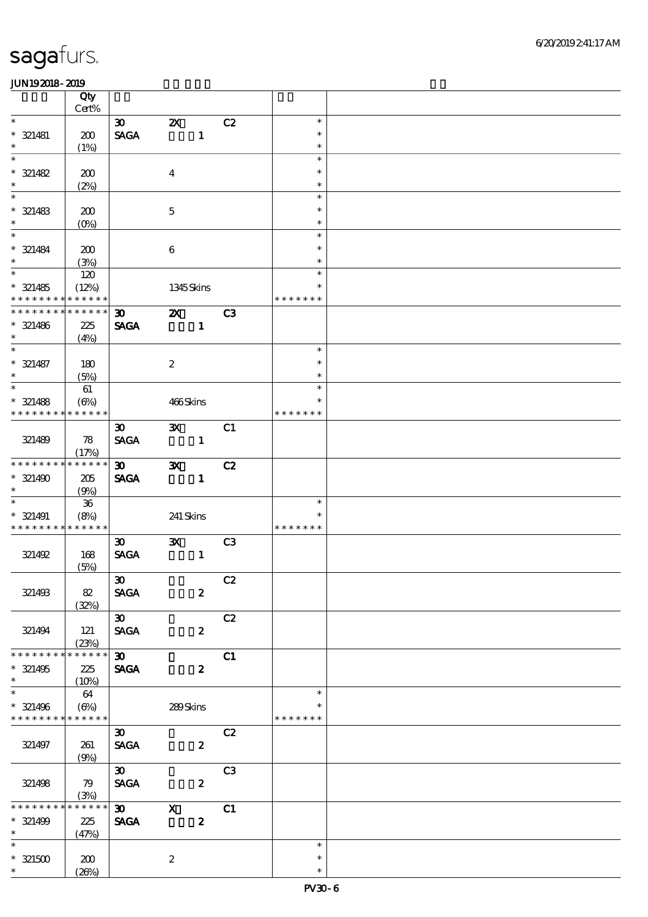|                                    | Qty<br>Cert%         |                              |                                           |                |                  |  |
|------------------------------------|----------------------|------------------------------|-------------------------------------------|----------------|------------------|--|
| $\ast$                             |                      |                              |                                           |                |                  |  |
|                                    |                      | $\infty$<br><b>SAGA</b>      | $\boldsymbol{\mathsf{Z}}$<br>$\mathbf{1}$ | C2             | $\ast$<br>$\ast$ |  |
| $* 321481$<br>$\ast$               | 200                  |                              |                                           |                | $\ast$           |  |
| $\overline{\phantom{0}}$           | (1%)                 |                              |                                           |                | $\ast$           |  |
| $* 321482$                         | 200                  |                              | $\boldsymbol{4}$                          |                | $\ast$           |  |
| $\ast$                             |                      |                              |                                           |                | $\ast$           |  |
| $\overline{\phantom{a}}$           | (2%)                 |                              |                                           |                | $\ast$           |  |
|                                    |                      |                              |                                           |                | $\ast$           |  |
| $* 321483$<br>$\ast$               | 200                  |                              | $\mathbf 5$                               |                | $\ast$           |  |
| $\overline{\phantom{a}^*}$         | (0%)                 |                              |                                           |                |                  |  |
|                                    |                      |                              |                                           |                | $\ast$           |  |
| $* 321484$                         | 200                  |                              | $\bf 6$                                   |                | $\ast$           |  |
| $\ast$<br>$\overline{\phantom{0}}$ | (3%)                 |                              |                                           |                | $\ast$           |  |
|                                    | 120                  |                              |                                           |                | $\ast$           |  |
| $* 321485$                         | (12%)                |                              | 1345 Skins                                |                | $\ast$           |  |
| * * * * * * * *                    | * * * * * *          |                              |                                           |                | * * * * * * *    |  |
| * * * * * * * *                    | * * * * * *          | $\boldsymbol{\mathfrak{D}}$  | <b>2X</b> C3                              |                |                  |  |
| $* 321486$                         | 225                  | <b>SAGA</b>                  | $\mathbf{1}$                              |                |                  |  |
| $\ast$<br>$\ast$                   | (4%)                 |                              |                                           |                |                  |  |
|                                    |                      |                              |                                           |                | $\ast$           |  |
| $* 321487$                         | 180                  |                              | $\boldsymbol{2}$                          |                | $\ast$           |  |
| $\ast$<br>$\overline{\phantom{0}}$ | (5%)                 |                              |                                           |                | $\ast$           |  |
|                                    | 61                   |                              |                                           |                | $\ast$           |  |
| $* 321488$                         | $(\Theta)$           |                              | 466Skins                                  |                | $\ast$           |  |
| * * * * * * * *                    | * * * * * *          |                              |                                           |                | * * * * * * *    |  |
|                                    |                      | $\boldsymbol{\mathfrak{D}}$  | $\mathbf{X}$                              | C1             |                  |  |
| 321489                             | 78                   | <b>SAGA</b>                  | $\mathbf{1}$                              |                |                  |  |
|                                    | (17%)                |                              |                                           |                |                  |  |
| * * * * * * * *                    | * * * * * *          | $\boldsymbol{\mathfrak{D}}$  | $\mathbf{x}$                              | C2             |                  |  |
| $* 321490$                         | 205                  | <b>SAGA</b>                  | $\mathbf{1}$                              |                |                  |  |
| $\ast$                             | (9%)                 |                              |                                           |                |                  |  |
| $\ast$                             | 36                   |                              |                                           |                | $\ast$           |  |
| $* 321491$                         | (8%)                 |                              | $241\,$ Skins                             |                | $\ast$           |  |
| * * * * * * * *                    | * * * * * *          |                              |                                           |                | * * * * * * *    |  |
|                                    |                      | $\boldsymbol{\mathfrak{D}}$  | $\mathbf{x}$                              | C <sub>3</sub> |                  |  |
| 321492                             | 168                  | <b>SAGA</b>                  | $\mathbf{1}$                              |                |                  |  |
|                                    | (5%)                 |                              |                                           |                |                  |  |
|                                    |                      | $\boldsymbol{\mathfrak{D}}$  |                                           | C2             |                  |  |
| 321493                             | $82\,$               | <b>SAGA</b>                  | $\boldsymbol{z}$                          |                |                  |  |
|                                    | (32%)                |                              |                                           |                |                  |  |
|                                    |                      | $\infty$                     |                                           | C2             |                  |  |
| 321494                             | 121                  | <b>SAGA</b>                  | $\boldsymbol{z}$                          |                |                  |  |
|                                    | (23%)<br>* * * * * * |                              |                                           |                |                  |  |
| * * * * * * *                      |                      | $\boldsymbol{\mathfrak{D}}$  |                                           | C1             |                  |  |
| $* 321495$                         | 225                  | <b>SAGA</b>                  | $\boldsymbol{z}$                          |                |                  |  |
| $\ast$<br>$\ast$                   | (10%)                |                              |                                           |                |                  |  |
|                                    | 64                   |                              |                                           |                | $\ast$           |  |
| $* 321496$                         | $(\Theta\%)$         |                              | 289Skins                                  |                | $\ast$           |  |
| * * * * * * * *                    | * * * * * *          |                              |                                           |                | * * * * * * *    |  |
|                                    |                      | $\boldsymbol{\mathfrak{D}}$  |                                           | C2             |                  |  |
| 321497                             | 261                  | <b>SAGA</b>                  | $\boldsymbol{z}$                          |                |                  |  |
|                                    | (9%)                 |                              |                                           |                |                  |  |
|                                    |                      | $\boldsymbol{\mathfrak{D}}$  |                                           | C3             |                  |  |
| 321498                             | 79                   | $\ensuremath{\mathsf{SAGA}}$ | $\boldsymbol{z}$                          |                |                  |  |
| * * * * * * *                      | (3%)<br>* * * * * *  |                              |                                           |                |                  |  |
|                                    |                      | $\boldsymbol{\mathfrak{D}}$  | $\mathbf{x}$                              | C1             |                  |  |
| $* 321499$                         | 225                  | <b>SAGA</b>                  | $\boldsymbol{z}$                          |                |                  |  |
| $\ast$<br>$\overline{\ast}$        | (47%)                |                              |                                           |                |                  |  |
|                                    |                      |                              |                                           |                | $\ast$           |  |
| $^\ast$ 321500                     | 200                  |                              | $\boldsymbol{2}$                          |                | $\ast$           |  |
| $\ast$                             | (20%)                |                              |                                           |                | $\ast$           |  |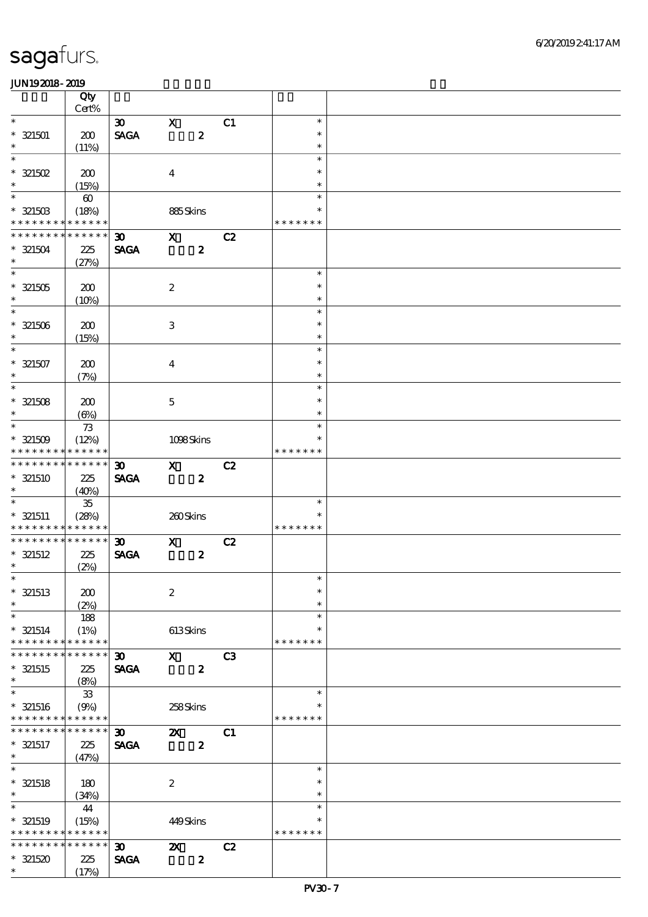|                          | Qty                   |                                |                           |                  |    |                  |  |
|--------------------------|-----------------------|--------------------------------|---------------------------|------------------|----|------------------|--|
| $\overline{\phantom{0}}$ | $Cert\%$              |                                |                           |                  |    |                  |  |
|                          |                       | $\infty$                       | $\mathbf{x}$              |                  | C1 | $\ast$<br>$\ast$ |  |
| $* 321501$<br>$\ast$     | 200<br>(11%)          | $\operatorname{\mathsf{SAGA}}$ |                           | $\boldsymbol{z}$ |    | $\ast$           |  |
| $\ast$                   |                       |                                |                           |                  |    | $\ast$           |  |
| $* 321502$               | 200                   |                                | $\boldsymbol{4}$          |                  |    | $\ast$           |  |
| $\ast$                   | (15%)                 |                                |                           |                  |    | $\ast$           |  |
| $\ast$                   | $\boldsymbol{\omega}$ |                                |                           |                  |    | $\ast$           |  |
| $* 321503$               | (18%)                 |                                | 885Skins                  |                  |    | $\ast$           |  |
| * * * * * * * *          | * * * * * *           |                                |                           |                  |    | * * * * * * *    |  |
| * * * * * * * *          | * * * * * *           | $\boldsymbol{\mathfrak{D}}$    | $\mathbf{x}$              |                  | C2 |                  |  |
| $* 321504$<br>$\ast$     | 225                   | <b>SAGA</b>                    |                           | $\boldsymbol{z}$ |    |                  |  |
|                          | (27%)                 |                                |                           |                  |    | $\ast$           |  |
| $* 321505$               | 200                   |                                | $\boldsymbol{2}$          |                  |    | $\ast$           |  |
| $\ast$                   | (10%)                 |                                |                           |                  |    | $\ast$           |  |
| $\overline{\phantom{0}}$ |                       |                                |                           |                  |    | $\ast$           |  |
| $* 321506$               | 200                   |                                | $\,3$                     |                  |    | $\ast$           |  |
| $\ast$                   | (15%)                 |                                |                           |                  |    | $\ast$           |  |
| $\overline{\ast}$        |                       |                                |                           |                  |    | $\ast$           |  |
| $* 321507$               | 200                   |                                | $\boldsymbol{4}$          |                  |    | $\ast$           |  |
| $\ast$                   | (7%)                  |                                |                           |                  |    | $\ast$           |  |
| $\overline{\ }$          |                       |                                |                           |                  |    | $\ast$           |  |
| $* 321508$<br>$\ast$     | 200                   |                                | $\mathbf 5$               |                  |    | $\ast$<br>$\ast$ |  |
| $\ast$                   | $(\Theta)$            |                                |                           |                  |    | $\ast$           |  |
| $* 321509$               | $73$<br>(12%)         |                                | 1098Skins                 |                  |    | $\ast$           |  |
| * * * * * * * *          | * * * * * *           |                                |                           |                  |    | * * * * * * *    |  |
| * * * * * * * *          | ******                | $\boldsymbol{\mathfrak{D}}$    | $\mathbf{x}$              |                  | C2 |                  |  |
| $*$ 321510               | 225                   | <b>SAGA</b>                    |                           | $\boldsymbol{z}$ |    |                  |  |
| $\ast$                   | (40%)                 |                                |                           |                  |    |                  |  |
| $\overline{\ast}$        | $35\,$                |                                |                           |                  |    | $\ast$           |  |
| $* 321511$               | (28%)                 |                                | 260Skins                  |                  |    |                  |  |
| * * * * * * * *          | * * * * * *           |                                |                           |                  |    | * * * * * * *    |  |
| * * * * * * * *          | * * * * * *           | $\boldsymbol{\mathfrak{D}}$    | $\mathbf{x}$              |                  | C2 |                  |  |
| $*$ 321512<br>$\ast$     | 225<br>(2%)           | <b>SAGA</b>                    |                           | $\boldsymbol{z}$ |    |                  |  |
| $*$                      |                       |                                |                           |                  |    | $\star$          |  |
| $*$ 321513               | 200                   |                                | $\boldsymbol{2}$          |                  |    | $\ast$           |  |
| $\ast$                   | (2%)                  |                                |                           |                  |    | $\ast$           |  |
| $\ast$                   | 188                   |                                |                           |                  |    | $\ast$           |  |
| $* 321514$               | (1%)                  |                                | 613Skins                  |                  |    | $\ast$           |  |
| * * * * * * * *          | * * * * * *           |                                |                           |                  |    | * * * * * * *    |  |
| * * * * * * *            | * * * * * *           | 30 <sub>o</sub>                | $\mathbf{x}$              |                  | C3 |                  |  |
| $*$ 321515               | 225                   | <b>SAGA</b>                    |                           | $\boldsymbol{z}$ |    |                  |  |
| $\ast$<br>$\ast$         | (8%)                  |                                |                           |                  |    |                  |  |
| $*$ 321516               | $33$                  |                                | 258Skins                  |                  |    | $\ast$<br>$\ast$ |  |
| * * * * * * * *          | (9%)<br>* * * * * *   |                                |                           |                  |    | * * * * * * *    |  |
| * * * * * * *            | * * * * * *           | $\boldsymbol{\mathfrak{D}}$    | $\boldsymbol{\mathsf{X}}$ |                  | C1 |                  |  |
| $* 321517$               | 225                   | <b>SAGA</b>                    |                           | $\boldsymbol{z}$ |    |                  |  |
| $\ast$                   | (47%)                 |                                |                           |                  |    |                  |  |
| $\ast$                   |                       |                                |                           |                  |    | $\ast$           |  |
| $*$ 321518               | 180                   |                                | $\boldsymbol{2}$          |                  |    | $\ast$           |  |
| $\ast$                   | (34%)                 |                                |                           |                  |    | $\ast$           |  |
| $\overline{\phantom{0}}$ | 44                    |                                |                           |                  |    | $\ast$           |  |
| $*$ 321519               | (15%)                 |                                | 449Skins                  |                  |    | $\ast$           |  |
| * * * * * * * *          | * * * * * *           |                                |                           |                  |    | * * * * * * *    |  |
| * * * * * * * *          | * * * * * *           | $\boldsymbol{\mathfrak{D}}$    | $\boldsymbol{\mathsf{X}}$ |                  | C2 |                  |  |
| $* 321520$<br>$\ast$     | 225<br>(17%)          | <b>SAGA</b>                    |                           | $\boldsymbol{z}$ |    |                  |  |
|                          |                       |                                |                           |                  |    |                  |  |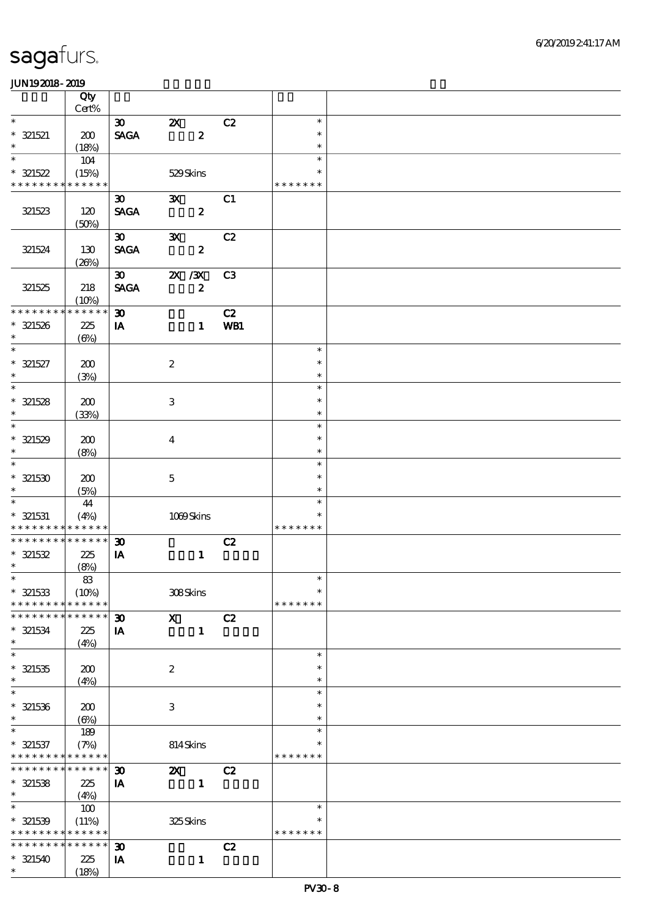| $Cert\%$<br>$\ast$<br>$\boldsymbol{\mathfrak{D}}$<br>$\boldsymbol{\mathsf{Z}}$<br>C2<br>$\ast$<br><b>SAGA</b><br>$\boldsymbol{z}$<br>200<br>$\ast$<br>$\ast$<br>$\ast$<br>(18%)<br>$\ast$<br>$\ast$<br>104<br>529Skins<br>(15%)<br>$\ast$<br>* * * * * * * *<br>* * * * * *<br>* * * * * * *<br>$\mathbf{x}$<br>C1<br>$\boldsymbol{\mathfrak{D}}$<br><b>SAGA</b><br>$\boldsymbol{z}$<br>321523<br>120<br>(50%)<br>C2<br>$\boldsymbol{\mathfrak{D}}$<br>$\mathbf{x}$<br><b>SAGA</b><br>321524<br>130<br>$\boldsymbol{z}$<br>(20%)<br>$\boldsymbol{\mathfrak{D}}$<br>$X \, X$<br>C <sub>3</sub><br><b>SAGA</b><br>$\boldsymbol{z}$<br>321525<br>218<br>(10%)<br>* * * * * *<br>* * * * * * * *<br>$\boldsymbol{\mathfrak{D}}$<br>C2<br>WB1<br>$* 321526$<br>225<br>IA<br>$\mathbf{1}$<br>$\ast$<br>$(\Theta\% )$<br>$\ast$<br>$\boldsymbol{2}$<br>$\ast$<br>200<br>$\ast$<br>(3%)<br>$\ast$<br>$\ast$<br>$\ensuremath{\mathbf{3}}$<br>200<br>$\ast$<br>$\ast$<br>$\ast$<br>(33%)<br>$\ast$<br>200<br>$\boldsymbol{4}$<br>$\ast$<br>$\ast$<br>$\ast$<br>(8%)<br>$\ast$<br>200<br>$\mathbf{5}$<br>$\ast$<br>$\ast$<br>(5%)<br>$\ast$<br>$\ast$<br>44<br>$\ast$<br>$1009$ Skins<br>(4%)<br>$\ast$<br>* * * * * * *<br>* * * * * * * * <mark>* * * * * *</mark><br>* * * * * * * * * * * * * *<br>C2<br>$\boldsymbol{\mathfrak{D}}$<br>225<br>IA<br>$\mathbf{1}$<br>$\ast$<br>(8%)<br>83<br>$\ast$<br>308Skins<br>(10%)<br>$\ast$<br>* * * * * *<br>* * * * * * * *<br>* * * * * * *<br>* * * * * *<br>C2<br>* * * * * * *<br>$\mathbf{x}$<br>$\boldsymbol{\mathfrak{D}}$<br>$\mathbf{1}$<br>225<br>IA<br>$\ast$<br>(4%)<br>$\ast$<br>$\ast$<br>$\boldsymbol{2}$<br>200<br>$\ast$<br>$\ast$<br>$\ast$<br>(4%)<br>$\ast$<br>$\ast$<br>200<br>3<br>$\ast$<br>$\ast$<br>$\ast$<br>$(\Theta)$<br>$\ast$<br>189<br>$\ast$<br>(7%)<br>814Skins<br>*<br>* * * * * * * * <mark>* * * * * *</mark><br>* * * * * * *<br>* * * * * * * *<br>$* * * * * * *$<br>C2<br>$\boldsymbol{\mathfrak{D}}$<br>$\boldsymbol{\mathsf{z}}$<br>$\mathbf{1}$<br>225<br>IA<br>$\ast$<br>(4%)<br>$\ast$<br>$\ast$<br>100 |  |
|----------------------------------------------------------------------------------------------------------------------------------------------------------------------------------------------------------------------------------------------------------------------------------------------------------------------------------------------------------------------------------------------------------------------------------------------------------------------------------------------------------------------------------------------------------------------------------------------------------------------------------------------------------------------------------------------------------------------------------------------------------------------------------------------------------------------------------------------------------------------------------------------------------------------------------------------------------------------------------------------------------------------------------------------------------------------------------------------------------------------------------------------------------------------------------------------------------------------------------------------------------------------------------------------------------------------------------------------------------------------------------------------------------------------------------------------------------------------------------------------------------------------------------------------------------------------------------------------------------------------------------------------------------------------------------------------------------------------------------------------------------------------------------------------------------------------------------------------------------------------------------------------------------------------------------------------------------------------------------------------------------------------------------------------------------------------------------------|--|
| $* 321521$<br>$* 321522$<br>$\overline{\ast}$<br>$* 321527$<br>$\ast$<br>$* 321528$<br>$\overline{\ast}$<br>$* 321529$<br>$\ast$<br>$* 321530$<br>$*$ 321531<br>$* 321532$<br>$*$<br>$* 321533$<br>$* 321534$<br>$* 321535$<br>$* 321536$<br>$* 321537$<br>$*$ 321538                                                                                                                                                                                                                                                                                                                                                                                                                                                                                                                                                                                                                                                                                                                                                                                                                                                                                                                                                                                                                                                                                                                                                                                                                                                                                                                                                                                                                                                                                                                                                                                                                                                                                                                                                                                                                  |  |
|                                                                                                                                                                                                                                                                                                                                                                                                                                                                                                                                                                                                                                                                                                                                                                                                                                                                                                                                                                                                                                                                                                                                                                                                                                                                                                                                                                                                                                                                                                                                                                                                                                                                                                                                                                                                                                                                                                                                                                                                                                                                                        |  |
|                                                                                                                                                                                                                                                                                                                                                                                                                                                                                                                                                                                                                                                                                                                                                                                                                                                                                                                                                                                                                                                                                                                                                                                                                                                                                                                                                                                                                                                                                                                                                                                                                                                                                                                                                                                                                                                                                                                                                                                                                                                                                        |  |
|                                                                                                                                                                                                                                                                                                                                                                                                                                                                                                                                                                                                                                                                                                                                                                                                                                                                                                                                                                                                                                                                                                                                                                                                                                                                                                                                                                                                                                                                                                                                                                                                                                                                                                                                                                                                                                                                                                                                                                                                                                                                                        |  |
|                                                                                                                                                                                                                                                                                                                                                                                                                                                                                                                                                                                                                                                                                                                                                                                                                                                                                                                                                                                                                                                                                                                                                                                                                                                                                                                                                                                                                                                                                                                                                                                                                                                                                                                                                                                                                                                                                                                                                                                                                                                                                        |  |
|                                                                                                                                                                                                                                                                                                                                                                                                                                                                                                                                                                                                                                                                                                                                                                                                                                                                                                                                                                                                                                                                                                                                                                                                                                                                                                                                                                                                                                                                                                                                                                                                                                                                                                                                                                                                                                                                                                                                                                                                                                                                                        |  |
|                                                                                                                                                                                                                                                                                                                                                                                                                                                                                                                                                                                                                                                                                                                                                                                                                                                                                                                                                                                                                                                                                                                                                                                                                                                                                                                                                                                                                                                                                                                                                                                                                                                                                                                                                                                                                                                                                                                                                                                                                                                                                        |  |
|                                                                                                                                                                                                                                                                                                                                                                                                                                                                                                                                                                                                                                                                                                                                                                                                                                                                                                                                                                                                                                                                                                                                                                                                                                                                                                                                                                                                                                                                                                                                                                                                                                                                                                                                                                                                                                                                                                                                                                                                                                                                                        |  |
|                                                                                                                                                                                                                                                                                                                                                                                                                                                                                                                                                                                                                                                                                                                                                                                                                                                                                                                                                                                                                                                                                                                                                                                                                                                                                                                                                                                                                                                                                                                                                                                                                                                                                                                                                                                                                                                                                                                                                                                                                                                                                        |  |
|                                                                                                                                                                                                                                                                                                                                                                                                                                                                                                                                                                                                                                                                                                                                                                                                                                                                                                                                                                                                                                                                                                                                                                                                                                                                                                                                                                                                                                                                                                                                                                                                                                                                                                                                                                                                                                                                                                                                                                                                                                                                                        |  |
|                                                                                                                                                                                                                                                                                                                                                                                                                                                                                                                                                                                                                                                                                                                                                                                                                                                                                                                                                                                                                                                                                                                                                                                                                                                                                                                                                                                                                                                                                                                                                                                                                                                                                                                                                                                                                                                                                                                                                                                                                                                                                        |  |
|                                                                                                                                                                                                                                                                                                                                                                                                                                                                                                                                                                                                                                                                                                                                                                                                                                                                                                                                                                                                                                                                                                                                                                                                                                                                                                                                                                                                                                                                                                                                                                                                                                                                                                                                                                                                                                                                                                                                                                                                                                                                                        |  |
|                                                                                                                                                                                                                                                                                                                                                                                                                                                                                                                                                                                                                                                                                                                                                                                                                                                                                                                                                                                                                                                                                                                                                                                                                                                                                                                                                                                                                                                                                                                                                                                                                                                                                                                                                                                                                                                                                                                                                                                                                                                                                        |  |
|                                                                                                                                                                                                                                                                                                                                                                                                                                                                                                                                                                                                                                                                                                                                                                                                                                                                                                                                                                                                                                                                                                                                                                                                                                                                                                                                                                                                                                                                                                                                                                                                                                                                                                                                                                                                                                                                                                                                                                                                                                                                                        |  |
|                                                                                                                                                                                                                                                                                                                                                                                                                                                                                                                                                                                                                                                                                                                                                                                                                                                                                                                                                                                                                                                                                                                                                                                                                                                                                                                                                                                                                                                                                                                                                                                                                                                                                                                                                                                                                                                                                                                                                                                                                                                                                        |  |
|                                                                                                                                                                                                                                                                                                                                                                                                                                                                                                                                                                                                                                                                                                                                                                                                                                                                                                                                                                                                                                                                                                                                                                                                                                                                                                                                                                                                                                                                                                                                                                                                                                                                                                                                                                                                                                                                                                                                                                                                                                                                                        |  |
|                                                                                                                                                                                                                                                                                                                                                                                                                                                                                                                                                                                                                                                                                                                                                                                                                                                                                                                                                                                                                                                                                                                                                                                                                                                                                                                                                                                                                                                                                                                                                                                                                                                                                                                                                                                                                                                                                                                                                                                                                                                                                        |  |
|                                                                                                                                                                                                                                                                                                                                                                                                                                                                                                                                                                                                                                                                                                                                                                                                                                                                                                                                                                                                                                                                                                                                                                                                                                                                                                                                                                                                                                                                                                                                                                                                                                                                                                                                                                                                                                                                                                                                                                                                                                                                                        |  |
|                                                                                                                                                                                                                                                                                                                                                                                                                                                                                                                                                                                                                                                                                                                                                                                                                                                                                                                                                                                                                                                                                                                                                                                                                                                                                                                                                                                                                                                                                                                                                                                                                                                                                                                                                                                                                                                                                                                                                                                                                                                                                        |  |
|                                                                                                                                                                                                                                                                                                                                                                                                                                                                                                                                                                                                                                                                                                                                                                                                                                                                                                                                                                                                                                                                                                                                                                                                                                                                                                                                                                                                                                                                                                                                                                                                                                                                                                                                                                                                                                                                                                                                                                                                                                                                                        |  |
|                                                                                                                                                                                                                                                                                                                                                                                                                                                                                                                                                                                                                                                                                                                                                                                                                                                                                                                                                                                                                                                                                                                                                                                                                                                                                                                                                                                                                                                                                                                                                                                                                                                                                                                                                                                                                                                                                                                                                                                                                                                                                        |  |
|                                                                                                                                                                                                                                                                                                                                                                                                                                                                                                                                                                                                                                                                                                                                                                                                                                                                                                                                                                                                                                                                                                                                                                                                                                                                                                                                                                                                                                                                                                                                                                                                                                                                                                                                                                                                                                                                                                                                                                                                                                                                                        |  |
|                                                                                                                                                                                                                                                                                                                                                                                                                                                                                                                                                                                                                                                                                                                                                                                                                                                                                                                                                                                                                                                                                                                                                                                                                                                                                                                                                                                                                                                                                                                                                                                                                                                                                                                                                                                                                                                                                                                                                                                                                                                                                        |  |
|                                                                                                                                                                                                                                                                                                                                                                                                                                                                                                                                                                                                                                                                                                                                                                                                                                                                                                                                                                                                                                                                                                                                                                                                                                                                                                                                                                                                                                                                                                                                                                                                                                                                                                                                                                                                                                                                                                                                                                                                                                                                                        |  |
|                                                                                                                                                                                                                                                                                                                                                                                                                                                                                                                                                                                                                                                                                                                                                                                                                                                                                                                                                                                                                                                                                                                                                                                                                                                                                                                                                                                                                                                                                                                                                                                                                                                                                                                                                                                                                                                                                                                                                                                                                                                                                        |  |
|                                                                                                                                                                                                                                                                                                                                                                                                                                                                                                                                                                                                                                                                                                                                                                                                                                                                                                                                                                                                                                                                                                                                                                                                                                                                                                                                                                                                                                                                                                                                                                                                                                                                                                                                                                                                                                                                                                                                                                                                                                                                                        |  |
|                                                                                                                                                                                                                                                                                                                                                                                                                                                                                                                                                                                                                                                                                                                                                                                                                                                                                                                                                                                                                                                                                                                                                                                                                                                                                                                                                                                                                                                                                                                                                                                                                                                                                                                                                                                                                                                                                                                                                                                                                                                                                        |  |
|                                                                                                                                                                                                                                                                                                                                                                                                                                                                                                                                                                                                                                                                                                                                                                                                                                                                                                                                                                                                                                                                                                                                                                                                                                                                                                                                                                                                                                                                                                                                                                                                                                                                                                                                                                                                                                                                                                                                                                                                                                                                                        |  |
|                                                                                                                                                                                                                                                                                                                                                                                                                                                                                                                                                                                                                                                                                                                                                                                                                                                                                                                                                                                                                                                                                                                                                                                                                                                                                                                                                                                                                                                                                                                                                                                                                                                                                                                                                                                                                                                                                                                                                                                                                                                                                        |  |
|                                                                                                                                                                                                                                                                                                                                                                                                                                                                                                                                                                                                                                                                                                                                                                                                                                                                                                                                                                                                                                                                                                                                                                                                                                                                                                                                                                                                                                                                                                                                                                                                                                                                                                                                                                                                                                                                                                                                                                                                                                                                                        |  |
|                                                                                                                                                                                                                                                                                                                                                                                                                                                                                                                                                                                                                                                                                                                                                                                                                                                                                                                                                                                                                                                                                                                                                                                                                                                                                                                                                                                                                                                                                                                                                                                                                                                                                                                                                                                                                                                                                                                                                                                                                                                                                        |  |
|                                                                                                                                                                                                                                                                                                                                                                                                                                                                                                                                                                                                                                                                                                                                                                                                                                                                                                                                                                                                                                                                                                                                                                                                                                                                                                                                                                                                                                                                                                                                                                                                                                                                                                                                                                                                                                                                                                                                                                                                                                                                                        |  |
|                                                                                                                                                                                                                                                                                                                                                                                                                                                                                                                                                                                                                                                                                                                                                                                                                                                                                                                                                                                                                                                                                                                                                                                                                                                                                                                                                                                                                                                                                                                                                                                                                                                                                                                                                                                                                                                                                                                                                                                                                                                                                        |  |
|                                                                                                                                                                                                                                                                                                                                                                                                                                                                                                                                                                                                                                                                                                                                                                                                                                                                                                                                                                                                                                                                                                                                                                                                                                                                                                                                                                                                                                                                                                                                                                                                                                                                                                                                                                                                                                                                                                                                                                                                                                                                                        |  |
|                                                                                                                                                                                                                                                                                                                                                                                                                                                                                                                                                                                                                                                                                                                                                                                                                                                                                                                                                                                                                                                                                                                                                                                                                                                                                                                                                                                                                                                                                                                                                                                                                                                                                                                                                                                                                                                                                                                                                                                                                                                                                        |  |
|                                                                                                                                                                                                                                                                                                                                                                                                                                                                                                                                                                                                                                                                                                                                                                                                                                                                                                                                                                                                                                                                                                                                                                                                                                                                                                                                                                                                                                                                                                                                                                                                                                                                                                                                                                                                                                                                                                                                                                                                                                                                                        |  |
|                                                                                                                                                                                                                                                                                                                                                                                                                                                                                                                                                                                                                                                                                                                                                                                                                                                                                                                                                                                                                                                                                                                                                                                                                                                                                                                                                                                                                                                                                                                                                                                                                                                                                                                                                                                                                                                                                                                                                                                                                                                                                        |  |
|                                                                                                                                                                                                                                                                                                                                                                                                                                                                                                                                                                                                                                                                                                                                                                                                                                                                                                                                                                                                                                                                                                                                                                                                                                                                                                                                                                                                                                                                                                                                                                                                                                                                                                                                                                                                                                                                                                                                                                                                                                                                                        |  |
|                                                                                                                                                                                                                                                                                                                                                                                                                                                                                                                                                                                                                                                                                                                                                                                                                                                                                                                                                                                                                                                                                                                                                                                                                                                                                                                                                                                                                                                                                                                                                                                                                                                                                                                                                                                                                                                                                                                                                                                                                                                                                        |  |
|                                                                                                                                                                                                                                                                                                                                                                                                                                                                                                                                                                                                                                                                                                                                                                                                                                                                                                                                                                                                                                                                                                                                                                                                                                                                                                                                                                                                                                                                                                                                                                                                                                                                                                                                                                                                                                                                                                                                                                                                                                                                                        |  |
|                                                                                                                                                                                                                                                                                                                                                                                                                                                                                                                                                                                                                                                                                                                                                                                                                                                                                                                                                                                                                                                                                                                                                                                                                                                                                                                                                                                                                                                                                                                                                                                                                                                                                                                                                                                                                                                                                                                                                                                                                                                                                        |  |
|                                                                                                                                                                                                                                                                                                                                                                                                                                                                                                                                                                                                                                                                                                                                                                                                                                                                                                                                                                                                                                                                                                                                                                                                                                                                                                                                                                                                                                                                                                                                                                                                                                                                                                                                                                                                                                                                                                                                                                                                                                                                                        |  |
|                                                                                                                                                                                                                                                                                                                                                                                                                                                                                                                                                                                                                                                                                                                                                                                                                                                                                                                                                                                                                                                                                                                                                                                                                                                                                                                                                                                                                                                                                                                                                                                                                                                                                                                                                                                                                                                                                                                                                                                                                                                                                        |  |
|                                                                                                                                                                                                                                                                                                                                                                                                                                                                                                                                                                                                                                                                                                                                                                                                                                                                                                                                                                                                                                                                                                                                                                                                                                                                                                                                                                                                                                                                                                                                                                                                                                                                                                                                                                                                                                                                                                                                                                                                                                                                                        |  |
|                                                                                                                                                                                                                                                                                                                                                                                                                                                                                                                                                                                                                                                                                                                                                                                                                                                                                                                                                                                                                                                                                                                                                                                                                                                                                                                                                                                                                                                                                                                                                                                                                                                                                                                                                                                                                                                                                                                                                                                                                                                                                        |  |
|                                                                                                                                                                                                                                                                                                                                                                                                                                                                                                                                                                                                                                                                                                                                                                                                                                                                                                                                                                                                                                                                                                                                                                                                                                                                                                                                                                                                                                                                                                                                                                                                                                                                                                                                                                                                                                                                                                                                                                                                                                                                                        |  |
|                                                                                                                                                                                                                                                                                                                                                                                                                                                                                                                                                                                                                                                                                                                                                                                                                                                                                                                                                                                                                                                                                                                                                                                                                                                                                                                                                                                                                                                                                                                                                                                                                                                                                                                                                                                                                                                                                                                                                                                                                                                                                        |  |
|                                                                                                                                                                                                                                                                                                                                                                                                                                                                                                                                                                                                                                                                                                                                                                                                                                                                                                                                                                                                                                                                                                                                                                                                                                                                                                                                                                                                                                                                                                                                                                                                                                                                                                                                                                                                                                                                                                                                                                                                                                                                                        |  |
|                                                                                                                                                                                                                                                                                                                                                                                                                                                                                                                                                                                                                                                                                                                                                                                                                                                                                                                                                                                                                                                                                                                                                                                                                                                                                                                                                                                                                                                                                                                                                                                                                                                                                                                                                                                                                                                                                                                                                                                                                                                                                        |  |
|                                                                                                                                                                                                                                                                                                                                                                                                                                                                                                                                                                                                                                                                                                                                                                                                                                                                                                                                                                                                                                                                                                                                                                                                                                                                                                                                                                                                                                                                                                                                                                                                                                                                                                                                                                                                                                                                                                                                                                                                                                                                                        |  |
| $* 321539$<br>325Skins<br>(11%)<br>$\ast$                                                                                                                                                                                                                                                                                                                                                                                                                                                                                                                                                                                                                                                                                                                                                                                                                                                                                                                                                                                                                                                                                                                                                                                                                                                                                                                                                                                                                                                                                                                                                                                                                                                                                                                                                                                                                                                                                                                                                                                                                                              |  |
| ******<br>* * * * * * * *<br>* * * * * * *<br>* * * * * * * *<br>* * * * * *                                                                                                                                                                                                                                                                                                                                                                                                                                                                                                                                                                                                                                                                                                                                                                                                                                                                                                                                                                                                                                                                                                                                                                                                                                                                                                                                                                                                                                                                                                                                                                                                                                                                                                                                                                                                                                                                                                                                                                                                           |  |
| C2<br>$\boldsymbol{\mathfrak{D}}$<br>$* 321540$<br>${\bf I} {\bf A}$<br>225<br>$\mathbf{1}$                                                                                                                                                                                                                                                                                                                                                                                                                                                                                                                                                                                                                                                                                                                                                                                                                                                                                                                                                                                                                                                                                                                                                                                                                                                                                                                                                                                                                                                                                                                                                                                                                                                                                                                                                                                                                                                                                                                                                                                            |  |
| $\ast$<br>(18%)                                                                                                                                                                                                                                                                                                                                                                                                                                                                                                                                                                                                                                                                                                                                                                                                                                                                                                                                                                                                                                                                                                                                                                                                                                                                                                                                                                                                                                                                                                                                                                                                                                                                                                                                                                                                                                                                                                                                                                                                                                                                        |  |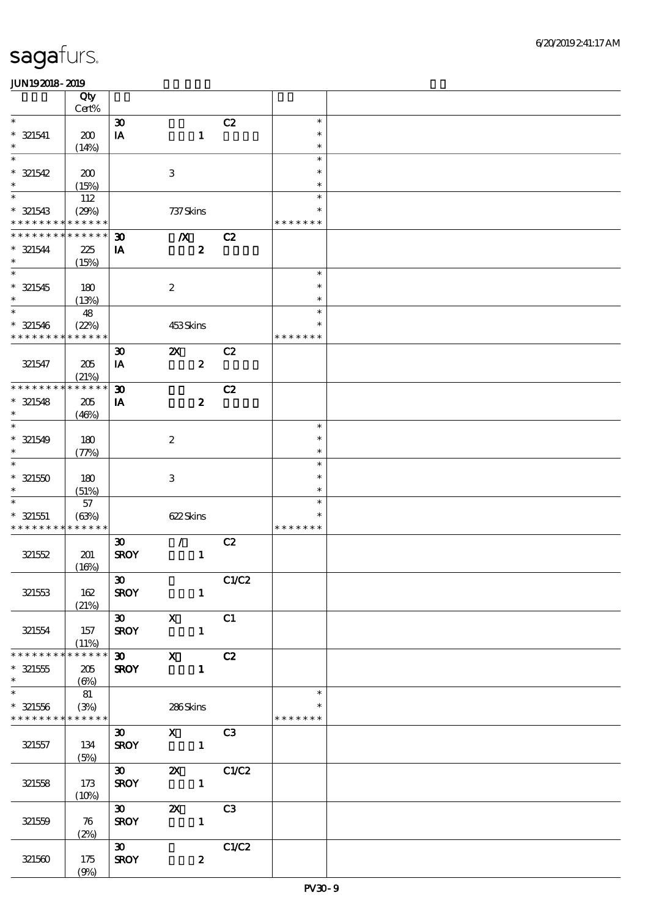|                             | Qty<br>$Cert\%$ |                             |                           |                  |       |                         |  |
|-----------------------------|-----------------|-----------------------------|---------------------------|------------------|-------|-------------------------|--|
| $\ast$                      |                 |                             |                           |                  |       | $\ast$                  |  |
|                             |                 | $\boldsymbol{\mathfrak{D}}$ |                           |                  | C2    | $\ast$                  |  |
| $*$ 321541                  | 200             | $\mathbf{I}\mathbf{A}$      |                           | $\mathbf{1}$     |       |                         |  |
| $\ast$                      | (14%)           |                             |                           |                  |       | $\ast$                  |  |
| $\ast$                      |                 |                             |                           |                  |       | $\ast$                  |  |
| $* 321542$                  | 200             |                             | $\,3$                     |                  |       | $\ast$                  |  |
| $\ast$                      | (15%)           |                             |                           |                  |       | $\ast$                  |  |
| $\ast$                      | 112             |                             |                           |                  |       | $\ast$                  |  |
| $* 321543$                  | (29%)           |                             | 737 Skins                 |                  |       | $\ast$                  |  |
| * * * * * * * *             | * * * * * *     |                             |                           |                  |       | * * * * * * *           |  |
| * * * * * * *               | * * * * * *     | $\boldsymbol{\mathfrak{D}}$ | $\boldsymbol{X}$          |                  | C2    |                         |  |
| $* 321544$                  | 225             | IA                          |                           | $\boldsymbol{z}$ |       |                         |  |
| $\ast$                      | (15%)           |                             |                           |                  |       |                         |  |
| $\overline{\ast}$           |                 |                             |                           |                  |       | $\ast$                  |  |
| $* 321545$                  | 180             |                             | $\boldsymbol{2}$          |                  |       | $\ast$                  |  |
| $\ast$                      | (13%)           |                             |                           |                  |       | $\ast$                  |  |
| $\overline{\ast}$           |                 |                             |                           |                  |       | $\ast$                  |  |
|                             | 48              |                             |                           |                  |       | $\ast$                  |  |
| $* 321546$                  | (22%)           |                             | 453Skins                  |                  |       |                         |  |
| * * * * * * * *             | * * * * * *     |                             |                           |                  |       | * * * * * * *           |  |
|                             |                 | $\boldsymbol{\mathfrak{D}}$ | $\boldsymbol{\mathsf{z}}$ |                  | C2    |                         |  |
| 321547                      | 205             | $I\!\!A$                    |                           | $\boldsymbol{z}$ |       |                         |  |
|                             | (21%)           |                             |                           |                  |       |                         |  |
| * * * * * * * *             | * * * * * *     | $\boldsymbol{\mathfrak{D}}$ |                           |                  | C2    |                         |  |
| $* 321548$                  | 205             | ${\bf I} \pmb{\Lambda}$     |                           | $\boldsymbol{2}$ |       |                         |  |
| $\ast$                      | (46%)           |                             |                           |                  |       |                         |  |
| $\ast$                      |                 |                             |                           |                  |       | $\ast$                  |  |
| $* 321549$                  | 180             |                             | $\boldsymbol{2}$          |                  |       | $\ast$                  |  |
| $\ast$                      | (77%)           |                             |                           |                  |       | $\ast$                  |  |
| $\ast$                      |                 |                             |                           |                  |       | $\ast$                  |  |
| $* 321550$                  | 180             |                             | $\,3$                     |                  |       | $\ast$                  |  |
| $\ast$                      |                 |                             |                           |                  |       | $\ast$                  |  |
| $\ast$                      | (51%)           |                             |                           |                  |       | $\ast$                  |  |
|                             | 57              |                             |                           |                  |       |                         |  |
| $* 321551$                  | (63%)           |                             | 622Skins                  |                  |       | $\ast$<br>* * * * * * * |  |
| * * * * * * * * * * * * * * |                 |                             |                           |                  |       |                         |  |
|                             |                 | $\boldsymbol{\mathfrak{D}}$ | $\mathcal{L}$             |                  | C2    |                         |  |
| 321552                      | 201             | <b>SROY</b>                 |                           | $\mathbf{1}$     |       |                         |  |
|                             | (16%)           |                             |                           |                  |       |                         |  |
|                             |                 | $\boldsymbol{\mathfrak{D}}$ |                           |                  | C1/C2 |                         |  |
| 321553                      | 162             | <b>SROY</b>                 |                           | $\mathbf{1}$     |       |                         |  |
|                             | (21%)           |                             |                           |                  |       |                         |  |
|                             |                 | $\infty$ x                  |                           |                  | C1    |                         |  |
| 321554                      | 157             | <b>SROY</b>                 |                           | $\mathbf{1}$     |       |                         |  |
|                             | (11%)           |                             |                           |                  |       |                         |  |
| * * * * * * * *             | * * * * * *     |                             | 30 X C2                   |                  |       |                         |  |
| $* 321555$                  | 205             | <b>SROY</b>                 |                           | $\blacksquare$   |       |                         |  |
| $\ast$                      | (6%)            |                             |                           |                  |       |                         |  |
| $\overline{\ast}$           | 81              |                             |                           |                  |       | $\ast$                  |  |
| $* 321556$                  | (3%)            |                             | 286Skins                  |                  |       | $\ast$                  |  |
| * * * * * * * * * * * * * * |                 |                             |                           |                  |       | * * * * * * *           |  |
|                             |                 |                             |                           |                  |       |                         |  |
|                             |                 | 30                          | $X$ $C3$                  |                  |       |                         |  |
| 321557                      | 134             | <b>SROY</b>                 |                           |                  |       |                         |  |
|                             | (5%)            |                             |                           |                  |       |                         |  |
|                             |                 |                             |                           |                  |       |                         |  |
| 321558                      | 173             | <b>SROY</b>                 | $\mathbf{1}$              |                  |       |                         |  |
|                             | (10%)           |                             |                           |                  |       |                         |  |
|                             |                 | 30                          | <b>2X</b> C3              |                  |       |                         |  |
| 321559                      | 76              | <b>SROY</b>                 |                           | $\mathbf{1}$     |       |                         |  |
|                             | (2%)            |                             |                           |                  |       |                         |  |
|                             |                 | $\infty$                    |                           |                  | C1/C2 |                         |  |
| 321560                      | 175             | <b>SROY</b>                 |                           | $\boldsymbol{z}$ |       |                         |  |
|                             | (9%)            |                             |                           |                  |       |                         |  |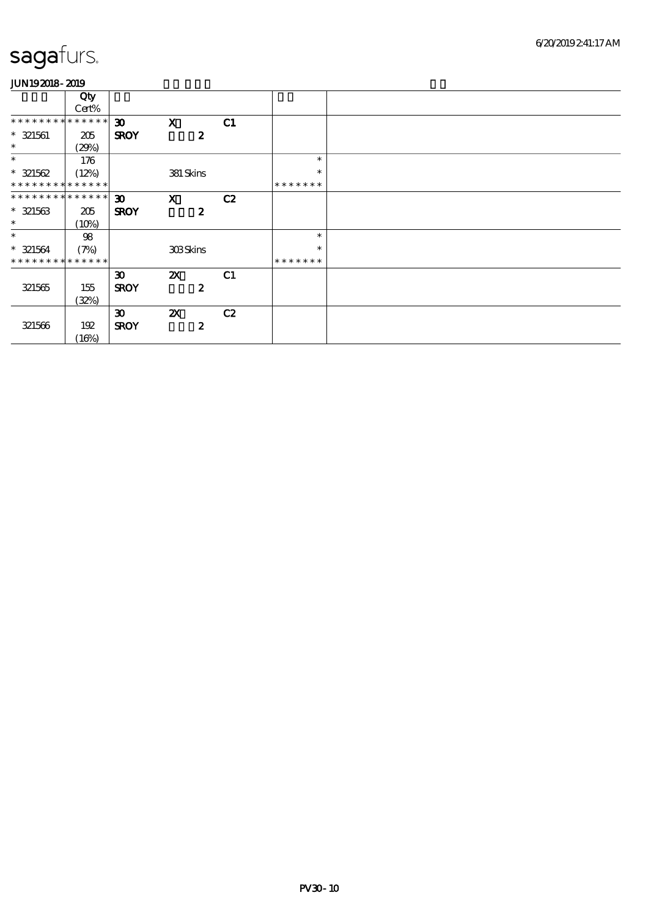|                               | Qty   |                             |                           |    |               |  |
|-------------------------------|-------|-----------------------------|---------------------------|----|---------------|--|
|                               | Cert% |                             |                           |    |               |  |
| * * * * * * * * * * * * * * * |       | $\boldsymbol{\mathfrak{D}}$ | $\mathbf{x}$              | C1 |               |  |
| $*$ 321561                    | 205   | <b>SROY</b>                 | $\boldsymbol{z}$          |    |               |  |
| $\ast$                        | (29%) |                             |                           |    |               |  |
| $\ast$                        | 176   |                             |                           |    | $\ast$        |  |
| $* 321562$                    | (12%) |                             | 381 Skins                 |    | $\ast$        |  |
| * * * * * * * * * * * * * *   |       |                             |                           |    | * * * * * * * |  |
| * * * * * * * * * * * * * * * |       | $\boldsymbol{\mathfrak{D}}$ | $\mathbf{x}$              | C2 |               |  |
| $* 321563$                    | 205   | <b>SROY</b>                 | $\boldsymbol{z}$          |    |               |  |
| $\ast$                        | (10%) |                             |                           |    |               |  |
| $\ast$                        | $98$  |                             |                           |    | $\ast$        |  |
| $* 321564$                    | (7%)  |                             | <b>308Skins</b>           |    | $\ast$        |  |
| * * * * * * * * * * * * * * * |       |                             |                           |    | * * * * * * * |  |
|                               |       | $\boldsymbol{\mathfrak{D}}$ | $\boldsymbol{\mathsf{Z}}$ | C1 |               |  |
| 321565                        | 155   | <b>SROY</b>                 | $\boldsymbol{z}$          |    |               |  |
|                               | (32%) |                             |                           |    |               |  |
|                               |       | $\boldsymbol{\mathfrak{D}}$ | $\boldsymbol{\mathsf{X}}$ | C2 |               |  |
| 321566                        | 192   | <b>SROY</b>                 | $\boldsymbol{z}$          |    |               |  |
|                               | (16%) |                             |                           |    |               |  |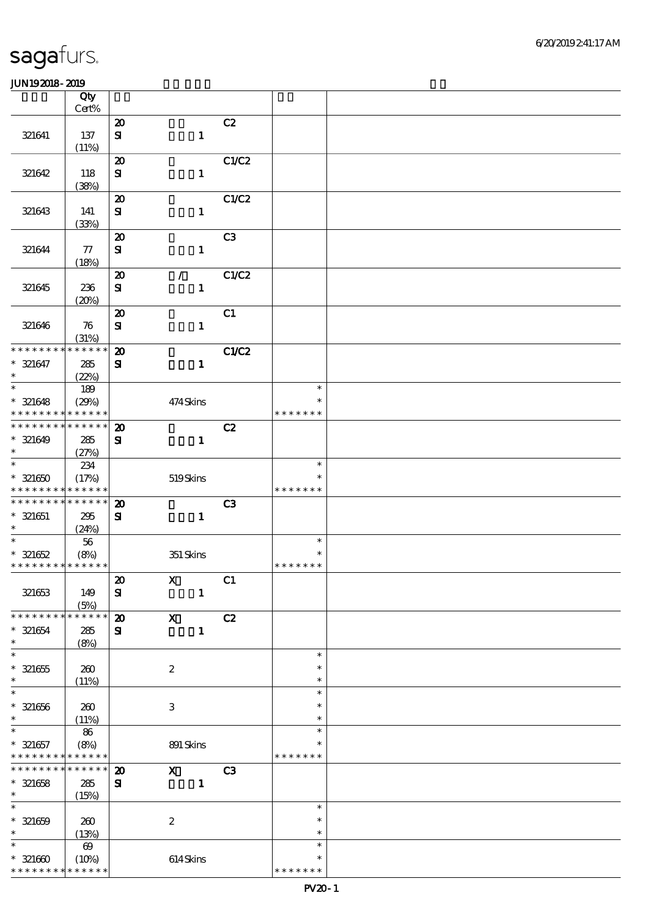|                                           | Qty<br>Cert%          |                                           |                           |                |                  |  |
|-------------------------------------------|-----------------------|-------------------------------------------|---------------------------|----------------|------------------|--|
|                                           |                       |                                           |                           |                |                  |  |
| 321641                                    | 137                   | $\boldsymbol{\mathbf{z}}$<br>$\mathbf{S}$ | $\mathbf{1}$              | C2             |                  |  |
|                                           | (11%)                 |                                           |                           |                |                  |  |
|                                           |                       | $\boldsymbol{\boldsymbol{\lambda}}$       |                           | C1/C2          |                  |  |
| 321642                                    | 118<br>(38%)          | ${\bf s}$                                 | $\mathbf{1}$              |                |                  |  |
|                                           |                       | $\boldsymbol{\mathbf{z}}$                 |                           | C1/C2          |                  |  |
| 321643                                    | 141                   | $\mathbf{S}$                              | $\mathbf{1}$              |                |                  |  |
|                                           | (33%)                 |                                           |                           |                |                  |  |
|                                           |                       | $\boldsymbol{\mathsf{20}}$                |                           | C <sub>3</sub> |                  |  |
| 321644                                    | ${\bf \pi}$<br>(18%)  | ${\bf s}$                                 | $\mathbf{1}$              |                |                  |  |
|                                           |                       | $\boldsymbol{\mathfrak{D}}$               | $\mathcal{L}$             | C1/C2          |                  |  |
| 321645                                    | 236                   | ${\bf s}$                                 | $\mathbf{1}$              |                |                  |  |
|                                           | (20%)                 |                                           |                           |                |                  |  |
|                                           |                       | $\boldsymbol{\mathbf{z}}$                 |                           | C1             |                  |  |
| 321646                                    | 76                    | $\mathbf{S}$                              | $\mathbf{1}$              |                |                  |  |
| * * * * * * * *                           | (31%)<br>* * * * * *  |                                           |                           |                |                  |  |
|                                           |                       | $\boldsymbol{\mathfrak{D}}$               |                           | C1/C2          |                  |  |
| $* 321647$<br>$\ast$                      | 285<br>(22%)          | ${\bf s}$                                 | $\mathbf{1}$              |                |                  |  |
| $\ast$                                    | 189                   |                                           |                           |                | $\ast$           |  |
| $* 321648$                                | (29%)                 |                                           | 474Skins                  |                | $\ast$           |  |
| * * * * * * * *                           | * * * * * *           |                                           |                           |                | * * * * * * *    |  |
| * * * * * * * *                           | * * * * * *           | $\boldsymbol{\mathbf{z}}$                 |                           | C2             |                  |  |
| $* 321649$                                | 285                   | $\mathbf{S}$                              | $\mathbf{1}$              |                |                  |  |
| $\ast$                                    | (27%)                 |                                           |                           |                |                  |  |
| $\ast$                                    | 234                   |                                           |                           |                | $\ast$<br>$\ast$ |  |
| $* 321650$<br>* * * * * * * * * * * * * * | (17%)                 |                                           | $519\mbox{Skins}$         |                | * * * * * * *    |  |
| * * * * * * * * * * * * * *               |                       | $\boldsymbol{\mathbf{z}}$                 |                           | C3             |                  |  |
| $* 321651$                                | 295                   | ${\bf s}$                                 | $\mathbf{1}$              |                |                  |  |
| $*$                                       | (24%)                 |                                           |                           |                |                  |  |
|                                           | $56\,$                |                                           |                           |                | $\ast$           |  |
| $* 321652$                                | (8%)                  |                                           | 351 Skins                 |                | $\ast$           |  |
| * * * * * * * * * * * * * *               |                       |                                           |                           |                | * * * * * * *    |  |
|                                           |                       | $\pmb{\mathcal{Z}}$                       | $\mathbf{X}$              | C1             |                  |  |
| 321653                                    | 149                   | ${\bf s}$                                 | $\mathbf{1}$              |                |                  |  |
| * * * * * * * *                           | (5%)<br>* * * * * *   | $\boldsymbol{\mathbf{z}}$                 | $\boldsymbol{\mathrm{X}}$ | C2             |                  |  |
| $* 321654$                                | 285                   | ${\bf s}$                                 | $\mathbf{1}$              |                |                  |  |
| $\ast$                                    | (8%)                  |                                           |                           |                |                  |  |
| $\overline{\ast}$                         |                       |                                           |                           |                | $\ast$           |  |
| $* 321655$                                | 260                   |                                           | $\boldsymbol{2}$          |                | $\ast$           |  |
| $\ast$                                    | (11%)                 |                                           |                           |                | $\ast$           |  |
| $\ast$                                    |                       |                                           |                           |                | $\ast$           |  |
| $* 321656$                                | $200$                 |                                           | $\,3\,$                   |                | $\ast$           |  |
| $\ast$<br>$\ast$                          | (11%)<br>86           |                                           |                           |                | $\ast$<br>$\ast$ |  |
| $* 321657$                                | (8%)                  |                                           | 891 Skins                 |                | $\ast$           |  |
| * * * * * * * * <mark>* * * * * *</mark>  |                       |                                           |                           |                | * * * * * * *    |  |
| * * * * * * * *                           | $* * * * * * *$       | $\boldsymbol{\mathfrak{D}}$               | $\boldsymbol{\mathrm{X}}$ | C <sub>3</sub> |                  |  |
| $* 321658$                                | 285                   | $\mathbf{S}$                              | $\mathbf{1}$              |                |                  |  |
| $\ast$                                    | (15%)                 |                                           |                           |                |                  |  |
| $\ast$                                    |                       |                                           |                           |                | $\ast$           |  |
| $* 321659$                                | 260                   |                                           | $\boldsymbol{2}$          |                | $\ast$           |  |
| $\ast$                                    | (13%)                 |                                           |                           |                | $\ast$           |  |
| $\ast$                                    | $\boldsymbol{\omega}$ |                                           |                           |                | $\ast$<br>$\ast$ |  |
| $* 321600$<br>* * * * * * * *             | (10%)<br>* * * * * *  |                                           | $614$ Skins               |                | * * * * * * *    |  |
|                                           |                       |                                           |                           |                |                  |  |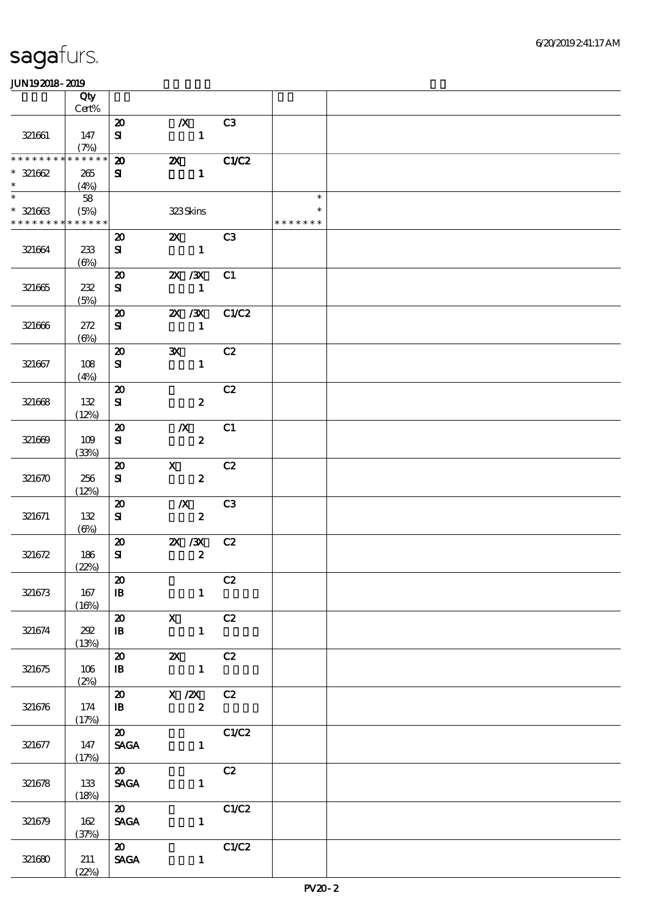|                                           | Qty<br>Cert%        |                                |                                                   |                |               |  |
|-------------------------------------------|---------------------|--------------------------------|---------------------------------------------------|----------------|---------------|--|
|                                           |                     | $\boldsymbol{\mathsf{20}}$     | $\mathbf{X}$                                      | C3             |               |  |
| 321661                                    | 147<br>(7%)         | ${\bf s}$                      | $\mathbf{1}$                                      |                |               |  |
| * * * * * * * *                           | * * * * * *         | $\boldsymbol{\mathfrak{D}}$    | $\boldsymbol{\mathsf{Z}}$                         | C1/C2          |               |  |
| $* 321662$<br>$\ast$                      | 265<br>(4%)         | ${\bf s}$                      | $\mathbf{1}$                                      |                |               |  |
| $\ast$                                    | 58                  |                                |                                                   |                | $\ast$        |  |
| $* 321663$<br>* * * * * * * * * * * * * * | (5%)                |                                | 323Skins                                          |                | * * * * * * * |  |
|                                           |                     | $\boldsymbol{\mathfrak{D}}$    | $\mathbf{Z}$                                      | C <sub>3</sub> |               |  |
| 321664                                    | 233<br>$(\Theta\%)$ | ${\bf s}$                      | $\mathbf{1}$                                      |                |               |  |
|                                           |                     | $\boldsymbol{\mathfrak{D}}$    | $X \, X$                                          | C1             |               |  |
| 321665                                    | 232<br>(5%)         | ${\bf s}$                      | $\mathbf{1}$                                      |                |               |  |
|                                           |                     | $\boldsymbol{\mathfrak{D}}$    |                                                   | 2X / 3X C1/C2  |               |  |
| 321666                                    | 272<br>$(\Theta)$   | ${\bf s}$                      | $\mathbf{1}$                                      |                |               |  |
|                                           |                     | $\boldsymbol{\mathbf{z}}$      | $\mathbf{x}$                                      | C2             |               |  |
| 321667                                    | 108<br>(4%)         | ${\bf s}$                      | $\mathbf{1}$                                      |                |               |  |
|                                           |                     | $\boldsymbol{\mathfrak{D}}$    |                                                   | C2             |               |  |
| 321668                                    | 132<br>(12%)        | ${\bf s}$                      | $\boldsymbol{z}$                                  |                |               |  |
|                                           |                     | $\boldsymbol{\mathfrak{D}}$    | $\boldsymbol{X}$                                  | C1             |               |  |
| 321669                                    | 109<br>(33%)        | ${\bf s}$                      | $\boldsymbol{z}$                                  |                |               |  |
|                                           |                     | $\boldsymbol{\mathfrak{D}}$    | $\mathbf{x}$                                      | C2             |               |  |
| 321670                                    | 256<br>(12%)        | ${\bf S}$                      | $\boldsymbol{z}$                                  |                |               |  |
|                                           |                     | $\boldsymbol{\mathfrak{D}}$    | $\boldsymbol{X}$                                  | C3             |               |  |
| 321671                                    | 132<br>$(\Theta)$   | ${\bf s}$                      | $\boldsymbol{z}$                                  |                |               |  |
|                                           |                     | $\boldsymbol{\mathfrak{D}}$    | $X \, X$                                          | C2             |               |  |
| 321672                                    | 186<br>(22%)        | ${\bf s}$                      | $\boldsymbol{z}$                                  |                |               |  |
|                                           |                     | $\boldsymbol{\mathfrak{D}}$    |                                                   | C2             |               |  |
| 321673                                    | 167<br>(16%)        | $\mathbf{B}$                   | $\mathbf{1}$                                      |                |               |  |
|                                           |                     | $\boldsymbol{\mathfrak{D}}$    | $\mathbf{X}$                                      | C2             |               |  |
| 321674                                    | 202<br>(13%)        | $\mathbf{B}$                   | $\mathbf{1}$                                      |                |               |  |
|                                           |                     | $\boldsymbol{\mathsf{20}}$     | <b>2X</b> C <sub>2</sub>                          |                |               |  |
| 321675                                    | 106<br>(2%)         | $\mathbf{B}$                   | $\mathbf{1}$                                      |                |               |  |
|                                           |                     |                                | $\overline{20}$ $\overline{X}/\overline{2X}$ $C2$ |                |               |  |
| 321676                                    | 174<br>(17%)        | $\mathbf{B}$                   | $\mathbf{2}$                                      |                |               |  |
|                                           |                     | $\overline{\mathbf{z}}$        |                                                   | C1/C2          |               |  |
| 321677                                    | 147<br>(17%)        | <b>SAGA</b>                    | $\mathbf{1}$                                      |                |               |  |
|                                           |                     | $\boldsymbol{\omega}$          |                                                   | C2             |               |  |
| 321678                                    | 133<br>(18%)        | <b>SAGA</b>                    | $\mathbf{1}$                                      |                |               |  |
|                                           |                     | $\boldsymbol{\omega}$          |                                                   | C1/C2          |               |  |
| 321679                                    | 162<br>(37%)        | <b>SAGA</b>                    | $\mathbf{1}$                                      |                |               |  |
|                                           |                     | $\boldsymbol{\omega}$          |                                                   | C1/C2          |               |  |
| 321680                                    | 211                 | $\operatorname{\mathsf{SAGA}}$ | $\mathbf{1}$                                      |                |               |  |
|                                           | (22%)               |                                |                                                   |                |               |  |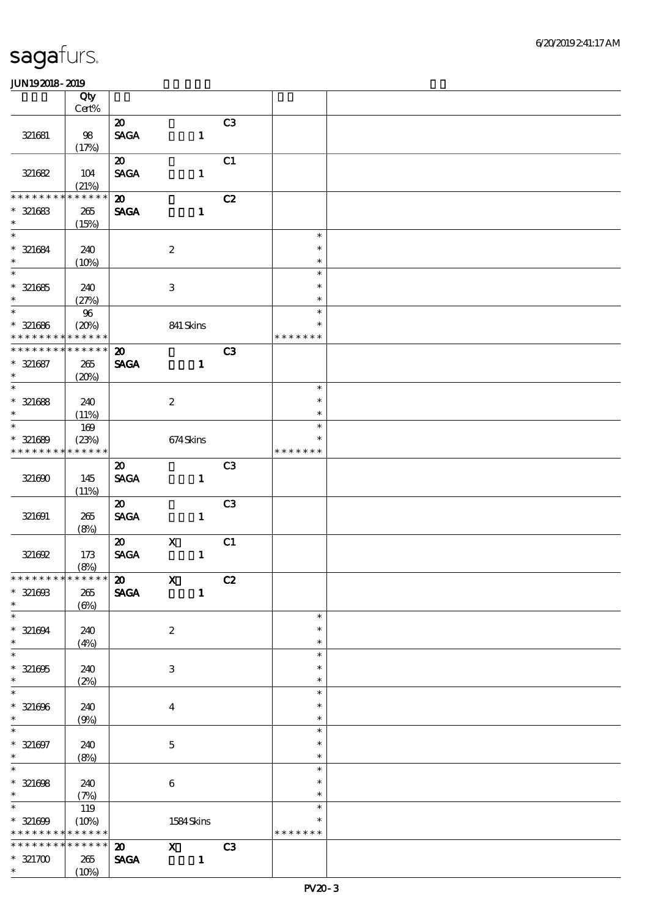|                                                        | Qty             |                                |                           |                |                |                         |  |
|--------------------------------------------------------|-----------------|--------------------------------|---------------------------|----------------|----------------|-------------------------|--|
|                                                        | $Cert\%$        |                                |                           |                |                |                         |  |
|                                                        |                 | $\boldsymbol{\mathfrak{D}}$    |                           |                | C3             |                         |  |
| 321681                                                 | 98<br>(17%)     | $\operatorname{\mathsf{SAGA}}$ |                           | $\mathbf{1}$   |                |                         |  |
|                                                        |                 | $\boldsymbol{\mathfrak{D}}$    |                           |                | C1             |                         |  |
| 321682                                                 | 104             | <b>SAGA</b>                    |                           | $\mathbf{1}$   |                |                         |  |
|                                                        | (21%)           |                                |                           |                |                |                         |  |
| * * * * * * *                                          | * * * * * *     | $\boldsymbol{\mathsf{20}}$     |                           |                | C2             |                         |  |
| $* 321683$                                             | 265             | <b>SAGA</b>                    |                           | $\mathbf{1}$   |                |                         |  |
| $\ast$                                                 | (15%)           |                                |                           |                |                |                         |  |
| $\overline{\ast}$                                      |                 |                                |                           |                |                | $\ast$                  |  |
| $* 321684$                                             | 240             |                                | $\boldsymbol{2}$          |                |                | $\ast$                  |  |
| $\ast$<br>$\overline{\phantom{0}}$                     | (10%)           |                                |                           |                |                | $\ast$                  |  |
|                                                        |                 |                                |                           |                |                | $\ast$                  |  |
| $* 321685$<br>$\ast$                                   | 240             |                                | $\ensuremath{\mathsf{3}}$ |                |                | $\ast$<br>$\ast$        |  |
| $\overline{\phantom{0}}$                               | (27%)           |                                |                           |                |                | $\ast$                  |  |
| $* 321686$                                             | $96\,$<br>(20%) |                                | 841 Skins                 |                |                | $\ast$                  |  |
| * * * * *<br>* *                                       | * * * * * *     |                                |                           |                |                | * * * * * * *           |  |
| ********                                               | * * * * * *     | $\boldsymbol{\mathfrak{D}}$    |                           |                | C <sub>3</sub> |                         |  |
| $* 321687$                                             | $265\,$         | <b>SAGA</b>                    |                           | $\mathbf{1}$   |                |                         |  |
| $\ast$                                                 | (20%)           |                                |                           |                |                |                         |  |
| $\ast$                                                 |                 |                                |                           |                |                | $\ast$                  |  |
| $* 321688$                                             | 240             |                                | $\boldsymbol{2}$          |                |                | $\ast$                  |  |
| $\ast$                                                 | (11%)           |                                |                           |                |                | $\ast$                  |  |
| $\ast$                                                 | $169$           |                                |                           |                |                | $\ast$                  |  |
| $* 321689$                                             | (23%)           |                                | 674Skins                  |                |                | $\ast$                  |  |
| * * * * * * * *                                        | * * * * * *     |                                |                           |                |                | * * * * * * *           |  |
|                                                        |                 | $\boldsymbol{\mathfrak{D}}$    |                           |                | C <sub>3</sub> |                         |  |
| 321690                                                 | 145             | <b>SAGA</b>                    |                           | $\mathbf{1}$   |                |                         |  |
|                                                        | (11%)           |                                |                           |                |                |                         |  |
|                                                        |                 | $\boldsymbol{\mathfrak{D}}$    |                           |                | C <sub>3</sub> |                         |  |
| 321691                                                 | 265<br>(8%)     | $\operatorname{\mathsf{SAGA}}$ |                           | $\mathbf{1}$   |                |                         |  |
|                                                        |                 | $\boldsymbol{\mathfrak{D}}$    | $\mathbf X$               |                | C1             |                         |  |
| 321692                                                 | 173             | $\ensuremath{\mathsf{SAGA}}$   |                           | $\mathbf{1}$   |                |                         |  |
|                                                        | (8%)            |                                |                           |                |                |                         |  |
| * * * * * * * * * * * * * * *                          |                 | $\boldsymbol{\omega}$          | $\mathbf{X}$              |                | C2             |                         |  |
| $* 321603$                                             | $265\,$         | <b>SAGA</b>                    |                           | $\mathbf{1}$   |                |                         |  |
| $\ast$                                                 | $(\Theta)$      |                                |                           |                |                |                         |  |
| $\ast$                                                 |                 |                                |                           |                |                | $\ast$                  |  |
| $* 321694$                                             | 240             |                                | $\boldsymbol{2}$          |                |                | $\ast$                  |  |
| $\ast$<br>$\overline{\ast}$                            | (4%)            |                                |                           |                |                | $\ast$<br>$\ast$        |  |
|                                                        |                 |                                |                           |                |                | $\ast$                  |  |
| $* 321605$<br>$\ast$                                   | 240<br>(2%)     |                                | 3                         |                |                | $\ast$                  |  |
| $\overline{\ast}$                                      |                 |                                |                           |                |                | $\ast$                  |  |
| $* 321606$                                             | 240             |                                | $\boldsymbol{4}$          |                |                | $\ast$                  |  |
| $\ast$                                                 | (9%)            |                                |                           |                |                | $\ast$                  |  |
| $\overline{\phantom{0}}$                               |                 |                                |                           |                |                | $\ast$                  |  |
| $* 321697$                                             | 240             |                                | $\mathbf 5$               |                |                | $\ast$                  |  |
| $*$                                                    | (8%)            |                                |                           |                |                | $\ast$                  |  |
| $\overline{\phantom{1}}$                               |                 |                                |                           |                |                | $\ast$                  |  |
| $* 321608$                                             | 240             |                                | $\,6\,$                   |                |                | $\ast$                  |  |
| $\ast$                                                 | (7%)            |                                |                           |                |                | $\ast$                  |  |
| $\overline{\ast}$                                      | 119             |                                |                           |                |                | $\ast$                  |  |
| $* 321609$<br>* * * * * * * * <mark>* * * * * *</mark> | (10%)           |                                | 1584 Skins                |                |                | $\ast$<br>* * * * * * * |  |
| * * * * * * * *                                        | * * * * * *     | $\boldsymbol{\omega}$          | $\mathbf{x}$              |                | C3             |                         |  |
| $* 321700$                                             | 265             | <b>SAGA</b>                    |                           | $\blacksquare$ |                |                         |  |
| $\ast$                                                 | (10%)           |                                |                           |                |                |                         |  |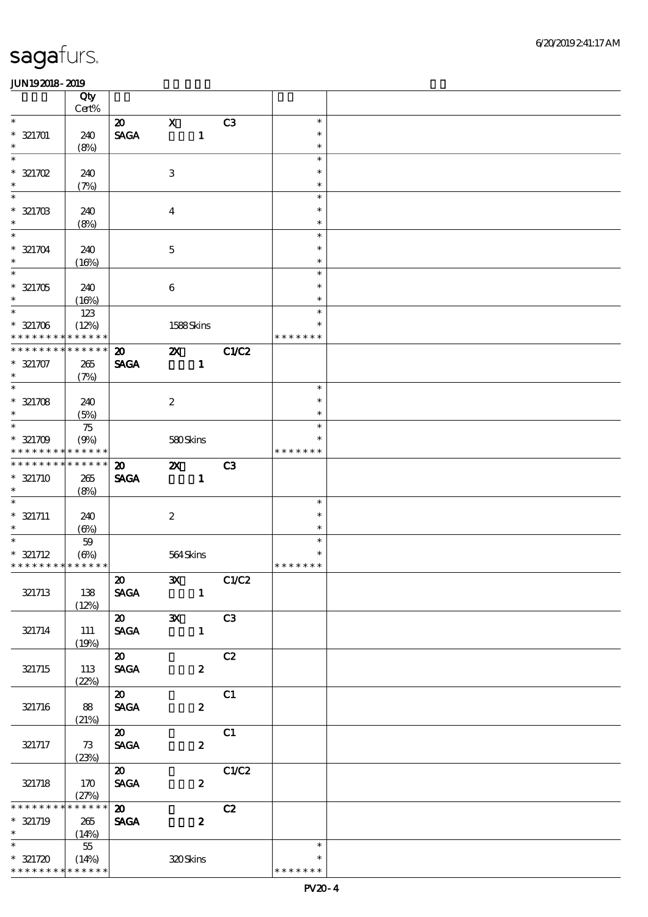|                               | Qty                  |                                      |                           |                  |                |                       |  |
|-------------------------------|----------------------|--------------------------------------|---------------------------|------------------|----------------|-----------------------|--|
| $\overline{\phantom{0}}$      | $Cert\%$             |                                      |                           |                  |                |                       |  |
|                               |                      | $\boldsymbol{\mathfrak{D}}$          | $\boldsymbol{\mathrm{X}}$ |                  | C3             | $\ast$<br>$\ast$      |  |
| $* 321701$<br>$\ast$          | 240<br>(8%)          | $\operatorname{\mathsf{SAGA}}$       |                           | $\mathbf{1}$     |                | $\ast$                |  |
| $\ast$                        |                      |                                      |                           |                  |                | $\ast$                |  |
| $* 321702$                    | 240                  |                                      | $\,3$                     |                  |                | $\ast$                |  |
| $\ast$                        | (7%)                 |                                      |                           |                  |                | $\ast$                |  |
| $\ast$                        |                      |                                      |                           |                  |                | $\ast$                |  |
| $* 321703$<br>$\ast$          | 240                  |                                      | $\boldsymbol{4}$          |                  |                | $\ast$                |  |
| $\overline{\ast}$             | (8%)                 |                                      |                           |                  |                | $\ast$<br>$\ast$      |  |
| $* 321704$                    | 240                  |                                      | $\mathbf 5$               |                  |                | $\ast$                |  |
| $\ast$                        | (16%)                |                                      |                           |                  |                | $\ast$                |  |
| $\overline{\ast}$             |                      |                                      |                           |                  |                | $\ast$                |  |
| $* 321705$                    | 240                  |                                      | $\bf 6$                   |                  |                | $\ast$                |  |
| $\ast$                        | (16%)                |                                      |                           |                  |                | $\ast$                |  |
| $\overline{\ast}$             | 123                  |                                      |                           |                  |                | $\ast$                |  |
| $* 321706$<br>* * * * * * * * | (12%)<br>* * * * * * |                                      | 1588Skins                 |                  |                | * * * * * *<br>$\ast$ |  |
| * * * * * * * *               | * * * * * *          | $\boldsymbol{\mathfrak{D}}$          | $\boldsymbol{\mathsf{Z}}$ |                  | C1/C2          |                       |  |
| $* 321707$                    | 265                  | <b>SAGA</b>                          |                           | $\mathbf{1}$     |                |                       |  |
| $\ast$                        | (7%)                 |                                      |                           |                  |                |                       |  |
| $\overline{\ast}$             |                      |                                      |                           |                  |                | $\ast$                |  |
| $* 321708$                    | 240                  |                                      | $\boldsymbol{2}$          |                  |                | $\ast$                |  |
| $\ast$<br>$\ast$              | (5%)                 |                                      |                           |                  |                | $\ast$<br>$\ast$      |  |
| $* 321709$                    | 75<br>(9%)           |                                      | 580Skins                  |                  |                | $\ast$                |  |
| * * * * * * * *               | * * * * * *          |                                      |                           |                  |                | * * * * * * *         |  |
| * * * * * * * *               | ******               | $\boldsymbol{\mathfrak{D}}$          | $\boldsymbol{\mathsf{z}}$ |                  | C3             |                       |  |
| $* 321710$                    | 265                  | <b>SAGA</b>                          |                           | $\mathbf{1}$     |                |                       |  |
| $\ast$                        | (8%)                 |                                      |                           |                  |                |                       |  |
| $\overline{\ast}$             |                      |                                      |                           |                  |                | $\ast$                |  |
| $* 321711$<br>$\ast$          | 240                  |                                      | $\boldsymbol{2}$          |                  |                | $\ast$<br>$\ast$      |  |
| $\ast$                        | $(\Theta)$<br>$5\!9$ |                                      |                           |                  |                | $\ast$                |  |
| $* 321712$                    | $(\Theta)$           |                                      | 564Skins                  |                  |                |                       |  |
| * * * * * * * * * * * * * *   |                      |                                      |                           |                  |                | * * * * * * *         |  |
|                               |                      | $\vert x \vert$                      | $\mathbf{X}$              |                  | C1/C2          |                       |  |
| 321713                        | 138                  | <b>SAGA</b>                          |                           | $\mathbf{1}$     |                |                       |  |
|                               | (12%)                |                                      |                           |                  |                |                       |  |
| 321714                        | 111                  | $\boldsymbol{\omega}$<br><b>SAGA</b> | $\mathbf{x}$              | $\mathbf{1}$     | C <sub>3</sub> |                       |  |
|                               | (19%)                |                                      |                           |                  |                |                       |  |
|                               |                      | $\boldsymbol{\mathsf{20}}$           |                           |                  | C2             |                       |  |
| 321715                        | 113                  | <b>SAGA</b>                          |                           | $\boldsymbol{z}$ |                |                       |  |
|                               | (22%)                |                                      |                           |                  |                |                       |  |
|                               |                      | $\boldsymbol{\mathsf{a}}^-$          |                           |                  | C1             |                       |  |
| 321716                        | 88<br>(21%)          | <b>SAGA</b>                          |                           | $\boldsymbol{z}$ |                |                       |  |
|                               |                      | $\overline{\mathbf{z}}$              |                           |                  | C1             |                       |  |
| 321717                        | 73                   | <b>SAGA</b>                          |                           | $\boldsymbol{z}$ |                |                       |  |
|                               | (23%)                |                                      |                           |                  |                |                       |  |
|                               |                      | $\boldsymbol{\mathsf{20}}$           |                           |                  | C1/C2          |                       |  |
| 321718                        | 170                  | <b>SAGA</b>                          |                           | $\boldsymbol{z}$ |                |                       |  |
| * * * * * * * *               | (27%)<br>* * * * * * | $\boldsymbol{\mathsf{20}}$           |                           |                  | C2             |                       |  |
| $* 321719$                    | 265                  | $\pmb{\text{SAGA}}$                  |                           | $\boldsymbol{z}$ |                |                       |  |
| $\ast$                        | (14%)                |                                      |                           |                  |                |                       |  |
|                               | $-55$                |                                      |                           |                  |                | $\ast$                |  |
| $* 321720$                    | (14%)                |                                      | 320Skins                  |                  |                | ∗                     |  |
| * * * * * * * * * * * * * *   |                      |                                      |                           |                  |                | * * * * * * *         |  |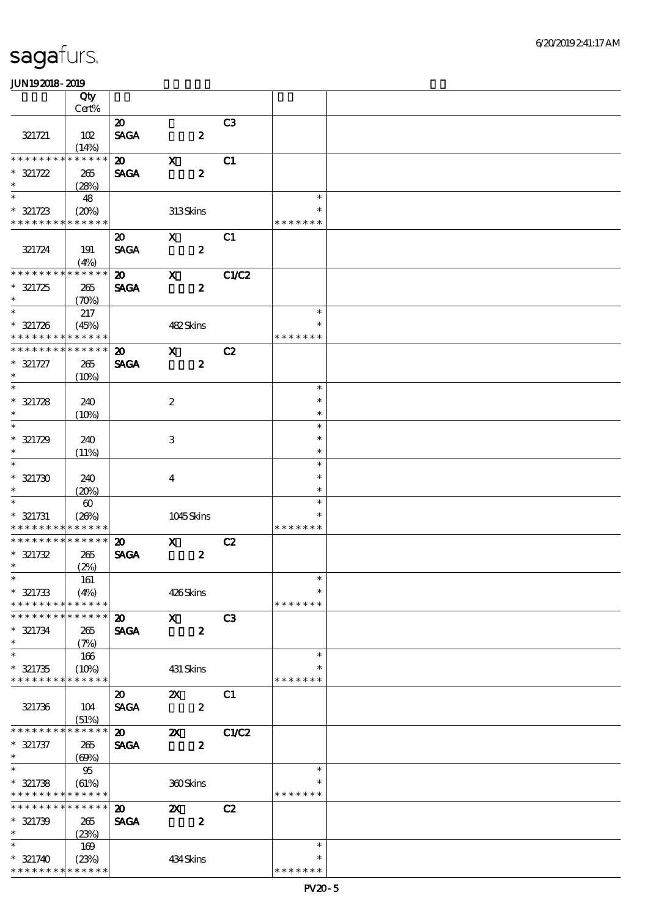|                             | Qty                   |                             |                           |                |               |  |
|-----------------------------|-----------------------|-----------------------------|---------------------------|----------------|---------------|--|
|                             | Cert%                 |                             |                           |                |               |  |
|                             |                       | $\boldsymbol{\mathfrak{D}}$ |                           | C <sub>3</sub> |               |  |
|                             |                       |                             |                           |                |               |  |
| 321721                      | 102                   | <b>SAGA</b>                 | $\boldsymbol{z}$          |                |               |  |
|                             | (14%)                 |                             |                           |                |               |  |
| * * * * * * * *             | * * * * * *           | $\boldsymbol{\mathfrak{D}}$ | $\mathbf X$               | C1             |               |  |
| $* 321722$                  | 265                   | <b>SAGA</b>                 | $\boldsymbol{z}$          |                |               |  |
| $\ast$                      | (28%)                 |                             |                           |                |               |  |
| $\ast$                      | 48                    |                             |                           |                | $\ast$        |  |
| $* 321723$                  | (20%)                 |                             | 313Skins                  |                | ∗             |  |
| * * * * * * * *             | * * * * * *           |                             |                           |                | * * * * * * * |  |
|                             |                       |                             |                           |                |               |  |
|                             |                       | $\boldsymbol{\mathfrak{D}}$ | $\mathbf{x}$              | C1             |               |  |
| 321724                      | 191                   | <b>SAGA</b>                 | $\boldsymbol{z}$          |                |               |  |
|                             | (4%)                  |                             |                           |                |               |  |
| * * * * * * * *             | * * * * * *           | $\boldsymbol{\mathfrak{D}}$ | $\mathbf{x}$              | C1/C2          |               |  |
| $* 321725$                  | 265                   | <b>SAGA</b>                 | $\boldsymbol{z}$          |                |               |  |
| $\ast$                      | (70%)                 |                             |                           |                |               |  |
| $\overline{\phantom{a}}$    | 217                   |                             |                           |                | $\ast$        |  |
| $* 321726$                  | (45%)                 |                             | 482Skins                  |                | $\ast$        |  |
| * * * * * * * * * * * * * * |                       |                             |                           |                | * * * * * * * |  |
| * * * * * * * *             | * * * * * *           |                             |                           |                |               |  |
|                             |                       | $\boldsymbol{\mathfrak{D}}$ | $\mathbf x$               | C2             |               |  |
| $* 321727$                  | 265                   | <b>SAGA</b>                 | $\boldsymbol{z}$          |                |               |  |
| $\ast$                      | (10%)                 |                             |                           |                |               |  |
| $\overline{\ast}$           |                       |                             |                           |                | $\ast$        |  |
| $* 321728$                  | 240                   |                             | $\boldsymbol{z}$          |                | $\ast$        |  |
| $\ast$                      | (10%)                 |                             |                           |                | $\ast$        |  |
| $\ast$                      |                       |                             |                           |                | $\ast$        |  |
| $* 321729$                  | 240                   |                             | 3                         |                | $\ast$        |  |
| $\ast$                      |                       |                             |                           |                | $\ast$        |  |
| $\ast$                      | (11%)                 |                             |                           |                | $\ast$        |  |
|                             |                       |                             |                           |                |               |  |
| $* 321730$                  | 240                   |                             | $\overline{\mathbf{4}}$   |                | $\ast$        |  |
| $\ast$                      | (20%)                 |                             |                           |                | $\ast$        |  |
| $\ast$                      | $\boldsymbol{\omega}$ |                             |                           |                | $\ast$        |  |
| $* 321731$                  | (20%)                 |                             | 1045Skins                 |                |               |  |
| * * * * * * * *             | * * * * * *           |                             |                           |                | * * * * * * * |  |
| * * * * * * * *             | * * * * * *           | $\boldsymbol{\mathfrak{D}}$ | $\mathbf{x}$              | C2             |               |  |
| $* 321732$                  | 265                   | <b>SAGA</b>                 | $\boldsymbol{z}$          |                |               |  |
| $*$                         | (2%)                  |                             |                           |                |               |  |
|                             | 161                   |                             |                           |                | $\ast$        |  |
|                             |                       |                             |                           |                | $\ast$        |  |
| $* 321733$                  | (4%)                  |                             | 426Skins                  |                |               |  |
| * * * * * * * *             | * * * * * *           |                             |                           |                | * * * * * * * |  |
| * * * * * * * *             | * * * * * *           | $\boldsymbol{\mathfrak{D}}$ | $\boldsymbol{\mathsf{X}}$ | C3             |               |  |
| $* 321734$                  | 265                   | <b>SAGA</b>                 | $\boldsymbol{z}$          |                |               |  |
| $\ast$                      | (7%)                  |                             |                           |                |               |  |
| $\ast$                      | 166                   |                             |                           |                | $\ast$        |  |
| $* 321735$                  | (10%)                 |                             | 431 Skins                 |                | $\ast$        |  |
| * * * * * * * *             | * * * * * *           |                             |                           |                | * * * * * * * |  |
|                             |                       | $\boldsymbol{\mathfrak{D}}$ | $\boldsymbol{\mathsf{z}}$ | C1             |               |  |
| 321736                      |                       | <b>SAGA</b>                 | $\boldsymbol{z}$          |                |               |  |
|                             | 104                   |                             |                           |                |               |  |
| * * * * * * * *             | (51%)<br>* * * * * *  |                             |                           |                |               |  |
|                             |                       | $\boldsymbol{\mathsf{a}}$   | $\boldsymbol{\mathsf{X}}$ | C1/C2          |               |  |
| $* 321737$                  | 265                   | <b>SAGA</b>                 | $\boldsymbol{z}$          |                |               |  |
| $\ast$                      | (69%)                 |                             |                           |                |               |  |
| $\ast$                      | 95                    |                             |                           |                | $\ast$        |  |
| $* 321738$                  | (61%)                 |                             | 360Skins                  |                | ∗             |  |
| * * * * * * * *             | * * * * * *           |                             |                           |                | * * * * * * * |  |
| * * * * * * * *             | * * * * * *           | $\boldsymbol{\mathfrak{D}}$ | $\mathbf{X}$              | C2             |               |  |
| $* 321739$                  | 265                   | <b>SAGA</b>                 | $\boldsymbol{z}$          |                |               |  |
| $\ast$                      | (23%)                 |                             |                           |                |               |  |
| $\ast$                      |                       |                             |                           |                | $\ast$        |  |
|                             | 169                   |                             |                           |                |               |  |
| $* 321740$                  | (23%)                 |                             | 434Skins                  |                | $\ast$        |  |
| * * * * * * * * * * * * * * |                       |                             |                           |                | * * * * * * * |  |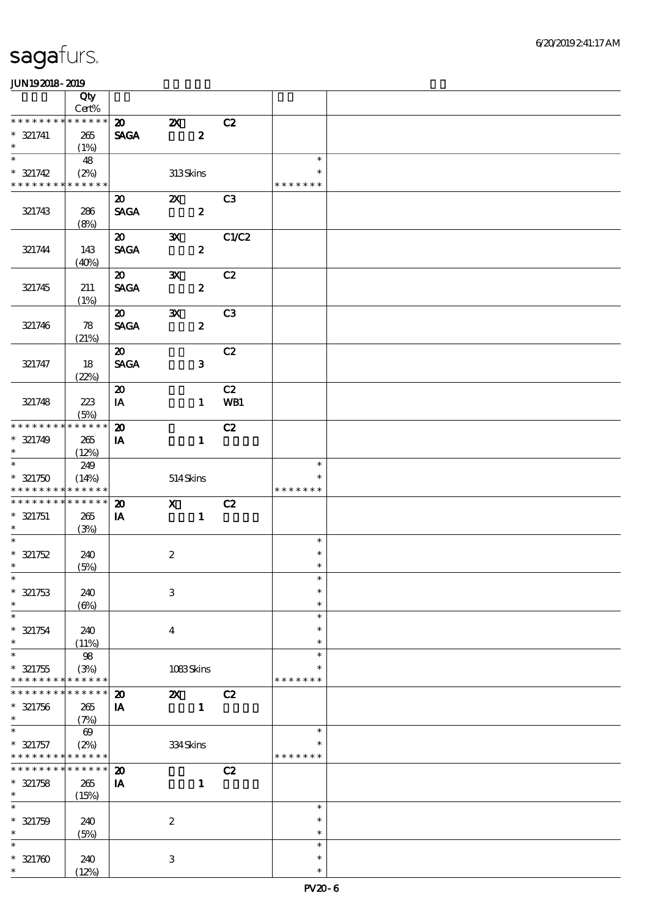|                          | Qty                            |                             |                           |                  |                |                  |  |
|--------------------------|--------------------------------|-----------------------------|---------------------------|------------------|----------------|------------------|--|
| * * * * * * * *          | $\mbox{Cert}\%$<br>* * * * * * |                             |                           |                  |                |                  |  |
|                          |                                | $\boldsymbol{\mathfrak{D}}$ | $\boldsymbol{\mathsf{Z}}$ |                  | C2             |                  |  |
| $* 321741$<br>$\ast$     | 265                            | <b>SAGA</b>                 |                           | $\boldsymbol{z}$ |                |                  |  |
| $\ast$                   | (1%)<br>48                     |                             |                           |                  |                | $\ast$           |  |
| $* 321742$               | (2%)                           |                             | 313Skins                  |                  |                | $\ast$           |  |
| * * * * * * * *          | * * * * * *                    |                             |                           |                  |                | * * * * * * *    |  |
|                          |                                | $\boldsymbol{\mathfrak{D}}$ | $\mathbf{X}$              |                  | C3             |                  |  |
| 321743                   | 286                            | <b>SAGA</b>                 |                           | $\boldsymbol{z}$ |                |                  |  |
|                          | (8%)                           |                             |                           |                  |                |                  |  |
|                          |                                | $\boldsymbol{\mathfrak{D}}$ | $\mathbf{x}$              |                  | C1/C2          |                  |  |
| 321744                   | 143                            | <b>SAGA</b>                 |                           | $\boldsymbol{z}$ |                |                  |  |
|                          | (40%)                          |                             |                           |                  |                |                  |  |
|                          |                                | $\boldsymbol{\mathfrak{D}}$ | $\mathbf{x}$              |                  | C2             |                  |  |
| 321745                   | 211                            | <b>SAGA</b>                 |                           | $\boldsymbol{z}$ |                |                  |  |
|                          | (1%)                           |                             |                           |                  |                |                  |  |
|                          |                                | $\boldsymbol{\mathfrak{D}}$ | $\mathbf{x}$              |                  | C <sub>3</sub> |                  |  |
| 321746                   | 78                             | <b>SAGA</b>                 |                           | $\boldsymbol{z}$ |                |                  |  |
|                          | (21%)                          |                             |                           |                  |                |                  |  |
|                          |                                | $\boldsymbol{\mathfrak{D}}$ |                           |                  | C2             |                  |  |
| 321747                   | 18                             | <b>SAGA</b>                 |                           | $\mathbf{3}$     |                |                  |  |
|                          | (22%)                          |                             |                           |                  |                |                  |  |
|                          |                                | $\boldsymbol{\mathfrak{D}}$ |                           |                  | C2             |                  |  |
| 321748                   | 223                            | $\mathbf{I}\mathbf{A}$      |                           | $\mathbf{1}$     | WB1            |                  |  |
| * * * * * * * *          | (5%)<br>* * * * * *            |                             |                           |                  |                |                  |  |
| $* 321749$               |                                | $\boldsymbol{\mathbf{z}}$   |                           | $\mathbf{1}$     | C2             |                  |  |
| $\ast$                   | 265<br>(12%)                   | IA                          |                           |                  |                |                  |  |
| $\overline{\phantom{0}}$ | 249                            |                             |                           |                  |                | $\ast$           |  |
| $* 321750$               | (14%)                          |                             | 514Skins                  |                  |                | $\ast$           |  |
| * * * * * * * *          | * * * * * *                    |                             |                           |                  |                | * * * * * * *    |  |
| * * * * * * * *          | * * * * * *                    | $\boldsymbol{\mathfrak{D}}$ | $\mathbf{X}$              |                  | C2             |                  |  |
| $* 321751$               | 265                            | IA                          |                           | $\mathbf{1}$     |                |                  |  |
| $\ast$                   | (3%)                           |                             |                           |                  |                |                  |  |
| $\ast$                   |                                |                             |                           |                  |                | $\ast$           |  |
| $* 321752$               | 240                            |                             | $\boldsymbol{2}$          |                  |                | $\ast$           |  |
| $*$                      | (5%)                           |                             |                           |                  |                | $\ast$           |  |
| $*$                      |                                |                             |                           |                  |                | $\ast$           |  |
| $* 321753$               | 240                            |                             | $\,3$                     |                  |                | $\ast$           |  |
| $\ast$<br>$\ast$         | $(\Theta)$                     |                             |                           |                  |                | $\ast$           |  |
|                          |                                |                             |                           |                  |                | $\ast$           |  |
| $* 321754$<br>$\ast$     | 240                            |                             | $\overline{\mathbf{4}}$   |                  |                | $\ast$<br>$\ast$ |  |
| $\ast$                   | (11%)<br>$98\,$                |                             |                           |                  |                | $\ast$           |  |
| $* 321755$               | (3%)                           |                             | 1083Skins                 |                  |                | $\ast$           |  |
| * * * * * * *            | * * * * * *                    |                             |                           |                  |                | * * * * * * *    |  |
| * * * * * * *            | * * * * * *                    | $\boldsymbol{\mathfrak{D}}$ | $\boldsymbol{\mathsf{X}}$ |                  | C2             |                  |  |
| $* 321756$               | 265                            | IA                          |                           | $\mathbf{1}$     |                |                  |  |
| $\ast$                   | (7%)                           |                             |                           |                  |                |                  |  |
| $\ast$                   | $\boldsymbol{\omega}$          |                             |                           |                  |                | $\ast$           |  |
| $* 321757$               | (2%)                           |                             | 334Skins                  |                  |                | ∗                |  |
| * * * * * * * *          | ******                         |                             |                           |                  |                | * * * * * * *    |  |
| * * * * * * *            | * * * * * *                    | $\boldsymbol{\mathsf{20}}$  |                           |                  | C2             |                  |  |
| $* 321758$               | 265                            | ${\bf I} {\bf A}$           |                           | $\mathbf{1}$     |                |                  |  |
| $\ast$                   | (15%)                          |                             |                           |                  |                |                  |  |
| $\ast$                   |                                |                             |                           |                  |                | $\ast$           |  |
| $* 321759$<br>$\ast$     | 240                            |                             | $\boldsymbol{2}$          |                  |                | $\ast$           |  |
| $\ast$                   | (5%)                           |                             |                           |                  |                | $\ast$<br>$\ast$ |  |
|                          |                                |                             |                           |                  |                | $\ast$           |  |
| $* 321700$               | 240                            |                             | $\ensuremath{\mathbf{3}}$ |                  |                | $\ast$           |  |
| $\ast$                   | (12%)                          |                             |                           |                  |                |                  |  |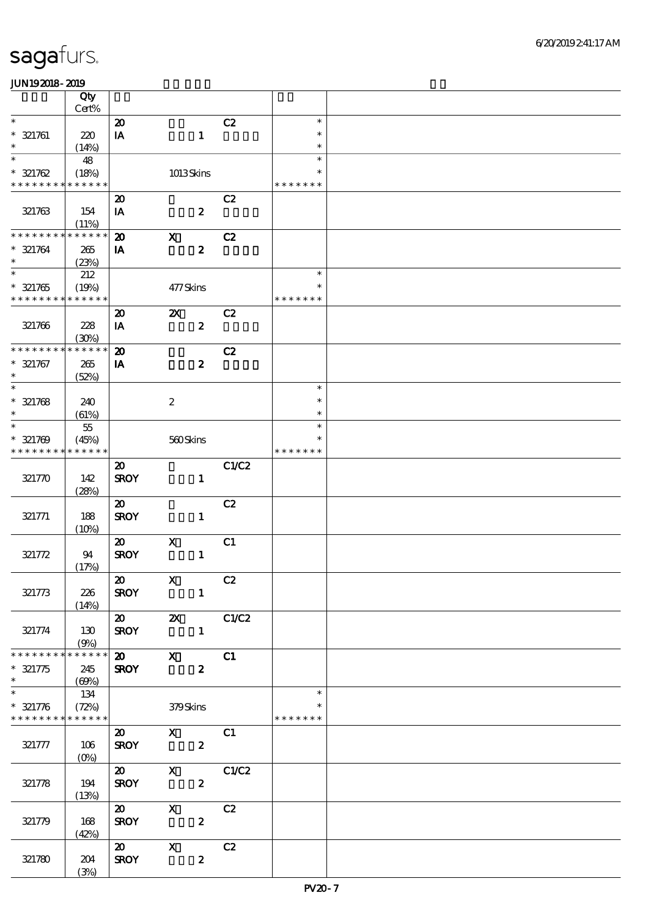|                                                        | Qty                              |                                 |                           |                  |       |                            |  |
|--------------------------------------------------------|----------------------------------|---------------------------------|---------------------------|------------------|-------|----------------------------|--|
| $\ast$                                                 | $Cert\%$                         |                                 |                           |                  |       |                            |  |
| $* 321761$<br>$\ast$                                   | 220<br>(14%)                     | $\boldsymbol{\mathbf{z}}$<br>IA |                           | $\mathbf{1}$     | C2    | $\ast$<br>$\ast$<br>$\ast$ |  |
| $\overline{\ast}$                                      | 48                               |                                 |                           |                  |       | $\ast$                     |  |
| $* 321762$<br>* * * * * * * * <mark>* * * * * *</mark> | (18%)                            |                                 | 1013Skins                 |                  |       | $\ast$<br>* * * * * * *    |  |
|                                                        |                                  | $\boldsymbol{\mathfrak{D}}$     |                           |                  | C2    |                            |  |
| 321763                                                 | 154<br>(11%)                     | IA                              |                           | $\boldsymbol{z}$ |       |                            |  |
| * * * * * * * *                                        | * * * * * *                      | $\boldsymbol{\mathfrak{D}}$     | $\boldsymbol{\mathrm{X}}$ |                  | C2    |                            |  |
| $* 321764$<br>$\ast$                                   | 265<br>(23%)                     | IA                              |                           | $\boldsymbol{z}$ |       |                            |  |
| $\overline{\ast}$                                      | 212                              |                                 |                           |                  |       | $\ast$                     |  |
| $* 321765$<br>* * * * * * * * <mark>* * * * * *</mark> | (19%)                            |                                 | 477Skins                  |                  |       | $\ast$<br>* * * * * * *    |  |
|                                                        |                                  | $\boldsymbol{\mathbf{z}}$       | $\boldsymbol{\mathsf{X}}$ |                  | C2    |                            |  |
| 321766                                                 | 228<br>(30%)                     | IA                              |                           | $\boldsymbol{z}$ |       |                            |  |
| * * * * * * * *                                        | * * * * * *                      | $\boldsymbol{\mathfrak{D}}$     |                           |                  | C2    |                            |  |
| $* 321767$<br>$\ast$                                   | 265<br>(52%)                     | IA                              |                           | $\boldsymbol{z}$ |       |                            |  |
| $\overline{\ast}$                                      |                                  |                                 |                           |                  |       | $\ast$                     |  |
| $* 321768$<br>$\ast$                                   | 240<br>(61%)                     |                                 | $\boldsymbol{2}$          |                  |       | $\ast$<br>$\ast$           |  |
| $\ast$                                                 | $5\!$                            |                                 |                           |                  |       | $\ast$                     |  |
| $* 321769$<br>* * * * * * * *                          | (45%)<br>* * * * * *             |                                 | 560Skins                  |                  |       | *<br>* * * * * * *         |  |
|                                                        |                                  | $\boldsymbol{\mathfrak{D}}$     |                           |                  | C1/C2 |                            |  |
| 321770                                                 | 142<br>(28%)                     | <b>SROY</b>                     |                           | $\mathbf{1}$     |       |                            |  |
|                                                        |                                  | $\boldsymbol{\mathfrak{D}}$     |                           |                  | C2    |                            |  |
| 321771                                                 | 188<br>(10%)                     | <b>SROY</b>                     |                           | $\mathbf{1}$     |       |                            |  |
|                                                        |                                  | $\boldsymbol{\omega}$           | $\mathbf x$               |                  | C1    |                            |  |
| 321772                                                 | 94<br>(17%)                      | <b>SROY</b>                     |                           | $\mathbf{1}$     |       |                            |  |
|                                                        |                                  | $\vert x \vert$                 | $\mathbf{x}$              | C2               |       |                            |  |
| 321773                                                 | 226<br>(14%)                     | <b>SROY</b>                     |                           | $\mathbf{1}$     |       |                            |  |
|                                                        |                                  | $\overline{\mathbf{a}}$         | <b>2X</b> C1/C2           |                  |       |                            |  |
| 321774                                                 | 130<br>(9%)                      | <b>SROY</b>                     |                           | $\blacksquare$   |       |                            |  |
| * * * * * * * *                                        | $******$                         |                                 | $\overline{\text{20}}$ X  |                  | C1    |                            |  |
| $* 321775$<br>$\ast$                                   | 245<br>(60%)                     | <b>SROY</b>                     |                           | $\boldsymbol{z}$ |       |                            |  |
| $\overline{\phantom{0}}$                               | 134                              |                                 |                           |                  |       | $\ast$                     |  |
| $* 321776$<br>* * * * * * * * * * * * * *              | (72%)                            | 379Skins                        |                           |                  |       | $\ast$<br>* * * * * * *    |  |
|                                                        |                                  | $\boldsymbol{\mathsf{20}}$      | $X$ C1                    |                  |       |                            |  |
| 321777                                                 | 106<br>$(O\!\!\!\!\!\!\!/\,\!o)$ | <b>SROY</b>                     |                           | $\mathbf{2}$     |       |                            |  |
|                                                        |                                  |                                 | 20 X C1/C2                |                  |       |                            |  |
| 321778                                                 | 194<br>(13%)                     | <b>SROY</b>                     |                           | $\boldsymbol{z}$ |       |                            |  |
|                                                        |                                  | $\boldsymbol{\mathsf{20}}$      | $\mathbf{X}$              |                  | C2    |                            |  |
| 321779                                                 | 168<br>(42%)                     | <b>SROY</b>                     |                           | $\boldsymbol{2}$ |       |                            |  |
|                                                        |                                  | $\boldsymbol{\mathsf{20}}$      | $\mathbf{X}$              |                  | C2    |                            |  |
| 321780                                                 | 204                              | <b>SROY</b>                     |                           | $\boldsymbol{z}$ |       |                            |  |
|                                                        | (3%)                             |                                 |                           |                  |       |                            |  |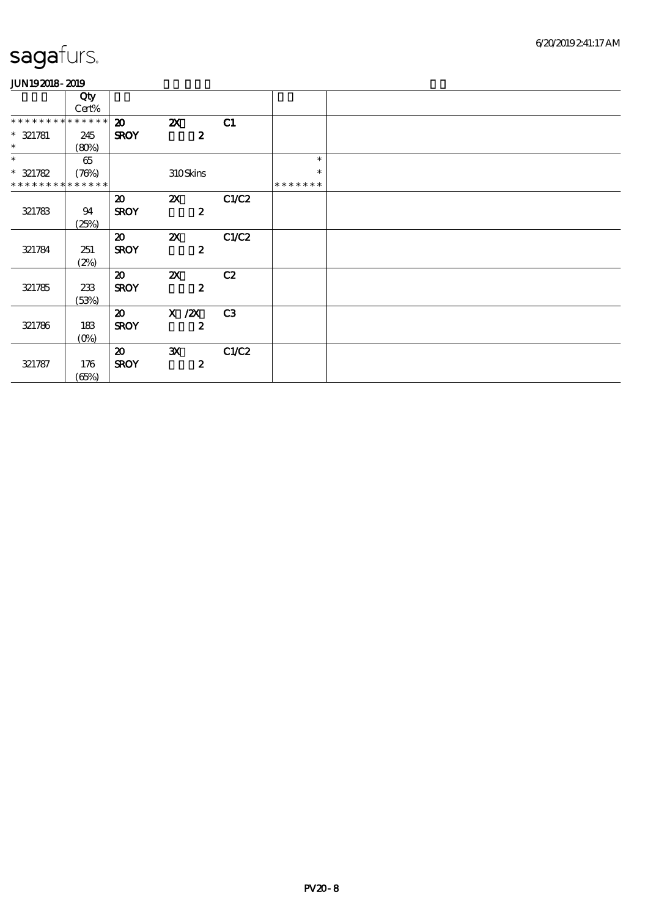|                             | Qty         |                             |                           |                |               |
|-----------------------------|-------------|-----------------------------|---------------------------|----------------|---------------|
|                             | Cert%       |                             |                           |                |               |
| * * * * * * * * * * * * * * |             | $\boldsymbol{\mathfrak{D}}$ | $\boldsymbol{\mathsf{X}}$ | C1             |               |
| $* 321781$                  | 245         | <b>SROY</b>                 | $\boldsymbol{z}$          |                |               |
| $\ast$                      | (80%)       |                             |                           |                |               |
| $\ast$                      | 65          |                             |                           |                | $\ast$        |
| $* 321782$                  | (76%)       |                             | 310Skins                  |                | $\ast$        |
| * * * * * * *               | * * * * * * |                             |                           |                | * * * * * * * |
|                             |             | $\boldsymbol{\mathfrak{D}}$ | $\boldsymbol{\mathsf{X}}$ | C1/C2          |               |
| 321783                      | 94          | <b>SROY</b>                 | $\boldsymbol{z}$          |                |               |
|                             | (25%)       |                             |                           |                |               |
|                             |             | $\boldsymbol{\mathfrak{D}}$ | $\boldsymbol{\mathsf{Z}}$ | C1/C2          |               |
| 321784                      | 251         | <b>SROY</b>                 | $\boldsymbol{z}$          |                |               |
|                             | (2%)        |                             |                           |                |               |
|                             |             | $\boldsymbol{\mathfrak{D}}$ | $\boldsymbol{\mathsf{Z}}$ | C2             |               |
| 321785                      | 233         | <b>SROY</b>                 | $\boldsymbol{z}$          |                |               |
|                             | (53%)       |                             |                           |                |               |
|                             |             | $\boldsymbol{\mathfrak{D}}$ | $X$ / $ZX$                | C <sub>3</sub> |               |
| 321786                      | 183         | <b>SROY</b>                 | $\boldsymbol{z}$          |                |               |
|                             | $(O\!/\!o)$ |                             |                           |                |               |
|                             |             | $\boldsymbol{\mathfrak{D}}$ | $\mathbf{x}$              | C1/C2          |               |
| 321787                      | 176         | <b>SROY</b>                 | $\boldsymbol{z}$          |                |               |
|                             | (65%)       |                             |                           |                |               |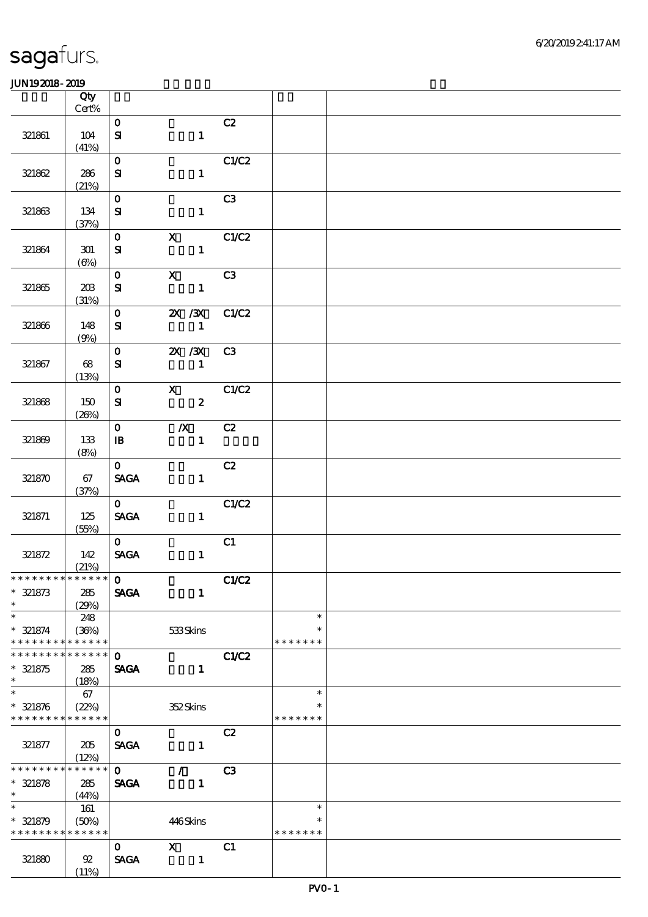|                                           | Qty          |                                |                  |                |                         |  |
|-------------------------------------------|--------------|--------------------------------|------------------|----------------|-------------------------|--|
|                                           | $Cert\%$     |                                |                  |                |                         |  |
| 321861                                    | 104          | $\mathbf{O}$                   |                  | C2             |                         |  |
|                                           | (41%)        | ${\bf s}$                      |                  | $\mathbf{1}$   |                         |  |
|                                           |              | $\mathbf{O}$                   |                  | C1/C2          |                         |  |
| 321862                                    | 286          | ${\bf s}$                      |                  | $\mathbf{1}$   |                         |  |
|                                           | (21%)        |                                |                  |                |                         |  |
|                                           |              | $\mathbf 0$                    |                  | C3             |                         |  |
| 321863                                    | 134          | ${\bf s}$                      |                  | $\mathbf{1}$   |                         |  |
|                                           | (37%)        |                                |                  |                |                         |  |
|                                           |              | $\mathbf{O}$                   | $\mathbf{x}$     | C1/C2          |                         |  |
| 321864                                    | $301\,$      | ${\bf s}$                      |                  | $\mathbf{1}$   |                         |  |
|                                           | $(\Theta)$   |                                |                  |                |                         |  |
|                                           |              | $\mathbf{O}$                   | $\mathbf{x}$     | C3             |                         |  |
| 321865                                    | 203          | ${\bf s}$                      |                  | $\mathbf{1}$   |                         |  |
|                                           | (31%)        |                                |                  |                |                         |  |
|                                           |              | $\mathbf{O}$                   |                  | 2X / 3X C1/C2  |                         |  |
| 321866                                    | 148          | ${\bf s}$                      | $\sim$ 1         |                |                         |  |
|                                           | (9%)         |                                |                  |                |                         |  |
|                                           |              | $\mathbf{O}$                   | 2X / 3X          | C3             |                         |  |
| 321867                                    | 68           | ${\bf s}$                      | $\sim$ $\sim$ 1  |                |                         |  |
|                                           | (13%)        | $\mathbf{O}$                   |                  | X C1/C2        |                         |  |
| 321868                                    | 150          | ${\bf s}$                      |                  | $\mathbf{2}$   |                         |  |
|                                           | (20%)        |                                |                  |                |                         |  |
|                                           |              | $\mathbf{O}$                   | $\boldsymbol{X}$ | C2             |                         |  |
| 321869                                    | 133          | $\mathbf{B}$                   |                  | $\mathbf{1}$   |                         |  |
|                                           | (8%)         |                                |                  |                |                         |  |
|                                           |              | $\mathbf{O}$                   |                  | C2             |                         |  |
| 321870                                    | 67           | <b>SAGA</b>                    |                  | $\mathbf{1}$   |                         |  |
|                                           | (37%)        |                                |                  |                |                         |  |
|                                           |              | $\mathbf{0}$                   |                  | C1/C2          |                         |  |
| 321871                                    | 125          | $\operatorname{\mathsf{SAGA}}$ |                  | $\mathbf{1}$   |                         |  |
|                                           | (55%)        |                                |                  |                |                         |  |
|                                           |              | $\mathbf{O}$                   |                  | C1             |                         |  |
| 321872                                    | 142<br>(21%) | $\operatorname{\mathsf{SAGA}}$ |                  | $\mathbf{1}$   |                         |  |
| *************** 0                         |              |                                |                  | C1/C2          |                         |  |
| $* 321873$                                | 285          | <b>SAGA</b>                    |                  | $\mathbf{1}$   |                         |  |
| $\ast$                                    | (29%)        |                                |                  |                |                         |  |
| $\ast$                                    | 248          |                                |                  |                | $\ast$                  |  |
| $* 321874$                                | (36%)        |                                | 533Skins         |                | $\ast$                  |  |
| * * * * * * * *                           | * * * * * *  |                                |                  |                | * * * * * * *           |  |
| * * * * * * *                             | * * * * * *  | $\mathbf 0$                    |                  | C1/C2          |                         |  |
| $* 321875$                                | 285          | <b>SAGA</b>                    |                  | $\mathbf{1}$   |                         |  |
| $\ast$                                    | (18%)        |                                |                  |                |                         |  |
| $\ast$                                    | 67           |                                |                  |                | $\ast$                  |  |
| $* 321876$<br>* * * * * * * * * * * * * * | (22%)        |                                | 352Skins         |                | $\ast$<br>* * * * * * * |  |
|                                           |              |                                |                  | C2             |                         |  |
| 321877                                    | 205          | $\mathbf{O}$<br><b>SAGA</b>    |                  | $\mathbf{1}$   |                         |  |
|                                           | (12%)        |                                |                  |                |                         |  |
| * * * * * * * *                           | * * * * * *  | $\mathbf{O}$                   | $\mathcal{T}$    | C <sub>3</sub> |                         |  |
| $* 321878$                                | 285          | <b>SAGA</b>                    |                  | $\mathbf{I}$   |                         |  |
| $*$                                       | (44%)        |                                |                  |                |                         |  |
| $\ast$                                    | 161          |                                |                  |                | $\ast$                  |  |
| $* 321879$                                | (50%)        |                                | 446Skins         |                | $\ast$                  |  |
| * * * * * * * *                           | * * * * * *  |                                |                  |                | * * * * * * *           |  |
|                                           |              | $\mathbf{O}$                   | $\mathbf x$      | C1             |                         |  |
| 321880                                    | 92           | <b>SAGA</b>                    | $\mathbf{1}$     |                |                         |  |
|                                           | (11%)        |                                |                  |                |                         |  |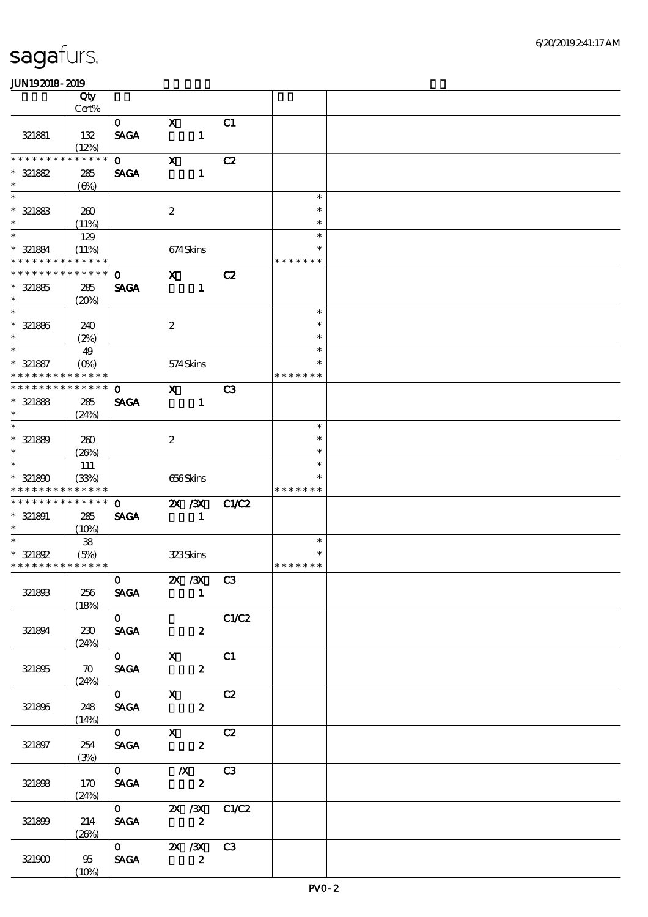|                                  | Qty<br>Cert%               |                                                                              |                           |                |                        |                         |  |
|----------------------------------|----------------------------|------------------------------------------------------------------------------|---------------------------|----------------|------------------------|-------------------------|--|
|                                  |                            | $\mathbf{O}$                                                                 | $\mathbf x$               |                | C1                     |                         |  |
| 321881                           | 132<br>(12%)               | <b>SAGA</b>                                                                  |                           | $\mathbf{1}$   |                        |                         |  |
| * * * * * * *                    | * * * * * *                | $\mathbf{O}$                                                                 | $\boldsymbol{\mathrm{X}}$ |                | C2                     |                         |  |
| $* 321882$<br>$\ast$             | 285<br>$(\Theta)$          | <b>SAGA</b>                                                                  |                           | $\mathbf{1}$   |                        |                         |  |
| $\overline{\ast}$                |                            |                                                                              |                           |                |                        | $\ast$                  |  |
| $* 321883$<br>$\ast$             | 260<br>(11%)               |                                                                              | $\boldsymbol{z}$          |                |                        | $\ast$<br>$\ast$        |  |
| $\overline{\ast}$                | 129                        |                                                                              |                           |                |                        | $\ast$                  |  |
| * 321884<br>* * * * * * * *      | (11%)<br>* * * * * *       |                                                                              |                           | 674Skins       |                        | $\ast$<br>* * * * * * * |  |
| * * * * * * * *                  | * * * * * *                | $\mathbf 0$                                                                  | $\mathbf{x}$              |                | C2                     |                         |  |
| $* 321885$                       | 285                        | <b>SAGA</b>                                                                  |                           | $\mathbf{1}$   |                        |                         |  |
| $\ast$                           | (20%)                      |                                                                              |                           |                |                        |                         |  |
| $\overline{\phantom{0}}$         |                            |                                                                              |                           |                |                        | $\ast$<br>$\ast$        |  |
| $* 321886$<br>$\ast$             | 240<br>(2%)                |                                                                              | $\boldsymbol{2}$          |                |                        | $\ast$                  |  |
| $\ast$                           | 49                         |                                                                              |                           |                |                        | $\ast$                  |  |
| $* 321887$                       | $(O_0)$                    |                                                                              |                           | 574Skins       |                        | $\ast$                  |  |
| * * * * * * * *<br>* * * * * * * | * * * * * *<br>* * * * * * |                                                                              |                           |                |                        | * * * * * * *           |  |
| $* 321888$                       | 285                        | $\mathbf 0$<br><b>SAGA</b>                                                   | $\mathbf{x}$              | $\mathbf{1}$   | C <sub>3</sub>         |                         |  |
| $\ast$                           | (24%)                      |                                                                              |                           |                |                        |                         |  |
| $\overline{\ast}$                |                            |                                                                              |                           |                |                        | $\ast$                  |  |
| $* 321889$<br>$\ast$             | 260                        |                                                                              | $\boldsymbol{2}$          |                |                        | $\ast$                  |  |
| $\overline{\ast}$                | (20%)<br>111               |                                                                              |                           |                |                        | $\ast$<br>$\ast$        |  |
| $* 321800$                       | (33%)                      |                                                                              |                           | 656Skins       |                        | $\ast$                  |  |
| * * * * * * * *                  | * * * * * *                |                                                                              |                           |                |                        | * * * * * * *           |  |
| * * * * * * * *                  | * * * * * *                | $\mathbf{O}$                                                                 |                           | 2X / 3X        | <b>C1/C2</b>           |                         |  |
| $*$ 321891<br>$\ast$             | 285                        | <b>SAGA</b>                                                                  |                           | $\mathbf{1}$   |                        |                         |  |
| $\ast$                           | (10%)<br>${\bf 38}$        |                                                                              |                           |                |                        | $\ast$                  |  |
| * 321892                         | (5%)                       |                                                                              |                           | 323Skins       |                        | $\ast$                  |  |
| * * * * * * * * * * * * * *      |                            |                                                                              |                           |                |                        | * * * * * * *           |  |
|                                  |                            | $0$ $\frac{2X}{X}$ $\frac{X}{X}$ $C3$                                        |                           |                |                        |                         |  |
| 321893                           | 256<br>(18%)               | <b>SAGA</b>                                                                  |                           | $\blacksquare$ |                        |                         |  |
|                                  |                            | $\overline{0}$                                                               |                           |                | C1/C2                  |                         |  |
| 321894                           | 230                        | SAGA 2                                                                       |                           |                |                        |                         |  |
|                                  | (24%)                      |                                                                              |                           |                |                        |                         |  |
| 321895                           | $\infty$                   | $\overline{0}$ $\overline{X}$ $C1$<br>SAGA 2                                 |                           |                |                        |                         |  |
|                                  | (24%)                      |                                                                              |                           |                |                        |                         |  |
|                                  |                            | $\overline{0}$ $\overline{X}$ $C2$                                           |                           |                |                        |                         |  |
| 321896                           | 248                        | SAGA 2                                                                       |                           |                |                        |                         |  |
|                                  | (14%)                      | $0$ X C2                                                                     |                           |                |                        |                         |  |
| 321897                           | 254                        | SAGA 2                                                                       |                           |                |                        |                         |  |
|                                  | (3%)                       |                                                                              |                           |                |                        |                         |  |
|                                  |                            | $\begin{array}{ccc} 0 & & \mathcal{X} & C3 \\ \text{SAGA} & & 2 \end{array}$ |                           |                |                        |                         |  |
| 321898                           | 170<br>(24%)               |                                                                              |                           |                |                        |                         |  |
|                                  |                            |                                                                              |                           |                |                        |                         |  |
| 321899                           | 214                        |                                                                              |                           |                | 0 2X 3X C1C2<br>SAGA 2 |                         |  |
|                                  | (20%)                      | $\overline{0}$ 2X 3X C3                                                      |                           |                |                        |                         |  |
|                                  |                            |                                                                              | $\overline{\mathbf{z}}$   |                |                        |                         |  |
| 321900                           | 95<br>(10%)                | <b>SAGA</b>                                                                  |                           |                |                        |                         |  |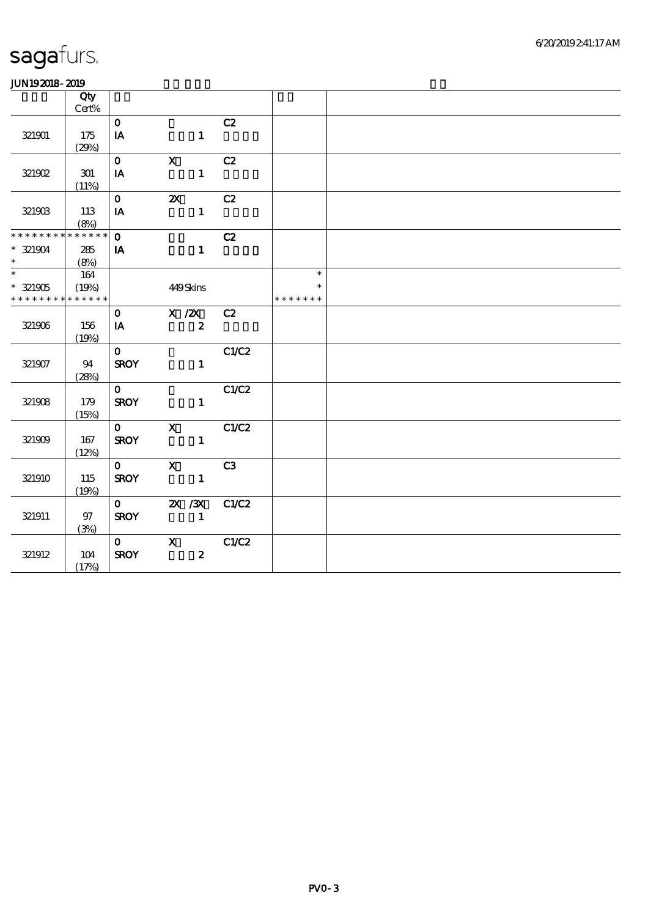| .                                          |          |              |                  |       |               |  |
|--------------------------------------------|----------|--------------|------------------|-------|---------------|--|
|                                            | Qty      |              |                  |       |               |  |
|                                            | Cert%    |              |                  |       |               |  |
|                                            |          | $\mathbf{O}$ |                  | C2    |               |  |
| 321901                                     | 175      | IA           | $\mathbf{1}$     |       |               |  |
|                                            | (29%)    |              |                  |       |               |  |
|                                            |          | $\mathbf{O}$ | $\mathbf{X}$     | C2    |               |  |
| 321902                                     | 301      | IA           | $\mathbf{1}$     |       |               |  |
|                                            | (11%)    |              |                  |       |               |  |
|                                            |          | $\mathbf{O}$ | $\mathbf{x}$     | C2    |               |  |
| 321903                                     | 113      | IA           | $\mathbf{1}$     |       |               |  |
|                                            | (8%)     |              |                  |       |               |  |
| * * * * * * * *                            | $******$ | $\mathbf{O}$ |                  | C2    |               |  |
| $* 321904$                                 | 285      | $\mathbf{I}$ | $\mathbf{1}$     |       |               |  |
| $\ast$                                     | (8%)     |              |                  |       |               |  |
|                                            | 164      |              |                  |       | $\ast$        |  |
| $* 321905$                                 | (19%)    |              | 449Skins         |       | $\ast$        |  |
| * * * * * * * * <mark>* * * * * * *</mark> |          |              |                  |       | * * * * * * * |  |
|                                            |          | $\mathbf{O}$ | X / ZX           | C2    |               |  |
| 321906                                     | 156      | <b>IA</b>    | $\mathbf{2}$     |       |               |  |
|                                            | (19%)    |              |                  |       |               |  |
|                                            |          | $\mathbf{O}$ |                  | C1/C2 |               |  |
| 321907                                     | 94       | <b>SROY</b>  | $\mathbf{1}$     |       |               |  |
|                                            | (28%)    |              |                  |       |               |  |
|                                            |          | $\mathbf{o}$ |                  | C1/C2 |               |  |
| 321908                                     | 179      | <b>SROY</b>  | $\mathbf{1}$     |       |               |  |
|                                            | (15%)    |              |                  |       |               |  |
|                                            |          | $0 \t X$     |                  | C1/C2 |               |  |
| 321909                                     | 167      | <b>SROY</b>  | $\mathbf{1}$     |       |               |  |
|                                            | (12%)    |              |                  |       |               |  |
|                                            |          | $\mathbf{0}$ | $\mathbf{X}$     | C3    |               |  |
| 321910                                     | 115      | <b>SROY</b>  | $\mathbf{1}$     |       |               |  |
|                                            | (19%)    |              |                  |       |               |  |
|                                            |          |              | $0 \t 2X \t 3X$  | C1/C2 |               |  |
| 321911                                     | 97       | <b>SROY</b>  |                  |       |               |  |
|                                            | (3%)     |              |                  |       |               |  |
|                                            |          |              | $\mathbf{o}$ x   | C1/C2 |               |  |
| 321912                                     | 104      | <b>SROY</b>  | $\boldsymbol{z}$ |       |               |  |
|                                            | (17%)    |              |                  |       |               |  |
|                                            |          |              |                  |       |               |  |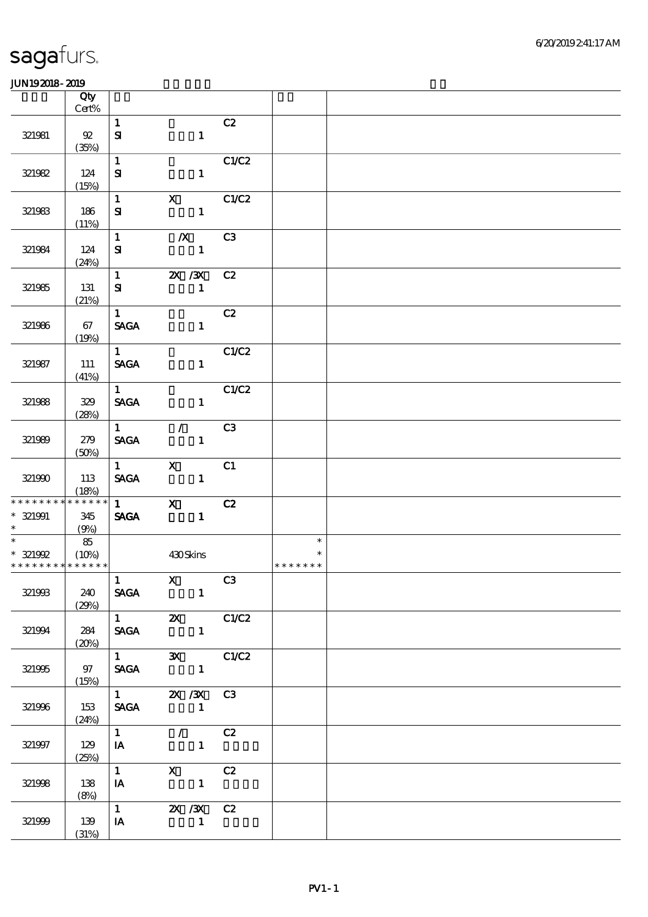|                                           | Qty<br>$Cert\%$ |                                                  |                                                                                                                                                                                                                                                                                                                                                                                      |       |                         |  |
|-------------------------------------------|-----------------|--------------------------------------------------|--------------------------------------------------------------------------------------------------------------------------------------------------------------------------------------------------------------------------------------------------------------------------------------------------------------------------------------------------------------------------------------|-------|-------------------------|--|
|                                           |                 | $\mathbf{1}$                                     |                                                                                                                                                                                                                                                                                                                                                                                      | C2    |                         |  |
| 321981                                    | 92              | $\mathbf{S}$                                     | $\mathbf{1}$                                                                                                                                                                                                                                                                                                                                                                         |       |                         |  |
|                                           | (35%)           |                                                  |                                                                                                                                                                                                                                                                                                                                                                                      |       |                         |  |
|                                           |                 | $\mathbf{1}$                                     |                                                                                                                                                                                                                                                                                                                                                                                      | C1/C2 |                         |  |
| 321982                                    | 124             | ${\bf s}$                                        | $\mathbf{1}$                                                                                                                                                                                                                                                                                                                                                                         |       |                         |  |
|                                           | (15%)           |                                                  |                                                                                                                                                                                                                                                                                                                                                                                      |       |                         |  |
|                                           |                 | $\mathbf{1}$                                     | $\mathbf{X}$                                                                                                                                                                                                                                                                                                                                                                         | C1/C2 |                         |  |
| 321983                                    | 186             | ${\bf s}$                                        | $\mathbf{1}$                                                                                                                                                                                                                                                                                                                                                                         |       |                         |  |
|                                           | (11%)           | $\mathbf{1}$                                     | $\boldsymbol{X}$                                                                                                                                                                                                                                                                                                                                                                     | C3    |                         |  |
| 321984                                    | 124             | ${\bf s}$                                        | $\mathbf{1}$                                                                                                                                                                                                                                                                                                                                                                         |       |                         |  |
|                                           | (24%)           |                                                  |                                                                                                                                                                                                                                                                                                                                                                                      |       |                         |  |
|                                           |                 | $\mathbf{1}$                                     | 2X / 3X                                                                                                                                                                                                                                                                                                                                                                              | C2    |                         |  |
| 321985                                    | 131             | ${\bf s}$                                        | $\mathbf{1}$                                                                                                                                                                                                                                                                                                                                                                         |       |                         |  |
|                                           | (21%)           |                                                  |                                                                                                                                                                                                                                                                                                                                                                                      |       |                         |  |
|                                           |                 | 1                                                |                                                                                                                                                                                                                                                                                                                                                                                      | C2    |                         |  |
| 321986                                    | 67              | <b>SAGA</b>                                      | $\mathbf{1}$                                                                                                                                                                                                                                                                                                                                                                         |       |                         |  |
|                                           | (19%)           | $1 \quad$                                        |                                                                                                                                                                                                                                                                                                                                                                                      | C1/C2 |                         |  |
| 321987                                    | 111             | <b>SAGA</b>                                      | $1 -$                                                                                                                                                                                                                                                                                                                                                                                |       |                         |  |
|                                           | (41%)           |                                                  |                                                                                                                                                                                                                                                                                                                                                                                      |       |                         |  |
|                                           |                 | $1 \quad \bar{1}$                                |                                                                                                                                                                                                                                                                                                                                                                                      | C1/C2 |                         |  |
| 321988                                    | 329             | <b>SAGA</b>                                      | $\mathbf{1}$                                                                                                                                                                                                                                                                                                                                                                         |       |                         |  |
|                                           | (28%)           |                                                  |                                                                                                                                                                                                                                                                                                                                                                                      |       |                         |  |
|                                           |                 | $1 \quad \blacksquare$                           | $\mathcal{L}$                                                                                                                                                                                                                                                                                                                                                                        | C3    |                         |  |
| 321989                                    | 279             | <b>SAGA</b>                                      | $\mathbf{1}$                                                                                                                                                                                                                                                                                                                                                                         |       |                         |  |
|                                           | (50%)           | $1 \qquad \qquad$                                | $\mathbf{X}$                                                                                                                                                                                                                                                                                                                                                                         | C1    |                         |  |
| 321990                                    | 113             | <b>SAGA</b>                                      | $\blacksquare$                                                                                                                                                                                                                                                                                                                                                                       |       |                         |  |
|                                           | (18%)           |                                                  |                                                                                                                                                                                                                                                                                                                                                                                      |       |                         |  |
| * * * * * * * *                           | * * * * * *     | $1 \qquad \qquad$                                | $\boldsymbol{\mathrm{X}}$                                                                                                                                                                                                                                                                                                                                                            | C2    |                         |  |
| $*$ 321991                                | 345             | <b>SAGA</b>                                      | $\sim$ $\sim$ 1                                                                                                                                                                                                                                                                                                                                                                      |       |                         |  |
| $\ast$                                    | (9%)            |                                                  |                                                                                                                                                                                                                                                                                                                                                                                      |       |                         |  |
|                                           | 85              |                                                  |                                                                                                                                                                                                                                                                                                                                                                                      |       | $\ast$                  |  |
| $* 321992$<br>* * * * * * * * * * * * * * | (10%)           |                                                  | 430Skins                                                                                                                                                                                                                                                                                                                                                                             |       | $\ast$<br>* * * * * * * |  |
|                                           |                 | $\begin{array}{ c c c }\n\hline\n1\n\end{array}$ | $\overline{\mathbf{x}}$ $\overline{\mathbf{C3}}$                                                                                                                                                                                                                                                                                                                                     |       |                         |  |
| 321993                                    | 240             |                                                  | SAGA 1                                                                                                                                                                                                                                                                                                                                                                               |       |                         |  |
|                                           | (29%)           |                                                  |                                                                                                                                                                                                                                                                                                                                                                                      |       |                         |  |
|                                           |                 |                                                  | $\overline{1}$ 2X $C1/C2$                                                                                                                                                                                                                                                                                                                                                            |       |                         |  |
| 321994                                    | 284             |                                                  | SAGA 1                                                                                                                                                                                                                                                                                                                                                                               |       |                         |  |
|                                           | (20%)           |                                                  |                                                                                                                                                                                                                                                                                                                                                                                      |       |                         |  |
|                                           |                 |                                                  | $1$ 3X C1/C2                                                                                                                                                                                                                                                                                                                                                                         |       |                         |  |
| 321995                                    | 97<br>(15%)     |                                                  | SAGA 1                                                                                                                                                                                                                                                                                                                                                                               |       |                         |  |
|                                           |                 |                                                  | $\overline{1}$ $\overline{2}$ $\overline{2}$ $\overline{3}$ $\overline{3}$ $\overline{3}$ $\overline{3}$ $\overline{3}$ $\overline{3}$ $\overline{3}$ $\overline{3}$ $\overline{3}$ $\overline{3}$ $\overline{3}$ $\overline{3}$ $\overline{3}$ $\overline{3}$ $\overline{3}$ $\overline{3}$ $\overline{3}$ $\overline{3}$ $\overline{3}$ $\overline{3}$ $\overline{3}$ $\overline{$ |       |                         |  |
| 321996                                    | 153             |                                                  | SAGA 1                                                                                                                                                                                                                                                                                                                                                                               |       |                         |  |
|                                           | (24%)           |                                                  |                                                                                                                                                                                                                                                                                                                                                                                      |       |                         |  |
|                                           |                 |                                                  | $1$ / C2                                                                                                                                                                                                                                                                                                                                                                             |       |                         |  |
| 321997                                    | 129             |                                                  | $I$ and $I$                                                                                                                                                                                                                                                                                                                                                                          |       |                         |  |
|                                           | (25%)           | $1 \quad \blacksquare$                           |                                                                                                                                                                                                                                                                                                                                                                                      |       |                         |  |
| 321998                                    | 138             | $I$ <b>A</b>                                     | $X$ C <sub>2</sub><br>$\sim$ $\sim$ $\sim$ $\sim$ $\sim$ $\sim$                                                                                                                                                                                                                                                                                                                      |       |                         |  |
|                                           | (8%)            |                                                  |                                                                                                                                                                                                                                                                                                                                                                                      |       |                         |  |
|                                           |                 | $\overline{1}$                                   | 2X / 3X C 2                                                                                                                                                                                                                                                                                                                                                                          |       |                         |  |
| 321999                                    | 139             | $I$ A                                            | $\sim$ $\sim$ 1                                                                                                                                                                                                                                                                                                                                                                      |       |                         |  |
|                                           | (31%)           |                                                  |                                                                                                                                                                                                                                                                                                                                                                                      |       |                         |  |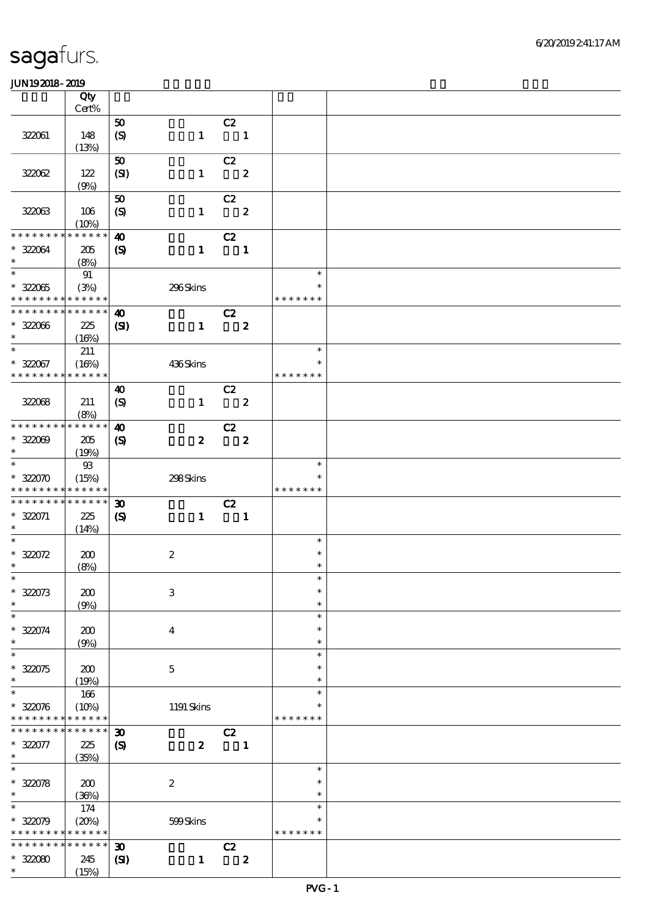|                                            | Qty<br>Cert%    |                             |                           |                            |                         |               |  |
|--------------------------------------------|-----------------|-----------------------------|---------------------------|----------------------------|-------------------------|---------------|--|
|                                            |                 |                             |                           |                            |                         |               |  |
|                                            |                 | 50                          |                           | C2                         |                         |               |  |
| 322061                                     | 148             | (S)                         | $\mathbf{1}$              | $\overline{\phantom{a}}$   |                         |               |  |
|                                            | (13%)           |                             |                           |                            |                         |               |  |
|                                            |                 | 50                          |                           | C2                         |                         |               |  |
| 32062                                      | 122             | (SI)                        | $\mathbf{1}$              | $\overline{\mathbf{2}}$    |                         |               |  |
|                                            | (9%)            |                             |                           |                            |                         |               |  |
|                                            |                 | 50                          |                           | C2                         |                         |               |  |
| 322063                                     | 106             | $\boldsymbol{S}$            | $\mathbf{1}$              | $\overline{\mathbf{2}}$    |                         |               |  |
|                                            | (10%)           |                             |                           |                            |                         |               |  |
| * * * * * * * *                            | $* * * * * * *$ |                             |                           |                            |                         |               |  |
|                                            |                 | $\boldsymbol{\omega}$       |                           | C2                         |                         |               |  |
| * 322064                                   | 205             | $\boldsymbol{\mathcal{S}}$  | $\mathbf{1}$              | $\overline{\phantom{a}}$   |                         |               |  |
| $\ast$                                     | (8%)            |                             |                           |                            |                         |               |  |
| $\overline{\ast}$                          | 91              |                             |                           |                            |                         | $\ast$        |  |
| $* 32005$                                  | (3%)            |                             | 296Skins                  |                            |                         | $\ast$        |  |
| * * * * * * * * <mark>* * * * * * *</mark> |                 |                             |                           |                            |                         | * * * * * * * |  |
| * * * * * * * * * * * * * *                |                 | $\boldsymbol{\omega}$       |                           | C2                         |                         |               |  |
| $* 32006$                                  | 225             | $\mathbf{C}$                | $\mathbf{1}$              |                            | $\overline{\mathbf{2}}$ |               |  |
| $\ast$                                     | (16%)           |                             |                           |                            |                         |               |  |
| $\ast$                                     |                 |                             |                           |                            |                         | $\ast$        |  |
|                                            | 211             |                             |                           |                            |                         | $\ast$        |  |
| $* 322067$                                 | (16%)           |                             | 436Skins                  |                            |                         |               |  |
| * * * * * * * *                            | * * * * * *     |                             |                           |                            |                         | * * * * * * * |  |
|                                            |                 | $\boldsymbol{\omega}$       |                           | C2                         |                         |               |  |
| 322068                                     | 211             | $\boldsymbol{S}$            | $\mathbf{1}$              | $\overline{\phantom{a}}$ 2 |                         |               |  |
|                                            | (8%)            |                             |                           |                            |                         |               |  |
| * * * * * * * *                            | * * * * * *     | $\boldsymbol{\omega}$       |                           | C2                         |                         |               |  |
| $* 32009$                                  | 205             | $\boldsymbol{\mathcal{S}}$  | $\boldsymbol{z}$          | $\overline{\mathbf{2}}$    |                         |               |  |
| $\ast$                                     | (19%)           |                             |                           |                            |                         |               |  |
| $\overline{\ast}$                          | $93$            |                             |                           |                            |                         | $\ast$        |  |
| $* 32000$                                  | (15%)           |                             | 298Skins                  |                            |                         | $\ast$        |  |
| * * * * * * * * <mark>* * * * * * *</mark> |                 |                             |                           |                            |                         | * * * * * * * |  |
| * * * * * * * *                            | * * * * * *     |                             |                           |                            |                         |               |  |
|                                            |                 | $\boldsymbol{\mathfrak{D}}$ |                           | C2                         |                         |               |  |
| $* 322071$                                 | 225             | $\boldsymbol{\mathcal{S}}$  | $\mathbf{1}$              | $\overline{\phantom{a}}$ 1 |                         |               |  |
| $*$                                        | (14%)           |                             |                           |                            |                         |               |  |
| $\ast$                                     |                 |                             |                           |                            |                         | $\ast$        |  |
| $* 32072$                                  | 200             |                             | $\boldsymbol{2}$          |                            |                         | $\ast$        |  |
| $\ast$                                     | (8%)            |                             |                           |                            |                         | $\ast$        |  |
| $*$                                        |                 |                             |                           |                            |                         | $\ast$        |  |
| $* 322073$                                 | 200             |                             | $\ensuremath{\mathbf{3}}$ |                            |                         | $\ast$        |  |
| $\ast$                                     | (9%)            |                             |                           |                            |                         | $\ast$        |  |
| $\ast$                                     |                 |                             |                           |                            |                         | $\ast$        |  |
|                                            |                 |                             |                           |                            |                         | $\ast$        |  |
| $* 32074$<br>$\ast$                        | 200             |                             | $\bf{4}$                  |                            |                         |               |  |
|                                            | (9%)            |                             |                           |                            |                         | $\ast$        |  |
| $\ast$                                     |                 |                             |                           |                            |                         | $\ast$        |  |
| $* 322075$                                 | 200             |                             | $\mathbf 5$               |                            |                         | $\ast$        |  |
| $\ast$                                     | (19%)           |                             |                           |                            |                         | $\ast$        |  |
| $\ast$                                     | 166             |                             |                           |                            |                         | $\ast$        |  |
| $* 322076$                                 | (10%)           |                             | 1191 Skins                |                            |                         | $\ast$        |  |
| * * * * * * * *                            | * * * * * *     |                             |                           |                            |                         | * * * * * * * |  |
| * * * * * * *                              | * * * * * *     | $\boldsymbol{\mathfrak{D}}$ |                           | C2                         |                         |               |  |
| * 322077                                   | 225             | $\boldsymbol{S}$            | $\boldsymbol{z}$          |                            | $\mathbf{1}$            |               |  |
| $\ast$                                     | (35%)           |                             |                           |                            |                         |               |  |
| $\overline{\ast}$                          |                 |                             |                           |                            |                         | $\ast$        |  |
|                                            |                 |                             |                           |                            |                         | $\ast$        |  |
| $* 32078$                                  | 200             |                             | $\boldsymbol{2}$          |                            |                         |               |  |
| $\ast$                                     | (36%)           |                             |                           |                            |                         | $\ast$        |  |
| $\ast$                                     | 174             |                             |                           |                            |                         | $\ast$        |  |
| $* 322079$                                 | (20%)           |                             | 599Skins                  |                            |                         | $\ast$        |  |
| * * * * * * * *                            | * * * * * *     |                             |                           |                            |                         | * * * * * * * |  |
| * * * * * * * *                            | * * * * * *     | $\boldsymbol{\mathfrak{D}}$ |                           | C2                         |                         |               |  |
| $* 32000$                                  | 245             | $\mathbf{S}$                | $\mathbf{1}$              |                            | $\boldsymbol{z}$        |               |  |
| $\ast$                                     | (15%)           |                             |                           |                            |                         |               |  |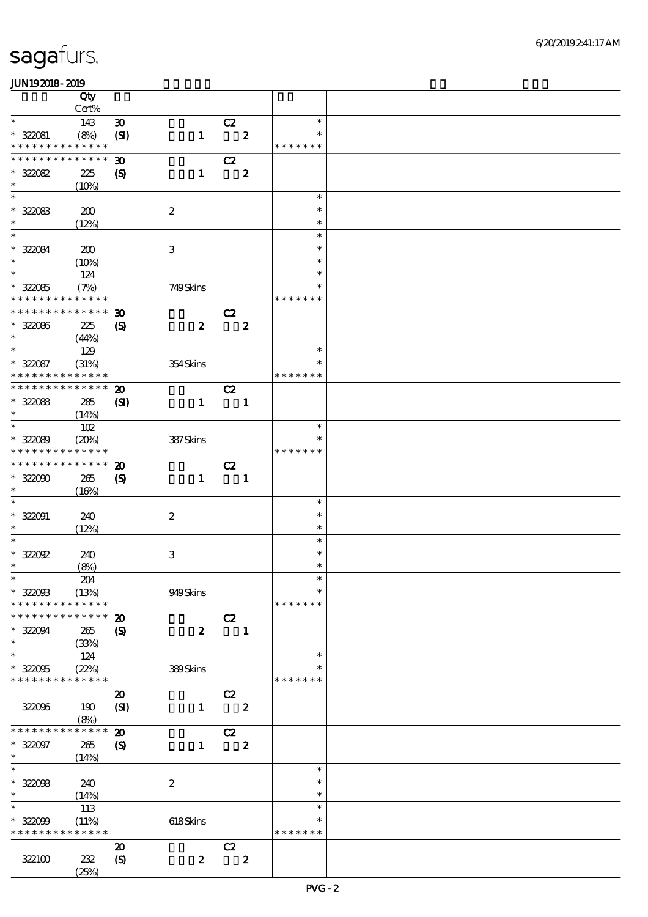|                                    | Qty                  |                                                           |                  |                          |                         |                         |  |
|------------------------------------|----------------------|-----------------------------------------------------------|------------------|--------------------------|-------------------------|-------------------------|--|
|                                    | $Cert\%$             |                                                           |                  |                          |                         |                         |  |
| $\ast$                             | 143                  | $\boldsymbol{\mathfrak{D}}$                               |                  | C2                       |                         | $\ast$<br>$\ast$        |  |
| $* 322081$<br>* * * * * * * *      | (8%)<br>* * * * * *  | (SI)                                                      | $\mathbf{1}$     |                          | $\overline{\mathbf{2}}$ | * * * * * * *           |  |
| * * * * * * * *                    | * * * * * *          | $\boldsymbol{\mathfrak{D}}$                               |                  | C2                       |                         |                         |  |
| $* 32082$                          | 225                  | $\boldsymbol{S}$                                          | $\mathbf{1}$     |                          | $\bf{z}$                |                         |  |
| $\ast$                             | (10%)                |                                                           |                  |                          |                         |                         |  |
| $\ast$                             |                      |                                                           |                  |                          |                         | $\ast$                  |  |
| $* 32003$                          | 200                  |                                                           | $\boldsymbol{2}$ |                          |                         | $\ast$                  |  |
| $\ast$                             | (12%)                |                                                           |                  |                          |                         | $\ast$                  |  |
| $\overline{\ast}$                  |                      |                                                           |                  |                          |                         | $\ast$                  |  |
| * 322084                           | 200                  |                                                           | $\,3$            |                          |                         | $\ast$                  |  |
| $\ast$<br>$\overline{\phantom{0}}$ | (10%)                |                                                           |                  |                          |                         | $\ast$                  |  |
|                                    | 124                  |                                                           |                  |                          |                         | $\ast$                  |  |
| $* 32085$<br>* * * * * * * *       | (7%)<br>* * * * * *  |                                                           | 749Skins         |                          |                         | $\ast$<br>* * * * * * * |  |
| * * * * * * * *                    | * * * * * *          |                                                           |                  |                          |                         |                         |  |
| $* 32086$                          | 225                  | $\boldsymbol{\mathfrak{D}}$<br>$\boldsymbol{\mathcal{S}}$ | $\boldsymbol{z}$ | C2                       | $\boldsymbol{z}$        |                         |  |
| $\ast$                             | (44%)                |                                                           |                  |                          |                         |                         |  |
| $\ast$                             | 129                  |                                                           |                  |                          |                         | $\ast$                  |  |
| $* 322087$                         | (31%)                |                                                           | 354Skins         |                          |                         | $\ast$                  |  |
| * * * * * * * *                    | * * * * * *          |                                                           |                  |                          |                         | * * * * * * *           |  |
| * * * * * * * *                    | * * * * * *          | $\boldsymbol{\mathbf{z}}$                                 |                  | C2                       |                         |                         |  |
| $* 32088$                          | 285                  | (S)                                                       | $\mathbf{1}$     | $\blacksquare$           |                         |                         |  |
| $\ast$                             | (14%)                |                                                           |                  |                          |                         |                         |  |
| $\ast$                             | 102                  |                                                           |                  |                          |                         | $\ast$                  |  |
| $* 32089$                          | (20%)                |                                                           | 387Skins         |                          |                         | $\ast$                  |  |
| * * * * * * * *                    | * * * * * *          |                                                           |                  |                          |                         | * * * * * * *           |  |
| * * * * * * * *                    | * * * * * *          | $\boldsymbol{\mathbf{z}}$                                 |                  | C2                       |                         |                         |  |
| $* 32000$                          | 265                  | $\boldsymbol{\mathrm{(S)}}$                               | $\mathbf{1}$     | $\overline{\phantom{a}}$ |                         |                         |  |
| $\ast$<br>$\ast$                   | (16%)                |                                                           |                  |                          |                         | $\ast$                  |  |
| $* 322091$                         |                      |                                                           |                  |                          |                         | $\ast$                  |  |
| $\ast$                             | 240<br>(12%)         |                                                           | $\boldsymbol{2}$ |                          |                         | $\ast$                  |  |
| $\overline{\ast}$                  |                      |                                                           |                  |                          |                         | $\ast$                  |  |
| $*$ 322002                         | 240                  |                                                           | $\,3\,$          |                          |                         | $\ast$                  |  |
| $\ast$                             | (8%)                 |                                                           |                  |                          |                         | $\ast$                  |  |
| $*$                                | ${\bf Z\!M}$         |                                                           |                  |                          |                         | $\ast$                  |  |
| $* 32003$                          | (13%)                |                                                           | 949Skins         |                          |                         | $\ast$                  |  |
| * * * * * * * *                    | * * * * * *          |                                                           |                  |                          |                         | * * * * * * *           |  |
| * * * * * * * *                    | * * * * * *          | $\boldsymbol{\mathbf{z}}$                                 |                  | C2                       |                         |                         |  |
| $* 32004$                          | 265                  | $\boldsymbol{\mathcal{S}}$                                | $\boldsymbol{z}$ |                          | $\blacksquare$          |                         |  |
| $\ast$<br>$\ast$                   | (33%)                |                                                           |                  |                          |                         | $\ast$                  |  |
| $* 32005$                          | 124                  |                                                           | 389Skins         |                          |                         | $\ast$                  |  |
| * * * * * * * *                    | (22%)<br>* * * * * * |                                                           |                  |                          |                         | * * * * * * *           |  |
|                                    |                      | $\boldsymbol{\mathfrak{D}}$                               |                  | C2                       |                         |                         |  |
| 32006                              | 190                  | (SI)                                                      | $\mathbf{1}$     |                          | $\boldsymbol{z}$        |                         |  |
|                                    | (8%)                 |                                                           |                  |                          |                         |                         |  |
| * * * * * * *                      | * * * * * *          | $\boldsymbol{\mathbf{z}}$                                 |                  | C2                       |                         |                         |  |
| $* 322097$                         | 265                  | $\boldsymbol{\mathcal{S}}$                                | $\mathbf{1}$     |                          | $\boldsymbol{z}$        |                         |  |
| $\ast$                             | (14%)                |                                                           |                  |                          |                         |                         |  |
| $\overline{\ast}$                  |                      |                                                           |                  |                          |                         | $\ast$                  |  |
| $* 32008$                          | 240                  |                                                           | $\boldsymbol{2}$ |                          |                         | $\ast$                  |  |
| $\ast$                             | (14%)                |                                                           |                  |                          |                         | $\ast$                  |  |
| $\ast$                             | 113                  |                                                           |                  |                          |                         | $\ast$                  |  |
| $* 32009$<br>* * * * * * * *       | (11%)<br>* * * * * * |                                                           | 618Skins         |                          |                         | $\ast$<br>* * * * * * * |  |
|                                    |                      | $\boldsymbol{\mathbf{z}}$                                 |                  | C2                       |                         |                         |  |
| 322100                             | 232                  | (S)                                                       | $\boldsymbol{z}$ |                          | $\mathbf{2}$            |                         |  |
|                                    | (25%)                |                                                           |                  |                          |                         |                         |  |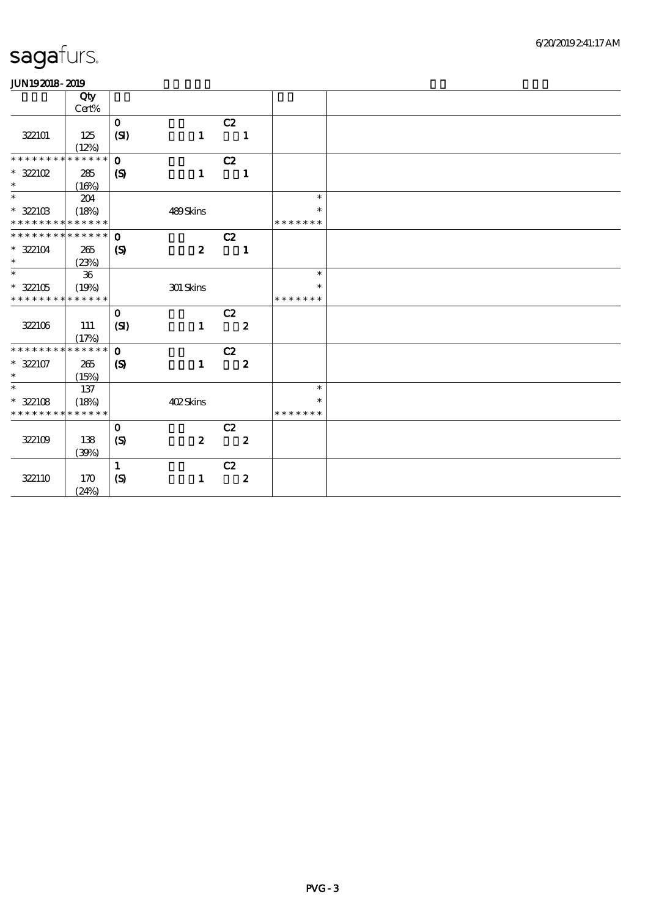|                               | Qty         |                             |                  |                            |                  |               |
|-------------------------------|-------------|-----------------------------|------------------|----------------------------|------------------|---------------|
|                               | Cert%       |                             |                  |                            |                  |               |
|                               |             | $\mathbf{o}$                |                  | C2                         |                  |               |
| 322101                        | 125         | (SI)                        | $\mathbf{1}$     | $\blacksquare$             |                  |               |
|                               | (12%)       |                             |                  |                            |                  |               |
| * * * * * * *                 | * * * * * * | $\mathbf{o}$                |                  | C2                         |                  |               |
| $*$ 322102                    | 285         | $\boldsymbol{S}$            | $\mathbf{1}$     | $\blacksquare$             |                  |               |
| $\ast$                        | (16%)       |                             |                  |                            |                  |               |
| $\ast$                        | 204         |                             |                  |                            |                  | $\ast$        |
| $*322103$                     | (18%)       |                             | 489Skins         |                            |                  | $\ast$        |
| * * * * * * * * * * * * * *   |             |                             |                  |                            |                  | * * * * * * * |
| * * * * * * * * * * * * * *   |             | $\mathbf{o}$                |                  | C2                         |                  |               |
| $* 322104$                    | 265         | $\boldsymbol{S}$            | $\boldsymbol{z}$ | $\overline{\phantom{a}}$   |                  |               |
| $\ast$                        | (23%)       |                             |                  |                            |                  |               |
| $\overline{\phantom{0}}$      | 36          |                             |                  |                            |                  | $\ast$        |
| $*322105$                     | (19%)       |                             | 301 Skins        |                            |                  | $\ast$        |
| * * * * * * * * * * * * * *   |             |                             |                  |                            |                  | * * * * * * * |
|                               |             | $\mathbf 0$                 |                  | C2                         |                  |               |
| 322106                        | 111         | (SI)                        | $\mathbf{1}$     | $\overline{\phantom{a}}$ 2 |                  |               |
|                               | (17%)       |                             |                  |                            |                  |               |
| * * * * * * * * * * * * * * * |             | $\mathbf{o}$                |                  | C2                         |                  |               |
| $* 322107$                    | 265         | $\boldsymbol{\mathrm{(S)}}$ | $\mathbf 1$      |                            | $\boldsymbol{z}$ |               |
| $\ast$                        | (15%)       |                             |                  |                            |                  |               |
| $\ast$                        | 137         |                             |                  |                            |                  | $\ast$        |
| $* 322108$                    | (18%)       |                             | 402Skins         |                            |                  | $\ast$        |
| * * * * * * * *               | * * * * * * |                             |                  |                            |                  | * * * * * * * |
|                               |             | $\mathbf{o}$                |                  |                            |                  |               |
|                               |             |                             |                  | C2                         |                  |               |
| 322109                        | 138         | $\boldsymbol{S}$            | $\boldsymbol{z}$ | $\overline{\mathbf{2}}$    |                  |               |
|                               | (39%)       |                             |                  |                            |                  |               |
|                               |             | $\mathbf{1}$                |                  | C2                         |                  |               |
| 322110                        | 170         | (S)                         | $\mathbf{1}$     |                            | $\boldsymbol{z}$ |               |
|                               | (24%)       |                             |                  |                            |                  |               |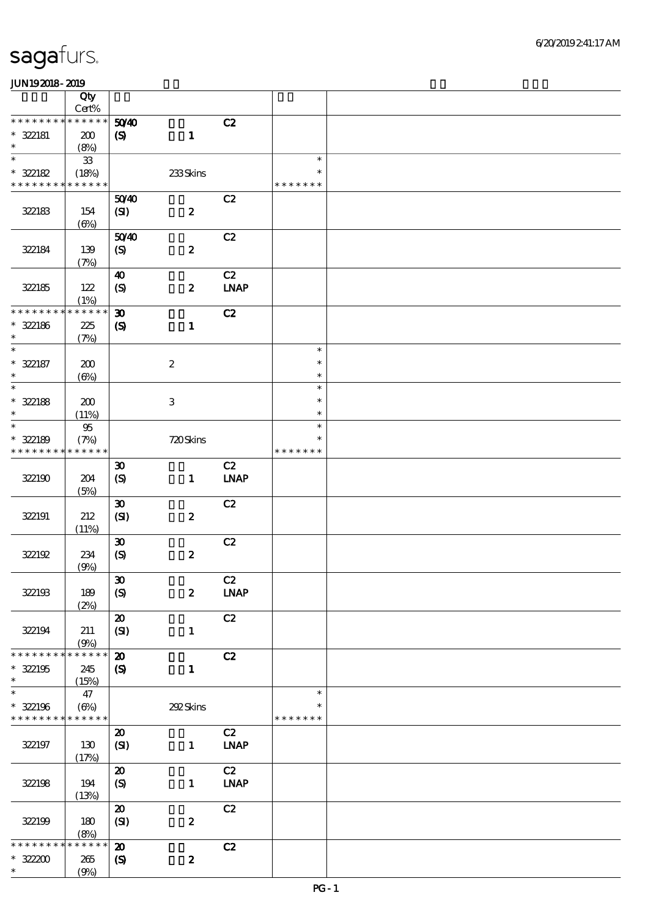|                               | Qty<br>Cert%                |                                                            |                  |                   |                         |  |
|-------------------------------|-----------------------------|------------------------------------------------------------|------------------|-------------------|-------------------------|--|
| * * * * * * * *               | * * * * * *                 |                                                            |                  |                   |                         |  |
| $* 322181$                    | 200                         | 5040<br>$\boldsymbol{\mathrm{(S)}}$                        | $\mathbf{1}$     | C2                |                         |  |
| $\ast$                        | (8%)                        |                                                            |                  |                   |                         |  |
| $\ast$<br>$* 322182$          | ${\bf 33}$<br>(18%)         |                                                            | 233Skins         |                   | $\ast$<br>$\ast$        |  |
| * * * * * * * *               | * * * * * *                 |                                                            |                  |                   | * * * * * * *           |  |
| 322183                        | 154                         | 5040<br>(SI)                                               | $\boldsymbol{z}$ | C2                |                         |  |
|                               | $(\Theta)$                  |                                                            |                  |                   |                         |  |
| 322184                        | 139<br>(7%)                 | 5040<br>(S)                                                | $\pmb{2}$        | C2                |                         |  |
| 322185                        | 122<br>(1%)                 | 40<br>$\boldsymbol{S}$                                     | $\boldsymbol{2}$ | C2<br><b>LNAP</b> |                         |  |
| * * * * * * * *               | * * * * * *                 |                                                            |                  |                   |                         |  |
| $* 322186$<br>$\ast$          | 225<br>(7%)                 | $\boldsymbol{\mathfrak{D}}$<br>$\boldsymbol{\mathrm{(S)}}$ | $\mathbf{1}$     | C2                |                         |  |
| $\ast$                        |                             |                                                            |                  |                   | $\ast$                  |  |
| $* 322187$<br>$\ast$          | 200<br>$(\Theta)$           |                                                            | $\boldsymbol{2}$ |                   | $\ast$<br>$\ast$        |  |
| $\overline{\phantom{0}}$      |                             |                                                            |                  |                   | $\ast$                  |  |
| $* 322188$<br>$\ast$          | 200<br>(11%)                |                                                            | $\,3\,$          |                   | $\ast$<br>$\ast$        |  |
| $\ast$                        | $95\,$                      |                                                            |                  |                   | $\ast$                  |  |
| $* 322189$<br>* * * * * * * * | (7%)<br>* * * * * *         |                                                            | 720Skins         |                   | $\ast$<br>* * * * * * * |  |
|                               |                             |                                                            |                  |                   |                         |  |
| 322190                        | 204<br>(5%)                 | $\boldsymbol{\mathfrak{D}}$<br>(S)                         | $\mathbf{1}$     | C2<br><b>LNAP</b> |                         |  |
|                               |                             | $\boldsymbol{\mathfrak{D}}$                                |                  | C2                |                         |  |
| 322191                        | 212<br>(11%)                | (SI)                                                       | $\pmb{2}$        |                   |                         |  |
|                               |                             | $\boldsymbol{\mathfrak{D}}$                                |                  | C2                |                         |  |
| 322192                        | 234<br>(9%)                 | $\boldsymbol{S}$                                           | $\pmb{2}$        |                   |                         |  |
|                               |                             | $\pmb{\mathfrak{D}}$                                       |                  | C2                |                         |  |
| 322193                        | 189<br>(2%)                 | $\boldsymbol{\mathrm{(S)}}$                                | $\boldsymbol{z}$ | <b>LNAP</b>       |                         |  |
|                               |                             | $\boldsymbol{\mathbf{z}}$                                  |                  | C2                |                         |  |
| 322194                        | 211<br>(9%)                 | (SI)                                                       | $\mathbf{1}$     |                   |                         |  |
| * * * * * * *                 | * * * * * *                 | $\boldsymbol{\mathfrak{D}}$                                |                  | C2                |                         |  |
| $* 322195$<br>$\ast$          | 245<br>(15%)                | $\boldsymbol{\mathrm{(S)}}$                                | $\mathbf{1}$     |                   |                         |  |
| $\ast$                        | 47                          |                                                            |                  |                   | $\ast$                  |  |
| $* 322196$<br>* * * * * * * * | $(\Theta\%)$<br>* * * * * * |                                                            | 292Skins         |                   | $\ast$<br>* * * * * * * |  |
|                               |                             | $\boldsymbol{\mathfrak{D}}$                                |                  | C2                |                         |  |
| 322197                        | 130<br>(17%)                | (SI)                                                       | $\mathbf{1}$     | <b>LNAP</b>       |                         |  |
|                               |                             | $\pmb{\mathcal{X}}$                                        |                  | C2                |                         |  |
| 322198                        | 194<br>(13%)                | $\pmb{\text{(S)}}$                                         | $\mathbf{1}$     | <b>LNAP</b>       |                         |  |
|                               |                             | $\pmb{\mathcal{X}}$                                        |                  | C2                |                         |  |
| 322199                        | 180<br>(8%)                 | (SI)                                                       | $\pmb{2}$        |                   |                         |  |
| * * * * * * *                 | * * * * * *                 | $\boldsymbol{\mathbf{z}}$                                  |                  | C2                |                         |  |
| $* 32200$<br>$\ast$           | 265<br>(9%)                 | $\pmb{\text{(S)}}$                                         | $\pmb{2}$        |                   |                         |  |
|                               |                             |                                                            |                  |                   |                         |  |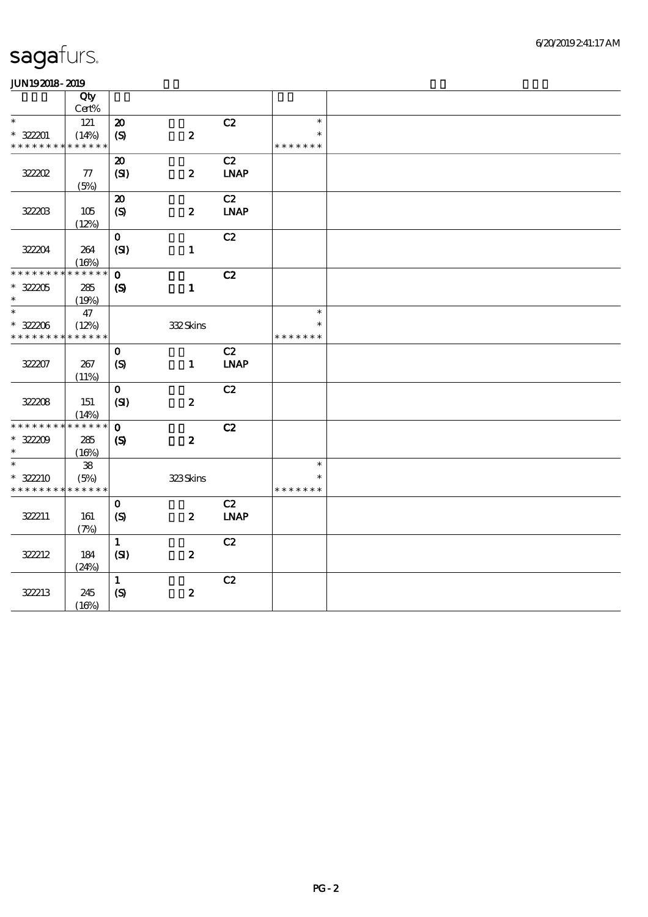| ------          |             |                             |                  |                              |               |  |
|-----------------|-------------|-----------------------------|------------------|------------------------------|---------------|--|
|                 | Qty         |                             |                  |                              |               |  |
|                 | Cert%       |                             |                  |                              |               |  |
| $\ast$          | $121$       | $\boldsymbol{\mathbf{z}}$   |                  | C2                           | $\ast$        |  |
| $* 322201$      | (14%)       | (S)                         | $\boldsymbol{z}$ |                              | $\ast$        |  |
| * * * * * * * * | * * * * * * |                             |                  |                              | * * * * * * * |  |
|                 |             | $\boldsymbol{\mathfrak{D}}$ |                  | C2                           |               |  |
| 32202           | ${\bf 77}$  | (SI)                        | $\boldsymbol{z}$ | <b>LNAP</b>                  |               |  |
|                 | (5%)        |                             |                  |                              |               |  |
|                 |             | $\boldsymbol{\mathbf{z}}$   |                  | C2                           |               |  |
| 32203           | 105         | (S)                         | $\boldsymbol{z}$ | $\ensuremath{\mathbf{INAP}}$ |               |  |
|                 | (12%)       |                             |                  |                              |               |  |
|                 |             | $\mathbf{o}$                |                  | C2                           |               |  |
| 32204           | 264         | (SI)                        | $\mathbf{1}$     |                              |               |  |
|                 | (16%)       |                             |                  |                              |               |  |
| * * * * * * * * | * * * * * * | $\mathbf{o}$                |                  | C2                           |               |  |
| $^\ast$ 322205  | 285         | $\boldsymbol{\mathrm{(S)}}$ | $\mathbf{1}$     |                              |               |  |
| $\ast$          | (19%)       |                             |                  |                              |               |  |
| $\ast$          | 47          |                             |                  |                              | $\ast$        |  |
| $* 32206$       | (12%)       |                             | 332Skins         |                              | $\ast$        |  |
| * * * * * * * * | * * * * * * |                             |                  |                              | * * * * * * * |  |
|                 |             | $\mathbf{o}$                |                  | C2                           |               |  |
| 322207          | 267         | (S)                         | $\mathbf{1}$     | <b>LNAP</b>                  |               |  |
|                 | (11%)       |                             |                  |                              |               |  |
|                 |             | $\mathbf O$                 |                  | C2                           |               |  |
| 32208           | 151         | (SI)                        | $\boldsymbol{z}$ |                              |               |  |
|                 | (14%)       |                             |                  |                              |               |  |
| * * * * * * * * | * * * * * * | $\mathbf{o}$                |                  | C2                           |               |  |
| $* 32209$       | 285         | $\boldsymbol{\mathrm{(S)}}$ | $\boldsymbol{z}$ |                              |               |  |
| $\ast$          | (16%)       |                             |                  |                              |               |  |
| $\ast$          | ${\bf 38}$  |                             |                  |                              | $\ast$        |  |
| $* 322210$      | (5%)        |                             | 323Skins         |                              | $\ast$        |  |
| * * * * * * * * | * * * * * * |                             |                  |                              | * * * * * * * |  |
|                 |             | $\mathbf{o}$                |                  | C2                           |               |  |
| 322211          | 161         | (S)                         | $\boldsymbol{z}$ | <b>LNAP</b>                  |               |  |
|                 | (7%)        |                             |                  |                              |               |  |
|                 |             | $\mathbf{1}$                |                  | C2                           |               |  |
| 322212          | 184         | (SI)                        | $\boldsymbol{z}$ |                              |               |  |
|                 | (24%)       |                             |                  |                              |               |  |
|                 |             | $\mathbf{1}$                |                  | C2                           |               |  |
| 322213          | 245         | (S)                         | $\boldsymbol{z}$ |                              |               |  |
|                 | (16%)       |                             |                  |                              |               |  |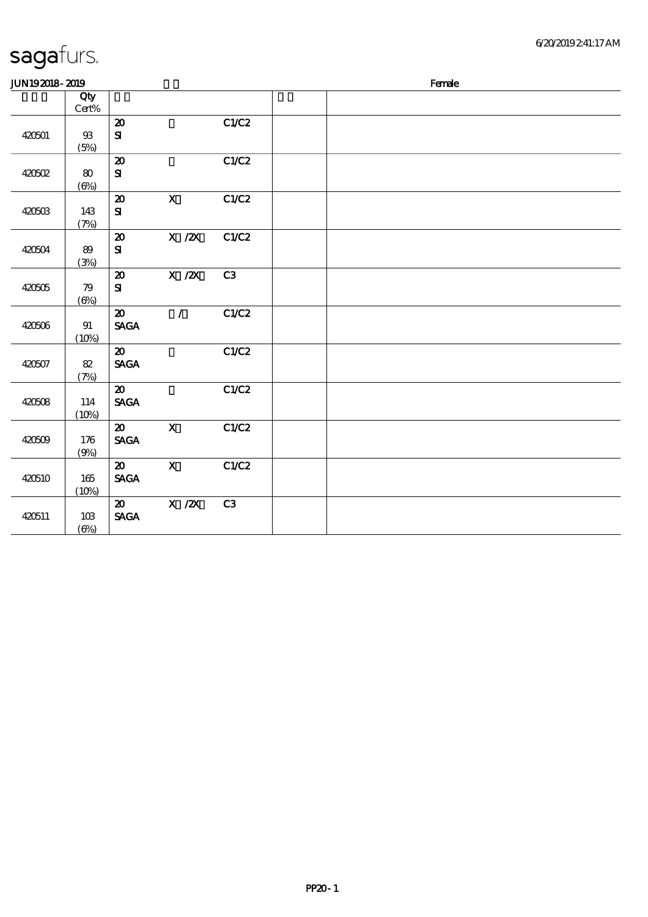| JUN192018-2019<br>Female                                                             |  |
|--------------------------------------------------------------------------------------|--|
| Qty                                                                                  |  |
| $\mbox{Cert}\%$                                                                      |  |
| C1/C2<br>$\boldsymbol{\mathbf{z}}$                                                   |  |
| 420501<br>${\bf s}$<br>$93$                                                          |  |
| (5%)                                                                                 |  |
| C1/C2<br>$\boldsymbol{\mathfrak{D}}$<br>80                                           |  |
| ${\bf S}$<br>420502<br>$(\Theta)$                                                    |  |
| $\mathbf{X}$<br>C1/C2<br>$\boldsymbol{\mathbf{z}}$                                   |  |
| ${\bf S\!I}$<br>420503<br>143                                                        |  |
| (7%)                                                                                 |  |
| $\overline{X}$ / $\overline{Z}$ $\overline{X}$<br>C1/C2<br>$\boldsymbol{\mathbf{z}}$ |  |
| 420504<br>89<br>${\bf s}$                                                            |  |
| (3%)                                                                                 |  |
| $X$ / $ZX$<br>C3<br>$\boldsymbol{\mathfrak{D}}$                                      |  |
| 420505<br>${\bf s}$<br>79                                                            |  |
| $(\Theta)$                                                                           |  |
| C1/C2<br>$\mathcal{L}$<br>$\boldsymbol{\mathfrak{D}}$                                |  |
| <b>SAGA</b><br>420506<br>91<br>(10%)                                                 |  |
| C1/C2<br>$\boldsymbol{\mathfrak{D}}$                                                 |  |
| <b>SAGA</b><br>420507<br>82                                                          |  |
| (7%)                                                                                 |  |
| C1/C2<br>$\boldsymbol{\mathfrak{D}}$                                                 |  |
| <b>SAGA</b><br>420508<br>114                                                         |  |
| (10%)                                                                                |  |
| $\mathbf X$<br>C1/C2<br>$\boldsymbol{\mathfrak{D}}$                                  |  |
| <b>SAGA</b><br>420509<br>176                                                         |  |
| (9%)                                                                                 |  |
| $\mathbf{x}$<br>C1/C2<br>$\boldsymbol{\mathfrak{D}}$                                 |  |
| <b>SAGA</b><br>420510<br>165<br>(10%)                                                |  |
| $\overline{X}$ /2X<br>C3<br>$\boldsymbol{\mathfrak{D}}$                              |  |
| <b>SAGA</b><br>420511<br>10B                                                         |  |
| $(\Theta\%)$                                                                         |  |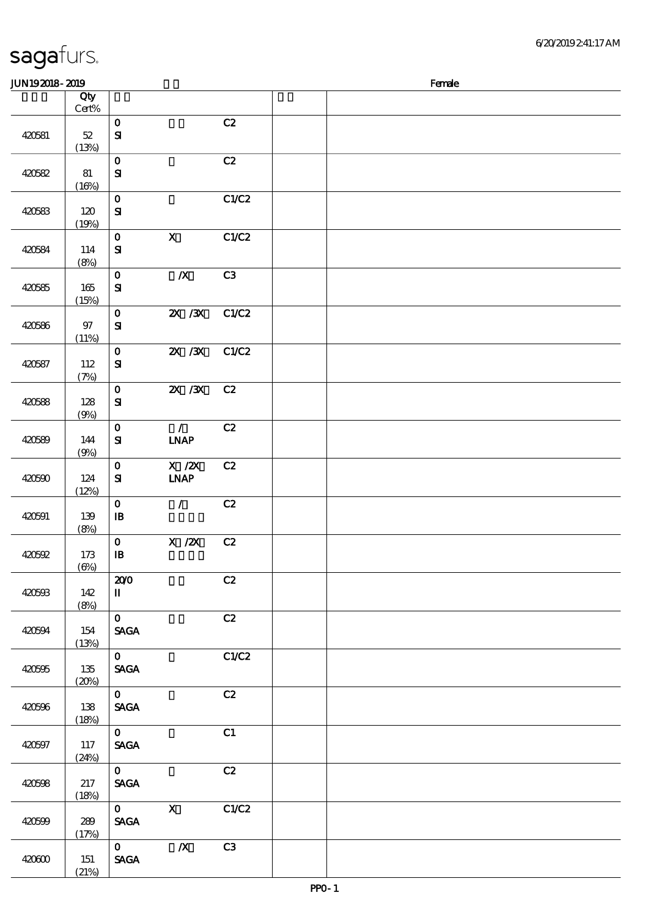| 420581 | $52\,$<br>(13%)   | $\mathbf 0$<br>$\mathbf{S}$                    |                                                      | C2    |  |  |  |
|--------|-------------------|------------------------------------------------|------------------------------------------------------|-------|--|--|--|
| 420582 | 81<br>(16%)       | $\mathbf 0$<br>${\bf S}$                       |                                                      | C2    |  |  |  |
| 420583 | 120<br>(19%)      | $\mathbf{o}$<br>${\bf S}$                      |                                                      | C1/C2 |  |  |  |
| 420584 | 114<br>(8%)       | $\mathbf O$<br>$\mathbf{S}$                    | $\mathbf x$                                          | C1/C2 |  |  |  |
| 420585 | 165<br>(15%)      | $\mathbf{o}$<br>${\bf S}$                      | $\boldsymbol{X}$                                     | C3    |  |  |  |
| 420586 | 97<br>(11%)       | $\mathbf{o}$<br>${\bf s}$                      | $X \, X$                                             | C1/C2 |  |  |  |
| 420587 | 112<br>(7%)       | $\mathbf{o}$<br>$\mathbf{S}$                   | $X \, X$                                             | C1/C2 |  |  |  |
| 420588 | 128<br>(9%)       | $\mathbf{o}$<br>${\bf s}$                      | 2X / 3X                                              | C2    |  |  |  |
| 420589 | 144<br>(9%)       | $\mathbf{o}$<br>${\bf s}$                      | $\mathcal{L}$<br><b>INAP</b>                         | C2    |  |  |  |
| 420590 | 124<br>(12%)      | $\mathbf{o}$<br>${\bf s}$                      | $\boldsymbol{\mathrm{X}}$ / <b>ZX</b><br><b>INAP</b> | C2    |  |  |  |
| 420591 | 139<br>(8%)       | $\mathbf{o}$<br>$\mathbf{B}$                   | $\mathcal{L}$                                        | C2    |  |  |  |
| 420592 | 173<br>$(\Theta)$ | $\mathbf{o}$<br>$\, {\bf I} \! {\bf B} \,$     | $X$ / $ZX$                                           | C2    |  |  |  |
| 420593 | 142<br>(8%)       | 200<br>$\rm I\hspace{-.1em}I\hspace{-.1em}I$   |                                                      | C2    |  |  |  |
| 420594 | 154<br>(13%)      | $\mathbf{O}$<br>$\operatorname{\mathsf{SAGA}}$ |                                                      | C2    |  |  |  |
| 420595 | 135<br>(20%)      | $\mathbf{O}$<br>$\operatorname{\mathsf{SAGA}}$ |                                                      | C1/C2 |  |  |  |
| 420596 | 138<br>(18%)      | $\mathbf{O}$<br>$\ensuremath{\mathsf{SAGA}}$   |                                                      | C2    |  |  |  |
| 420597 | 117<br>(24%)      | $\mathbf{O}$<br>$\operatorname{\mathsf{SAGA}}$ |                                                      | C1    |  |  |  |
| 420598 | 217<br>(18%)      | $\mathbf{O}$<br>$\ensuremath{\mathsf{SAGA}}$   |                                                      | C2    |  |  |  |
| 420599 | 289<br>(17%)      | $\mathbf{O}$<br><b>SAGA</b>                    | $\mathbf{X}$                                         | C1/C2 |  |  |  |
| 420600 | 151               | $\mathbf{O}$<br>$\operatorname{\mathsf{SAGA}}$ | $\pmb{X}$                                            | C3    |  |  |  |

 $J/N192018$ - $2019$  Female

 $\overline{c}$ 

说明 价格

#### sagafurs.

顺序号 Qty

Cert%

 $(21%)$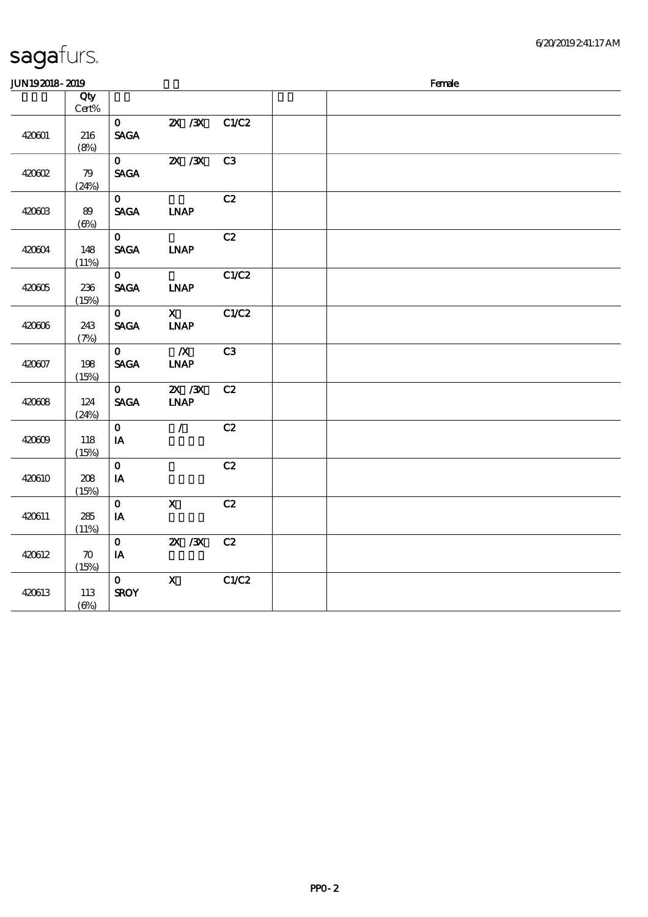| JUN192018-2019 |                             |                                        |                                              |       | Female |  |  |  |  |
|----------------|-----------------------------|----------------------------------------|----------------------------------------------|-------|--------|--|--|--|--|
|                | Qty<br>$\mbox{Cert}\%$      |                                        |                                              |       |        |  |  |  |  |
| 420601         | 216<br>(8%)                 | $\mathbf{O}$<br><b>SAGA</b>            | $X \, X$                                     | C1/C2 |        |  |  |  |  |
| 420602         | 79<br>(24%)                 | $\mathbf{O}$<br><b>SAGA</b>            | $X \, X$                                     | C3    |        |  |  |  |  |
| 420603         | 89<br>$(\Theta)$            | $\mathbf{O}$<br><b>SAGA</b>            | <b>INAP</b>                                  | C2    |        |  |  |  |  |
| 420604         | 148<br>(11%)                | $\mathbf{O}$<br><b>SAGA</b>            | <b>INAP</b>                                  | C2    |        |  |  |  |  |
| 420605         | 236<br>(15%)                | $\mathbf{0}$<br><b>SAGA</b>            | <b>LNAP</b>                                  | C1/C2 |        |  |  |  |  |
| 420606         | 243<br>(7%)                 | $\mathbf{O}$<br><b>SAGA</b>            | $\mathbf{X}$<br>$\ensuremath{\mathbf{INAP}}$ | C1/C2 |        |  |  |  |  |
| 420607         | 198<br>(15%)                | $\mathbf{O}$<br><b>SAGA</b>            | $\boldsymbol{X}$<br><b>INAP</b>              | C3    |        |  |  |  |  |
| 420608         | 124<br>(24%)                | $\mathbf{o}$<br><b>SAGA</b>            | $ZX$ $ZX$<br>$\ensuremath{\mathbf{INAP}}$    | C2    |        |  |  |  |  |
| 420609         | 118<br>(15%)                | $\mathbf{O}$<br>$\mathbf{I}\mathbf{A}$ | $\mathcal{L}$                                | C2    |        |  |  |  |  |
| 420610         | ${\bf 208}$<br>(15%)        | $\mathbf{o}$<br>$\mathbf{I}\mathbf{A}$ |                                              | C2    |        |  |  |  |  |
| 420611         | 285<br>(11%)                | $\mathbf 0$<br>$\mathbf{I} \mathbf{A}$ | $\mathbf{X}$                                 | C2    |        |  |  |  |  |
| 420612         | $\boldsymbol{\pi}$<br>(15%) | $\mathbf{O}$<br>$I\!\!A$               | $X \, X$                                     | C2    |        |  |  |  |  |
| 420613         | 113<br>$(\Theta)$           | $\mathbf{O}$<br><b>SROY</b>            | $\mathbf{x}$                                 | C1/C2 |        |  |  |  |  |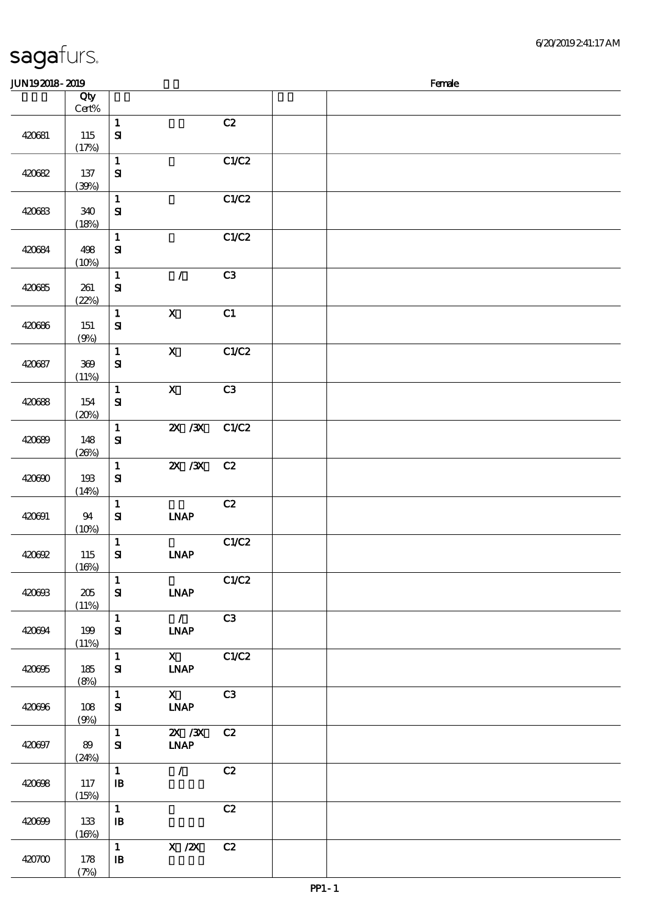| 420684 | 498<br>(10%)       | $\mathbf 1$<br>$\mathbf{S}$                |                                                                         | C1/C2 |  |  |  |
|--------|--------------------|--------------------------------------------|-------------------------------------------------------------------------|-------|--|--|--|
| 420685 | 261<br>(22%)       | $\mathbf 1$<br>${\bf S}$                   | $\mathcal{L}$                                                           | C3    |  |  |  |
| 420686 | $151$<br>(9%)      | $\mathbf{1}$<br>${\bf S\!I}$               | $\boldsymbol{\mathsf{X}}$                                               | C1    |  |  |  |
| 420687 | $300\,$<br>(11%)   | $\mathbf 1$<br>$\mathbf{S}$                | $\mathbf X$                                                             | C1/C2 |  |  |  |
| 420688 | 154<br>(20%)       | $\mathbf{1}$<br>$\mathbf{S}$               | $\boldsymbol{\mathsf{X}}$                                               | C3    |  |  |  |
| 420689 | 148<br>(20%)       | $\mathbf{1}$<br>$\mathbf{S}$               | $X \, X$                                                                | C1/C2 |  |  |  |
| 420690 | 193<br>(14%)       | $\mathbf{1}$<br>${\bf s}$                  | $X \, X$                                                                | C2    |  |  |  |
| 420691 | 94<br>(10%)        | $\mathbf 1$<br>${\bf S}$                   | <b>INAP</b>                                                             | C2    |  |  |  |
| 420692 | 115<br>(16%)       | $\mathbf{1}$<br>${\bf S}$                  | <b>INAP</b>                                                             | C1/C2 |  |  |  |
| 420693 | $205\,$<br>(11%)   | $\mathbf{1}$<br>$\bf S\bf I$               | <b>INAP</b>                                                             | C1/C2 |  |  |  |
| 420694 | 199<br>(11%)       | $\mathbf 1$<br>${\bf S\!I}$                | $\mathcal{L}$<br>$\ensuremath{\mathbf{INAP}}$                           | C3    |  |  |  |
| 420695 | 185<br>(8%)        | $\mathbf 1$<br>$\bf S$                     | $\mathbf{X}$<br><b>INAP</b>                                             | C1/C2 |  |  |  |
| 420696 | 108<br><u>(9%)</u> | $\mathbf 1$<br>${\bf S}$                   | $\mathbf{X}$<br><b>INAP</b>                                             | C3    |  |  |  |
| 420697 | 89<br>(24%)        | $\mathbf{1}$<br>${\bf S}$                  | $X \, X$<br>$\ensuremath{\mathbf{INAP}}$                                | C2    |  |  |  |
| 420698 | 117<br>(15%)       | $\mathbf{1}$<br>$\mathbf{B}$               | $\mathcal{L}$                                                           | C2    |  |  |  |
| 420699 | 133<br>(16%)       | $\mathbf{1}$<br>$\mathbf{B}$               |                                                                         | C2    |  |  |  |
| 420700 | 178<br>(7%)        | $\mathbf{1}$<br>$\, {\bf I} \! {\bf B} \,$ | $\boldsymbol{\mathrm{X}}$ / <b><math>\boldsymbol{\mathrm{X}}</math></b> | C2    |  |  |  |
|        |                    |                                            |                                                                         |       |  |  |  |

 $J/N192018$ - $2019$ 

说明 价格

 $\overline{1}$  C<sub>2</sub>

1 C1/C2

 $\overline{1}$  C1/C2

#### sagafurs.

420681 115

420682 137

420683 340

顺序号 Qty Cert%

 $(17%)$ 

 $(39%)$ 

 $(18%)$ 

SI

SI

SI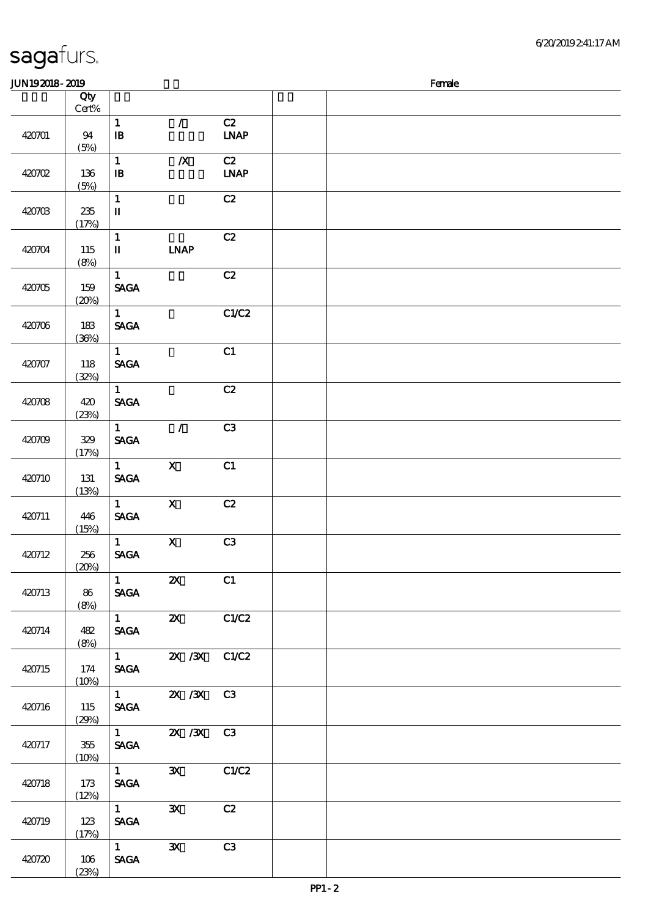| <b>JUN192018-2019</b> |                        |                                                  |                                       |                                  | Female |
|-----------------------|------------------------|--------------------------------------------------|---------------------------------------|----------------------------------|--------|
|                       | Qty<br>$\mbox{Cert}\%$ |                                                  |                                       |                                  |        |
| 420701                | 94<br>(5%)             | $\mathbf{1}$<br>$\, {\bf I} \! {\bf B} \,$       | $\mathcal{L}$                         | C2<br>$\ensuremath{\text{INAP}}$ |        |
| 420702                | 136<br>(5%)            | $\mathbf 1$<br>$\, {\bf I} \! {\bf B} \,$        | $\pmb{X}$                             | C2<br>$\ensuremath{\text{IMAP}}$ |        |
| 420703                | $235\,$<br>(17%)       | $\mathbf{1}$<br>$\mathbf I$                      |                                       | C2                               |        |
| 420704                | 115<br>(8%)            | $\mathbf{1}$<br>$\mathbf I$                      | <b>INAP</b>                           | C2                               |        |
| 420705                | 159<br>(20%)           | $\mathbf{1}$<br><b>SAGA</b>                      |                                       | C2                               |        |
| 420706                | 183<br>(36%)           | $\mathbf{1}$<br><b>SAGA</b>                      |                                       | C1/C2                            |        |
| 420707                | 118<br>(32%)           | $\mathbf{1}$<br><b>SAGA</b>                      |                                       | C1                               |        |
| 420708                | 420<br>(23%)           | $\mathbf{1}$<br><b>SAGA</b>                      |                                       | C2                               |        |
| 420709                | 329<br>(17%)           | $\mathbf{1}$<br><b>SAGA</b>                      | $\mathcal{L}$                         | C3                               |        |
| 420710                | 131<br>(13%)           | $\mathbf{1}$<br><b>SAGA</b>                      | $\mathbf{X}$                          | C1                               |        |
| 420711                | 446<br>(15%)           | $\mathbf{1}$<br><b>SAGA</b>                      | $\boldsymbol{X}$                      | C2                               |        |
| 420712                | 256<br>(20%)           | $\mathbf{1}$<br>$\operatorname{\mathsf{SAGA}}$   | $\mathbf{X}$                          | C3                               |        |
| 420713                | 86<br>(8%)             | $\mathbf{1}$<br><b>SAGA</b>                      | $\boldsymbol{\mathsf{Z}}$             | C1                               |        |
| 420714                | 482<br>(8%)            | $1 \quad \Box$<br><b>SAGA</b>                    | $\mathbf{X}$                          | C1/C2                            |        |
| 420715                | 174<br>(10%)           | <b>SAGA</b>                                      | $\overline{1}$ 2X /3X C1/C2           |                                  |        |
| 420716                | 115<br>(29%)           | <b>SAGA</b>                                      | $\overline{1}$ 2X $\overline{3}$ X C3 |                                  |        |
| 420717                | 355<br>(10%)           | <b>SAGA</b>                                      | 1 $\frac{2X}{3X}$ C3                  |                                  |        |
| 420718                | 173<br>(12%)           | $1 \quad \blacksquare$<br><b>SACA</b>            | $\mathbf{X}$                          | C1/C2                            |        |
| 420719                | 123<br>(17%)           | $1 \quad \blacksquare$<br><b>SAGA</b>            | $\mathbf{X}$                          | C2                               |        |
| 420720                | 106<br>(23%)           | $\overline{1}$<br>$\operatorname{\mathsf{SAGA}}$ | $\mathbf{x}$                          | C3                               |        |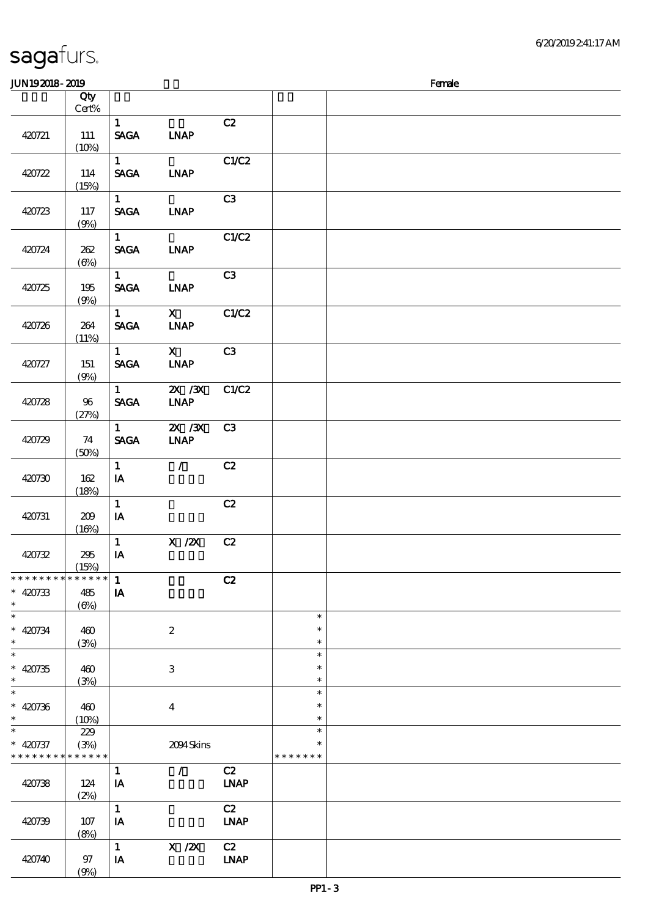| <b>JUN192018-2019</b>                                              |                                                |                                         |                                                       |                   |                            | Female |
|--------------------------------------------------------------------|------------------------------------------------|-----------------------------------------|-------------------------------------------------------|-------------------|----------------------------|--------|
|                                                                    | Qty<br>Cert%                                   |                                         |                                                       |                   |                            |        |
| 420721                                                             | 111<br>(10%)                                   | $\mathbf{1}$<br><b>SAGA</b>             | <b>INAP</b>                                           | C2                |                            |        |
| 420722                                                             | 114<br>(15%)                                   | $\mathbf{1}$<br><b>SAGA</b>             | <b>INAP</b>                                           | C1/C2             |                            |        |
| 420723                                                             | 117<br>(9%)                                    | $\mathbf{1}$<br><b>SAGA</b>             | <b>LNAP</b>                                           | C3                |                            |        |
| 420724                                                             | 262<br>$(\Theta)$                              | $\mathbf{1}$<br><b>SAGA</b>             | <b>LNAP</b>                                           | C1/C2             |                            |        |
| 420725                                                             | 195<br>(9%)                                    | $\mathbf{1}$<br><b>SAGA</b>             | <b>INAP</b>                                           | C3                |                            |        |
| 420726                                                             | 264<br>(11%)                                   | 1<br><b>SAGA</b>                        | $\mathbf{x}$<br><b>INAP</b>                           | C1/C2             |                            |        |
| 420727                                                             | 151<br>(9%)                                    | $\mathbf{1}$<br><b>SAGA</b>             | $\mathbf{X}$<br><b>INAP</b>                           | C3                |                            |        |
| 420728                                                             | 96<br>(27%)                                    | $1 -$<br><b>SAGA</b>                    | $\overline{\mathbf{X}}$ / $\mathbf{X}$<br><b>INAP</b> | C1/C2             |                            |        |
| 420729                                                             | 74<br>(50%)                                    | $1 \quad \blacksquare$<br><b>SAGA</b>   | $X \, X$<br><b>INAP</b>                               | C <sub>3</sub>    |                            |        |
| 420730                                                             | 162<br>(18%)                                   | $\mathbf{1}$<br>IA                      | $\mathcal{L}$                                         | C2                |                            |        |
| 420731                                                             | 209<br>(16%)                                   | $\mathbf{1}$<br>IA                      |                                                       | C2                |                            |        |
| 420732                                                             | 295<br>(15%)                                   | $\mathbf{1}$<br>IA                      | $\boldsymbol{X}$ / $\boldsymbol{Z}\!\boldsymbol{X}$   | C2                |                            |        |
| * * * * * * * *<br>$* 420733$<br>$\ast$                            | * * * * * *<br>485<br>$(\underline{\Theta\%})$ | $\mathbf{1}$<br>$\mathbf{I} \mathbf{A}$ |                                                       | C2                |                            |        |
| $\ast$<br>$* 420734$<br>$\ast$                                     | 460<br>(3%)                                    |                                         | $\boldsymbol{2}$                                      |                   | $\ast$<br>$\ast$<br>$\ast$ |        |
| $\ast$<br>$* 420735$<br>$\ast$                                     | 460<br>(3%)                                    |                                         | 3                                                     |                   | $\ast$<br>∗<br>$\ast$      |        |
| $\ast$<br>$* 420736$<br>$\ast$                                     | 460<br>(10%)                                   |                                         | $\boldsymbol{4}$                                      |                   | $\ast$<br>$\ast$<br>$\ast$ |        |
| $\ast$<br>$* 420737$<br>* * * * * * * * <mark>* * * * * *</mark> * | 229<br>(3%)                                    |                                         | 2094Skins                                             |                   | $\ast$<br>* * * * * * *    |        |
| 420738                                                             | 124<br>(2%)                                    | $\mathbf{1}$<br>IA                      | $\mathcal{L}$                                         | C2<br><b>LNAP</b> |                            |        |
| 420739                                                             | 107<br>(8%)                                    | $\mathbf 1$<br>IA                       |                                                       | C2<br><b>LNAP</b> |                            |        |
| 420740                                                             | $97$<br>(9%)                                   | $\mathbf{1}$<br>IA                      | X / ZX                                                | C2<br><b>LNAP</b> |                            |        |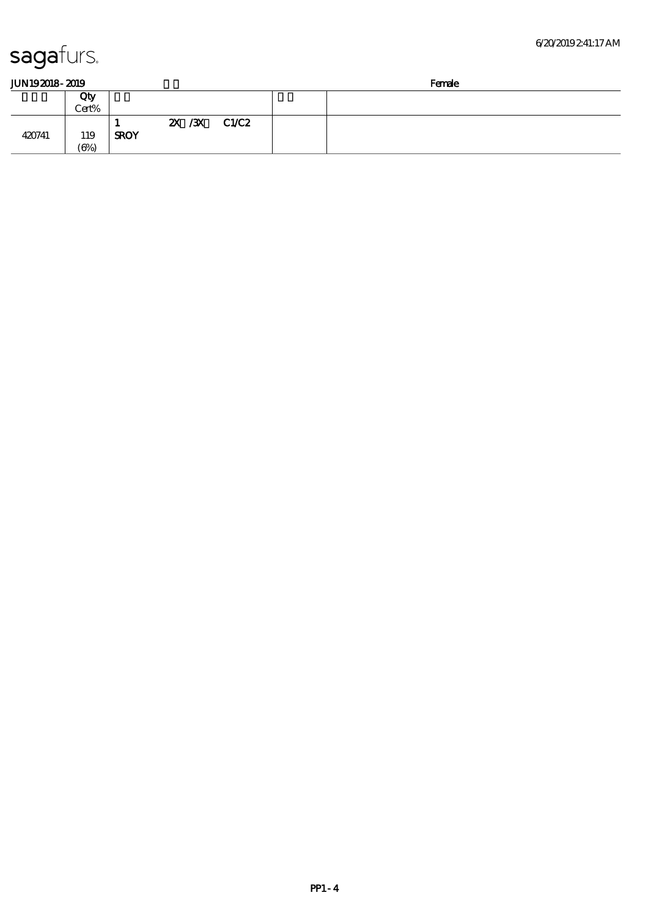|  | JUN192018-2019 |
|--|----------------|
|  |                |

| JUN 192018- | 2019   |  | <b>Femae</b><br>_______ |  |
|-------------|--------|--|-------------------------|--|
|             | $\sim$ |  |                         |  |

|        |                                   |             |  |         |       | ------ |  |  |
|--------|-----------------------------------|-------------|--|---------|-------|--------|--|--|
|        | Qty                               |             |  |         |       |        |  |  |
|        | Cert%                             |             |  |         |       |        |  |  |
| 420741 | 119<br>$\left(\bigoplus_{\alpha}$ | <b>SROY</b> |  | 2X / 3X | C1/C2 |        |  |  |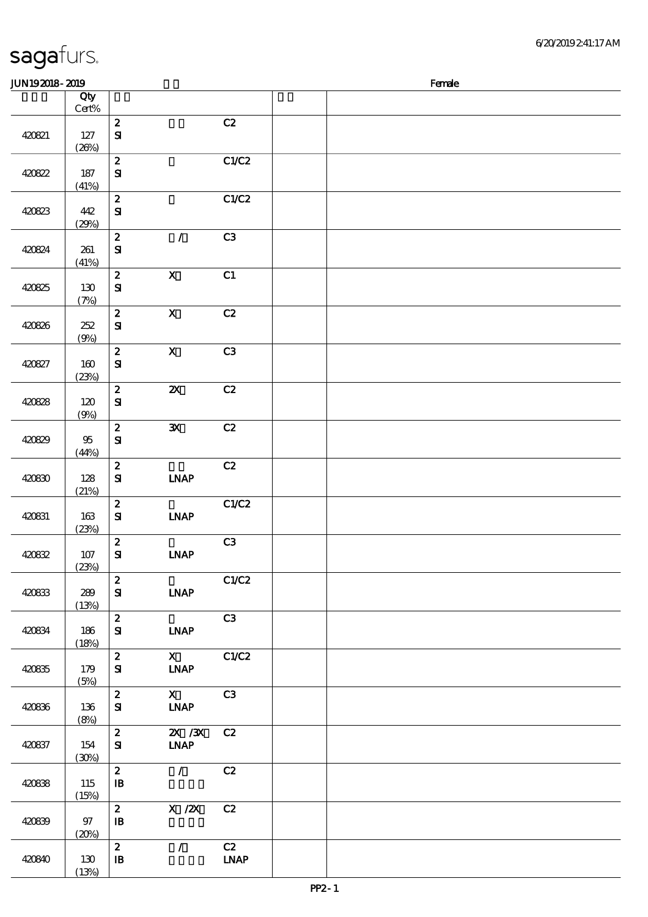|        | Qty             |                                  |                                          |                                    |  |
|--------|-----------------|----------------------------------|------------------------------------------|------------------------------------|--|
|        | $Cert\%$        |                                  |                                          |                                    |  |
| 420821 | $127$<br>(20%)  | $\pmb{2}$<br>$\mathbf{S}$        |                                          | $\mathbf{C2}$                      |  |
| 420822 | 187<br>(41%)    | $\pmb{2}$<br>$\mathbf{S}$        |                                          | C1/C2                              |  |
| 420823 | 442<br>(29%)    | $\boldsymbol{z}$<br>${\bf S}$    |                                          | C1/C2                              |  |
| 420824 | 261<br>(41%)    | $\boldsymbol{z}$<br>$\mathbf{S}$ | $\mathcal{L}$                            | C3                                 |  |
| 420825 | 130<br>(7%)     | $\boldsymbol{z}$<br>$\mathbf{S}$ | $\boldsymbol{\mathsf{X}}$                | C1                                 |  |
| 420826 | 252<br>(9%)     | $\boldsymbol{z}$<br>$\mathbf{S}$ | $\boldsymbol{\mathrm{X}}$                | C2                                 |  |
| 420827 | 160<br>(23%)    | $\pmb{2}$<br>$\mathbf{S}$        | $\mathbf X$                              | C3                                 |  |
| 420828 | 120<br>(9%)     | $\boldsymbol{z}$<br>$\mathbf{S}$ | $\boldsymbol{\mathsf{z}}$                | C2                                 |  |
| 420829 | $9\!5$<br>(44%) | $\boldsymbol{z}$<br>$\mathbf{S}$ | $\mathbf{x}$                             | C2                                 |  |
| 420830 | 128<br>(21%)    | $\boldsymbol{2}$<br>$\mathbf{S}$ | <b>INAP</b>                              | $\mathbf{C2}$                      |  |
| 420831 | 163<br>(23%)    | $\boldsymbol{2}$<br>${\bf S}$    | <b>INAP</b>                              | C1/C2                              |  |
| 420832 | $107$<br>(23%)  | $\boldsymbol{2}$<br>$\mathbf{S}$ | <b>INAP</b>                              | C3                                 |  |
| 420833 | 289<br>(13%)    | $\boldsymbol{2}$<br>${\bf S}$    | <b>INAP</b>                              | C1/C2                              |  |
| 420834 | 186<br>(18%)    | $\boldsymbol{z}$<br>${\bf S}$    | <b>INAP</b>                              | C3                                 |  |
| 420835 | 179<br>(5%)     | $\boldsymbol{z}$<br>$\mathbf{S}$ | $\mathbf{X}$<br><b>INAP</b>              | C1/C2                              |  |
| 420836 | 136<br>(8%)     | $\boldsymbol{z}$<br>${\bf S}$    | $\mathbf{X}$<br><b>LNAP</b>              | C3                                 |  |
| 420837 | 154<br>(30%)    | $\boldsymbol{z}$<br>${\bf S\!I}$ | $X \, X$<br>$\ensuremath{\mathbf{INAP}}$ | C2                                 |  |
| 420838 | 115<br>(15%)    | $\boldsymbol{z}$<br>$\mathbf{B}$ | $\mathcal{L}$                            | C2                                 |  |
| 420839 | $97\,$<br>(20%) | $\boldsymbol{z}$<br>$\mathbf{B}$ | $X \, /ZX$                               | C2                                 |  |
| 420840 | 130<br>(13%)    | $\boldsymbol{z}$<br>${\bf I\!B}$ | $\mathcal{L}$                            | C2<br>$\ensuremath{\mathbf{INAP}}$ |  |

 $J/N192018$ - $2019$  Female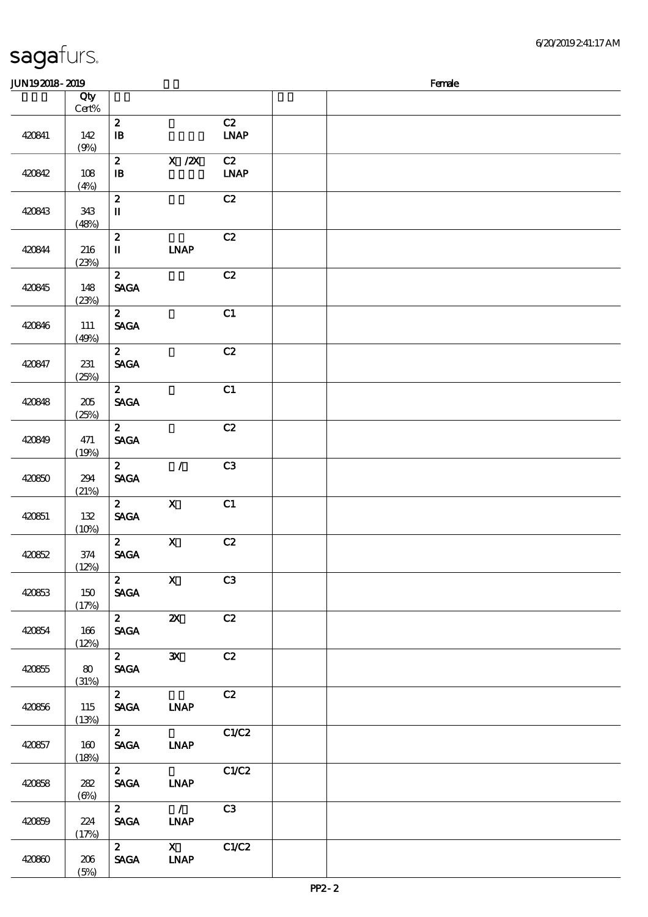| 6/20/2019241:17AM |
|-------------------|
|                   |

#### $J/N192018$ - $2019$  Female 顺序号 Qty Cert% 说明 价格 420841 142  $\frac{142}{(2)}$ 2  $C2$  $\overline{\mathbf{B}}$  in the LNAP 420842 108 (4%) 2 X /2X C2 IB 身体咬伤 LNAP 420843 343 (48%) 2  $C2$ II 420844 216 (23%) 2  $C<sub>2</sub>$ II LNAP 420845 148 (23%) 2  $C2$ SAGA 420846 111 (49%) 2 c1 SAGA 420847 231 (25%) 2 c2 SAGA 420848 205 (25%) 2  $C1$ SAGA 420849 471 (19%) 2  $C2$ SAGA 420850 294 (21%) 2 / C3 SAGA 420851 132  $2$  X C1 SAGA

|        | $(9\%)$             |                                                |                                              |                   |       |  |
|--------|---------------------|------------------------------------------------|----------------------------------------------|-------------------|-------|--|
| 420842 | 108<br>(4%)         | $\boldsymbol{z}$<br>$\, {\bf I} \! {\bf B} \,$ | $X$ / $ZX$                                   | C2<br><b>LNAP</b> |       |  |
| 420843 | 343<br>(48%)        | $\boldsymbol{2}$<br>$\mathbf{I}\mathbf{I}$     |                                              | C2                |       |  |
| 420844 | 216<br>(23%)        | $\mathbf{z}$<br>$\mathbf{I}\mathbf{I}$         | <b>INAP</b>                                  | C2                |       |  |
| 420845 | 148<br>(23%)        | $\mathbf{2}$<br><b>SAGA</b>                    |                                              | C2                |       |  |
| 420846 | 111<br>(49%)        | $2^{\circ}$<br><b>SAGA</b>                     |                                              | C1                |       |  |
| 420847 | 231<br>(25%)        | $\mathbf{2}$<br><b>SAGA</b>                    |                                              | C2                |       |  |
| 420848 | $205\,$<br>(25%)    | 2 <sup>7</sup><br>$\ensuremath{\mathsf{SAGA}}$ |                                              | C1                |       |  |
| 420849 | 471<br>(19%)        | $\mathbf{2}$<br><b>SAGA</b>                    |                                              | C2                |       |  |
| 420850 | 294<br>(21%)        | $\mathbf{z}$<br><b>SAGA</b>                    | $\mathcal{L}$                                | C3                |       |  |
| 420851 | 132<br>(10%)        | $2^{\circ}$<br>$\operatorname{\mathbf{SAGA}}$  | $\boldsymbol{X}$                             | C1                |       |  |
| 420852 | 374<br>(12%)        | $\mathbf{2}$<br><b>SAGA</b>                    | $\mathbf X$                                  | C2                |       |  |
| 420853 | 150<br>(17%)        | $\mathbf{z}$<br><b>SAGA</b>                    | $\mathbf X$                                  | C3                |       |  |
| 420854 | $166\,$<br>(12%)    | $\mathbf{2}$<br>$\operatorname{\mathsf{SAGA}}$ | $\boldsymbol{\mathsf{z}}$                    | C2                |       |  |
| 420855 | $\pmb{80}$<br>(31%) | $\mathbf{2}$<br><b>SAGA</b>                    | $\mathbf{x}$                                 | C2                |       |  |
| 420856 | 115<br>(13%)        | $\mathbf{z}$<br><b>SAGA</b>                    | <b>LNAP</b>                                  | C2                |       |  |
| 420857 | 160<br>(18%)        | $\mathbf{2}$<br><b>SAGA</b>                    | <b>INAP</b>                                  | C1/C2             |       |  |
| 420858 | 282<br>$(\Theta)$   | $\boldsymbol{z}$<br><b>SAGA</b>                | <b>INAP</b>                                  | C1/C2             |       |  |
| 420859 | 224<br>(17%)        | $\mathbf{z}$<br><b>SAGA</b>                    | $\mathcal{T}$<br><b>LNAP</b>                 | C3                |       |  |
| 420860 | $206\,$<br>(5%)     | $\mathbf{2}$<br>$\operatorname{\mathsf{SAGA}}$ | $\mathbf{X}$<br>$\ensuremath{\mathbf{INAP}}$ | C1/C2             |       |  |
|        |                     |                                                |                                              |                   | PP2-2 |  |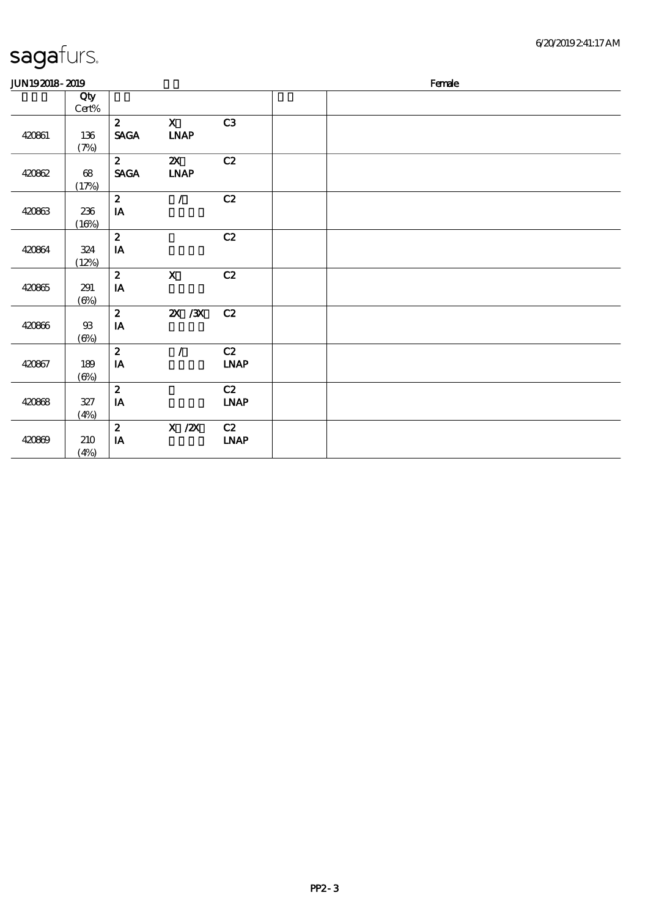#### 6/20/2019 2:41:17 AM

| <b>JUN192018-2019</b> |                               |                                            |                                                           |                                    | Female |  |  |  |  |
|-----------------------|-------------------------------|--------------------------------------------|-----------------------------------------------------------|------------------------------------|--------|--|--|--|--|
|                       | Qty<br>Cert%                  |                                            |                                                           |                                    |        |  |  |  |  |
| 420861                | 136<br>(7%)                   | $\mathbf{2}$<br><b>SAGA</b>                | $\mathbf{X}$<br><b>LNAP</b>                               | C3                                 |        |  |  |  |  |
| 420862                | $\pmb{\mathfrak{G}}$<br>(17%) | $\mathbf{2}$<br><b>SAGA</b>                | $\boldsymbol{\mathsf{Z}}$<br>$\ensuremath{\mathbf{INAP}}$ | C2                                 |        |  |  |  |  |
| 420863                | 236<br>(16%)                  | $\boldsymbol{z}$<br>$\mathbf{I}\mathbf{A}$ | $\mathcal{L}$                                             | C2                                 |        |  |  |  |  |
| 420864                | 324<br>(12%)                  | $\boldsymbol{2}$<br>$\mathbf{IA}$          |                                                           | C2                                 |        |  |  |  |  |
| 420865                | 291<br>$(\Theta\% )$          | $\boldsymbol{z}$<br>IA                     | $\mathbf X$                                               | C2                                 |        |  |  |  |  |
| 420866                | $93$<br>$(\Theta)$            | $\boldsymbol{z}$<br>$\,$ IA                | $X \, X$                                                  | C2                                 |        |  |  |  |  |
| 420867                | 189<br>$(\Theta)$             | $\boldsymbol{z}$<br>$\,$ IA                | $\sqrt{2}$                                                | C2<br><b>LNAP</b>                  |        |  |  |  |  |
| 420868                | 327<br>(4%)                   | $\boldsymbol{2}$<br>IA                     |                                                           | C2<br>$\ensuremath{\mathbf{INAP}}$ |        |  |  |  |  |
| 420869                | 210<br>(4%)                   | $\boldsymbol{2}$<br>$\mathbf{I}\mathbf{A}$ | $X$ / $ZX$                                                | C2<br>$\ensuremath{\mathbf{INAP}}$ |        |  |  |  |  |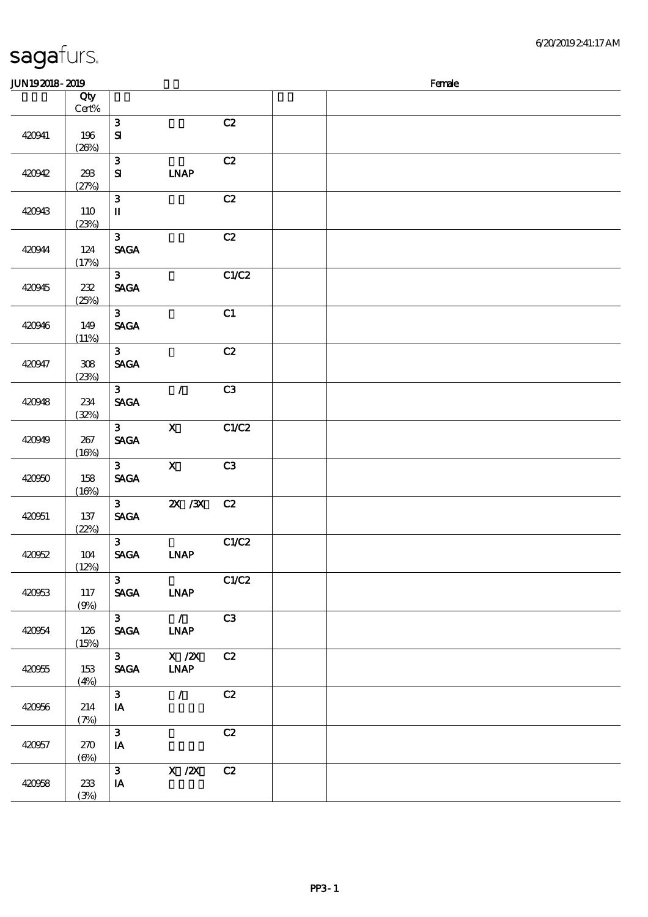| JUN192018-2019 |                        |                                              |                                                                                             |       | Female |
|----------------|------------------------|----------------------------------------------|---------------------------------------------------------------------------------------------|-------|--------|
|                | Qty<br>$\mbox{Cert}\%$ |                                              |                                                                                             |       |        |
| 420941         | 196<br>(20%)           | $\mathbf{3}$<br>${\bf S}$                    |                                                                                             | C2    |        |
| 420942         | 293<br>(27%)           | $\mathbf{3}$<br>${\bf S}$                    | <b>INAP</b>                                                                                 | C2    |        |
| 420943         | 110<br>(23%)           | $\mathbf{3}$<br>$\mathbf I$                  |                                                                                             | C2    |        |
| 420944         | 124<br>(17%)           | $\mathbf{3}$<br><b>SAGA</b>                  |                                                                                             | C2    |        |
| 420945         | $232\,$<br>(25%)       | 3 <sup>7</sup><br><b>SAGA</b>                |                                                                                             | C1/C2 |        |
| 420946         | 149<br>(11%)           | $\mathbf{3}$<br><b>SAGA</b>                  |                                                                                             | C1    |        |
| 420947         | $308\,$<br>(23%)       | 3 <sup>1</sup><br><b>SAGA</b>                |                                                                                             | C2    |        |
| 420948         | 234<br>(32%)           | 3 <sup>1</sup><br><b>SAGA</b>                | $\mathcal{F}$                                                                               | C3    |        |
| 420949         | 267<br>(16%)           | 3 <sup>1</sup><br><b>SAGA</b>                | $\mathbf{X}$                                                                                | C1/C2 |        |
| 420950         | 158<br>(16%)           | 3 <sup>1</sup><br><b>SAGA</b>                | $\mathbf{x}$                                                                                | C3    |        |
| 420051         | 137<br>(22%)           | 3 <sup>1</sup><br><b>SAGA</b>                | $X \, X$                                                                                    | C2    |        |
| 420052         | 104<br>(12%)           | $\mathbf{3}$<br>$\ensuremath{\mathsf{SAGA}}$ | <b>INAP</b>                                                                                 | C1/C2 |        |
| 420953         | 117<br>(9%)            | 3 <sup>1</sup><br><b>SAGA</b>                | <b>INAP</b>                                                                                 | C1/C2 |        |
| 420054         | 126<br>(15%)           | $3^{\circ}$<br><b>SAGA</b>                   | $\overline{\phantom{a}}$<br><b>LNAP</b>                                                     | C3    |        |
| 420955         | 153<br>(4%)            | $3^{\circ}$<br><b>SAGA</b>                   | $\boldsymbol{\mathrm{X}}$ / $\boldsymbol{\mathrm{Z}}\boldsymbol{\mathrm{X}}$<br><b>LNAP</b> | C2    |        |
| 420956         | 214<br>(7%)            | 3 <sup>1</sup><br>IA                         | $\mathcal{L}$                                                                               | C2    |        |
| 420957         | 270<br>$(\Theta)$      | $\mathbf{3}$<br>$I\!\!A$                     |                                                                                             | C2    |        |
| 420958         | 233<br>(3%)            | $\mathbf{3}$<br>$\mathbf{IA}$                | X / ZX                                                                                      | C2    |        |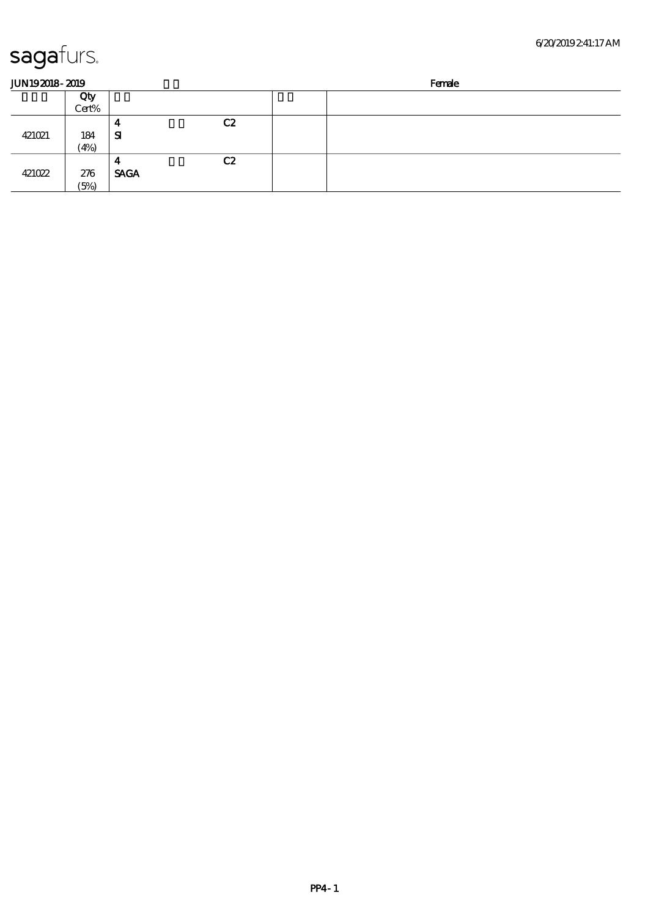| <b>JUN192018-2019</b> |       |             |    | Female |  |  |
|-----------------------|-------|-------------|----|--------|--|--|
|                       | Qty   |             |    |        |  |  |
|                       | Cert% |             |    |        |  |  |
|                       |       | 4           | C2 |        |  |  |
| 421021                | 184   | ${\bf s}$   |    |        |  |  |
|                       | (4%)  |             |    |        |  |  |
|                       |       | 4           | C2 |        |  |  |
| 421022                | 276   | <b>SAGA</b> |    |        |  |  |
|                       | (5%)  |             |    |        |  |  |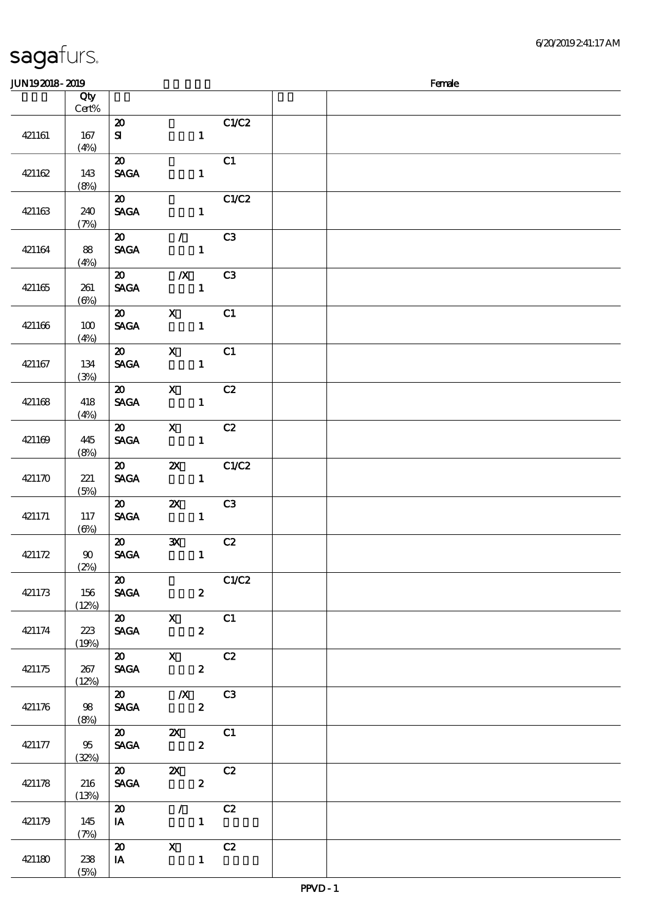|        | Qty<br>Cert%         |                                            |                                                                                                    |                         |  |
|--------|----------------------|--------------------------------------------|----------------------------------------------------------------------------------------------------|-------------------------|--|
|        |                      | $\boldsymbol{\mathfrak{D}}$                |                                                                                                    | C1/C2                   |  |
| 421161 | 167<br>(4%)          | ${\bf s}$                                  | $\mathbf{1}$                                                                                       |                         |  |
| 421162 | 143<br>(8%)          | $\boldsymbol{\mathfrak{D}}$<br><b>SAGA</b> | $\mathbf{1}$                                                                                       | C1                      |  |
| 421163 | 240<br>(7%)          | $\boldsymbol{\omega}$<br><b>SAGA</b>       | $\sim$ 1                                                                                           | C1/C2                   |  |
| 421164 | 88<br>(4%)           | $\boldsymbol{\mathsf{20}}$<br><b>SAGA</b>  | $\mathcal{L}$ and $\mathcal{L}$<br>$\mathbf{1}$                                                    | C3                      |  |
| 421165 | 261<br>$(\Theta)$    | $\boldsymbol{\omega}$<br><b>SAGA</b>       | $\mathbb{X}$<br>$\overline{\phantom{a}}$ 1                                                         | C <sub>3</sub>          |  |
| 421166 | 100<br>(4%)          | $\boldsymbol{\mathfrak{D}}$<br><b>SAGA</b> | $\mathbf{X}$<br>$\mathbf{1}$                                                                       | C1                      |  |
| 421167 | 134<br>(3%)          | $\boldsymbol{\mathsf{20}}$<br><b>SAGA</b>  | $\overline{\mathbf{X}}$<br>$\mathbf{1}$                                                            | $\overline{\text{c}}$ 1 |  |
| 421168 | 418<br>(4%)          | $\boldsymbol{\omega}$<br><b>SAGA</b>       | $\mathbf{X}$<br>$\frac{1}{2}$ and $\frac{1}{2}$                                                    | C2                      |  |
| 421169 | 445<br>(8%)          | <b>SAGA</b>                                | $\overline{\text{20}}$ $\overline{\text{X}}$<br>$\mathbf{1}$                                       | C2                      |  |
| 421170 | 221<br>(5%)          | <b>SAGA</b>                                | $\overline{\text{20}}$ $\overline{\text{2X}}$ $\text{C1/C2}$                                       | 1                       |  |
| 421171 | 117<br>$(\Theta)$    | $\infty$<br><b>SAGA</b>                    | <b>2X</b> C3                                                                                       | 1                       |  |
| 421172 | $90^{\circ}$<br>(2%) | $\boldsymbol{\mathfrak{D}}$<br><b>SAGA</b> | 3X C2<br>$\overline{\mathbf{1}}$                                                                   |                         |  |
| 421173 | 156<br>(12%)         | $\boldsymbol{\mathsf{20}}$<br><b>SAGA</b>  | $\overline{\mathbf{c}}$                                                                            | C1/C2                   |  |
| 421174 | 223<br>(19%)         | <b>SAGA</b>                                | $\overline{\text{20}}$ $\overline{\text{X}}$ $\overline{\text{C1}}$<br>$\boldsymbol{2}$            |                         |  |
| 421175 | 267<br>(12%)         | <b>SAGA</b>                                | $\overline{20}$ $\overline{X}$ $C2$<br>$\overline{\mathbf{z}}$                                     |                         |  |
| 421176 | 98<br>(8%)           |                                            | $\overline{\text{20}}$ $\overline{\text{X}}$ $\overline{\text{C3}}$<br><b>SAGA</b><br>$\mathbf{2}$ |                         |  |
| 421177 | 95<br>(32%)          |                                            | 20 2X C1<br>SAGA 2                                                                                 |                         |  |
| 421178 | 216<br>(13%)         |                                            | 20 2X C2<br>SAGA 2                                                                                 |                         |  |
| 421179 | 145<br>(7%)          | $\overline{\boldsymbol{z}}$<br>$I$ A       | $\sqrt{C^2}$<br>$\mathbf{1}$                                                                       |                         |  |
| 421180 | 238<br>(5%)          | $\boldsymbol{\omega}$<br>$I$ A             | $\begin{array}{c c}\nX & C2 \\ 1\n\end{array}$                                                     |                         |  |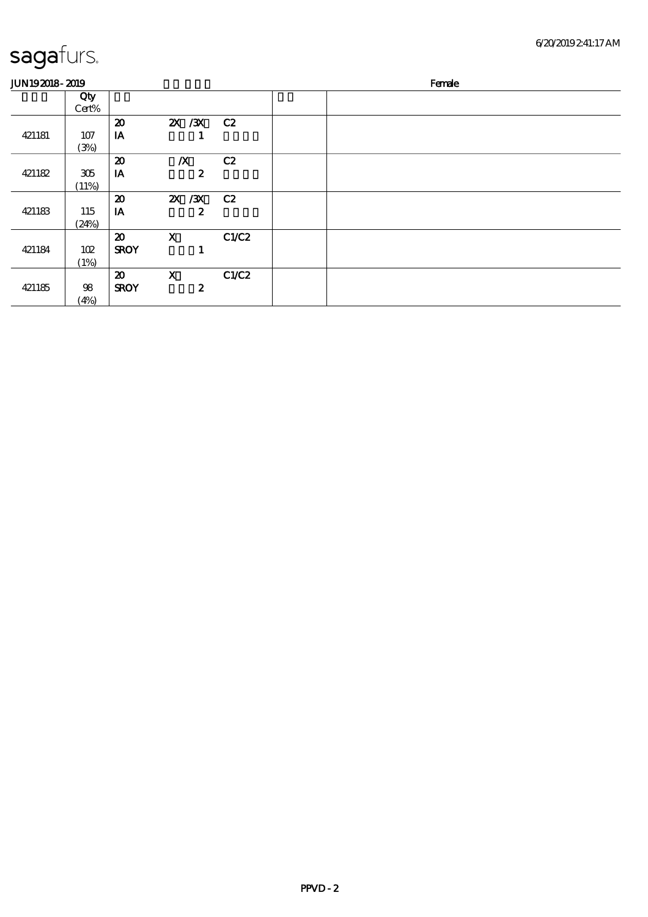| <b>JUN192018-2019</b> |              |                             |                  |       | Female |
|-----------------------|--------------|-----------------------------|------------------|-------|--------|
|                       | Qty<br>Cert% |                             |                  |       |        |
|                       |              | $\boldsymbol{\mathbf{z}}$   | 2X / 3X C 2      |       |        |
| 421181                | 107          | IA                          |                  |       |        |
|                       | (3%)         |                             |                  |       |        |
|                       |              | $\boldsymbol{\mathfrak{D}}$ | $\boldsymbol{X}$ | C2    |        |
| 421182                | 305          | IA                          | $\boldsymbol{z}$ |       |        |
|                       | (11%)        |                             |                  |       |        |
|                       |              | $\boldsymbol{\mathfrak{D}}$ | 2X / 3X          | C2    |        |
| 421183                | 115          | IA                          | $\boldsymbol{z}$ |       |        |
|                       | (24%)        |                             |                  |       |        |
|                       |              | $\boldsymbol{\mathfrak{D}}$ | $\mathbf X$      | C1/C2 |        |
| 421184                | 102          | <b>SROY</b>                 |                  |       |        |
|                       | (1%)         |                             |                  |       |        |
|                       |              | $\boldsymbol{\mathfrak{D}}$ | $\mathbf x$      | C1/C2 |        |
| 421185                | 98           | <b>SROY</b>                 | $\boldsymbol{2}$ |       |        |
|                       | (4%)         |                             |                  |       |        |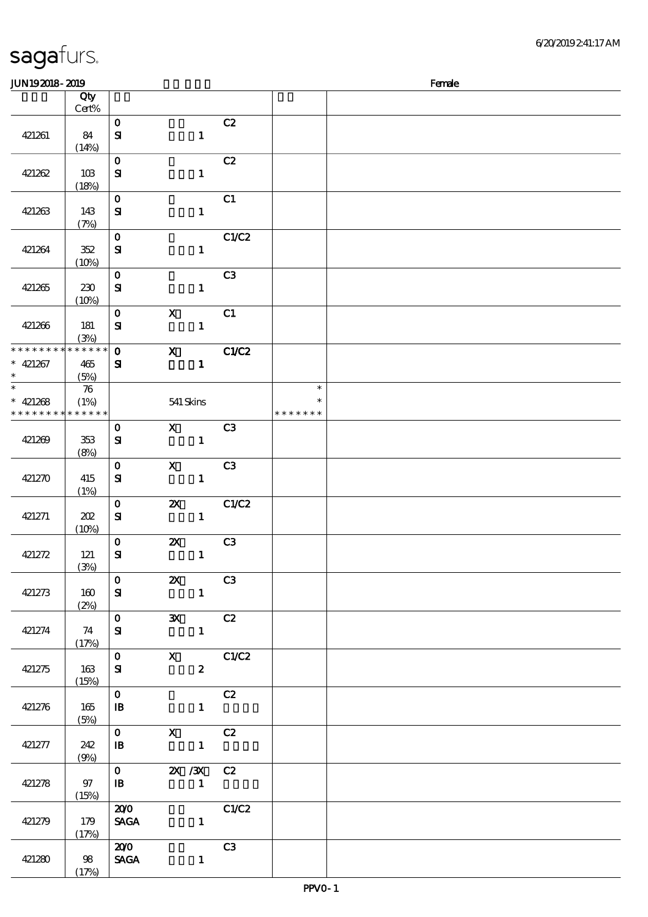| <b>JUN192018-2019</b> |                    |                            |                                                       |                                                                                             |                |               | Female |
|-----------------------|--------------------|----------------------------|-------------------------------------------------------|---------------------------------------------------------------------------------------------|----------------|---------------|--------|
|                       | Qty                |                            |                                                       |                                                                                             |                |               |        |
|                       | Cert%              |                            |                                                       |                                                                                             |                |               |        |
|                       |                    | $\mathbf{o}$               |                                                       |                                                                                             | C2             |               |        |
| 421261                | 84                 | $\mathbf{S}$               |                                                       | $\mathbf{1}$                                                                                |                |               |        |
|                       | (14%)              |                            |                                                       |                                                                                             |                |               |        |
|                       |                    | $\mathbf{O}$               |                                                       |                                                                                             | C2             |               |        |
| 421262                | 10B                | ${\bf s}$                  |                                                       | $\mathbf{1}$                                                                                |                |               |        |
|                       |                    |                            |                                                       |                                                                                             |                |               |        |
|                       | (18%)              |                            |                                                       |                                                                                             |                |               |        |
|                       |                    | $\mathbf{o}$               |                                                       |                                                                                             | C1             |               |        |
| 421263                | 143                | ${\bf S\!I}$               |                                                       | $\mathbf{1}$                                                                                |                |               |        |
|                       | (7%)               |                            |                                                       |                                                                                             |                |               |        |
|                       |                    | $\mathbf{o}$               |                                                       |                                                                                             | C1/C2          |               |        |
| 421264                | 352                | ${\bf s}$                  |                                                       | $\mathbf{1}$                                                                                |                |               |        |
|                       | (10%)              |                            |                                                       |                                                                                             |                |               |        |
|                       |                    | $\mathbf 0$                |                                                       |                                                                                             | C <sub>3</sub> |               |        |
| 421265                | 230                | ${\bf s}$                  |                                                       | $\mathbf{1}$                                                                                |                |               |        |
|                       | (10%)              |                            |                                                       |                                                                                             |                |               |        |
|                       |                    | $\mathbf{o}$               | $\boldsymbol{\mathrm{X}}$                             |                                                                                             | C1             |               |        |
| 421266                | 181                | ${\bf S}$                  |                                                       | $\mathbf{1}$                                                                                |                |               |        |
|                       | (3%)               |                            |                                                       |                                                                                             |                |               |        |
| * * * * * * * *       | * * * * * *        | $\mathbf{o}$               | $\mathbf{x}$                                          |                                                                                             | C1/C2          |               |        |
| $* 421267$            | 465                | ${\bf s}$                  |                                                       | $\mathbf{1}$                                                                                |                |               |        |
| $\ast$                | (5%)               |                            |                                                       |                                                                                             |                |               |        |
| $\overline{\ast}$     | $\boldsymbol{\pi}$ |                            |                                                       |                                                                                             |                | $\ast$        |        |
| $* 421268$            | (1%)               |                            |                                                       | 541 Skins                                                                                   |                | $\ast$        |        |
| * * * * * * * *       | * * * * * *        |                            |                                                       |                                                                                             |                | * * * * * * * |        |
|                       |                    | $\mathbf{o}$               |                                                       | $\mathbf X$ and $\mathbf X$ and $\mathbf X$ and $\mathbf X$ and $\mathbf X$ and $\mathbf X$ | C <sub>3</sub> |               |        |
| 421269                | 353                |                            |                                                       | $\mathbf{1}$                                                                                |                |               |        |
|                       |                    | ${\bf s}$                  |                                                       |                                                                                             |                |               |        |
|                       | (8%)               |                            |                                                       |                                                                                             |                |               |        |
|                       |                    | $\mathbf{o}$               | $\boldsymbol{\mathrm{X}}$                             |                                                                                             | C <sub>3</sub> |               |        |
| 421270                | 415                | ${\bf s}$                  |                                                       | $\mathbf{1}$                                                                                |                |               |        |
|                       | (1%)               |                            |                                                       |                                                                                             |                |               |        |
|                       |                    | $\mathbf O$                |                                                       | $\mathbf{X}$                                                                                | C1/C2          |               |        |
| 421271                | 202                | ${\bf s}$                  |                                                       | $\mathbf{1}$                                                                                |                |               |        |
|                       | (10%)              |                            |                                                       |                                                                                             |                |               |        |
|                       |                    | $\mathbf{o}$               | $\boldsymbol{\mathsf{Z}}$                             |                                                                                             | C <sub>3</sub> |               |        |
| 421272                | 121                | ${\bf s}$                  |                                                       | $\mathbf{1}$                                                                                |                |               |        |
|                       | (3%)               |                            |                                                       |                                                                                             |                |               |        |
|                       |                    | $\mathbf{O}$               | $\overline{\textbf{z}}$ as $\overline{\textbf{z}}$ c3 |                                                                                             |                |               |        |
| 421273                | 160                | ${\bf s}$                  |                                                       | $\blacksquare$                                                                              |                |               |        |
|                       | (2%)               |                            |                                                       |                                                                                             |                |               |        |
|                       |                    | 0 3X C2                    |                                                       |                                                                                             |                |               |        |
| 421274                | 74                 | ${\bf s}$                  |                                                       | $\mathbf{1}$                                                                                |                |               |        |
|                       | (17%)              |                            |                                                       |                                                                                             |                |               |        |
|                       |                    | $0 \qquad X \qquad CLC2$   |                                                       |                                                                                             |                |               |        |
| 421275                | 163                | ${\bf s}$                  |                                                       | $2^{\circ}$                                                                                 |                |               |        |
|                       | (15%)              |                            |                                                       |                                                                                             |                |               |        |
|                       |                    | $\mathbf{O}$               |                                                       |                                                                                             | C2             |               |        |
| 421276                | 165                | $\mathbf{B}$               |                                                       | $\mathbf{1}$                                                                                |                |               |        |
|                       |                    |                            |                                                       |                                                                                             |                |               |        |
|                       | (5%)               | $\mathbf{0}$               | $X$ $C2$                                              |                                                                                             |                |               |        |
|                       |                    |                            |                                                       |                                                                                             |                |               |        |
| 421277                | 242                | $\mathbf{B}$               |                                                       | $\sim$ $\sim$ $\sim$ $\sim$ $\sim$ $\sim$                                                   |                |               |        |
|                       | (9%)               |                            |                                                       |                                                                                             |                |               |        |
|                       |                    | 0 $2X / 3X$ C <sub>2</sub> |                                                       |                                                                                             |                |               |        |
| 421278                | 97                 | $\mathbf{B}$               | $\mathbf{1}$                                          |                                                                                             |                |               |        |
|                       | (15%)              |                            |                                                       |                                                                                             |                |               |        |
|                       |                    | 200                        |                                                       |                                                                                             | C1/C2          |               |        |
| 421279                | 179                | <b>SAGA</b>                |                                                       | $\mathbf{1}$                                                                                |                |               |        |
|                       | (17%)              |                            |                                                       |                                                                                             |                |               |        |
|                       |                    | 200                        |                                                       |                                                                                             | C3             |               |        |
| 421280                | 98                 | <b>SAGA</b>                |                                                       | $\mathbf{1}$                                                                                |                |               |        |
|                       | (17%)              |                            |                                                       |                                                                                             |                |               |        |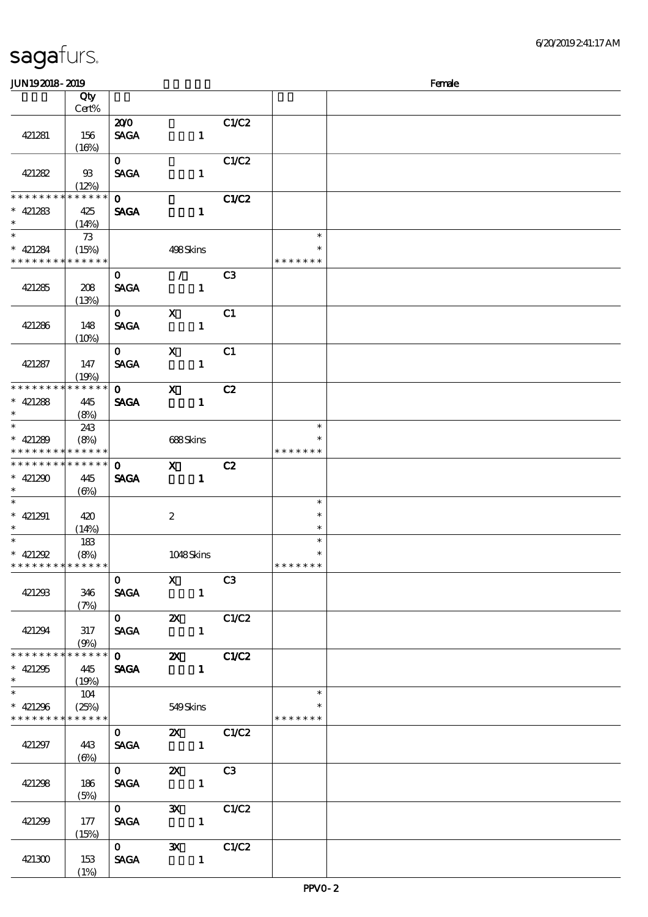| <b>saga</b> furs. |  |
|-------------------|--|
|                   |  |

| <b>JUN192018-2019</b>                                                 |                                  |                             |                                           |                                |                                   | Female |
|-----------------------------------------------------------------------|----------------------------------|-----------------------------|-------------------------------------------|--------------------------------|-----------------------------------|--------|
|                                                                       | Qty<br>Cert%                     |                             |                                           |                                |                                   |        |
| 421281                                                                | 156<br>(16%)                     | 200<br><b>SAGA</b>          |                                           | C1/C2<br>$\mathbf{1}$          |                                   |        |
| 421282                                                                | $\mathfrak{B}$<br>(12%)          | $\mathbf{O}$<br><b>SAGA</b> |                                           | C1/C2<br>$\mathbf{1}$          |                                   |        |
| * * * * * * *<br>$* 421283$<br>$\ast$                                 | * * * * * *<br>425<br>(14%)      | $\mathbf{o}$<br><b>SAGA</b> |                                           | C1/C2<br>$\mathbf{1}$          |                                   |        |
| $\overline{\ast}$<br>$* 421284$<br>* * * * * * * *                    | - 73<br>(15%)<br>* * * * * *     |                             | 498Skins                                  |                                | $\ast$<br>$\ast$<br>* * * * * * * |        |
| 421285                                                                | 208<br>(13%)                     | $\mathbf{o}$<br><b>SAGA</b> | $\mathcal{L}$                             | C <sub>3</sub><br>$\mathbf{1}$ |                                   |        |
| 421286                                                                | 148<br>$(10\%)$                  | $\mathbf{O}$<br><b>SAGA</b> | $\mathbf{x}$                              | C <sub>1</sub><br>$\mathbf{1}$ |                                   |        |
| 421287                                                                | 147<br>(19%)                     | $\mathbf{O}$<br><b>SAGA</b> | $\mathbf{x}$                              | C1<br>$\mathbf{1}$             |                                   |        |
| * * * * * * * *<br>$* 421288$<br>$\ast$                               | * * * * * *<br>445<br>(8%)       | $\mathbf{O}$<br><b>SAGA</b> | $\mathbf{x}$                              | C2<br>$\mathbf{1}$             |                                   |        |
| $\overline{\ast}$<br>$* 421289$<br>* * * * *<br>* * *                 | 243<br>(8%)<br>* * * * * *       |                             | 688Skins                                  |                                | $\ast$<br>$\ast$<br>* * * * * * * |        |
| * * * * * * * *<br>$* 421290$<br>$\ast$                               | * * * * * *<br>445<br>$(\Theta)$ | $\mathbf{O}$<br><b>SAGA</b> | $\mathbf{x}$                              | C2<br>$\mathbf{1}$             |                                   |        |
| $\ast$<br>$* 421291$<br>$\ast$                                        | 420<br>(14%)                     |                             | $\boldsymbol{2}$                          |                                | $\ast$<br>$\ast$<br>$\ast$        |        |
| $\overline{\phantom{0}}$<br>$* 421292$<br>* * * * * * * * * * * * * * | 183<br>(8%)                      |                             | 1048Skins                                 |                                | $\ast$<br>$\ast$<br>* * * * * * * |        |
| 421293                                                                | 346<br>(7%)                      | $\mathbf{O}$<br><b>SAGA</b> | $\mathbf{x}$<br>$\blacksquare$            | C3                             |                                   |        |
| 421294                                                                | 317<br>(9%)                      |                             | <b>SAGA</b>                               | C1/C2<br>$\mathbf{1}$          |                                   |        |
| * * * * * * * * * * * * * *<br>$* 421295$<br>$\ast$                   | 445<br>(19%)                     |                             | SAGA 1                                    |                                |                                   |        |
| $\overline{\ast}$<br>$* 421296$<br>* * * * * * * *                    | 104<br>(25%)<br>******           |                             | 549Skins                                  |                                | $\ast$<br>$\ast$<br>* * * * * * * |        |
| 421297                                                                | 443<br>$(\Theta)$                | $\mathbf 0$<br><b>SAGA</b>  | $\sim$ $\sim$ $\sim$ $\sim$ $\sim$ $\sim$ | <b>2X</b> C1/C2                |                                   |        |
| 421298                                                                | 186<br>(5%)                      | $\mathbf 0$                 | <b>SAGA</b>                               | <b>2X</b> C3<br>$\mathbf{1}$   |                                   |        |
| 421299                                                                | 177<br>(15%)                     | $\mathbf 0$                 | SAGA 1                                    | 3X C1/C2                       |                                   |        |
| 421300                                                                | 153<br>(1%)                      |                             | SAGA 1                                    | 0 3X C1/C2                     |                                   |        |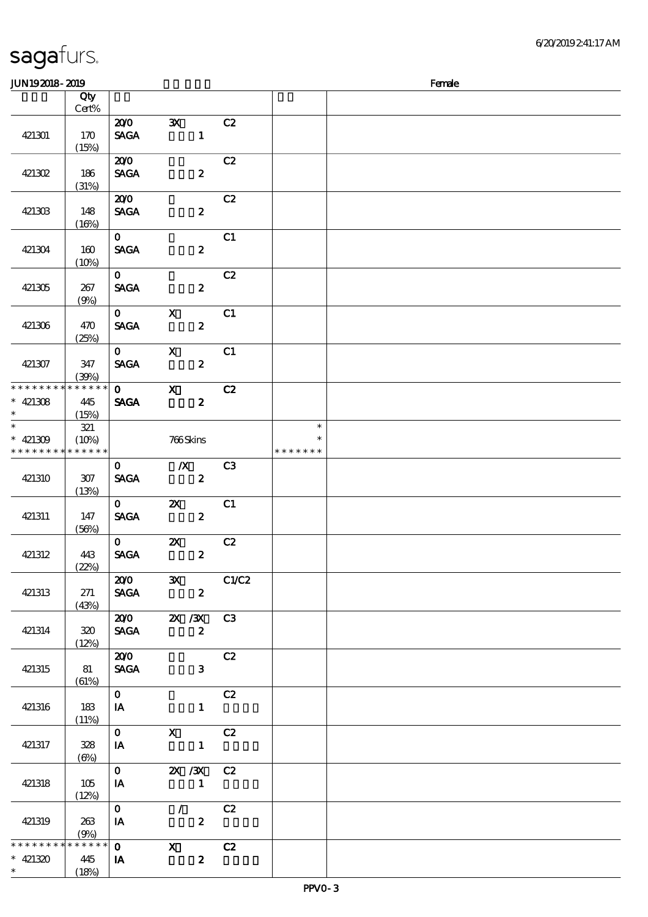| <b>JUN192018-2019</b>                              |                             |                                       |                                                                                                                                                                                                                                                                                                                                                                                                                                                                                                |                |                              | Female |
|----------------------------------------------------|-----------------------------|---------------------------------------|------------------------------------------------------------------------------------------------------------------------------------------------------------------------------------------------------------------------------------------------------------------------------------------------------------------------------------------------------------------------------------------------------------------------------------------------------------------------------------------------|----------------|------------------------------|--------|
|                                                    | Qty<br>Cert%                |                                       |                                                                                                                                                                                                                                                                                                                                                                                                                                                                                                |                |                              |        |
| 421301                                             | 170<br>(15%)                | 200<br><b>SAGA</b>                    | $\mathbf{x}$<br>$\mathbf{1}$                                                                                                                                                                                                                                                                                                                                                                                                                                                                   | C2             |                              |        |
| 421302                                             | 186<br>(31%)                | 200<br><b>SAGA</b>                    | $\boldsymbol{z}$                                                                                                                                                                                                                                                                                                                                                                                                                                                                               | C2             |                              |        |
| 421303                                             | 148<br>(16%)                | 200<br><b>SAGA</b>                    | $\boldsymbol{z}$                                                                                                                                                                                                                                                                                                                                                                                                                                                                               | C2             |                              |        |
| 421304                                             | 160<br>(10%)                | $\mathbf{O}$<br><b>SACA</b>           | $\boldsymbol{z}$                                                                                                                                                                                                                                                                                                                                                                                                                                                                               | C1             |                              |        |
| 421305                                             | 267<br>(9%)                 | $\mathbf{O}$<br><b>SAGA</b>           | $\boldsymbol{z}$                                                                                                                                                                                                                                                                                                                                                                                                                                                                               | C2             |                              |        |
| 421306                                             | 470<br>(25%)                | $\mathbf{0}$<br><b>SAGA</b>           | $\mathbf x$<br>$\boldsymbol{z}$                                                                                                                                                                                                                                                                                                                                                                                                                                                                | C1             |                              |        |
| 421307                                             | 347<br>(30%)                | $\mathbf{O}$<br><b>SAGA</b>           | $\mathbf{x}$<br>$\boldsymbol{z}$                                                                                                                                                                                                                                                                                                                                                                                                                                                               | C1             |                              |        |
| * * * * * * * *<br>$* 421308$<br>$\ast$            | * * * * * *<br>445<br>(15%) | $\mathbf{O}$<br><b>SAGA</b>           | $\mathbf{X}$<br>$\boldsymbol{z}$                                                                                                                                                                                                                                                                                                                                                                                                                                                               | C2             |                              |        |
| $\overline{\ast}$<br>$* 421309$<br>* * * * * * * * | 321<br>(10%)<br>* * * * * * |                                       | 766Skins                                                                                                                                                                                                                                                                                                                                                                                                                                                                                       |                | $\ast$<br>∗<br>* * * * * * * |        |
| 421310                                             | $307$<br>(13%)              | $\mathbf{O}$<br><b>SAGA</b>           | $\mathbf{X}$<br>$\boldsymbol{z}$                                                                                                                                                                                                                                                                                                                                                                                                                                                               | C <sub>3</sub> |                              |        |
| 421311                                             | 147<br>(56%)                | $\mathbf{O}$<br><b>SAGA</b>           | $\mathbf{X}$<br>$\boldsymbol{z}$                                                                                                                                                                                                                                                                                                                                                                                                                                                               | C1             |                              |        |
| 421312                                             | 443<br>(22%)                | $\mathbf{O}$<br><b>SAGA</b>           | $\boldsymbol{\mathsf{Z}}$<br>$\pmb{2}$                                                                                                                                                                                                                                                                                                                                                                                                                                                         | C2             |                              |        |
| 421313                                             | 271<br>(43%)                | <b>SAGA</b>                           | $\overline{200}$ $\overline{3}$ $\overline{3}$<br>$\mathbf{2}$                                                                                                                                                                                                                                                                                                                                                                                                                                 | C1/C2          |                              |        |
| 421314                                             | 320<br>(12%)                | SAGA                                  | $\overline{200}$ $\overline{2}$ $\overline{2}$ $\overline{3}$ $\overline{3}$ $\overline{3}$ $\overline{3}$<br>$\overline{\mathbf{2}}$                                                                                                                                                                                                                                                                                                                                                          |                |                              |        |
| 421315                                             | 81<br>(61%)                 | 200<br><b>SAGA</b>                    | 3 <sup>1</sup>                                                                                                                                                                                                                                                                                                                                                                                                                                                                                 | C2             |                              |        |
| 421316                                             | 183<br>(11%)                | $\mathbf{O}$<br>$I$ A                 | $\mathbf{1}$                                                                                                                                                                                                                                                                                                                                                                                                                                                                                   | C2             |                              |        |
| 421317                                             | 328<br>$(\Theta\%$          | $\mathbf{O}$<br>$\mathbf{I}$ <b>A</b> | $X$ $C2$<br>$\mathbf{1}$                                                                                                                                                                                                                                                                                                                                                                                                                                                                       |                |                              |        |
| 421318                                             | 105<br>(12%)                | $\mathbf{O}$<br>IA                    | 2X / 3X C 2<br>$\overline{\phantom{a}}$ $\overline{\phantom{a}}$ $\overline{\phantom{a}}$ $\overline{\phantom{a}}$ $\overline{\phantom{a}}$ $\overline{\phantom{a}}$ $\overline{\phantom{a}}$ $\overline{\phantom{a}}$ $\overline{\phantom{a}}$ $\overline{\phantom{a}}$ $\overline{\phantom{a}}$ $\overline{\phantom{a}}$ $\overline{\phantom{a}}$ $\overline{\phantom{a}}$ $\overline{\phantom{a}}$ $\overline{\phantom{a}}$ $\overline{\phantom{a}}$ $\overline{\phantom{a}}$ $\overline{\$ |                |                              |        |
| 421319                                             | 263<br>(9%)                 | $\mathbf{O}$<br>IA                    | $\mathcal{L}$<br>$\boldsymbol{z}$                                                                                                                                                                                                                                                                                                                                                                                                                                                              | C2             |                              |        |
| * * * * * * * *                                    | * * * * * *                 | $\overline{\textbf{0}}$ x             |                                                                                                                                                                                                                                                                                                                                                                                                                                                                                                | C2             |                              |        |
| $* 421320$<br>$\ast$                               | 445<br>(18%)                | IA                                    | $\boldsymbol{z}$                                                                                                                                                                                                                                                                                                                                                                                                                                                                               |                |                              |        |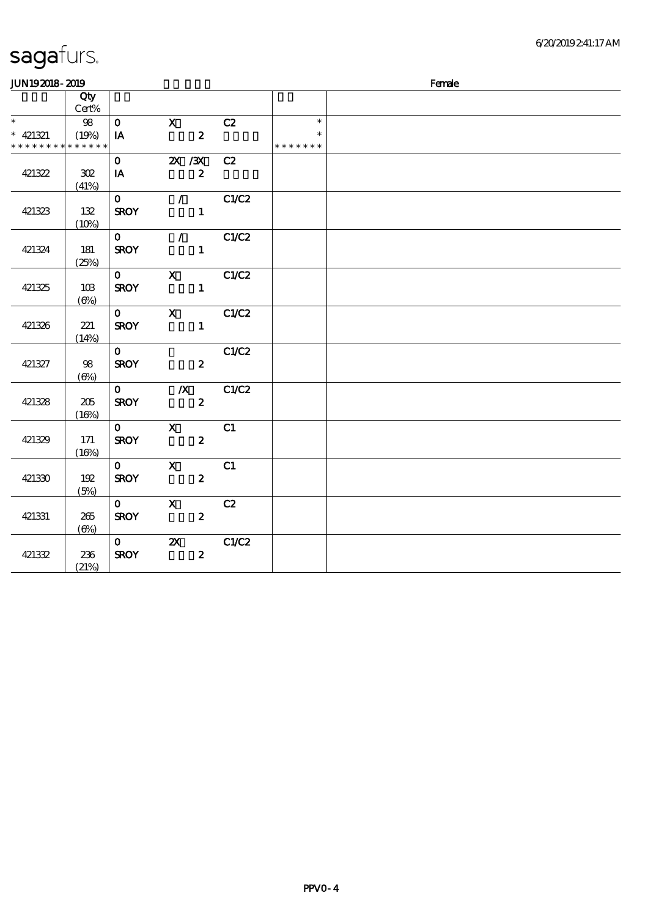| JUN192018-2019              |              |              |                           |       |               | Female |
|-----------------------------|--------------|--------------|---------------------------|-------|---------------|--------|
|                             | Qty<br>Cert% |              |                           |       |               |        |
| $\ast$                      | $98\,$       | $\mathbf{O}$ | $\mathbf{X}$              | C2    | $\ast$        |        |
| $* 421321$                  | (19%)        | IA           | $\boldsymbol{z}$          |       | $\ast$        |        |
| * * * * * * * * * * * * * * |              |              |                           |       | * * * * * * * |        |
|                             |              | $\mathbf{O}$ | 2X / 3X                   | C2    |               |        |
| 421322                      | 302          | IA           | $\boldsymbol{z}$          |       |               |        |
|                             | (41%)        |              |                           |       |               |        |
|                             |              | $\mathbf{O}$ | $\mathcal{L}$             | C1/C2 |               |        |
| 421323                      | 132          | <b>SROY</b>  | $\mathbf{1}$              |       |               |        |
|                             | (10%)        |              |                           |       |               |        |
|                             |              | $\mathbf{0}$ | $\mathcal{L}$             | C1/C2 |               |        |
| 421324                      | 181          | <b>SROY</b>  | $\mathbf{1}$              |       |               |        |
|                             | (25%)        |              |                           |       |               |        |
|                             |              | $\mathbf{0}$ | $\mathbf{x}$              | C1/C2 |               |        |
| 421325                      | 10B          | <b>SROY</b>  | $\mathbf{1}$              |       |               |        |
|                             | $(\Theta)$   |              |                           |       |               |        |
|                             |              | $\mathbf{O}$ | $\mathbf{X}$              | C1/C2 |               |        |
| 421326                      | 221          | <b>SROY</b>  | $\mathbf{1}$              |       |               |        |
|                             | (14%)        |              |                           |       |               |        |
|                             |              | $\mathbf{O}$ |                           | C1/C2 |               |        |
| 421327                      | 98           | <b>SROY</b>  | $\boldsymbol{z}$          |       |               |        |
|                             | $(\Theta)$   |              |                           |       |               |        |
|                             |              | $\mathbf{O}$ | $\mathbf{X}$              | C1/C2 |               |        |
| 421328                      | 205          | <b>SROY</b>  | $\boldsymbol{z}$          |       |               |        |
|                             | (16%)        |              |                           |       |               |        |
|                             |              | $\mathbf{0}$ | $\mathbf{X}$              | C1    |               |        |
| 421329                      | 171          | <b>SROY</b>  | $\boldsymbol{z}$          |       |               |        |
|                             | (16%)        |              |                           |       |               |        |
|                             |              | $\mathbf{O}$ | $\mathbf x$               | C1    |               |        |
| 421330                      | 192          | <b>SROY</b>  | $\boldsymbol{z}$          |       |               |        |
|                             | (5%)         |              |                           |       |               |        |
|                             |              | $\mathbf{O}$ | $\mathbf{x}$              | C2    |               |        |
| 421331                      | 265          | <b>SROY</b>  | $\boldsymbol{z}$          |       |               |        |
|                             | $(\Theta)$   |              |                           |       |               |        |
|                             |              | $\mathbf{O}$ | $\boldsymbol{\mathsf{Z}}$ | C1/C2 |               |        |
| 421332                      | 236          | <b>SROY</b>  | $\boldsymbol{z}$          |       |               |        |
|                             | (21%)        |              |                           |       |               |        |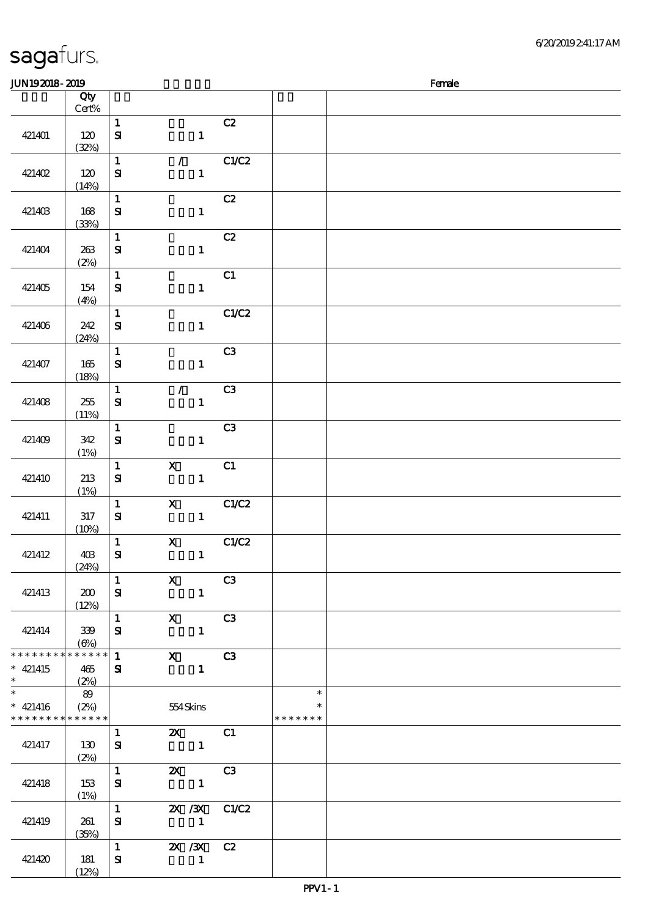| JUN192018-2019                            |                          |                              |                                           |       |                         | Female |
|-------------------------------------------|--------------------------|------------------------------|-------------------------------------------|-------|-------------------------|--------|
|                                           | Qty                      |                              |                                           |       |                         |        |
|                                           | Cert%                    |                              |                                           |       |                         |        |
|                                           |                          | $\mathbf{1}$                 |                                           | C2    |                         |        |
| 421401                                    | 120<br>(32%)             | $\mathbf{S}$                 | $\mathbf{1}$                              |       |                         |        |
|                                           |                          | $\mathbf{1}$                 | $\mathcal{T}$                             | C1/C2 |                         |        |
| 421402                                    | 120<br>(14%)             | $\mathbf{S}$                 | $\mathbf{1}$                              |       |                         |        |
|                                           |                          | $\mathbf{1}$                 |                                           | C2    |                         |        |
| 421403                                    | 168<br>(33%)             | ${\bf S}$                    | $\mathbf{1}$                              |       |                         |        |
|                                           |                          | $\mathbf{1}$                 |                                           | C2    |                         |        |
| 421404                                    | 263<br>(2%)              | $\mathbf{S}$                 | $\mathbf{1}$                              |       |                         |        |
|                                           |                          | $\mathbf{1}$                 |                                           | C1    |                         |        |
| 421405                                    | 154                      | ${\bf s}$                    | $\mathbf{1}$                              |       |                         |        |
|                                           | (4%)                     | $\mathbf{1}$                 |                                           | C1/C2 |                         |        |
| 421406                                    | 242                      | $\mathbf{S}$                 | $\mathbf{1}$                              |       |                         |        |
|                                           | (24%)                    | $\mathbf{1}$                 |                                           | C3    |                         |        |
| 421407                                    | 165                      | $\bf S\!I$                   | $\mathbf{1}$                              |       |                         |        |
|                                           | (18%)                    |                              |                                           |       |                         |        |
|                                           |                          | $\mathbf{1}$<br>$\mathbf{S}$ | $\mathcal{L}$<br>$\mathbf{1}$             | C3    |                         |        |
| 421408                                    | 255<br>(11%)             |                              |                                           |       |                         |        |
|                                           |                          | $\mathbf{1}$                 |                                           | C3    |                         |        |
| 421409                                    | 342                      | $\mathbf{S}$                 | $\mathbf{1}$                              |       |                         |        |
|                                           | (1%)                     |                              |                                           |       |                         |        |
|                                           |                          | $\mathbf 1$                  | $\boldsymbol{\mathrm{X}}$                 | C1    |                         |        |
| 421410                                    | 213                      | ${\bf s}$                    | $\mathbf{1}$                              |       |                         |        |
|                                           | (1%)                     |                              |                                           |       |                         |        |
|                                           |                          | $\mathbf{1}$                 | $\boldsymbol{\mathsf{X}}$                 | C1/C2 |                         |        |
| 421411                                    | 317                      | ${\bf s}$                    | $\mathbf{1}$                              |       |                         |        |
|                                           | (10%)                    |                              |                                           |       |                         |        |
|                                           |                          | $\mathbf{1}$                 | $\mathbf X$                               | C1/C2 |                         |        |
| 421412                                    | 40 <sup>3</sup><br>(24%) | ${\bf S\!I}$                 | $\mathbf{1}$                              |       |                         |        |
|                                           |                          | $\mathbf{1}$                 | $\overline{\textbf{X}}$ C3                |       |                         |        |
| 421413                                    | 200<br>(12%)             | ${\bf s}$                    | $\mathbf{1}$                              |       |                         |        |
|                                           |                          |                              | 1 X C3                                    |       |                         |        |
| 421414                                    | 339                      | ${\bf s}$                    | $\mathbf{1}$                              |       |                         |        |
|                                           | (6%)                     |                              |                                           |       |                         |        |
| $**********$                              | * * * * * *              |                              | $\overline{1}$ X C3                       |       |                         |        |
| $*$ 421415                                | 465                      | ${\bf s}$                    |                                           |       |                         |        |
| $\ast$<br>$\ast$                          | (2%)                     |                              |                                           |       |                         |        |
|                                           | 89                       |                              |                                           |       | $\ast$                  |        |
| $* 421416$<br>* * * * * * * * * * * * * * | (2%)                     |                              | 554 Skins                                 |       | $\ast$<br>* * * * * * * |        |
|                                           |                          | $1 -$                        | <b>2X</b> C1                              |       |                         |        |
| 421417                                    | 130                      | ${\bf s}$                    | $\sim$ $\sim$ $\sim$ $\sim$ $\sim$ $\sim$ |       |                         |        |
|                                           | (2%)                     |                              |                                           |       |                         |        |
|                                           |                          | $1 \quad \blacksquare$       | <b>2X</b> C3                              |       |                         |        |
| 421418                                    | 153                      | ${\bf s}$                    | $\overline{\mathbf{1}}$                   |       |                         |        |
|                                           | (1%)                     |                              |                                           |       |                         |        |
|                                           |                          |                              | $1 \qquad \qquad$<br>2X / 3X C1/C2        |       |                         |        |
| 421419                                    | 261                      | ${\bf s}$                    | $\sim$ $\sim$ 1                           |       |                         |        |
|                                           | (35%)                    |                              |                                           |       |                         |        |
|                                           |                          |                              | 1 $2X / 3X$ C <sub>2</sub>                |       |                         |        |
| 421420                                    | 181                      | ${\bf s}$                    | $\blacksquare$                            |       |                         |        |
|                                           | (12%)                    |                              |                                           |       |                         |        |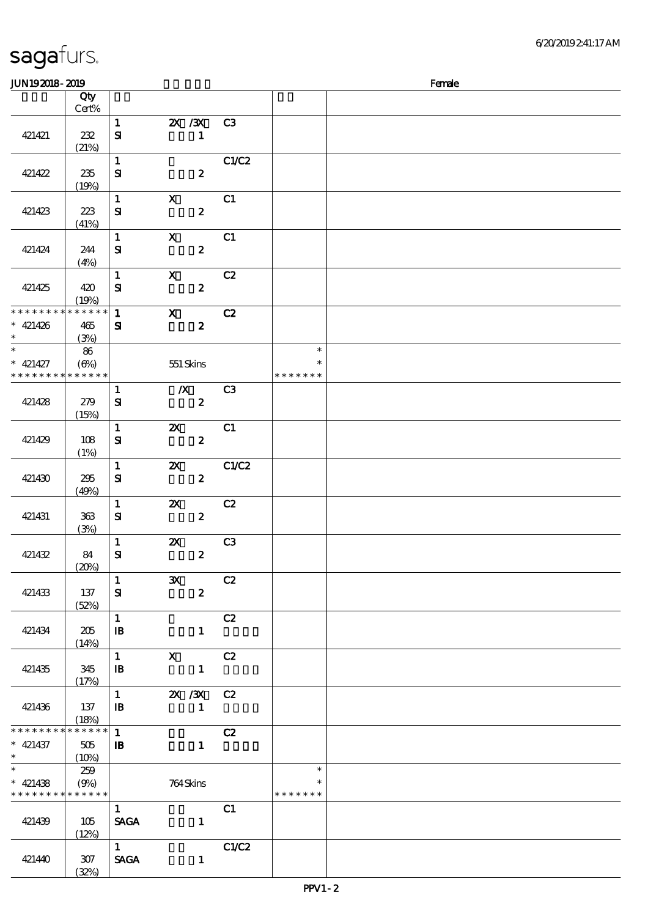|                                                        | Qty             |                                            |                                               |       |                                   |  |
|--------------------------------------------------------|-----------------|--------------------------------------------|-----------------------------------------------|-------|-----------------------------------|--|
|                                                        | Cert%           |                                            |                                               |       |                                   |  |
| 421421                                                 | 232             | $\mathbf{1}$<br>$\mathbf{S}$               | 2X / 3X C3<br>$\mathbf{1}$                    |       |                                   |  |
| 421422                                                 | (21%)<br>235    | $\mathbf{1}$<br>${\bf S}$                  | $\boldsymbol{z}$                              | C1/C2 |                                   |  |
|                                                        | (19%)           |                                            |                                               |       |                                   |  |
| 421423                                                 | 223<br>(41%)    | $\mathbf{1}$<br>${\bf S\!I}$               | $\boldsymbol{\mathrm{X}}$<br>$\boldsymbol{z}$ | C1    |                                   |  |
| 421424                                                 | 244<br>(4%)     | $\mathbf{1}$<br>${\bf s}$                  | $\mathbf X$<br>$\boldsymbol{z}$               | C1    |                                   |  |
| 421425                                                 | 420<br>(19%)    | $\mathbf{1}$<br>${\bf s}$                  | $\mathbf{x}$<br>$\boldsymbol{z}$              | C2    |                                   |  |
| * * * * * * * * * * * * * *<br>$* 421426$              | 465             | $\mathbf{1}$<br>${\bf s}$                  | $\mathbf{x}$<br>$\boldsymbol{z}$              | C2    |                                   |  |
| $\ast$<br>$\overline{\ast}$                            | (3%)            |                                            |                                               |       | $\ast$                            |  |
| $* 421427$<br>* * * * * * * * <mark>* * * * * *</mark> | 86<br>(6%)      |                                            | $551$ Skins                                   |       | $\ast$<br>* * * * * * *           |  |
|                                                        |                 | $\mathbf{1}$                               | $\mathbf{X}$                                  | C3    |                                   |  |
| 421428                                                 | 279<br>(15%)    | ${\bf s}$                                  | $\boldsymbol{z}$                              |       |                                   |  |
| 421429                                                 | 108<br>(1%)     | $\mathbf{1}$<br>${\bf S\hspace{-.075ex}I}$ | $\boldsymbol{\mathsf{X}}$<br>$\boldsymbol{z}$ | C1    |                                   |  |
| 421430                                                 | 295<br>(49%)    | $\mathbf{1}$<br>${\bf s}$                  | $\boldsymbol{\mathsf{Z}}$<br>$\boldsymbol{z}$ | C1/C2 |                                   |  |
| 421431                                                 | 363<br>(3%)     | $\mathbf{1}$<br>${\bf s}$                  | $\boldsymbol{\mathsf{z}}$<br>$\boldsymbol{z}$ | C2    |                                   |  |
| 421432                                                 | 84<br>(20%)     | $\mathbf{1}$<br>${\bf s}$                  | $\boldsymbol{\mathsf{Z}}$<br>$\boldsymbol{z}$ | C3    |                                   |  |
| 421433                                                 | 137<br>(52%)    | $\sqrt{1}$<br>${\bf s}$                    | 3X C2<br>$\boldsymbol{z}$                     |       |                                   |  |
| 421434                                                 | 205<br>(14%)    | $\mathbf{1}$<br>$\mathbf{B}$               | $\mathbf{1}$                                  | C2    |                                   |  |
| 421435                                                 | 345<br>(17%)    | $\mathbf{1}$<br>$\mathbf{B}$               | $\mathbf{x}$<br>$\mathbf{1}$                  | C2    |                                   |  |
| 421436                                                 | 137<br>(18%)    | $\mathbf{1}$<br>$\mathbf{B}$               | 2X / 3X C2<br>$\mathbf{1}$                    |       |                                   |  |
| * * * * * * * * * * * * * *<br>$* 421437$<br>$\ast$    | 505<br>$(10\%)$ | $\mathbf{1}$<br>$\mathbf{B}$               | $\mathbf{1}$                                  | C2    |                                   |  |
| $\ast$<br>$* 421438$<br>* * * * * * * * * * * * * *    | 259<br>(9%)     |                                            | 764Skins                                      |       | $\ast$<br>$\ast$<br>* * * * * * * |  |
| 421439                                                 | 105<br>(12%)    | $1 -$<br><b>SAGA</b>                       | $\mathbf{1}$                                  | C1    |                                   |  |
| 421440                                                 | 307<br>(32%)    | 1<br>$\operatorname{\mathsf{SAGA}}$        | $\mathbf{1}$                                  | C1/C2 |                                   |  |

 $JUN192018 - 2019$  Female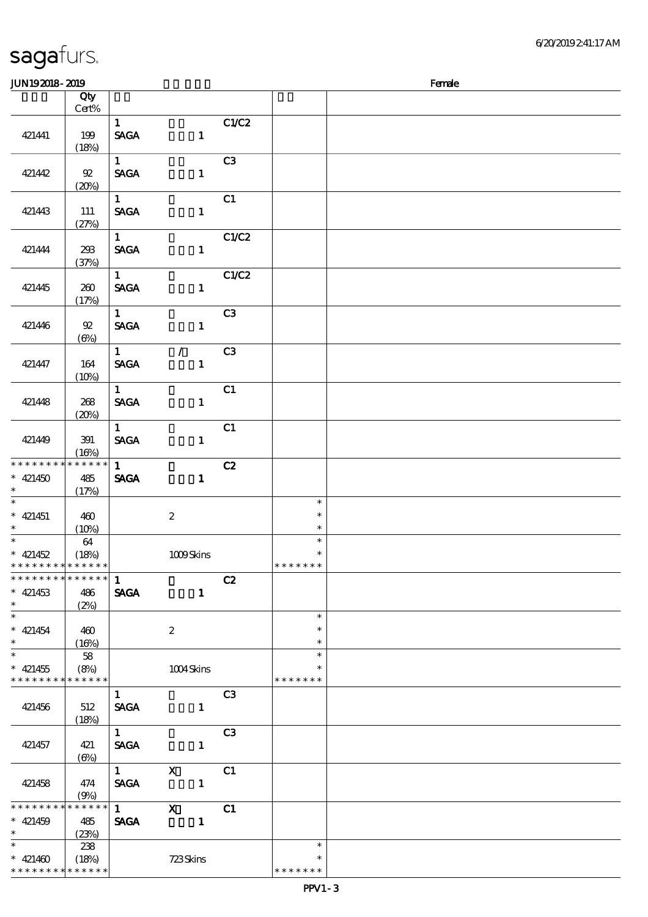| <b>JUN192018-2019</b>                                                 |                                |                                       |                               |                |                                   | Female |
|-----------------------------------------------------------------------|--------------------------------|---------------------------------------|-------------------------------|----------------|-----------------------------------|--------|
|                                                                       | Qty<br>Cert%                   |                                       |                               |                |                                   |        |
| 421441                                                                | 199<br>(18%)                   | $\mathbf{1}$<br><b>SAGA</b>           | $\mathbf{1}$                  | C1/C2          |                                   |        |
| 421442                                                                | $92\,$<br>(20%)                | $1 \quad \blacksquare$<br><b>SAGA</b> | $\mathbf{1}$                  | C3             |                                   |        |
| 421443                                                                | 111<br>(27%)                   | $1 -$<br><b>SAGA</b>                  | $\mathbf{1}$                  | C1             |                                   |        |
| 421444                                                                | 238<br>(37%)                   | $1 \quad$<br><b>SAGA</b>              | $\mathbf{1}$                  | C1/C2          |                                   |        |
| 421445                                                                | 260<br>(17%)                   | $1 \quad \blacksquare$<br><b>SAGA</b> | $\mathbf{1}$                  | C1/C2          |                                   |        |
| 421446                                                                | ${\mathfrak{A}}$<br>$(\Theta)$ | $1 -$<br><b>SAGA</b>                  | $\mathbf{1}$                  | C3             |                                   |        |
| 421447                                                                | 164<br>(10%)                   | 1<br><b>SAGA</b>                      | $\mathcal{L}$<br>$\mathbf{1}$ | C3             |                                   |        |
| 421448                                                                | 268<br>(20%)                   | $1 \quad$<br><b>SAGA</b>              | $\mathbf{1}$                  | C1             |                                   |        |
| 421449                                                                | 391<br>(16%)                   | $1 -$<br><b>SAGA</b>                  | $\mathbf{1}$                  | C1             |                                   |        |
| * * * * * * * *<br>$* 421450$<br>$\ast$                               | * * * * * *<br>485<br>(17%)    | $1 -$<br><b>SAGA</b>                  | $\mathbf{1}$                  | C2             |                                   |        |
| $\overline{\phantom{0}}$<br>$* 421451$<br>$\ast$                      | 460<br>(10%)                   |                                       | $\boldsymbol{2}$              |                | $\ast$<br>$\ast$<br>$\ast$        |        |
| $\overline{\phantom{0}}$<br>$* 421452$<br>* * * * * * * * * * * * * * | 64<br>(18%)                    |                                       | 1009Skins                     |                | $\ast$<br>$\ast$<br>* * * * * * * |        |
| * * * * * * * * * * * * * *<br>$*$ 421453<br>$\ast$                   | 486<br>(2%)                    | $\mathbf{1}$<br><b>SAGA</b>           | $\mathbf{1}$                  | C2             |                                   |        |
| $\overline{\phantom{0}}$<br>$* 421454$<br>$\ast$                      | 460<br>(16%)                   |                                       | $\boldsymbol{2}$              |                | $\ast$<br>$\ast$<br>$\ast$        |        |
| $_{\ast}^{-}$<br>$* 421455$<br>* * * * * * * *                        | 58<br>(8%)<br>* * * * * *      |                                       | $1004\mbox{Skirs}$            |                | $\ast$<br>$\ast$<br>* * * * * * * |        |
| 421456                                                                | 512<br>(18%)                   | $\mathbf{1}$<br><b>SAGA</b>           | $\mathbf{1}$                  | C3             |                                   |        |
| 421457                                                                | 421<br>$(\Theta)$              | $1 -$<br><b>SAGA</b>                  | $\mathbf{1}$                  | C <sub>3</sub> |                                   |        |
| 421458                                                                | 474<br>(9%)                    | $1 -$<br><b>SAGA</b>                  | $\mathbf X$<br>$\mathbf{1}$   | C1             |                                   |        |
| * * * * * * * *<br>$* 421459$<br>$\ast$                               | * * * * * *<br>485<br>(23%)    | $1 \quad \blacksquare$<br><b>SAGA</b> | $\mathbf{x}$<br>$\mathbf{1}$  | C1             |                                   |        |
| $\ast$<br>$* 421460$<br>* * * * * * * * * * * * * *                   | 238<br>(18%)                   |                                       | 723Skins                      |                | $\ast$<br>$\ast$<br>* * * * * * * |        |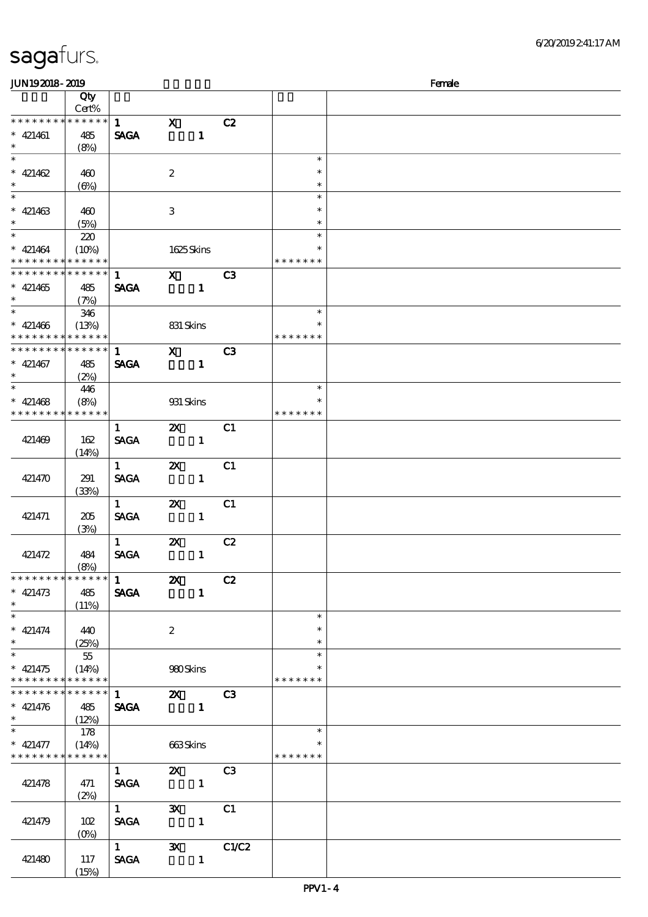| JUN192018-2019                             |                 |                                              |                                                                                                                                                                                                                                                                                                                                 |                |               | Female |
|--------------------------------------------|-----------------|----------------------------------------------|---------------------------------------------------------------------------------------------------------------------------------------------------------------------------------------------------------------------------------------------------------------------------------------------------------------------------------|----------------|---------------|--------|
|                                            | Qty             |                                              |                                                                                                                                                                                                                                                                                                                                 |                |               |        |
|                                            | Cert%           |                                              |                                                                                                                                                                                                                                                                                                                                 |                |               |        |
| * * * * * * * *                            | $* * * * * *$   | $1 \qquad \qquad$                            | $\mathbf{x}$                                                                                                                                                                                                                                                                                                                    | C2             |               |        |
| $* 421461$                                 | 485             | <b>SAGA</b>                                  | $\mathbf{1}$                                                                                                                                                                                                                                                                                                                    |                |               |        |
| $\ast$                                     | (8%)            |                                              |                                                                                                                                                                                                                                                                                                                                 |                |               |        |
|                                            |                 |                                              |                                                                                                                                                                                                                                                                                                                                 |                | $\ast$        |        |
| $* 421462$                                 | 460             |                                              | $\boldsymbol{2}$                                                                                                                                                                                                                                                                                                                |                | $\ast$        |        |
| $\ast$                                     | $(\Theta)$      |                                              |                                                                                                                                                                                                                                                                                                                                 |                | $\ast$        |        |
|                                            |                 |                                              |                                                                                                                                                                                                                                                                                                                                 |                | $\ast$        |        |
|                                            |                 |                                              |                                                                                                                                                                                                                                                                                                                                 |                | $\ast$        |        |
| $* 421463$<br>$\ast$                       | 460             |                                              | 3                                                                                                                                                                                                                                                                                                                               |                |               |        |
|                                            | (5%)            |                                              |                                                                                                                                                                                                                                                                                                                                 |                | $\ast$        |        |
| $*$                                        | 220             |                                              |                                                                                                                                                                                                                                                                                                                                 |                | $\ast$        |        |
| $* 421464$                                 | (10%)           |                                              | 1625Skins                                                                                                                                                                                                                                                                                                                       |                | $\ast$        |        |
| * * * * * * * * * * * * * *                |                 |                                              |                                                                                                                                                                                                                                                                                                                                 |                | * * * * * * * |        |
| * * * * * * * * * * * * * * <mark>*</mark> |                 | $\mathbf{1}$                                 | $\mathbf x$ and $\mathbf x$ and $\mathbf x$ and $\mathbf x$ and $\mathbf x$ and $\mathbf x$ and $\mathbf x$ and $\mathbf x$ and $\mathbf x$ and $\mathbf x$ and $\mathbf x$ and $\mathbf x$ and $\mathbf x$ and $\mathbf x$ and $\mathbf x$ and $\mathbf x$ and $\mathbf x$ and $\mathbf x$ and $\mathbf x$ and $\mathbf x$ and | C <sub>3</sub> |               |        |
| $* 421465$                                 | 485             | <b>SAGA</b>                                  | $\sim$ $\sim$ 1                                                                                                                                                                                                                                                                                                                 |                |               |        |
| $*$                                        | (7%)            |                                              |                                                                                                                                                                                                                                                                                                                                 |                |               |        |
|                                            | 346             |                                              |                                                                                                                                                                                                                                                                                                                                 |                | $\ast$        |        |
| $* 421466$                                 | (13%)           |                                              | 831 Skins                                                                                                                                                                                                                                                                                                                       |                | $\ast$        |        |
| * * * * * * * * <mark>* * * * * *</mark>   |                 |                                              |                                                                                                                                                                                                                                                                                                                                 |                | * * * * * * * |        |
| * * * * * * * * <mark>* * * * * * *</mark> |                 | $1 \quad \blacksquare$                       | $\mathbf x$ and $\mathbf x$ and $\mathbf x$ and $\mathbf x$ and $\mathbf x$ and $\mathbf x$ and $\mathbf x$ and $\mathbf x$ and $\mathbf x$ and $\mathbf x$ and $\mathbf x$ and $\mathbf x$ and $\mathbf x$ and $\mathbf x$ and $\mathbf x$ and $\mathbf x$ and $\mathbf x$ and $\mathbf x$ and $\mathbf x$ and $\mathbf x$ and | C3             |               |        |
|                                            |                 |                                              | $\sim$ $-1$                                                                                                                                                                                                                                                                                                                     |                |               |        |
| $* 421467$<br>$\ast$                       | 485             | <b>SAGA</b>                                  |                                                                                                                                                                                                                                                                                                                                 |                |               |        |
|                                            | (2%)            |                                              |                                                                                                                                                                                                                                                                                                                                 |                | $\ast$        |        |
|                                            | 446             |                                              |                                                                                                                                                                                                                                                                                                                                 |                |               |        |
| $* 421468$                                 | (8%)            |                                              | 931 Skins                                                                                                                                                                                                                                                                                                                       |                | $\ast$        |        |
| * * * * * * * *                            | * * * * * *     |                                              |                                                                                                                                                                                                                                                                                                                                 |                | * * * * * * * |        |
|                                            |                 | $\mathbf{1}$                                 | $\mathbf{Z}$                                                                                                                                                                                                                                                                                                                    | C1             |               |        |
| 421469                                     | 162             | <b>SAGA</b>                                  | $\mathbf{1}$                                                                                                                                                                                                                                                                                                                    |                |               |        |
|                                            | (14%)           |                                              |                                                                                                                                                                                                                                                                                                                                 |                |               |        |
|                                            |                 | $1 \quad \blacksquare$                       | $\boldsymbol{\mathsf{Z}}$                                                                                                                                                                                                                                                                                                       | C1             |               |        |
| 421470                                     | 291             | <b>SAGA</b>                                  | $\mathbf{1}$                                                                                                                                                                                                                                                                                                                    |                |               |        |
|                                            | (33%)           |                                              |                                                                                                                                                                                                                                                                                                                                 |                |               |        |
|                                            |                 | $1 \quad \blacksquare$                       | $\mathbf{x}$                                                                                                                                                                                                                                                                                                                    | C1             |               |        |
|                                            |                 | <b>SAGA</b>                                  | $\sim$ $\sim$ 1                                                                                                                                                                                                                                                                                                                 |                |               |        |
| 421471                                     | 205             |                                              |                                                                                                                                                                                                                                                                                                                                 |                |               |        |
|                                            | (3%)            |                                              |                                                                                                                                                                                                                                                                                                                                 |                |               |        |
|                                            |                 | $1 \quad \blacksquare$                       | $\boldsymbol{\mathsf{Z}}$                                                                                                                                                                                                                                                                                                       | C2             |               |        |
| 421472                                     | 484             | $\ensuremath{\mathsf{SAGA}}$                 | $\mathbf{1}$                                                                                                                                                                                                                                                                                                                    |                |               |        |
|                                            | (8%)            |                                              |                                                                                                                                                                                                                                                                                                                                 |                |               |        |
| * * * * * * * *                            | $* * * * * * *$ | $\overline{1}$ $\overline{z}$ $\overline{z}$ |                                                                                                                                                                                                                                                                                                                                 | C2             |               |        |
| * $421473$                                 | 485             | <b>SAGA</b>                                  | $\mathbf{1}$                                                                                                                                                                                                                                                                                                                    |                |               |        |
| $\ast$                                     | (11%)           |                                              |                                                                                                                                                                                                                                                                                                                                 |                |               |        |
| $\ast$                                     |                 |                                              |                                                                                                                                                                                                                                                                                                                                 |                | $\ast$        |        |
| $* 421474$                                 | 440             |                                              | $\boldsymbol{2}$                                                                                                                                                                                                                                                                                                                |                | $\ast$        |        |
| $\ast$                                     | (25%)           |                                              |                                                                                                                                                                                                                                                                                                                                 |                | $\ast$        |        |
|                                            | 55              |                                              |                                                                                                                                                                                                                                                                                                                                 |                | $\ast$        |        |
| $* 421475$                                 | (14%)           |                                              | 980Skins                                                                                                                                                                                                                                                                                                                        |                |               |        |
| * * * * * * * *                            | ******          |                                              |                                                                                                                                                                                                                                                                                                                                 |                | * * * * * * * |        |
| * * * * * * * *                            | ****** 1        |                                              | <b>2X</b> C3                                                                                                                                                                                                                                                                                                                    |                |               |        |
|                                            |                 |                                              |                                                                                                                                                                                                                                                                                                                                 |                |               |        |
| $* 421476$<br>$\star$                      | 485             | <b>SAGA</b>                                  | $\sim$ 1.0 $\pm$ 1.0                                                                                                                                                                                                                                                                                                            |                |               |        |
|                                            | (12%)           |                                              |                                                                                                                                                                                                                                                                                                                                 |                |               |        |
| $\ast$                                     | 178             |                                              |                                                                                                                                                                                                                                                                                                                                 |                | $\ast$        |        |
| $* 421477$                                 | (14%)           |                                              | 663Skins                                                                                                                                                                                                                                                                                                                        |                | $\ast$        |        |
| * * * * * * * * * * * * * * *              |                 |                                              |                                                                                                                                                                                                                                                                                                                                 |                | * * * * * * * |        |
|                                            |                 | 1                                            | $\mathbf{x}$                                                                                                                                                                                                                                                                                                                    | C3             |               |        |
| 421478                                     | 471             | <b>SAGA</b>                                  | $\blacksquare$                                                                                                                                                                                                                                                                                                                  |                |               |        |
|                                            | (2%)            |                                              |                                                                                                                                                                                                                                                                                                                                 |                |               |        |
|                                            |                 | $1 \quad \Box$                               | $\mathbf{x}$                                                                                                                                                                                                                                                                                                                    | C1             |               |        |
| 421479                                     | 102             | <b>SAGA</b>                                  |                                                                                                                                                                                                                                                                                                                                 |                |               |        |
|                                            | $(O\%)$         |                                              |                                                                                                                                                                                                                                                                                                                                 |                |               |        |
|                                            |                 |                                              | $1 \qquad \qquad 3X$                                                                                                                                                                                                                                                                                                            | C1/C2          |               |        |
|                                            |                 | <b>SAGA</b>                                  | $\mathbf{1}$                                                                                                                                                                                                                                                                                                                    |                |               |        |
| 421480                                     | 117             |                                              |                                                                                                                                                                                                                                                                                                                                 |                |               |        |
|                                            | (15%)           |                                              |                                                                                                                                                                                                                                                                                                                                 |                |               |        |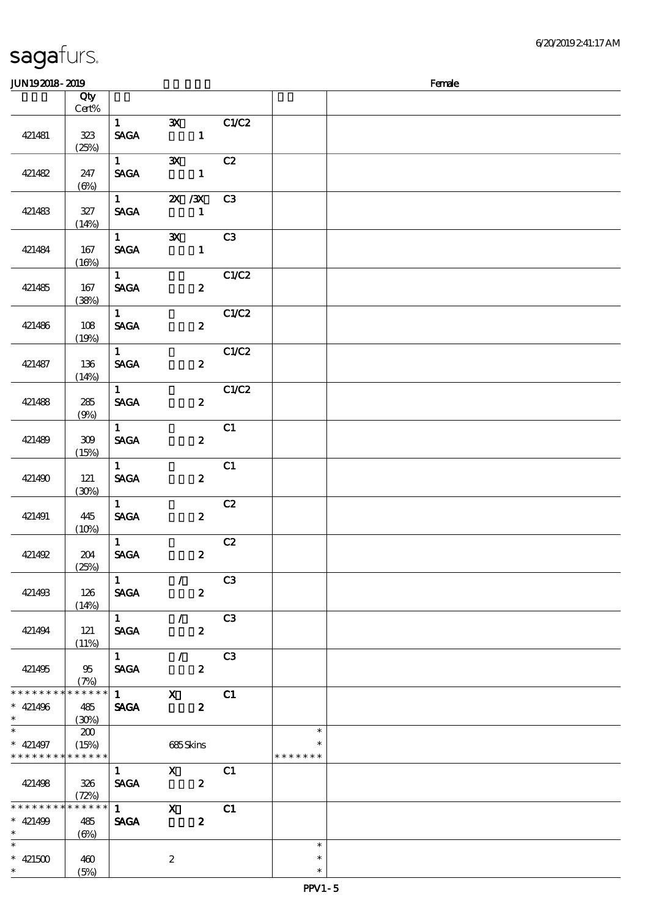| <b>JUN192018-2019</b>                       |                                                      |                                       |                                                         |       |                                   | Female |
|---------------------------------------------|------------------------------------------------------|---------------------------------------|---------------------------------------------------------|-------|-----------------------------------|--------|
|                                             | Qty                                                  |                                       |                                                         |       |                                   |        |
|                                             | Cert%                                                |                                       |                                                         |       |                                   |        |
| 421481                                      | 323<br>(25%)                                         | $1 \quad \blacksquare$<br><b>SAGA</b> | $\mathbf{x}$<br>$\mathbf{1}$                            | C1/C2 |                                   |        |
| 421482                                      | 247<br>$(\Theta)$                                    | $1 \qquad \qquad$<br><b>SAGA</b>      | $\mathbf{x}$<br>$\mathbf{1}$                            | C2    |                                   |        |
| 421483                                      | 327<br>(14%)                                         | $1 \qquad \qquad$<br><b>SAGA</b>      | 2X / 3X<br>$\mathbf{1}$                                 | C3    |                                   |        |
| 421484                                      | 167<br>(16%)                                         | $1 \qquad \qquad$<br><b>SAGA</b>      | $\mathbf{X}$<br>$\mathbf{1}$                            | C3    |                                   |        |
| 421485                                      | 167<br>(38%)                                         | $1 \quad \blacksquare$<br><b>SAGA</b> | $\mathbf{2}$                                            | C1/C2 |                                   |        |
| 421486                                      | 108<br>(19%)                                         | 1<br><b>SAGA</b>                      | $\boldsymbol{z}$                                        | C1/C2 |                                   |        |
| 421487                                      | 136<br>(14%)                                         | 1<br><b>SAGA</b>                      | $\boldsymbol{z}$                                        | C1/C2 |                                   |        |
| 421488                                      | 285<br>(9%)                                          | $1 \quad$<br><b>SAGA</b>              | $\mathbf{2}$                                            | C1/C2 |                                   |        |
| 421489                                      | 309<br>(15%)                                         | 1<br><b>SAGA</b>                      | $\boldsymbol{z}$                                        | C1    |                                   |        |
| 421490                                      | 121<br>(30%)                                         | 1<br><b>SAGA</b>                      | $\boldsymbol{z}$                                        | C1    |                                   |        |
| 421491                                      | 445<br>(10%)                                         | $1 -$<br><b>SAGA</b>                  | $\boldsymbol{2}$                                        | C2    |                                   |        |
| 421492                                      | 204<br>(25%)                                         | 1<br><b>SAGA</b>                      | $\boldsymbol{z}$                                        | C2    |                                   |        |
| 421493                                      | 126<br>(14%)                                         | <b>SAGA</b>                           | $1 \qquad \qquad \angle$<br>$\overline{\mathbf{2}}$     | C3    |                                   |        |
| 421494                                      | 121<br>(11%)                                         |                                       | $\overline{1}$ /<br>SAGA 2                              | C3    |                                   |        |
| 421495                                      | 95<br>(7%)                                           |                                       | $\overline{1}$ / C3<br>$SAGA$ 2                         |       |                                   |        |
| * * * * * * * *<br>$* 421496$<br>$*$        | $******$<br>485<br>(30%)                             |                                       | $\overline{1}$ $\overline{X}$ $\overline{C1}$<br>SAGA 2 |       |                                   |        |
| $*$ 421497<br>* * * * * * * * * * * * * * * | $\infty$<br>(15%)                                    |                                       | 685Skins                                                |       | $\ast$<br>$\ast$<br>* * * * * * * |        |
| 421498                                      | 326<br>(72%)                                         |                                       | $\frac{1}{SAGA}$ $\frac{X}{2}$ $\frac{C1}{2}$           |       |                                   |        |
| * * * * * * * *<br>$* 421499$<br>$\star$    | $******$<br>485<br>$\left(\bigoplus_{\infty}\right)$ | <b>SAGA</b>                           | $\overline{1}$ X<br>$\boldsymbol{z}$                    | C1    |                                   |        |
| $\ast$<br>$* 421500$<br>$\ast$              | 460<br>(5%)                                          |                                       | 2                                                       |       | $\ast$<br>$\ast$<br>$\ast$        |        |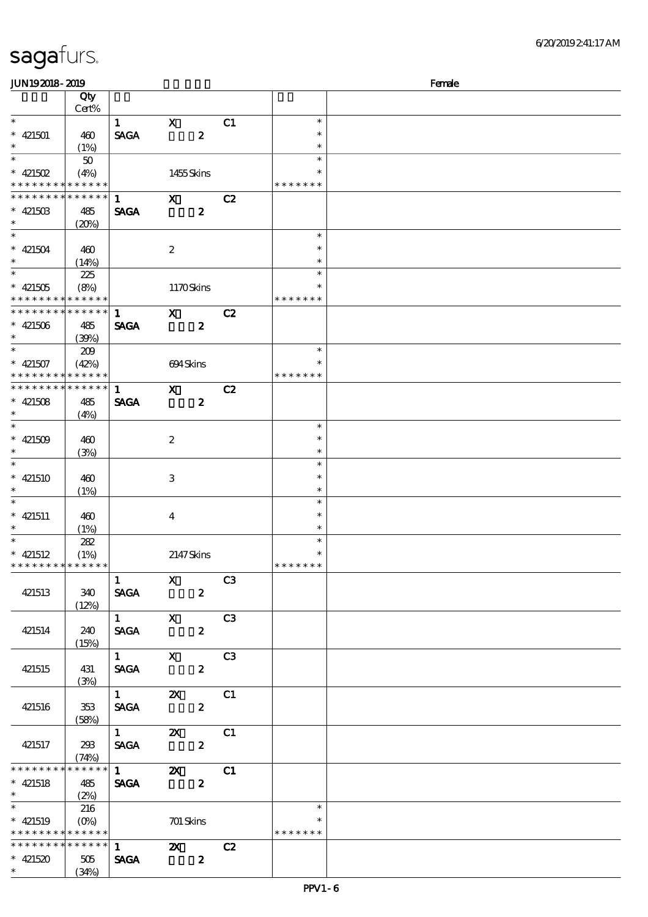| <b>JUN192018-2019</b>                    |                    |                                                                                                                                                                                                                                                                                                                                                                                      |                         |                  |    |                  | Female |
|------------------------------------------|--------------------|--------------------------------------------------------------------------------------------------------------------------------------------------------------------------------------------------------------------------------------------------------------------------------------------------------------------------------------------------------------------------------------|-------------------------|------------------|----|------------------|--------|
|                                          | Qty                |                                                                                                                                                                                                                                                                                                                                                                                      |                         |                  |    |                  |        |
|                                          | Cert%              |                                                                                                                                                                                                                                                                                                                                                                                      |                         |                  |    |                  |        |
| $\ast$                                   |                    | $\mathbf{1}$                                                                                                                                                                                                                                                                                                                                                                         | $\mathbf{X}$            |                  | C1 | $\ast$           |        |
| $* 421501$                               | 460                | <b>SAGA</b>                                                                                                                                                                                                                                                                                                                                                                          |                         | $\boldsymbol{z}$ |    | $\ast$           |        |
| $\ast$                                   | (1%)               |                                                                                                                                                                                                                                                                                                                                                                                      |                         |                  |    | $\ast$           |        |
| $\ast$                                   | 50                 |                                                                                                                                                                                                                                                                                                                                                                                      |                         |                  |    | $\ast$           |        |
| * $421502$                               | (4%)               |                                                                                                                                                                                                                                                                                                                                                                                      | 1455Skins               |                  |    |                  |        |
| * * * * * * * * * * * * * *              |                    |                                                                                                                                                                                                                                                                                                                                                                                      |                         |                  |    | * * * * * * *    |        |
| * * * * * * * *                          | ******             | $\mathbf{1}$                                                                                                                                                                                                                                                                                                                                                                         | $\mathbf{X}$            |                  | C2 |                  |        |
| $* 42150B$                               | 485                | <b>SAGA</b>                                                                                                                                                                                                                                                                                                                                                                          |                         | $\boldsymbol{z}$ |    |                  |        |
| $\ast$                                   | (20%)              |                                                                                                                                                                                                                                                                                                                                                                                      |                         |                  |    |                  |        |
| $\ast$                                   |                    |                                                                                                                                                                                                                                                                                                                                                                                      |                         |                  |    | $\ast$           |        |
| $* 421504$                               | 460                |                                                                                                                                                                                                                                                                                                                                                                                      | $\boldsymbol{2}$        |                  |    | $\ast$           |        |
| $\ast$                                   | (14%)              |                                                                                                                                                                                                                                                                                                                                                                                      |                         |                  |    | $\ast$           |        |
| $\ast$                                   | 225                |                                                                                                                                                                                                                                                                                                                                                                                      |                         |                  |    | $\ast$           |        |
| $* 421505$                               | (8%)               |                                                                                                                                                                                                                                                                                                                                                                                      | 1170Skins               |                  |    | $\ast$           |        |
| * * * * * * * * * * * * * *              |                    |                                                                                                                                                                                                                                                                                                                                                                                      |                         |                  |    | * * * * * * *    |        |
| * * * * * * * *                          | * * * * * *        | 1                                                                                                                                                                                                                                                                                                                                                                                    | $\mathbf{x}$            |                  | C2 |                  |        |
| $* 421506$                               | 485                | <b>SAGA</b>                                                                                                                                                                                                                                                                                                                                                                          |                         | $\boldsymbol{z}$ |    |                  |        |
| $\ast$                                   | (39%)              |                                                                                                                                                                                                                                                                                                                                                                                      |                         |                  |    |                  |        |
| $\overline{\phantom{0}}$                 | 209                |                                                                                                                                                                                                                                                                                                                                                                                      |                         |                  |    | $\ast$           |        |
| $* 421507$                               | (42%)              |                                                                                                                                                                                                                                                                                                                                                                                      | 694Skins                |                  |    | $\ast$           |        |
| * * * * * * * * <mark>* * * * * *</mark> |                    |                                                                                                                                                                                                                                                                                                                                                                                      |                         |                  |    | * * * * * * *    |        |
| * * * * * * * *                          | * * * * * *        | $\mathbf{1}$                                                                                                                                                                                                                                                                                                                                                                         | $\mathbf{x}$            |                  | C2 |                  |        |
| $* 421508$                               | 485                | <b>SAGA</b>                                                                                                                                                                                                                                                                                                                                                                          |                         | $\boldsymbol{z}$ |    |                  |        |
| $\ast$                                   | (4%)               |                                                                                                                                                                                                                                                                                                                                                                                      |                         |                  |    |                  |        |
| $\ast$                                   |                    |                                                                                                                                                                                                                                                                                                                                                                                      |                         |                  |    | $\ast$           |        |
| $* 421509$                               | 460                |                                                                                                                                                                                                                                                                                                                                                                                      | $\boldsymbol{2}$        |                  |    | $\ast$           |        |
| $\ast$<br>$\ast$                         | (3%)               |                                                                                                                                                                                                                                                                                                                                                                                      |                         |                  |    | $\ast$           |        |
|                                          |                    |                                                                                                                                                                                                                                                                                                                                                                                      |                         |                  |    | $\ast$           |        |
| $* 421510$                               | 460                |                                                                                                                                                                                                                                                                                                                                                                                      | 3                       |                  |    | $\ast$           |        |
| $\ast$<br>$\ast$                         | (1%)               |                                                                                                                                                                                                                                                                                                                                                                                      |                         |                  |    | $\ast$<br>$\ast$ |        |
|                                          |                    |                                                                                                                                                                                                                                                                                                                                                                                      |                         |                  |    | $\ast$           |        |
| $* 421511$<br>$\ast$                     | 460                |                                                                                                                                                                                                                                                                                                                                                                                      | $\bf{4}$                |                  |    | $\ast$           |        |
| $\ast$                                   | (1%)               |                                                                                                                                                                                                                                                                                                                                                                                      |                         |                  |    | $\ast$           |        |
| $* 421512$                               | 282                |                                                                                                                                                                                                                                                                                                                                                                                      | 2147Skins               |                  |    | $\ast$           |        |
| * * * * * * * * * * * * * *              | (1%)               |                                                                                                                                                                                                                                                                                                                                                                                      |                         |                  |    | * * * * * * *    |        |
|                                          |                    | $\mathbf{1}$                                                                                                                                                                                                                                                                                                                                                                         | $\mathbf{X}$            |                  | C3 |                  |        |
| 421513                                   | 340                | <b>SAGA</b>                                                                                                                                                                                                                                                                                                                                                                          |                         | $\mathbf{2}$     |    |                  |        |
|                                          | (12%)              |                                                                                                                                                                                                                                                                                                                                                                                      |                         |                  |    |                  |        |
|                                          |                    | $1 \qquad \qquad$                                                                                                                                                                                                                                                                                                                                                                    | $\mathbf{X}$            |                  | C3 |                  |        |
| 421514                                   | 240                | <b>SAGA</b>                                                                                                                                                                                                                                                                                                                                                                          |                         | $\mathbf{2}$     |    |                  |        |
|                                          | (15%)              |                                                                                                                                                                                                                                                                                                                                                                                      |                         |                  |    |                  |        |
|                                          |                    | $\overline{1}$ X                                                                                                                                                                                                                                                                                                                                                                     |                         |                  | C3 |                  |        |
| 421515                                   | 431                | <b>SAGA</b>                                                                                                                                                                                                                                                                                                                                                                          |                         | $\boldsymbol{z}$ |    |                  |        |
|                                          | (3%)               |                                                                                                                                                                                                                                                                                                                                                                                      |                         |                  |    |                  |        |
|                                          |                    | $\overline{1}$ $\overline{1}$ $\overline{1}$ $\overline{1}$ $\overline{1}$ $\overline{1}$ $\overline{1}$ $\overline{1}$ $\overline{1}$ $\overline{1}$ $\overline{1}$ $\overline{1}$ $\overline{1}$ $\overline{1}$ $\overline{1}$ $\overline{1}$ $\overline{1}$ $\overline{1}$ $\overline{1}$ $\overline{1}$ $\overline{1}$ $\overline{1}$ $\overline{1}$ $\overline{1}$ $\overline{$ | $\mathbf{X}$            |                  | C1 |                  |        |
| 421516                                   | 353                | <b>SAGA</b>                                                                                                                                                                                                                                                                                                                                                                          |                         | $\boldsymbol{z}$ |    |                  |        |
|                                          | (58%)              |                                                                                                                                                                                                                                                                                                                                                                                      |                         |                  |    |                  |        |
|                                          |                    | $1 \t 2X$                                                                                                                                                                                                                                                                                                                                                                            |                         |                  | C1 |                  |        |
| 421517                                   | 293                | <b>SAGA</b>                                                                                                                                                                                                                                                                                                                                                                          |                         | $\mathbf{z}$     |    |                  |        |
|                                          | (74%)              |                                                                                                                                                                                                                                                                                                                                                                                      |                         |                  |    |                  |        |
| * * * * * * * *                          | $******$           | $\overline{1}$ $\overline{2}$ $\overline{2}$ $\overline{2}$ $\overline{2}$ $\overline{2}$ $\overline{2}$ $\overline{2}$ $\overline{2}$ $\overline{2}$ $\overline{2}$ $\overline{2}$ $\overline{2}$ $\overline{2}$ $\overline{2}$ $\overline{2}$ $\overline{2}$ $\overline{2}$ $\overline{2}$ $\overline{2}$ $\overline{2}$ $\overline{2}$                                            |                         |                  | C1 |                  |        |
| $* 421518$                               | 485                | <b>SAGA</b>                                                                                                                                                                                                                                                                                                                                                                          |                         | $\boldsymbol{z}$ |    |                  |        |
| $\ast$                                   | (2%)               |                                                                                                                                                                                                                                                                                                                                                                                      |                         |                  |    |                  |        |
| $\overline{\phantom{0}}$                 | 216                |                                                                                                                                                                                                                                                                                                                                                                                      |                         |                  |    | $\ast$           |        |
| $*$ 421519                               | $(O\!/\!\!\delta)$ |                                                                                                                                                                                                                                                                                                                                                                                      | 701 Skins               |                  |    | $\ast$           |        |
| * * * * * * * * * * * * * * *            |                    |                                                                                                                                                                                                                                                                                                                                                                                      |                         |                  |    | * * * * * * *    |        |
| ************** 1                         |                    |                                                                                                                                                                                                                                                                                                                                                                                      | $\overline{\mathbf{z}}$ |                  | C2 |                  |        |
| $* 421520$                               | 505                | <b>SAGA</b>                                                                                                                                                                                                                                                                                                                                                                          | $\overline{\mathbf{z}}$ |                  |    |                  |        |
| $*$ and $*$                              | (34%)              |                                                                                                                                                                                                                                                                                                                                                                                      |                         |                  |    |                  |        |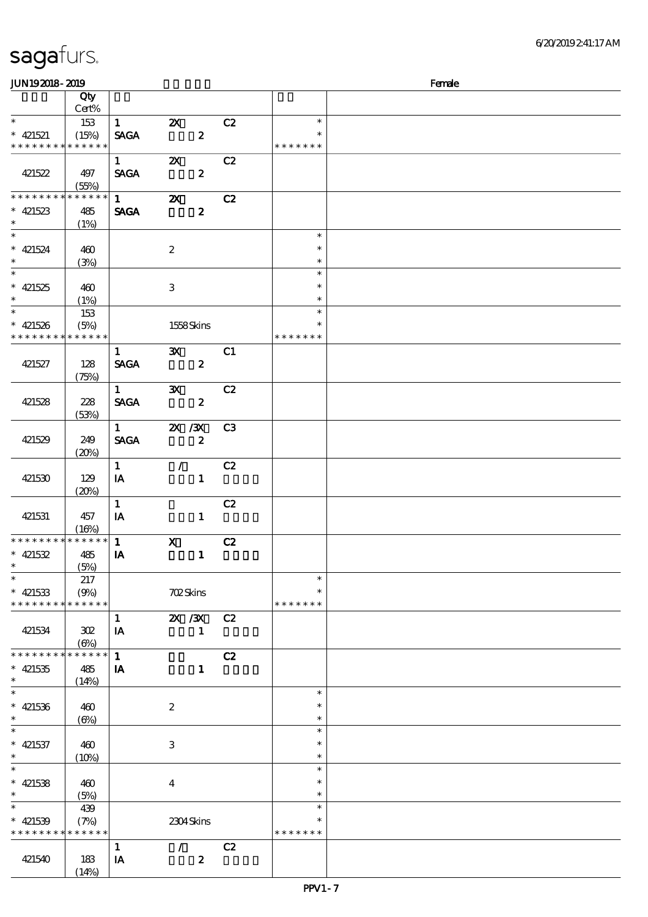| <b>JUN192018-2019</b>                                          |                            |                                       |                                                        |                  |                |                                   | Female |
|----------------------------------------------------------------|----------------------------|---------------------------------------|--------------------------------------------------------|------------------|----------------|-----------------------------------|--------|
|                                                                | Qty<br>Cert%               |                                       |                                                        |                  |                |                                   |        |
| $\ast$<br>$* 421521$<br>* * * * * * * * * * * * * *            | 153<br>(15%)               | $\mathbf{1}$<br><b>SAGA</b>           | $\mathbf{x}$                                           | $\boldsymbol{z}$ | C2             | $\ast$<br>$\ast$<br>* * * * * * * |        |
| 421522                                                         | 497<br>(55%)               | $1 \quad \blacksquare$<br><b>SAGA</b> | $\boldsymbol{\mathsf{X}}$                              | $\boldsymbol{z}$ | C2             |                                   |        |
| * * * * * * * *<br>$* 421523$<br>$\ast$                        | * * * * * *<br>485<br>(1%) | $1 \quad \blacksquare$<br><b>SAGA</b> | $\boldsymbol{\mathsf{Z}}$                              | $\boldsymbol{z}$ | C2             |                                   |        |
| $\overline{\ast}$<br>$* 421524$<br>$\ast$                      | 460<br>(3%)                |                                       | $\boldsymbol{2}$                                       |                  |                | $\ast$<br>$\ast$<br>$\ast$        |        |
| $\ast$<br>$* 421525$<br>$\ast$                                 | 460<br>(1%)                |                                       | 3                                                      |                  |                | $\ast$<br>$\ast$<br>$\ast$        |        |
| $\overline{\phantom{0}}$<br>$* 421526$<br>* * * * * * * *      | 153<br>(5%)<br>* * * * * * |                                       | 1558Skins                                              |                  |                | $\ast$<br>$\ast$<br>* * * * * * * |        |
| 421527                                                         | 128<br>(75%)               | $\mathbf{1}$<br><b>SAGA</b>           | $\mathbf{x}$                                           | $\boldsymbol{z}$ | C1             |                                   |        |
| 421528<br>L.                                                   | 228<br>(53%)               | $1 \qquad \qquad$<br><b>SAGA</b>      | $\mathbf{x}$                                           | $\boldsymbol{z}$ | C2             |                                   |        |
| 421529                                                         | 249<br>(20%)               | $1 \quad \blacksquare$<br><b>SAGA</b> | $\mathbf{X}$ / $\mathbf{X}$<br>$\overline{\mathbf{2}}$ |                  | C <sub>3</sub> |                                   |        |
| 421530                                                         | 129<br>(20%)               | $\mathbf{1}$<br>IA                    | $\mathcal{L}$                                          | $\mathbf{1}$     | C2             |                                   |        |
| 421531                                                         | 457<br>(16%)               | $\mathbf{1}$<br>IA                    |                                                        | $\mathbf{1}$     | C2             |                                   |        |
| * * * * * * * * * * * * * * *<br>$* 421532$<br>$\ast$          | 485<br>(5%)                | $\mathbf{1}$<br>IA                    | $\mathbf{x}$                                           | $\mathbf{1}$     | C2             |                                   |        |
| $\overline{\ast}$<br>$* 421533$<br>* * * * * * * * * * * * * * | 217<br>(9%)                |                                       | <b>702Skins</b>                                        |                  |                | $\ast$<br>$\ast$<br>* * * * * * * |        |
| 421534                                                         | 302<br>$(\Theta)$          | $\mathbf{1}$<br>IA                    | 2X / 3X                                                | $\mathbf{1}$     | C <sub>2</sub> |                                   |        |
| * * * * * * * * * * * * * * *<br>$* 421535$<br>$\ast$          | 485<br>(14%)               | $\mathbf{1}$<br>IA                    |                                                        | $\mathbf{1}$     | C2             |                                   |        |
| $\ast$<br>$* 421536$<br>$\ast$                                 | 460<br>$(\Theta)$          |                                       | $\boldsymbol{2}$                                       |                  |                | $\ast$<br>$\ast$<br>$\ast$        |        |
| $\ast$<br>$*$ 421537<br>$\ast$                                 | 460<br>$(10\%)$            |                                       | 3                                                      |                  |                | $\ast$<br>$\ast$<br>$\ast$        |        |
| $\ast$<br>$*$ 421538<br>$\ast$                                 | 460<br>(5%)                |                                       | $\overline{4}$                                         |                  |                | $\ast$<br>$\ast$<br>$\ast$        |        |
| $\ast$<br>$* 421539$<br>* * * * * * * * * * * * * *            | 439<br>(7%)                |                                       | 2304Skins                                              |                  |                | $\ast$<br>$\ast$<br>* * * * * * * |        |
| 421540                                                         | 183<br>(14%)               | $\mathbf{1}$<br>IA                    | $\mathcal{L}$                                          | $\boldsymbol{z}$ | C2             |                                   |        |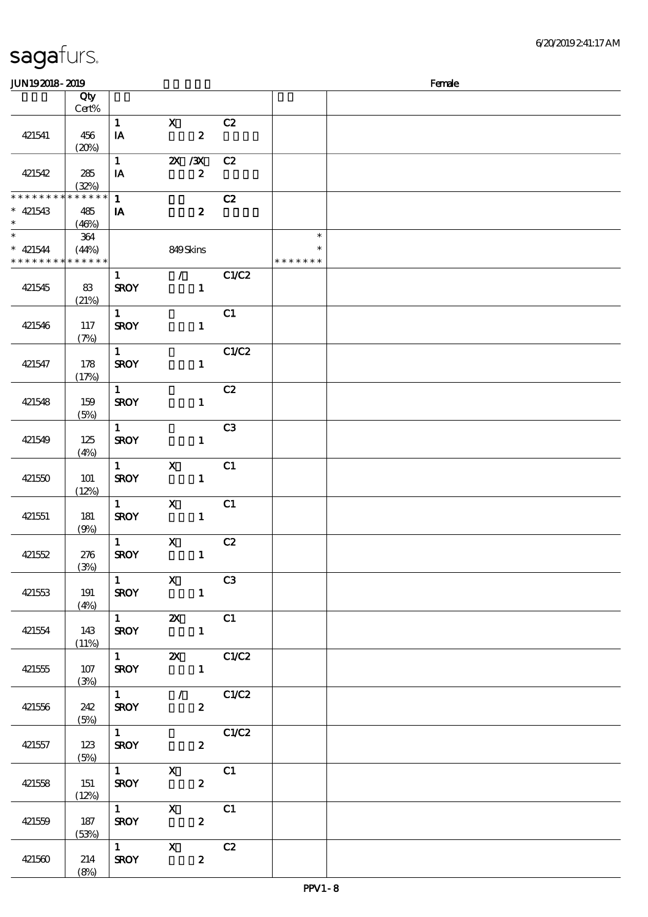| JUN192018-2019              |          |              |                                                                                                                                                                                                                                                                                                                                           |                         |               | Female |
|-----------------------------|----------|--------------|-------------------------------------------------------------------------------------------------------------------------------------------------------------------------------------------------------------------------------------------------------------------------------------------------------------------------------------------|-------------------------|---------------|--------|
|                             | Qty      |              |                                                                                                                                                                                                                                                                                                                                           |                         |               |        |
|                             | Cert%    |              |                                                                                                                                                                                                                                                                                                                                           |                         |               |        |
|                             |          | $\mathbf{1}$ | $\mathbf{x}$                                                                                                                                                                                                                                                                                                                              | C2                      |               |        |
| 421541                      | 456      | IA           | $\boldsymbol{z}$                                                                                                                                                                                                                                                                                                                          |                         |               |        |
|                             | (20%)    |              |                                                                                                                                                                                                                                                                                                                                           |                         |               |        |
|                             |          | $\mathbf{1}$ |                                                                                                                                                                                                                                                                                                                                           |                         |               |        |
|                             |          |              | $X \, X$                                                                                                                                                                                                                                                                                                                                  | C2                      |               |        |
| 421542                      | 285      | IA           | $\boldsymbol{2}$                                                                                                                                                                                                                                                                                                                          |                         |               |        |
|                             | (32%)    |              |                                                                                                                                                                                                                                                                                                                                           |                         |               |        |
| * * * * * * * *             | $******$ | $\mathbf{1}$ |                                                                                                                                                                                                                                                                                                                                           | C2                      |               |        |
| $* 421543$                  | 485      | IA           | $\boldsymbol{z}$                                                                                                                                                                                                                                                                                                                          |                         |               |        |
| $\ast$                      | (46%)    |              |                                                                                                                                                                                                                                                                                                                                           |                         |               |        |
| $\ast$                      | 364      |              |                                                                                                                                                                                                                                                                                                                                           |                         | $\ast$        |        |
| $* 421544$                  | (44%)    |              | 849Skins                                                                                                                                                                                                                                                                                                                                  |                         |               |        |
| * * * * * * * * * * * * * * |          |              |                                                                                                                                                                                                                                                                                                                                           |                         | * * * * * * * |        |
|                             |          | $\mathbf{1}$ | $\mathcal{F}$                                                                                                                                                                                                                                                                                                                             | C1/C2                   |               |        |
| 421545                      | 83       | <b>SROY</b>  | $\mathbf{1}$                                                                                                                                                                                                                                                                                                                              |                         |               |        |
|                             | (21%)    |              |                                                                                                                                                                                                                                                                                                                                           |                         |               |        |
|                             |          | $\mathbf{1}$ |                                                                                                                                                                                                                                                                                                                                           | C1                      |               |        |
| 421546                      | 117      | <b>SROY</b>  | $\mathbf{1}$                                                                                                                                                                                                                                                                                                                              |                         |               |        |
|                             | (7%)     |              |                                                                                                                                                                                                                                                                                                                                           |                         |               |        |
|                             |          | $\mathbf{1}$ |                                                                                                                                                                                                                                                                                                                                           | C1/C2                   |               |        |
| 421547                      | 178      | <b>SROY</b>  | $\mathbf{1}$                                                                                                                                                                                                                                                                                                                              |                         |               |        |
|                             |          |              |                                                                                                                                                                                                                                                                                                                                           |                         |               |        |
|                             | (17%)    |              |                                                                                                                                                                                                                                                                                                                                           |                         |               |        |
|                             |          | $\mathbf{1}$ |                                                                                                                                                                                                                                                                                                                                           | C2                      |               |        |
| 421548                      | 159      | <b>SROY</b>  | $\mathbf{1}$                                                                                                                                                                                                                                                                                                                              |                         |               |        |
|                             | (5%)     |              |                                                                                                                                                                                                                                                                                                                                           |                         |               |        |
|                             |          | $\mathbf{1}$ |                                                                                                                                                                                                                                                                                                                                           | C <sub>3</sub>          |               |        |
| 421549                      | 125      | <b>SROY</b>  | $\mathbf{1}$                                                                                                                                                                                                                                                                                                                              |                         |               |        |
|                             | (4%)     |              |                                                                                                                                                                                                                                                                                                                                           |                         |               |        |
|                             |          | $\mathbf{1}$ | $\mathbf{x}$                                                                                                                                                                                                                                                                                                                              | C1                      |               |        |
| 421550                      | 101      | <b>SROY</b>  | $\mathbf{1}$                                                                                                                                                                                                                                                                                                                              |                         |               |        |
|                             | (12%)    |              |                                                                                                                                                                                                                                                                                                                                           |                         |               |        |
|                             |          | $\mathbf{1}$ | $\mathbf{x}$                                                                                                                                                                                                                                                                                                                              | C1                      |               |        |
| 421551                      | 181      | <b>SROY</b>  | $\mathbf{1}$                                                                                                                                                                                                                                                                                                                              |                         |               |        |
|                             | (9%)     |              |                                                                                                                                                                                                                                                                                                                                           |                         |               |        |
|                             |          | $\mathbf{1}$ | $\mathbf X$                                                                                                                                                                                                                                                                                                                               | C2                      |               |        |
| 421552                      | 276      | <b>SROY</b>  | $\mathbf{1}$                                                                                                                                                                                                                                                                                                                              |                         |               |        |
|                             | (3%)     |              |                                                                                                                                                                                                                                                                                                                                           |                         |               |        |
|                             |          |              | $\overline{1}$ $\overline{X}$ $\overline{C3}$                                                                                                                                                                                                                                                                                             |                         |               |        |
| 421553                      | 191      |              | SROY 1                                                                                                                                                                                                                                                                                                                                    |                         |               |        |
|                             | (4%)     |              |                                                                                                                                                                                                                                                                                                                                           |                         |               |        |
|                             |          |              | $\overline{1}$ <b>2X</b> C1                                                                                                                                                                                                                                                                                                               |                         |               |        |
| 421554                      | 143      |              | $SROY$ 1                                                                                                                                                                                                                                                                                                                                  |                         |               |        |
|                             |          |              |                                                                                                                                                                                                                                                                                                                                           |                         |               |        |
|                             | (11%)    |              | $\overline{1}$ $\overline{2}$ $\overline{2}$ $\overline{2}$ $\overline{2}$ $\overline{2}$ $\overline{2}$ $\overline{2}$ $\overline{2}$ $\overline{2}$ $\overline{2}$ $\overline{2}$ $\overline{2}$ $\overline{2}$ $\overline{2}$ $\overline{2}$ $\overline{2}$ $\overline{2}$ $\overline{2}$ $\overline{2}$ $\overline{2}$ $\overline{2}$ |                         |               |        |
|                             |          |              |                                                                                                                                                                                                                                                                                                                                           |                         |               |        |
| 421555                      | 107      |              | $SROY$ 1                                                                                                                                                                                                                                                                                                                                  |                         |               |        |
|                             | (3%)     |              | $\frac{1}{1}$ / C1/C2                                                                                                                                                                                                                                                                                                                     |                         |               |        |
|                             |          |              |                                                                                                                                                                                                                                                                                                                                           |                         |               |        |
| 421556                      | 242      |              | <b>SROY</b><br>$\mathbf{2}$                                                                                                                                                                                                                                                                                                               |                         |               |        |
|                             | (5%)     |              |                                                                                                                                                                                                                                                                                                                                           |                         |               |        |
|                             |          |              | $\overline{1}$ $C1/C2$                                                                                                                                                                                                                                                                                                                    |                         |               |        |
| 421557                      | 123      |              | <b>SROY</b><br>$\mathbf{2}$                                                                                                                                                                                                                                                                                                               |                         |               |        |
|                             | (5%)     |              |                                                                                                                                                                                                                                                                                                                                           |                         |               |        |
|                             |          |              | $\frac{1}{\text{SROY}}$ X C1                                                                                                                                                                                                                                                                                                              |                         |               |        |
| 421558                      | 151      |              |                                                                                                                                                                                                                                                                                                                                           |                         |               |        |
|                             | (12%)    |              |                                                                                                                                                                                                                                                                                                                                           |                         |               |        |
|                             |          |              | $\overline{1}$ X                                                                                                                                                                                                                                                                                                                          | $\overline{\text{c}}$ 1 |               |        |
| 421559                      | 187      | <b>SROY</b>  | $\boldsymbol{z}$                                                                                                                                                                                                                                                                                                                          |                         |               |        |
|                             | (53%)    |              |                                                                                                                                                                                                                                                                                                                                           |                         |               |        |
|                             |          | $1$ X        | C2                                                                                                                                                                                                                                                                                                                                        |                         |               |        |
| 421560                      | 214      | <b>SROY</b>  | $\boldsymbol{z}$                                                                                                                                                                                                                                                                                                                          |                         |               |        |
|                             | (8%)     |              |                                                                                                                                                                                                                                                                                                                                           |                         |               |        |
|                             |          |              |                                                                                                                                                                                                                                                                                                                                           |                         |               |        |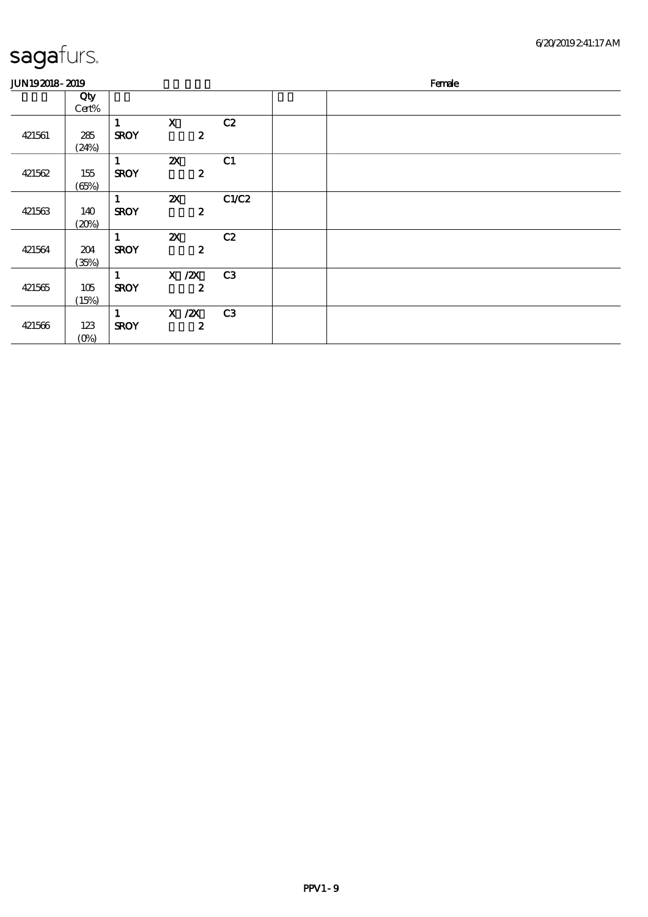| <b>JUN192018-2019</b> |                |                             |                                               |       | Female |
|-----------------------|----------------|-----------------------------|-----------------------------------------------|-------|--------|
|                       | Qty<br>Cert%   |                             |                                               |       |        |
| 421561                | 285<br>(24%)   | $\mathbf{1}$<br><b>SROY</b> | $\mathbf x$<br>$\boldsymbol{z}$               | C2    |        |
| 421562                | 155<br>(65%)   | $\mathbf{1}$<br><b>SROY</b> | $\boldsymbol{\mathsf{X}}$<br>$\boldsymbol{2}$ | C1    |        |
| 421563                | 140<br>(20%)   | $\mathbf{1}$<br><b>SROY</b> | $\boldsymbol{\alpha}$<br>$\boldsymbol{z}$     | C1/C2 |        |
| 421564                | 204<br>(35%)   | 1<br><b>SROY</b>            | $\boldsymbol{\mathsf{Z}}$<br>$\boldsymbol{z}$ | C2    |        |
| 421565                | 105<br>(15%)   | $\mathbf{1}$<br><b>SROY</b> | $X$ / $ZX$<br>$\boldsymbol{2}$                | C3    |        |
| 421566                | 123<br>$(0\%)$ | $\mathbf{1}$<br><b>SROY</b> | $X$ / $ZX$<br>$\boldsymbol{z}$                | C3    |        |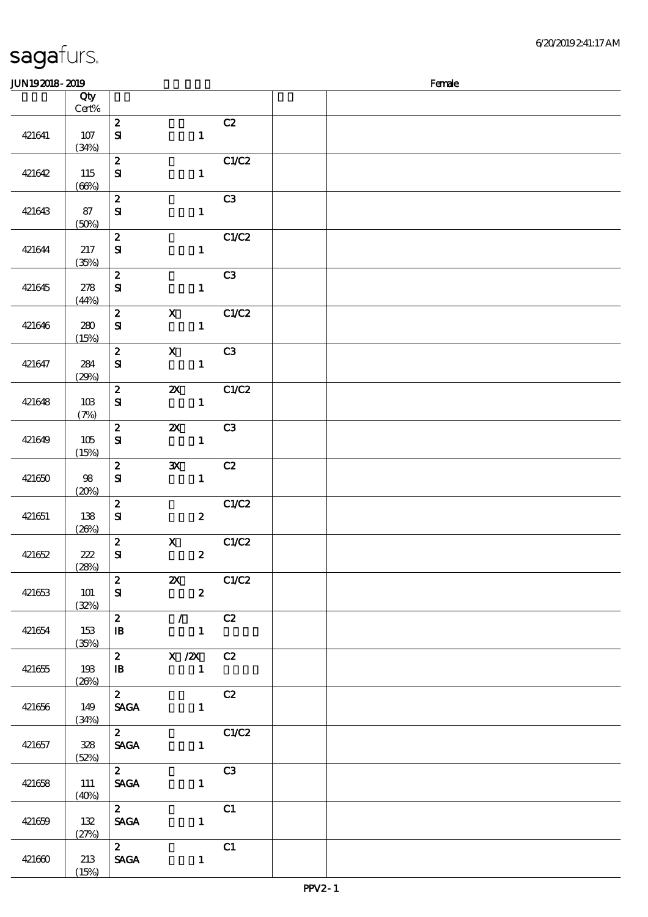| <b>JUN192018-2019</b> |                     |                                  |                           |                  |       | Female |
|-----------------------|---------------------|----------------------------------|---------------------------|------------------|-------|--------|
|                       | Qty<br>Cert%        |                                  |                           |                  |       |        |
| 421641                | 107<br>(34%)        | $\boldsymbol{z}$<br>${\bf s}$    |                           | $\mathbf{1}$     | C2    |        |
| 421642                | 115<br>(66%)        | $\boldsymbol{z}$<br>$\mathbf{S}$ |                           | $\mathbf{1}$     | C1/C2 |        |
| 421643                | 87<br>(50%)         | $\boldsymbol{z}$<br>${\bf s}$    |                           | $\mathbf{1}$     | C3    |        |
| 421644                | 217<br>(35%)        | $\boldsymbol{z}$<br>$\mathbf{S}$ |                           | $\mathbf{1}$     | C1/C2 |        |
| 421645                | 278<br>(44%)        | $\boldsymbol{z}$<br>$\mathbf{S}$ |                           | $\mathbf{1}$     | C3    |        |
| 421646                | 280<br>(15%)        | $\boldsymbol{z}$<br>${\bf s}$    | $\boldsymbol{\mathrm{X}}$ | $\mathbf{1}$     | C1/C2 |        |
| 421647                | 284<br>(29%)        | $\boldsymbol{z}$<br>$\mathbf{S}$ | $\mathbf X$               | $\mathbf{1}$     | C3    |        |
| 421648                | 10B<br>(7%)         | $\boldsymbol{z}$<br>${\bf S}$    | $\boldsymbol{\mathsf{X}}$ | $\mathbf{1}$     | C1/C2 |        |
| 421649                | 105<br>(15%)        | $\boldsymbol{2}$<br>$\mathbf{S}$ | $\boldsymbol{\mathsf{X}}$ | $\mathbf{1}$     | C3    |        |
| 421650                | 98<br>(20%)         | $\pmb{2}$<br>$\mathbf{S}$        | $\mathbf{x}$              | $\mathbf{1}$     | C2    |        |
| 421651                | 138<br>(20%)        | $\boldsymbol{z}$<br>$\mathbf{S}$ |                           | $\boldsymbol{z}$ | C1/C2 |        |
| 421652                | 222<br>(28%)        | $\boldsymbol{z}$<br>${\bf S}$    | $\mathbf{X}$              | $\boldsymbol{z}$ | C1/C2 |        |
| 421653                | <b>101</b><br>(32%) | $\mathbf{2}$<br>${\bf s}$        | $\mathbf{x}$              | $\boldsymbol{2}$ | C1/C2 |        |
| 421654                | 153<br>(35%)        | $2$ / C2<br>$\mathbf{B}$         |                           | $\blacksquare$   |       |        |
| 421655                | 193<br>(26%)        | $2$ X $/2$ X C2<br>$\mathbf{B}$  |                           | $\mathbf{1}$     |       |        |
| 421656                | 149<br>(34%)        | $\mathbf{2}$<br><b>SAGA</b>      |                           | $\mathbf{1}$     | C2    |        |
| 421657                | 328<br>(52%)        | $\mathbf{2}$<br><b>SAGA</b>      |                           | $\mathbf{1}$     | C1/C2 |        |
| 421658                | 111<br>(40%)        | $\overline{2}$<br><b>SAGA</b>    |                           | $\mathbf{1}$     | C3    |        |
| 421659                | 132<br>(27%)        | $\mathbf{z}$<br><b>SAGA</b>      |                           | $\mathbf{1}$     | C1    |        |
| 421660                | 213<br>(15%)        | $\mathbf{2}$<br><b>SAGA</b>      |                           | $\mathbf{1}$     | C1    |        |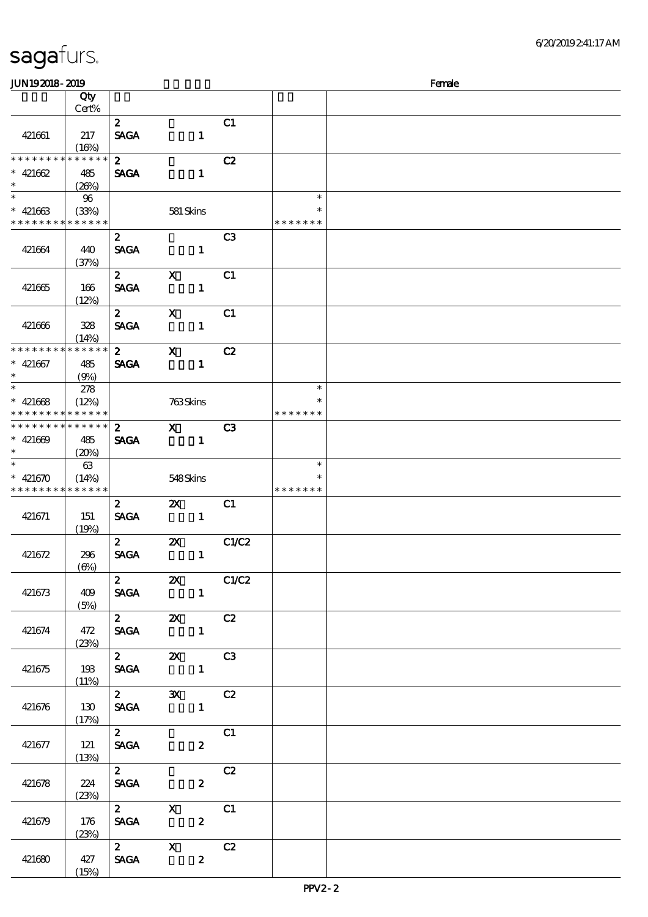| <b>JUN192018-2019</b>                    |                 |                             |                           |                  |                          |               | Female |
|------------------------------------------|-----------------|-----------------------------|---------------------------|------------------|--------------------------|---------------|--------|
|                                          | Qty             |                             |                           |                  |                          |               |        |
|                                          | Cert%           | $\boldsymbol{2}$            |                           |                  | C1                       |               |        |
| 421661                                   | 217             | <b>SAGA</b>                 |                           | $\mathbf{1}$     |                          |               |        |
|                                          | (16%)           |                             |                           |                  |                          |               |        |
| * * * * * * * *                          | * * * * * *     | $\boldsymbol{2}$            |                           |                  | C2                       |               |        |
| $* 421662$<br>$\ast$                     | 485             | <b>SAGA</b>                 |                           | $\mathbf{1}$     |                          |               |        |
| $\overline{\phantom{0}}$                 | (20%)<br>$96\,$ |                             |                           |                  |                          | $\ast$        |        |
| $* 421663$                               | (33%)           |                             | 581 Skins                 |                  |                          | ∗             |        |
| * * * * * * * * <mark>* * * * * *</mark> |                 |                             |                           |                  |                          | * * * * * * * |        |
|                                          |                 | $\boldsymbol{z}$            |                           |                  | C <sub>3</sub>           |               |        |
| 421664                                   | 440<br>(37%)    | <b>SAGA</b>                 |                           | $\mathbf{1}$     |                          |               |        |
|                                          |                 | $\mathbf{2}$                | $\mathbf{x}$              |                  | C1                       |               |        |
| 421665                                   | 166             | <b>SAGA</b>                 |                           | $\mathbf{1}$     |                          |               |        |
|                                          | (12%)           |                             |                           |                  |                          |               |        |
|                                          |                 | $\mathbf{z}$                | $\mathbf{x}$              |                  | C1                       |               |        |
| 421666                                   | 328<br>(14%)    | <b>SAGA</b>                 |                           | $\mathbf{1}$     |                          |               |        |
| * * * * * * * *                          | * * * * * *     | $\mathbf{2}$                | $\mathbf{x}$              |                  | C2                       |               |        |
| $* 421667$                               | 485             | <b>SAGA</b>                 |                           | $\mathbf{1}$     |                          |               |        |
| $\ast$<br>$\overline{\ast}$              | (9%)            |                             |                           |                  |                          | $\ast$        |        |
| $* 421668$                               | 278<br>(12%)    |                             | 763Skins                  |                  |                          | $\ast$        |        |
| * * * * * * * * <mark>* * * * * *</mark> |                 |                             |                           |                  |                          | * * * * * * * |        |
| * * * * * * * * * * * * * *              |                 | $\boldsymbol{2}$            | $\mathbf{x}$              |                  | C <sub>3</sub>           |               |        |
| $* 421609$                               | 485             | <b>SAGA</b>                 |                           | $\mathbf{1}$     |                          |               |        |
| $\ast$<br>$\overline{\ast}$              | (20%)<br>63     |                             |                           |                  |                          | $\ast$        |        |
| $* 421670$                               | (14%)           |                             | 548Skins                  |                  |                          | $\ast$        |        |
| * * * * * * * *                          | * * * * * *     |                             |                           |                  |                          | * * * * * * * |        |
|                                          |                 | $\mathbf{z}$                | $\boldsymbol{\mathsf{Z}}$ |                  | C1                       |               |        |
| 421671                                   | 151<br>(19%)    | <b>SAGA</b>                 |                           | $\mathbf{1}$     |                          |               |        |
|                                          |                 | $\mathbf{z}$                | $\boldsymbol{\mathsf{Z}}$ |                  | C1/C2                    |               |        |
| 421672                                   | 296             | <b>SAGA</b>                 |                           | $\mathbf{1}$     |                          |               |        |
|                                          | $(\Theta)$      |                             |                           |                  |                          |               |        |
| 421673                                   | 409             | $\mathbf{2}$<br><b>SAGA</b> | $\mathbf{z}$              | $\mathbf{1}$     | C1/C2                    |               |        |
|                                          | (5%)            |                             |                           |                  |                          |               |        |
|                                          |                 | $\overline{\mathbf{z}}$     |                           |                  | <b>2X</b> C <sub>2</sub> |               |        |
| 421674                                   | 472             | <b>SAGA</b>                 |                           |                  |                          |               |        |
|                                          | (23%)           | $\mathbf{2}$                |                           |                  | <b>2X</b> C3             |               |        |
| 421675                                   | 193             | <b>SAGA</b>                 |                           |                  |                          |               |        |
|                                          | (11%)           |                             |                           |                  |                          |               |        |
|                                          |                 | $\mathbf{2}$                | $\mathbf{x}$              |                  | C2                       |               |        |
| 421676                                   | 130<br>(17%)    |                             | <b>SAGA</b>               | $\mathbf{1}$     |                          |               |        |
|                                          |                 | $\mathbf{2}$                |                           |                  | C1                       |               |        |
| 421677                                   | 121             | <b>SAGA</b>                 |                           | $\boldsymbol{z}$ |                          |               |        |
|                                          | (13%)           |                             |                           |                  |                          |               |        |
| 421678                                   | 224             | $\mathbf{2}$<br><b>SAGA</b> |                           | $\mathbf{z}$     | C2                       |               |        |
|                                          | (23%)           |                             |                           |                  |                          |               |        |
|                                          |                 | 2 X                         |                           |                  | C1                       |               |        |
| 421679                                   | 176             | <b>SAGA</b>                 |                           | $\mathbf{2}$     |                          |               |        |
|                                          | (23%)           |                             | 2 X                       |                  | C2                       |               |        |
| 421680                                   | 427             | <b>SAGA</b>                 |                           | $\mathbf{z}$     |                          |               |        |
|                                          | (15%)           |                             |                           |                  |                          |               |        |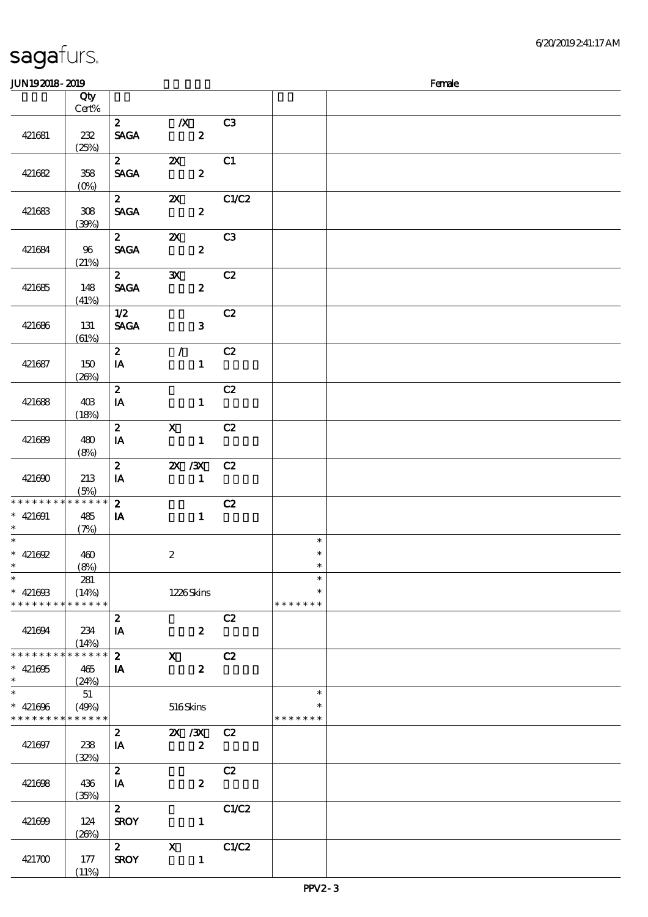| <b>JUN192018-2019</b>                                              |                               |                             |                                               |                |                                   | Female |
|--------------------------------------------------------------------|-------------------------------|-----------------------------|-----------------------------------------------|----------------|-----------------------------------|--------|
|                                                                    | Qty                           |                             |                                               |                |                                   |        |
|                                                                    | Cert%                         |                             |                                               |                |                                   |        |
| 421681                                                             | 232<br>(25%)                  | $\mathbf{2}$<br><b>SAGA</b> | $\boldsymbol{X}$<br>$\boldsymbol{z}$          | C <sub>3</sub> |                                   |        |
| 421682                                                             | 358<br>$(0\%)$                | $\mathbf{2}$<br><b>SAGA</b> | $\boldsymbol{\alpha}$<br>$\boldsymbol{z}$     | C1             |                                   |        |
| 421683                                                             | 308<br>(30%)                  | $2^{\circ}$<br><b>SAGA</b>  | $\mathbf{x}$<br>$\boldsymbol{z}$              | C1/C2          |                                   |        |
| 421684                                                             | 96<br>(21%)                   | $\mathbf{2}$<br><b>SAGA</b> | $\boldsymbol{\mathsf{Z}}$<br>$\boldsymbol{z}$ | C3             |                                   |        |
| 421685                                                             | 148<br>(41%)                  | $\mathbf{2}$<br><b>SAGA</b> | $\mathbf{x}$<br>$\boldsymbol{z}$              | C2             |                                   |        |
| 421686                                                             | 131<br>(61%)                  | 1/2<br><b>SAGA</b>          | $\mathbf{3}$                                  | C2             |                                   |        |
| 421687                                                             | 150<br>(20%)                  | $\mathbf{z}$<br>IA          | $\mathcal{L}$<br>$\mathbf{1}$                 | C2             |                                   |        |
| 421688                                                             | 40 <sup>3</sup><br>(18%)      | $\mathbf{z}$<br>IA          | $\mathbf{1}$                                  | C2             |                                   |        |
| 421689                                                             | 480<br>(8%)                   | $\mathbf{z}$<br>IA          | $\mathbf{x}$<br>$\mathbf{1}$                  | C2             |                                   |        |
| 421690                                                             | 213<br>(5%)                   | $\boldsymbol{z}$<br>IA      | <b>2X / 3X</b><br>$\mathbf{1}$                | C2             |                                   |        |
| * * * * * * * *<br>$* 421691$<br>$\ast$                            | $******$<br>485<br>(7%)       | $\mathbf{z}$<br>IA          | $\mathbf{1}$                                  | C2             |                                   |        |
|                                                                    |                               |                             |                                               |                | $\ast$                            |        |
| * $421692$<br>$*$ $*$                                              | 460<br>(8%)                   |                             | $\boldsymbol{z}$                              |                | $\ast$<br>$\ast$                  |        |
| $\ast$<br>$* 42160B$<br>* * * * * * * *                            | 281<br>(14%)<br>* * * * * * * |                             | 1226Skins                                     |                | $\ast$<br>$\ast$<br>* * * * * * * |        |
| 421694                                                             | 234<br>(14%)                  | $\boldsymbol{z}$<br>IA      | $\boldsymbol{z}$                              | C2             |                                   |        |
| * * * * * * * *<br>$* 421695$<br>$\ast$                            | $*******$<br>465<br>(24%)     | $\boldsymbol{z}$<br>IA      | $\mathbf{X}$<br>$\boldsymbol{z}$              | C2             |                                   |        |
| $\ast$<br>$* 421696$<br>* * * * * * * * <mark>* * * * * * *</mark> | 51<br>(49%)                   |                             | 516Skins                                      |                | $\ast$<br>∗<br>* * * * * * *      |        |
| 421697                                                             | 238<br>(32%)                  | $\boldsymbol{2}$<br>IA      | 2X / 3X<br>$\boldsymbol{z}$                   | C2             |                                   |        |
| 421698                                                             | 436<br>(35%)                  | $\mathbf{z}$<br>IA          | $\boldsymbol{2}$                              | C2             |                                   |        |
| 421699                                                             | 124<br>(20%)                  | $\mathbf{z}$<br><b>SROY</b> | $\mathbf{1}$                                  | C1/C2          |                                   |        |
| 421700                                                             | 177<br>(11%)                  | $2^{\sim}$<br><b>SROY</b>   | $\mathbf{X}$<br>$\mathbf{1}$                  | C1/C2          |                                   |        |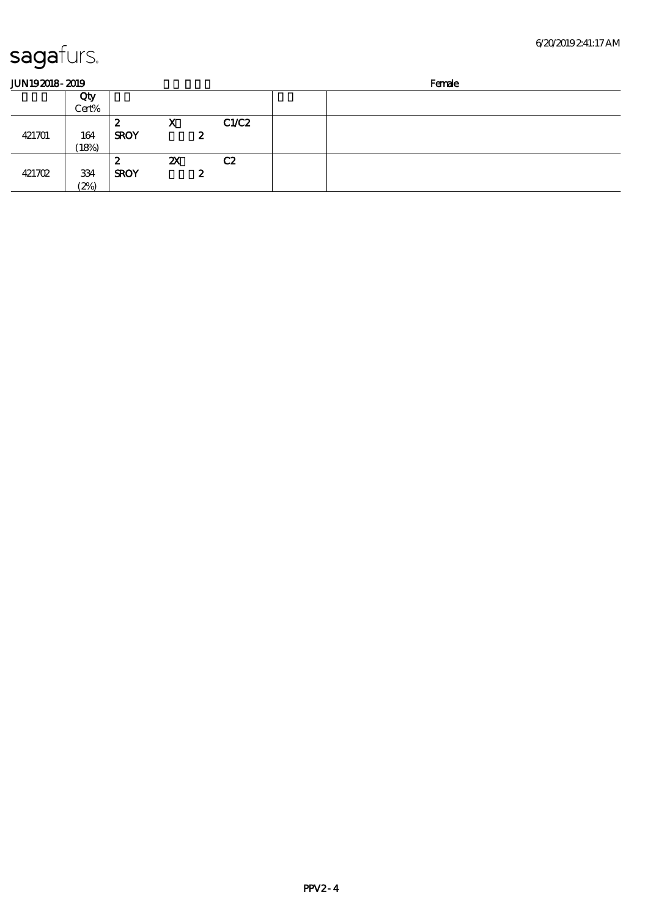| <b>JUN192018-2019</b> |       |             |    |   |       | Female |  |  |
|-----------------------|-------|-------------|----|---|-------|--------|--|--|
|                       | Qty   |             |    |   |       |        |  |  |
|                       | Cert% |             |    |   |       |        |  |  |
|                       |       | 2           | X  |   | C1/C2 |        |  |  |
| 421701                | 164   | <b>SROY</b> |    | 2 |       |        |  |  |
|                       | 18%   |             |    |   |       |        |  |  |
|                       |       | 2           | ZX |   | C2    |        |  |  |
| 421702                | 334   | <b>SROY</b> |    | 2 |       |        |  |  |
|                       | (2%)  |             |    |   |       |        |  |  |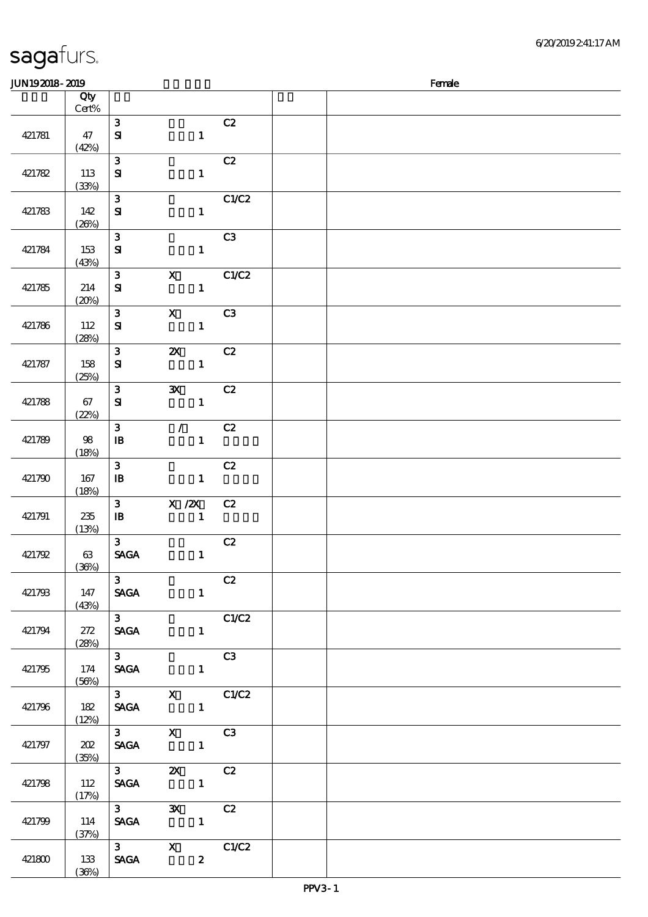| Qty<br>Cert%<br>$\mathbf{3}$<br>C2<br>421781<br>${\bf s}$<br>$\mathbf{1}$<br>47<br>(42%)<br>$\mathbf{3}$<br>C2<br>421782<br>$\mathbf{1}$<br>113<br>${\bf s}$<br>(33%)<br>C1/C2<br>$\mathbf{3}$<br>421783<br>${\bf s}$<br>142<br>$\mathbf{1}$<br>(20%)<br>$\mathbf{3}$<br>C3<br>421784<br>153<br>${\bf s}$<br>$\mathbf{1}$<br>(43%)<br>$\boldsymbol{\mathsf{X}}$<br>$\mathbf{3}$<br>C1/C2<br>${\bf S}$<br>$\mathbf{1}$<br>421785<br>214<br>(20%)<br>$\boldsymbol{\mathrm{X}}$<br>$\mathbf{3}$<br>C3<br>${\bf S}$<br>$\mathbf{1}$<br>421786<br>112<br>(28%)<br>$\mathbf{3}$<br>$\boldsymbol{\mathsf{z}}$<br>C2<br>421787<br>$\mathbf{S}$<br>$\mathbf{1}$<br>158<br>(25%)<br>$\mathbf{3}$<br>$\mathbf{x}$<br>C2<br>${\bf s}$<br>$\mathbf{1}$<br>421788<br>67<br>(22%)<br>$\mathbf{3}$<br>C2<br>$\mathcal{F}^{\mathbb{R}}$<br>$\mathbf{1}$<br>421789<br>98<br>$\mathbf{B}$<br>(18%)<br>$\mathbf{3}$<br>C2<br>421790<br>167<br>$\mathbf{B}$<br>$\mathbf{1}$<br>(18%)<br>$\mathbf{3}$<br>X / ZX<br>C2<br>$\mathbf{1}$<br>421791<br>$\mathbf{B}$<br>235<br>(13%)<br>3 <sup>1</sup><br>C2<br><b>SAGA</b><br>421792<br>63<br>$\mathbf{1}$<br>(36%)<br>3 <sup>1</sup><br>C2<br><b>SAGA</b><br>421793<br>147<br>$\mathbf{1}$<br>(43%)<br>$3^{\circ}$<br>C1/C2<br>272<br><b>SAGA</b><br>$1 -$<br>421794<br>(28%)<br>$\overline{3}$<br>C3<br>174<br><b>SAGA</b><br>421795<br>$\mathbf{1}$<br>(56%)<br>3 X C1/C2<br>182<br>SAGA 1<br>421796<br>(12%)<br>3 $X$ $\overline{C3}$<br>SAGA 1<br>202<br>421797<br>(35%)<br>$\begin{array}{ccc} 3 & 2X & C2 \\ SAGA & 1 & \end{array}$<br>112<br>421798<br>(17%)<br>$\overline{3}$<br>3X C2<br>SAGA 1<br>421799<br>114<br>(37%)<br>$\overline{3}$ $\overline{X}$ $C1/C2$<br><b>SAGA</b><br>$\boldsymbol{z}$<br>421800<br>133 | <b>JUN192018-2019</b> |       |  |  | Female |
|---------------------------------------------------------------------------------------------------------------------------------------------------------------------------------------------------------------------------------------------------------------------------------------------------------------------------------------------------------------------------------------------------------------------------------------------------------------------------------------------------------------------------------------------------------------------------------------------------------------------------------------------------------------------------------------------------------------------------------------------------------------------------------------------------------------------------------------------------------------------------------------------------------------------------------------------------------------------------------------------------------------------------------------------------------------------------------------------------------------------------------------------------------------------------------------------------------------------------------------------------------------------------------------------------------------------------------------------------------------------------------------------------------------------------------------------------------------------------------------------------------------------------------------------------------------------------------------------------------------------------------------------------------------------------------------------------------------------------------------------------------|-----------------------|-------|--|--|--------|
|                                                                                                                                                                                                                                                                                                                                                                                                                                                                                                                                                                                                                                                                                                                                                                                                                                                                                                                                                                                                                                                                                                                                                                                                                                                                                                                                                                                                                                                                                                                                                                                                                                                                                                                                                         |                       |       |  |  |        |
|                                                                                                                                                                                                                                                                                                                                                                                                                                                                                                                                                                                                                                                                                                                                                                                                                                                                                                                                                                                                                                                                                                                                                                                                                                                                                                                                                                                                                                                                                                                                                                                                                                                                                                                                                         |                       |       |  |  |        |
|                                                                                                                                                                                                                                                                                                                                                                                                                                                                                                                                                                                                                                                                                                                                                                                                                                                                                                                                                                                                                                                                                                                                                                                                                                                                                                                                                                                                                                                                                                                                                                                                                                                                                                                                                         |                       |       |  |  |        |
|                                                                                                                                                                                                                                                                                                                                                                                                                                                                                                                                                                                                                                                                                                                                                                                                                                                                                                                                                                                                                                                                                                                                                                                                                                                                                                                                                                                                                                                                                                                                                                                                                                                                                                                                                         |                       |       |  |  |        |
|                                                                                                                                                                                                                                                                                                                                                                                                                                                                                                                                                                                                                                                                                                                                                                                                                                                                                                                                                                                                                                                                                                                                                                                                                                                                                                                                                                                                                                                                                                                                                                                                                                                                                                                                                         |                       |       |  |  |        |
|                                                                                                                                                                                                                                                                                                                                                                                                                                                                                                                                                                                                                                                                                                                                                                                                                                                                                                                                                                                                                                                                                                                                                                                                                                                                                                                                                                                                                                                                                                                                                                                                                                                                                                                                                         |                       |       |  |  |        |
|                                                                                                                                                                                                                                                                                                                                                                                                                                                                                                                                                                                                                                                                                                                                                                                                                                                                                                                                                                                                                                                                                                                                                                                                                                                                                                                                                                                                                                                                                                                                                                                                                                                                                                                                                         |                       |       |  |  |        |
|                                                                                                                                                                                                                                                                                                                                                                                                                                                                                                                                                                                                                                                                                                                                                                                                                                                                                                                                                                                                                                                                                                                                                                                                                                                                                                                                                                                                                                                                                                                                                                                                                                                                                                                                                         |                       |       |  |  |        |
|                                                                                                                                                                                                                                                                                                                                                                                                                                                                                                                                                                                                                                                                                                                                                                                                                                                                                                                                                                                                                                                                                                                                                                                                                                                                                                                                                                                                                                                                                                                                                                                                                                                                                                                                                         |                       |       |  |  |        |
|                                                                                                                                                                                                                                                                                                                                                                                                                                                                                                                                                                                                                                                                                                                                                                                                                                                                                                                                                                                                                                                                                                                                                                                                                                                                                                                                                                                                                                                                                                                                                                                                                                                                                                                                                         |                       |       |  |  |        |
|                                                                                                                                                                                                                                                                                                                                                                                                                                                                                                                                                                                                                                                                                                                                                                                                                                                                                                                                                                                                                                                                                                                                                                                                                                                                                                                                                                                                                                                                                                                                                                                                                                                                                                                                                         |                       |       |  |  |        |
|                                                                                                                                                                                                                                                                                                                                                                                                                                                                                                                                                                                                                                                                                                                                                                                                                                                                                                                                                                                                                                                                                                                                                                                                                                                                                                                                                                                                                                                                                                                                                                                                                                                                                                                                                         |                       |       |  |  |        |
|                                                                                                                                                                                                                                                                                                                                                                                                                                                                                                                                                                                                                                                                                                                                                                                                                                                                                                                                                                                                                                                                                                                                                                                                                                                                                                                                                                                                                                                                                                                                                                                                                                                                                                                                                         |                       |       |  |  |        |
|                                                                                                                                                                                                                                                                                                                                                                                                                                                                                                                                                                                                                                                                                                                                                                                                                                                                                                                                                                                                                                                                                                                                                                                                                                                                                                                                                                                                                                                                                                                                                                                                                                                                                                                                                         |                       |       |  |  |        |
|                                                                                                                                                                                                                                                                                                                                                                                                                                                                                                                                                                                                                                                                                                                                                                                                                                                                                                                                                                                                                                                                                                                                                                                                                                                                                                                                                                                                                                                                                                                                                                                                                                                                                                                                                         |                       |       |  |  |        |
|                                                                                                                                                                                                                                                                                                                                                                                                                                                                                                                                                                                                                                                                                                                                                                                                                                                                                                                                                                                                                                                                                                                                                                                                                                                                                                                                                                                                                                                                                                                                                                                                                                                                                                                                                         |                       |       |  |  |        |
|                                                                                                                                                                                                                                                                                                                                                                                                                                                                                                                                                                                                                                                                                                                                                                                                                                                                                                                                                                                                                                                                                                                                                                                                                                                                                                                                                                                                                                                                                                                                                                                                                                                                                                                                                         |                       |       |  |  |        |
|                                                                                                                                                                                                                                                                                                                                                                                                                                                                                                                                                                                                                                                                                                                                                                                                                                                                                                                                                                                                                                                                                                                                                                                                                                                                                                                                                                                                                                                                                                                                                                                                                                                                                                                                                         |                       |       |  |  |        |
|                                                                                                                                                                                                                                                                                                                                                                                                                                                                                                                                                                                                                                                                                                                                                                                                                                                                                                                                                                                                                                                                                                                                                                                                                                                                                                                                                                                                                                                                                                                                                                                                                                                                                                                                                         |                       |       |  |  |        |
|                                                                                                                                                                                                                                                                                                                                                                                                                                                                                                                                                                                                                                                                                                                                                                                                                                                                                                                                                                                                                                                                                                                                                                                                                                                                                                                                                                                                                                                                                                                                                                                                                                                                                                                                                         |                       |       |  |  |        |
|                                                                                                                                                                                                                                                                                                                                                                                                                                                                                                                                                                                                                                                                                                                                                                                                                                                                                                                                                                                                                                                                                                                                                                                                                                                                                                                                                                                                                                                                                                                                                                                                                                                                                                                                                         |                       |       |  |  |        |
|                                                                                                                                                                                                                                                                                                                                                                                                                                                                                                                                                                                                                                                                                                                                                                                                                                                                                                                                                                                                                                                                                                                                                                                                                                                                                                                                                                                                                                                                                                                                                                                                                                                                                                                                                         |                       |       |  |  |        |
|                                                                                                                                                                                                                                                                                                                                                                                                                                                                                                                                                                                                                                                                                                                                                                                                                                                                                                                                                                                                                                                                                                                                                                                                                                                                                                                                                                                                                                                                                                                                                                                                                                                                                                                                                         |                       |       |  |  |        |
|                                                                                                                                                                                                                                                                                                                                                                                                                                                                                                                                                                                                                                                                                                                                                                                                                                                                                                                                                                                                                                                                                                                                                                                                                                                                                                                                                                                                                                                                                                                                                                                                                                                                                                                                                         |                       |       |  |  |        |
|                                                                                                                                                                                                                                                                                                                                                                                                                                                                                                                                                                                                                                                                                                                                                                                                                                                                                                                                                                                                                                                                                                                                                                                                                                                                                                                                                                                                                                                                                                                                                                                                                                                                                                                                                         |                       |       |  |  |        |
|                                                                                                                                                                                                                                                                                                                                                                                                                                                                                                                                                                                                                                                                                                                                                                                                                                                                                                                                                                                                                                                                                                                                                                                                                                                                                                                                                                                                                                                                                                                                                                                                                                                                                                                                                         |                       |       |  |  |        |
|                                                                                                                                                                                                                                                                                                                                                                                                                                                                                                                                                                                                                                                                                                                                                                                                                                                                                                                                                                                                                                                                                                                                                                                                                                                                                                                                                                                                                                                                                                                                                                                                                                                                                                                                                         |                       |       |  |  |        |
|                                                                                                                                                                                                                                                                                                                                                                                                                                                                                                                                                                                                                                                                                                                                                                                                                                                                                                                                                                                                                                                                                                                                                                                                                                                                                                                                                                                                                                                                                                                                                                                                                                                                                                                                                         |                       |       |  |  |        |
|                                                                                                                                                                                                                                                                                                                                                                                                                                                                                                                                                                                                                                                                                                                                                                                                                                                                                                                                                                                                                                                                                                                                                                                                                                                                                                                                                                                                                                                                                                                                                                                                                                                                                                                                                         |                       |       |  |  |        |
|                                                                                                                                                                                                                                                                                                                                                                                                                                                                                                                                                                                                                                                                                                                                                                                                                                                                                                                                                                                                                                                                                                                                                                                                                                                                                                                                                                                                                                                                                                                                                                                                                                                                                                                                                         |                       |       |  |  |        |
|                                                                                                                                                                                                                                                                                                                                                                                                                                                                                                                                                                                                                                                                                                                                                                                                                                                                                                                                                                                                                                                                                                                                                                                                                                                                                                                                                                                                                                                                                                                                                                                                                                                                                                                                                         |                       |       |  |  |        |
|                                                                                                                                                                                                                                                                                                                                                                                                                                                                                                                                                                                                                                                                                                                                                                                                                                                                                                                                                                                                                                                                                                                                                                                                                                                                                                                                                                                                                                                                                                                                                                                                                                                                                                                                                         |                       |       |  |  |        |
|                                                                                                                                                                                                                                                                                                                                                                                                                                                                                                                                                                                                                                                                                                                                                                                                                                                                                                                                                                                                                                                                                                                                                                                                                                                                                                                                                                                                                                                                                                                                                                                                                                                                                                                                                         |                       |       |  |  |        |
|                                                                                                                                                                                                                                                                                                                                                                                                                                                                                                                                                                                                                                                                                                                                                                                                                                                                                                                                                                                                                                                                                                                                                                                                                                                                                                                                                                                                                                                                                                                                                                                                                                                                                                                                                         |                       |       |  |  |        |
|                                                                                                                                                                                                                                                                                                                                                                                                                                                                                                                                                                                                                                                                                                                                                                                                                                                                                                                                                                                                                                                                                                                                                                                                                                                                                                                                                                                                                                                                                                                                                                                                                                                                                                                                                         |                       |       |  |  |        |
|                                                                                                                                                                                                                                                                                                                                                                                                                                                                                                                                                                                                                                                                                                                                                                                                                                                                                                                                                                                                                                                                                                                                                                                                                                                                                                                                                                                                                                                                                                                                                                                                                                                                                                                                                         |                       |       |  |  |        |
|                                                                                                                                                                                                                                                                                                                                                                                                                                                                                                                                                                                                                                                                                                                                                                                                                                                                                                                                                                                                                                                                                                                                                                                                                                                                                                                                                                                                                                                                                                                                                                                                                                                                                                                                                         |                       |       |  |  |        |
|                                                                                                                                                                                                                                                                                                                                                                                                                                                                                                                                                                                                                                                                                                                                                                                                                                                                                                                                                                                                                                                                                                                                                                                                                                                                                                                                                                                                                                                                                                                                                                                                                                                                                                                                                         |                       |       |  |  |        |
|                                                                                                                                                                                                                                                                                                                                                                                                                                                                                                                                                                                                                                                                                                                                                                                                                                                                                                                                                                                                                                                                                                                                                                                                                                                                                                                                                                                                                                                                                                                                                                                                                                                                                                                                                         |                       |       |  |  |        |
|                                                                                                                                                                                                                                                                                                                                                                                                                                                                                                                                                                                                                                                                                                                                                                                                                                                                                                                                                                                                                                                                                                                                                                                                                                                                                                                                                                                                                                                                                                                                                                                                                                                                                                                                                         |                       |       |  |  |        |
|                                                                                                                                                                                                                                                                                                                                                                                                                                                                                                                                                                                                                                                                                                                                                                                                                                                                                                                                                                                                                                                                                                                                                                                                                                                                                                                                                                                                                                                                                                                                                                                                                                                                                                                                                         |                       |       |  |  |        |
|                                                                                                                                                                                                                                                                                                                                                                                                                                                                                                                                                                                                                                                                                                                                                                                                                                                                                                                                                                                                                                                                                                                                                                                                                                                                                                                                                                                                                                                                                                                                                                                                                                                                                                                                                         |                       |       |  |  |        |
|                                                                                                                                                                                                                                                                                                                                                                                                                                                                                                                                                                                                                                                                                                                                                                                                                                                                                                                                                                                                                                                                                                                                                                                                                                                                                                                                                                                                                                                                                                                                                                                                                                                                                                                                                         |                       |       |  |  |        |
|                                                                                                                                                                                                                                                                                                                                                                                                                                                                                                                                                                                                                                                                                                                                                                                                                                                                                                                                                                                                                                                                                                                                                                                                                                                                                                                                                                                                                                                                                                                                                                                                                                                                                                                                                         |                       |       |  |  |        |
|                                                                                                                                                                                                                                                                                                                                                                                                                                                                                                                                                                                                                                                                                                                                                                                                                                                                                                                                                                                                                                                                                                                                                                                                                                                                                                                                                                                                                                                                                                                                                                                                                                                                                                                                                         |                       |       |  |  |        |
|                                                                                                                                                                                                                                                                                                                                                                                                                                                                                                                                                                                                                                                                                                                                                                                                                                                                                                                                                                                                                                                                                                                                                                                                                                                                                                                                                                                                                                                                                                                                                                                                                                                                                                                                                         |                       |       |  |  |        |
|                                                                                                                                                                                                                                                                                                                                                                                                                                                                                                                                                                                                                                                                                                                                                                                                                                                                                                                                                                                                                                                                                                                                                                                                                                                                                                                                                                                                                                                                                                                                                                                                                                                                                                                                                         |                       |       |  |  |        |
|                                                                                                                                                                                                                                                                                                                                                                                                                                                                                                                                                                                                                                                                                                                                                                                                                                                                                                                                                                                                                                                                                                                                                                                                                                                                                                                                                                                                                                                                                                                                                                                                                                                                                                                                                         |                       |       |  |  |        |
|                                                                                                                                                                                                                                                                                                                                                                                                                                                                                                                                                                                                                                                                                                                                                                                                                                                                                                                                                                                                                                                                                                                                                                                                                                                                                                                                                                                                                                                                                                                                                                                                                                                                                                                                                         |                       |       |  |  |        |
|                                                                                                                                                                                                                                                                                                                                                                                                                                                                                                                                                                                                                                                                                                                                                                                                                                                                                                                                                                                                                                                                                                                                                                                                                                                                                                                                                                                                                                                                                                                                                                                                                                                                                                                                                         |                       |       |  |  |        |
|                                                                                                                                                                                                                                                                                                                                                                                                                                                                                                                                                                                                                                                                                                                                                                                                                                                                                                                                                                                                                                                                                                                                                                                                                                                                                                                                                                                                                                                                                                                                                                                                                                                                                                                                                         |                       |       |  |  |        |
|                                                                                                                                                                                                                                                                                                                                                                                                                                                                                                                                                                                                                                                                                                                                                                                                                                                                                                                                                                                                                                                                                                                                                                                                                                                                                                                                                                                                                                                                                                                                                                                                                                                                                                                                                         |                       |       |  |  |        |
|                                                                                                                                                                                                                                                                                                                                                                                                                                                                                                                                                                                                                                                                                                                                                                                                                                                                                                                                                                                                                                                                                                                                                                                                                                                                                                                                                                                                                                                                                                                                                                                                                                                                                                                                                         |                       |       |  |  |        |
|                                                                                                                                                                                                                                                                                                                                                                                                                                                                                                                                                                                                                                                                                                                                                                                                                                                                                                                                                                                                                                                                                                                                                                                                                                                                                                                                                                                                                                                                                                                                                                                                                                                                                                                                                         |                       |       |  |  |        |
|                                                                                                                                                                                                                                                                                                                                                                                                                                                                                                                                                                                                                                                                                                                                                                                                                                                                                                                                                                                                                                                                                                                                                                                                                                                                                                                                                                                                                                                                                                                                                                                                                                                                                                                                                         |                       |       |  |  |        |
|                                                                                                                                                                                                                                                                                                                                                                                                                                                                                                                                                                                                                                                                                                                                                                                                                                                                                                                                                                                                                                                                                                                                                                                                                                                                                                                                                                                                                                                                                                                                                                                                                                                                                                                                                         |                       |       |  |  |        |
|                                                                                                                                                                                                                                                                                                                                                                                                                                                                                                                                                                                                                                                                                                                                                                                                                                                                                                                                                                                                                                                                                                                                                                                                                                                                                                                                                                                                                                                                                                                                                                                                                                                                                                                                                         |                       |       |  |  |        |
|                                                                                                                                                                                                                                                                                                                                                                                                                                                                                                                                                                                                                                                                                                                                                                                                                                                                                                                                                                                                                                                                                                                                                                                                                                                                                                                                                                                                                                                                                                                                                                                                                                                                                                                                                         |                       |       |  |  |        |
|                                                                                                                                                                                                                                                                                                                                                                                                                                                                                                                                                                                                                                                                                                                                                                                                                                                                                                                                                                                                                                                                                                                                                                                                                                                                                                                                                                                                                                                                                                                                                                                                                                                                                                                                                         |                       |       |  |  |        |
|                                                                                                                                                                                                                                                                                                                                                                                                                                                                                                                                                                                                                                                                                                                                                                                                                                                                                                                                                                                                                                                                                                                                                                                                                                                                                                                                                                                                                                                                                                                                                                                                                                                                                                                                                         |                       | (36%) |  |  |        |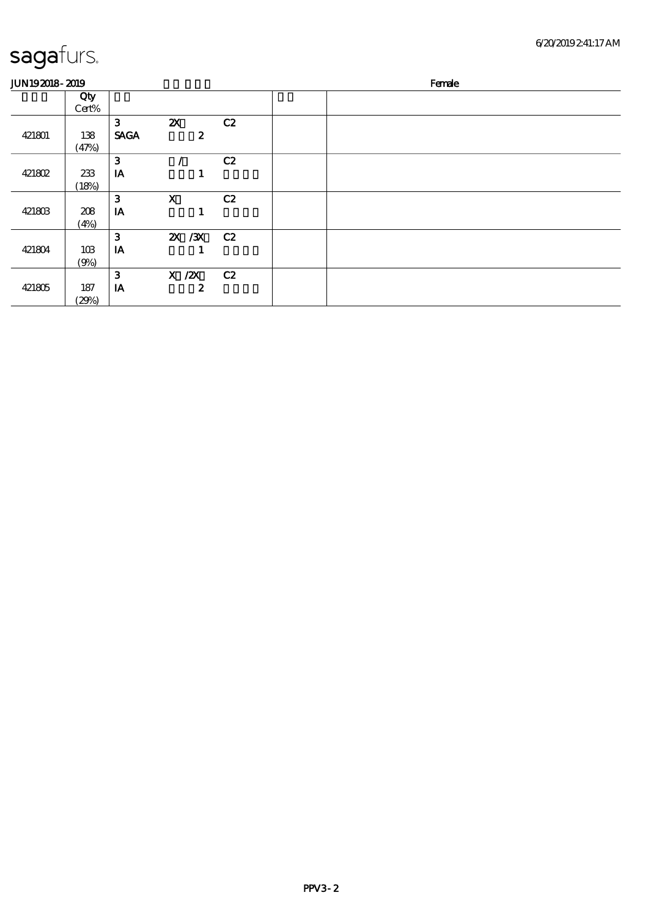| <b>JUN192018-2019</b> |              |                  |                                               |    | Female |
|-----------------------|--------------|------------------|-----------------------------------------------|----|--------|
|                       | Qty<br>Cert% |                  |                                               |    |        |
| 421801                | 138<br>(47%) | 3<br><b>SAGA</b> | $\boldsymbol{\mathsf{z}}$<br>$\boldsymbol{z}$ | C2 |        |
| 421802                | 233<br>(18%) | 3<br>IA          | 1                                             | C2 |        |
| 421803                | 208<br>(4%)  | 3<br>IA          | $\mathbf{X}$<br>1                             | C2 |        |
| 421804                | 10B<br>(9%)  | 3<br>IA          | 2X / 3X                                       | C2 |        |
| 421805                | 187<br>(29%) | 3<br>IA          | $X$ / $ZX$<br>$\boldsymbol{z}$                | C2 |        |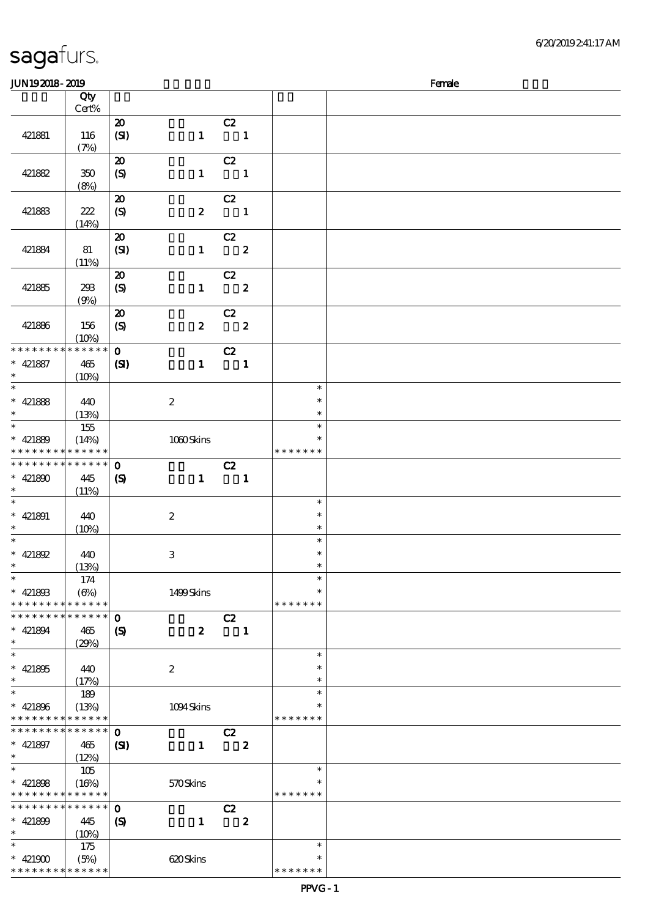| JUN192018-2019                           |                      |                             |                  |                          |                         |               | Female |
|------------------------------------------|----------------------|-----------------------------|------------------|--------------------------|-------------------------|---------------|--------|
|                                          | Qty                  |                             |                  |                          |                         |               |        |
|                                          | $Cert\%$             |                             |                  |                          |                         |               |        |
|                                          |                      | $\boldsymbol{\mathfrak{D}}$ |                  | C2                       |                         |               |        |
| 421881                                   | 116                  | (SI)                        | $\mathbf{1}$     | $\blacksquare$           |                         |               |        |
|                                          | (7%)                 |                             |                  |                          |                         |               |        |
|                                          |                      | $\boldsymbol{\mathfrak{D}}$ |                  | C2                       |                         |               |        |
| 421882                                   | 350                  | (S)                         | $\mathbf{1}$     | $\blacksquare$           |                         |               |        |
|                                          | (8%)                 |                             |                  |                          |                         |               |        |
|                                          |                      | $\boldsymbol{\mathbf{z}}$   |                  | C2                       |                         |               |        |
|                                          |                      |                             |                  | $\overline{\phantom{a}}$ |                         |               |        |
| 421883                                   | 222                  | $\boldsymbol{S}$            | $\boldsymbol{z}$ |                          |                         |               |        |
|                                          | (14%)                |                             |                  |                          |                         |               |        |
|                                          |                      | $\boldsymbol{\mathbf{z}}$   |                  | C2                       |                         |               |        |
| 421884                                   | 81                   | (SI)                        | $\mathbf{1}$     | $\overline{\mathbf{2}}$  |                         |               |        |
|                                          | (11%)                |                             |                  |                          |                         |               |        |
|                                          |                      | $\boldsymbol{\mathfrak{D}}$ |                  | C2                       |                         |               |        |
| 421885                                   | 298                  | $\boldsymbol{S}$            | $\mathbf{1}$     |                          | $\overline{\mathbf{2}}$ |               |        |
|                                          | (9%)                 |                             |                  |                          |                         |               |        |
|                                          |                      | $\boldsymbol{\mathbf{z}}$   |                  | C2                       |                         |               |        |
| 421886                                   | 156                  | $\boldsymbol{S}$            | $\boldsymbol{2}$ |                          | $\overline{\mathbf{2}}$ |               |        |
|                                          | (10%)                |                             |                  |                          |                         |               |        |
| * * * * * * * *                          | * * * * * *          | $\mathbf{o}$                |                  | C2                       |                         |               |        |
| $* 421887$                               | 465                  | (S)                         | $\mathbf{1}$     | $\blacksquare$           |                         |               |        |
| $\ast$                                   | (10%)                |                             |                  |                          |                         |               |        |
| $\overline{\ast}$                        |                      |                             |                  |                          |                         | $\ast$        |        |
| * 421888                                 | 440                  |                             | $\boldsymbol{2}$ |                          |                         | $\ast$        |        |
| $\ast$                                   | (13%)                |                             |                  |                          |                         | $\ast$        |        |
| $\overline{\ast}$                        | 155                  |                             |                  |                          |                         | $\ast$        |        |
| $* 421889$                               |                      |                             |                  |                          |                         | *             |        |
| * * * * * * * *                          | (14%)<br>* * * * * * |                             | 1000Skins        |                          |                         | * * * * * * * |        |
| * * * * * * * * <mark>*</mark>           | $* * * * * * *$      |                             |                  |                          |                         |               |        |
|                                          |                      | $\mathbf 0$                 |                  | C2                       |                         |               |        |
| * 421890                                 | 445                  | $\boldsymbol{\mathrm{(S)}}$ | $\mathbf{1}$     | $\blacksquare$           |                         |               |        |
| $\ast$                                   | (11%)                |                             |                  |                          |                         |               |        |
| $\ast$                                   |                      |                             |                  |                          |                         | $\ast$        |        |
| $* 421891$                               | 440                  |                             | $\boldsymbol{2}$ |                          |                         | $\ast$        |        |
| $\ast$                                   | (10%)                |                             |                  |                          |                         | $\ast$        |        |
| $\ast$                                   |                      |                             |                  |                          |                         | $\ast$        |        |
| * $421892$                               | 440                  |                             | $\,3$            |                          |                         | $\ast$        |        |
| $\ast$                                   | (13%)                |                             |                  |                          |                         | $\ast$        |        |
| $\ast$                                   | 174                  |                             |                  |                          |                         | $\ast$        |        |
| $* 42180B$                               | $(\Theta_0)$         |                             | 1499Skins        |                          |                         | $\ast$        |        |
| * * * * * * * *                          | * * * * * *          |                             |                  |                          |                         | * * * * * * * |        |
| * * * * * * * *                          | * * * * * *          | $\mathbf 0$                 |                  | C2                       |                         |               |        |
| $* 421894$                               | 465                  | $\boldsymbol{\mathcal{S}}$  | $\boldsymbol{z}$ |                          | $\mathbf{1}$            |               |        |
| $\ast$                                   | (29%)                |                             |                  |                          |                         |               |        |
| $\ast$                                   |                      |                             |                  |                          |                         | $\ast$        |        |
| $* 421805$                               | 440                  |                             | $\boldsymbol{2}$ |                          |                         | $\ast$        |        |
| $\ast$                                   | (17%)                |                             |                  |                          |                         | $\ast$        |        |
| $\ast$                                   | 189                  |                             |                  |                          |                         | $\ast$        |        |
| $* 421806$                               | (13%)                |                             | 1094Skins        |                          |                         | *             |        |
| * * * * * * * *                          | * * * * * *          |                             |                  |                          |                         | * * * * * * * |        |
| * * * * * * * *                          | * * * * * *          | $\mathbf 0$                 |                  | C2                       |                         |               |        |
| $* 421897$                               | 465                  | $\mathbf{C}$                | $\mathbf{1}$     |                          | $\boldsymbol{z}$        |               |        |
| $\ast$                                   | (12%)                |                             |                  |                          |                         |               |        |
| $\overline{\ast}$                        | 105                  |                             |                  |                          |                         | $\ast$        |        |
| $* 421808$                               | (16%)                |                             | 570Skins         |                          |                         | $\ast$        |        |
| * * * * * * * * <mark>* * * * * *</mark> |                      |                             |                  |                          |                         | * * * * * * * |        |
| * * * * * * * *                          | $* * * * * * *$      |                             |                  |                          |                         |               |        |
|                                          |                      | $\mathbf 0$                 |                  | C2                       |                         |               |        |
| $* 421809$                               | 445                  | $\boldsymbol{S}$            | $\mathbf{1}$     |                          | $\boldsymbol{z}$        |               |        |
| $\ast$                                   | (10%)                |                             |                  |                          |                         |               |        |
| $\ast$                                   | 175                  |                             |                  |                          |                         | $\ast$        |        |
| * $421900$                               | (5%)                 |                             | 620Skins         |                          |                         | $\ast$        |        |
| * * * * * * * *                          | * * * * * *          |                             |                  |                          |                         | * * * * * * * |        |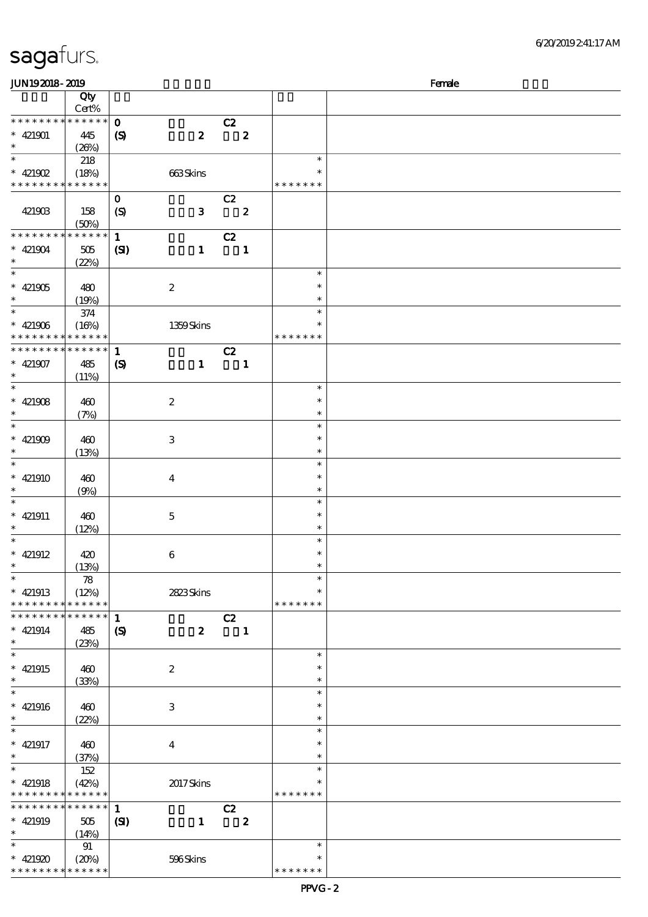| sagafurs. |
|-----------|
|-----------|

| <b>JUN192018-2019</b>       |             |                            |                  |                          |                  |               | Female |
|-----------------------------|-------------|----------------------------|------------------|--------------------------|------------------|---------------|--------|
|                             | Qty         |                            |                  |                          |                  |               |        |
|                             | Cert%       |                            |                  |                          |                  |               |        |
| * * * * * * * * * * * * * * |             | $\mathbf{o}$               |                  | C2                       |                  |               |        |
| $* 421901$                  | 445         | $\boldsymbol{S}$           | $\boldsymbol{z}$ |                          | $\boldsymbol{z}$ |               |        |
| $\ast$                      | (20%)       |                            |                  |                          |                  |               |        |
| $\overline{\ast}$           |             |                            |                  |                          |                  | $\ast$        |        |
|                             | 218         |                            |                  |                          |                  | $\ast$        |        |
| $* 421902$                  | (18%)       |                            | 663Skins         |                          |                  |               |        |
| * * * * * * * * * * * * * * |             |                            |                  |                          |                  | * * * * * * * |        |
|                             |             | $\mathbf{o}$               |                  | C2                       |                  |               |        |
| 421903                      | 158         | $\boldsymbol{S}$           | $\mathbf{3}$     | $\overline{\mathbf{2}}$  |                  |               |        |
|                             | (50%)       |                            |                  |                          |                  |               |        |
| * * * * * * * * * * * * * * |             | $\mathbf{1}$               |                  | C2                       |                  |               |        |
| $* 421904$                  | 505         | (S)                        | $\mathbf{1}$     | $\overline{\phantom{a}}$ |                  |               |        |
| $\ast$                      | (22%)       |                            |                  |                          |                  |               |        |
| $\overline{\phantom{0}}$    |             |                            |                  |                          |                  | $\ast$        |        |
| $* 421905$                  | 480         |                            | $\boldsymbol{2}$ |                          |                  | $\ast$        |        |
| $\ast$                      | (19%)       |                            |                  |                          |                  | $\ast$        |        |
| $\ast$                      |             |                            |                  |                          |                  | $\ast$        |        |
|                             | 374         |                            |                  |                          |                  |               |        |
| $* 421906$                  | (16%)       |                            | 1359Skins        |                          |                  | $\ast$        |        |
| * * * * * * * * * * * * * * |             |                            |                  |                          |                  | * * * * * * * |        |
| * * * * * * * * * * * * * * |             | $\mathbf{1}$               |                  | C2                       |                  |               |        |
| $* 421907$                  | 485         | $\boldsymbol{S}$           | $\mathbf{1}$     |                          | $\mathbf{1}$     |               |        |
| $\ast$                      | (11%)       |                            |                  |                          |                  |               |        |
| $\ast$                      |             |                            |                  |                          |                  | $\ast$        |        |
| $* 421908$                  | 460         |                            | $\boldsymbol{2}$ |                          |                  | $\ast$        |        |
| $\ast$                      | (7%)        |                            |                  |                          |                  | $\ast$        |        |
| $\ast$                      |             |                            |                  |                          |                  | $\ast$        |        |
| $* 421909$                  | 460         |                            | 3                |                          |                  | $\ast$        |        |
| $\ast$                      |             |                            |                  |                          |                  | $\ast$        |        |
|                             | (13%)       |                            |                  |                          |                  |               |        |
| $\ast$                      |             |                            |                  |                          |                  | $\ast$        |        |
| $* 421910$                  | 460         |                            | $\boldsymbol{4}$ |                          |                  | $\ast$        |        |
| $\ast$                      | (9%)        |                            |                  |                          |                  | $\ast$        |        |
| $\ast$                      |             |                            |                  |                          |                  | $\ast$        |        |
| $* 421911$                  | 460         |                            | $\mathbf 5$      |                          |                  | $\ast$        |        |
| $\ast$                      | (12%)       |                            |                  |                          |                  | $\ast$        |        |
| $\ast$                      |             |                            |                  |                          |                  | $\ast$        |        |
| $* 421912$                  | 420         |                            | 6                |                          |                  | $\ast$        |        |
| $*$                         | (13%)       |                            |                  |                          |                  | $\ast$        |        |
| $\ast$                      | 78          |                            |                  |                          |                  | $\ast$        |        |
| $* 421913$                  | (12%)       |                            | 2823Skins        |                          |                  | $\ast$        |        |
|                             |             |                            |                  |                          |                  |               |        |
| * * * * * * * * * * * * * * |             |                            |                  |                          |                  | * * * * * * * |        |
| * * * * * * * *             | * * * * * * | $\mathbf{1}$               |                  | C2                       |                  |               |        |
| $* 421914$                  | 485         | $\boldsymbol{\mathcal{S}}$ | $\boldsymbol{z}$ | $\blacksquare$           |                  |               |        |
| $\ast$                      | (23%)       |                            |                  |                          |                  |               |        |
| $\ast$                      |             |                            |                  |                          |                  | $\ast$        |        |
| $* 421915$                  | 460         |                            | $\boldsymbol{z}$ |                          |                  | $\ast$        |        |
| $\ast$                      | (33%)       |                            |                  |                          |                  | $\ast$        |        |
| $\ast$                      |             |                            |                  |                          |                  | $\ast$        |        |
| $* 421916$                  | 460         |                            | 3                |                          |                  | $\ast$        |        |
| $\ast$                      |             |                            |                  |                          |                  | $\ast$        |        |
| $\ast$                      | (22%)       |                            |                  |                          |                  | $\ast$        |        |
|                             |             |                            |                  |                          |                  |               |        |
| $* 421917$                  | 460         |                            | $\bf{4}$         |                          |                  | $\ast$        |        |
| $\ast$                      | (37%)       |                            |                  |                          |                  | $\ast$        |        |
| $\ast$                      | 152         |                            |                  |                          |                  | $\ast$        |        |
| $* 421918$                  | (42%)       |                            | 2017Skins        |                          |                  | ∗             |        |
| * * * * * * * * * * * * * * |             |                            |                  |                          |                  | * * * * * * * |        |
| * * * * * * * * * * * * * * |             | $\mathbf{1}$               |                  | C2                       |                  |               |        |
| $* 421919$                  | 505         | (S)                        | $\mathbf{1}$     |                          | $\boldsymbol{z}$ |               |        |
| $\ast$                      | (14%)       |                            |                  |                          |                  |               |        |
| $\ast$                      | 91          |                            |                  |                          |                  | $\ast$        |        |
|                             |             |                            |                  |                          |                  | $\ast$        |        |
| $* 421920$                  | (20%)       |                            | 596Skins         |                          |                  |               |        |
| * * * * * * * * * * * * * * |             |                            |                  |                          |                  | * * * * * * * |        |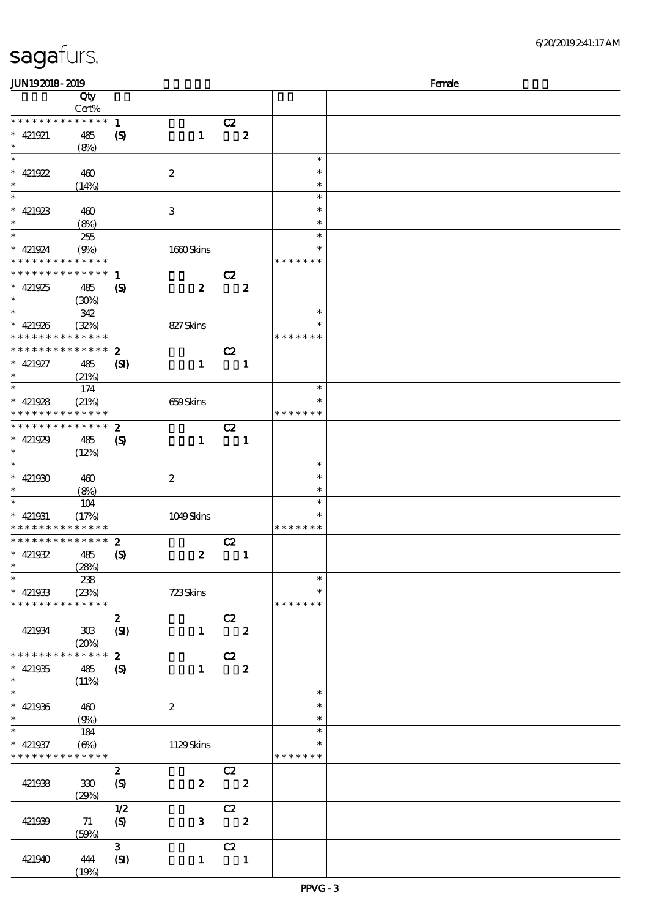| JUN192018-2019                             |                 |                            |                  |                |                  |               | Female |
|--------------------------------------------|-----------------|----------------------------|------------------|----------------|------------------|---------------|--------|
|                                            | Qty             |                            |                  |                |                  |               |        |
|                                            | Cert%           |                            |                  |                |                  |               |        |
| * * * * * * * *                            | $* * * * * *$   | $\mathbf{1}$               |                  | C2             |                  |               |        |
| $* 421921$                                 | 485             | $\boldsymbol{\mathsf{S}}$  | $\mathbf{1}$     |                | $\boldsymbol{z}$ |               |        |
| $\ast$                                     |                 |                            |                  |                |                  |               |        |
| $\overline{\ast}$                          | (8%)            |                            |                  |                |                  | $\ast$        |        |
|                                            |                 |                            |                  |                |                  |               |        |
| * $421922$                                 | 460             |                            | $\boldsymbol{z}$ |                |                  | $\ast$        |        |
| $\ast$                                     | (14%)           |                            |                  |                |                  | $\ast$        |        |
|                                            |                 |                            |                  |                |                  | $\ast$        |        |
| * 421923                                   | 460             |                            | 3                |                |                  | $\ast$        |        |
| $\ast$                                     | (8%)            |                            |                  |                |                  | $\ast$        |        |
| $\overline{\ast}$                          |                 |                            |                  |                |                  | $\ast$        |        |
|                                            | 255             |                            |                  |                |                  |               |        |
| $* 421924$                                 | (9%)            |                            | 1660Skins        |                |                  | $\ast$        |        |
| * * * * * * * * <mark>* * * * * * *</mark> |                 |                            |                  |                |                  | * * * * * * * |        |
|                                            |                 |                            |                  | C2             |                  |               |        |
| * $421925$                                 | 485             | $\boldsymbol{\mathcal{S}}$ | $\boldsymbol{z}$ |                | $\boldsymbol{2}$ |               |        |
| $\ast$                                     | (30%)           |                            |                  |                |                  |               |        |
| $\ast$                                     | 342             |                            |                  |                |                  | $\ast$        |        |
| $* 421926$                                 | (32%)           |                            | 827Skins         |                |                  | $\ast$        |        |
| * * * * * * * * <mark>* * * * * * *</mark> |                 |                            |                  |                |                  | * * * * * * * |        |
|                                            |                 |                            |                  |                |                  |               |        |
| * * * * * * * * * * * * * * *              |                 | $\boldsymbol{z}$           |                  | C2             |                  |               |        |
| $* 421927$                                 | 485             | $\mathbf{C}$               | $\mathbf{1}$     |                | $\mathbf{1}$     |               |        |
| $\ast$                                     | (21%)           |                            |                  |                |                  |               |        |
| $\ast$                                     | 174             |                            |                  |                |                  | $\ast$        |        |
| * $421928$                                 | (21%)           |                            | 659Skins         |                |                  | $\ast$        |        |
| * * * * * * * *                            | $* * * * * * *$ |                            |                  |                |                  | * * * * * * * |        |
| * * * * * * * * <mark>* * * * * * *</mark> |                 |                            |                  |                |                  |               |        |
|                                            |                 | $\boldsymbol{z}$           |                  | C2             |                  |               |        |
| * 421929                                   | 485             | $\boldsymbol{\mathcal{S}}$ | $\mathbf{1}$     |                | $\mathbf{1}$     |               |        |
| $\ast$                                     | (12%)           |                            |                  |                |                  |               |        |
| $\ast$                                     |                 |                            |                  |                |                  | $\ast$        |        |
| * $421900$                                 | 460             |                            | $\boldsymbol{2}$ |                |                  | $\ast$        |        |
| $\ast$                                     | (8%)            |                            |                  |                |                  | $\ast$        |        |
| $\ast$                                     | 104             |                            |                  |                |                  | $\ast$        |        |
|                                            |                 |                            |                  |                |                  | $\ast$        |        |
| $* 421931$                                 | (17%)           |                            | 1049Skins        |                |                  |               |        |
| * * * * * * * * <mark>* * * * * * *</mark> |                 |                            |                  |                |                  | * * * * * * * |        |
| * * * * * * * * <mark>* * * * * * *</mark> |                 | $\boldsymbol{z}$           |                  | C2             |                  |               |        |
| * $421932$                                 | 485             | $\boldsymbol{\mathcal{S}}$ | $\boldsymbol{z}$ |                | $\mathbf{1}$     |               |        |
| $*$ $*$                                    | (28%)           |                            |                  |                |                  |               |        |
| $\ast$                                     | 238             |                            |                  |                |                  | $\ast$        |        |
| * 421933                                   | (23%)           |                            | 723Skins         |                |                  | $\ast$        |        |
| * * * * * * * *                            | * * * * * *     |                            |                  |                |                  | * * * * * * * |        |
|                                            |                 |                            |                  |                |                  |               |        |
|                                            |                 | $\boldsymbol{2}$           |                  | C2             |                  |               |        |
| 421934                                     | 308             | (SI)                       | $\mathbf{1}$     |                | $\boldsymbol{z}$ |               |        |
|                                            | (20%)           |                            |                  |                |                  |               |        |
| * * * * * * * *                            | * * * * * *     | $\boldsymbol{z}$           |                  | C2             |                  |               |        |
| $* 421935$                                 | 485             | $\boldsymbol{\mathsf{S}}$  | $\mathbf{1}$     |                | $\boldsymbol{z}$ |               |        |
| $\ast$                                     | (11%)           |                            |                  |                |                  |               |        |
| $\ast$                                     |                 |                            |                  |                |                  | $\ast$        |        |
| $* 421936$                                 | 460             |                            | $\boldsymbol{2}$ |                |                  | $\ast$        |        |
|                                            |                 |                            |                  |                |                  |               |        |
| $\ast$                                     | (9%)            |                            |                  |                |                  | $\ast$        |        |
| $\ast$                                     | 184             |                            |                  |                |                  | $\ast$        |        |
| $* 421937$                                 | $(\Theta)$      |                            | 1129Skins        |                |                  | $\ast$        |        |
| * * * * * * * *                            | * * * * * *     |                            |                  |                |                  | * * * * * * * |        |
|                                            |                 | $\boldsymbol{2}$           |                  | C2             |                  |               |        |
| 421938                                     | 330             | $\boldsymbol{S}$           | $\boldsymbol{z}$ |                | $\boldsymbol{z}$ |               |        |
|                                            | (29%)           |                            |                  |                |                  |               |        |
|                                            |                 |                            |                  |                |                  |               |        |
|                                            |                 | 1/2                        |                  | C2             |                  |               |        |
|                                            |                 |                            |                  |                | $\boldsymbol{z}$ |               |        |
| 421939                                     | 71              | $\boldsymbol{S}$           | 3                |                |                  |               |        |
|                                            | (50%)           |                            |                  |                |                  |               |        |
|                                            |                 | $\mathbf{3}$               |                  | C2             |                  |               |        |
| 421940                                     | 444             | (SI)                       | $\mathbf{1}$     | $\blacksquare$ |                  |               |        |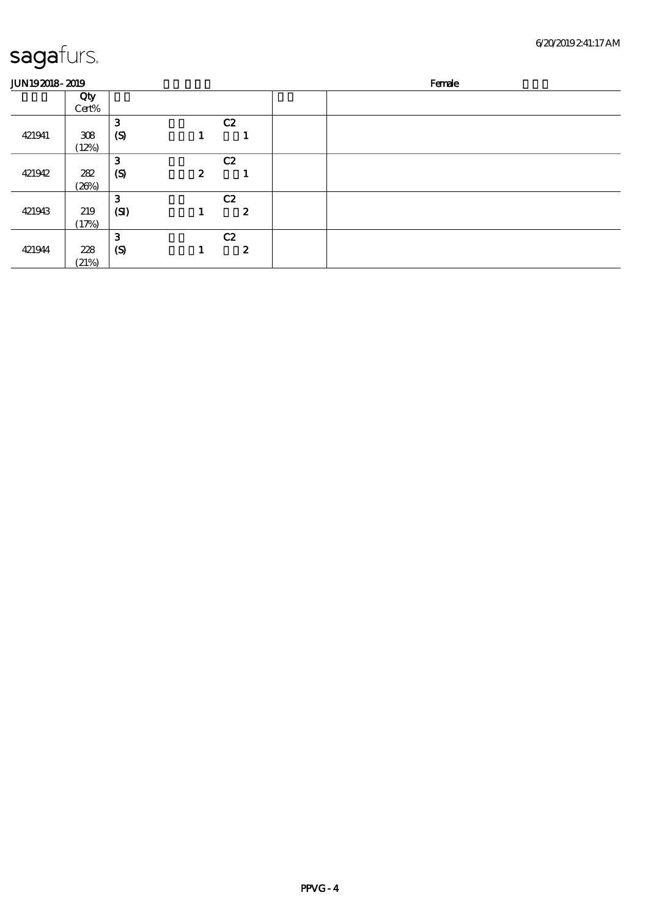| <b>JUN192018-2019</b> |              |                  |                  |    | Female |
|-----------------------|--------------|------------------|------------------|----|--------|
|                       | Qty<br>Cert% |                  |                  |    |        |
|                       |              | 3                |                  | C2 |        |
| 421941                | 308<br>(12%) | $\boldsymbol{S}$ |                  |    |        |
|                       |              | 3                |                  | C2 |        |
| 421942                | 282<br>(20%) | $\mathcal{S}$    | $\boldsymbol{z}$ | п  |        |
|                       |              | 3                |                  | C2 |        |
| 421943                | 219<br>(17%) | (SI)             |                  | 2  |        |
|                       |              | 3                |                  | C2 |        |
| 421944                | 228          | $\boldsymbol{S}$ |                  | 2  |        |
|                       | (21%)        |                  |                  |    |        |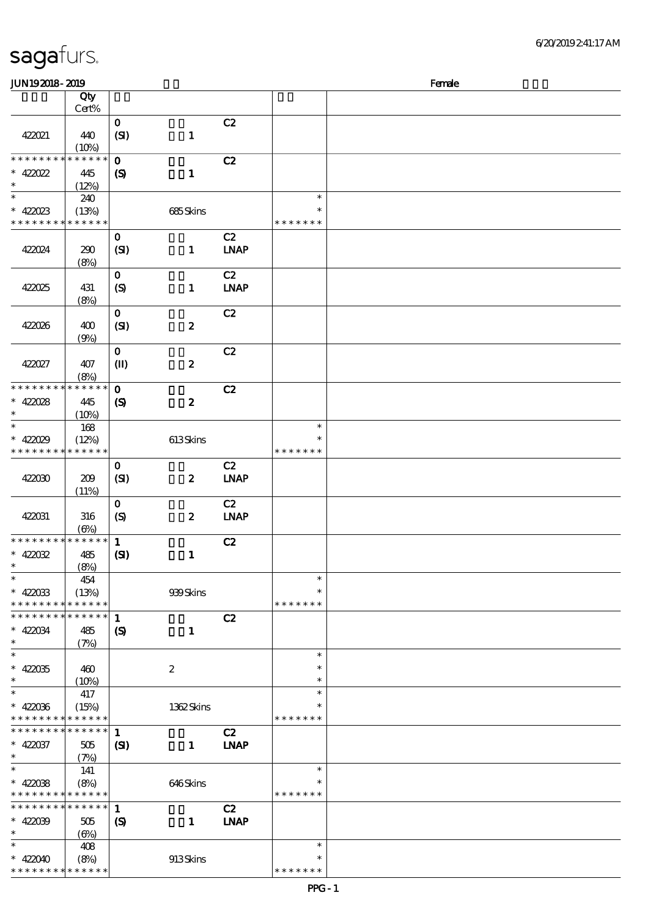| <b>JUN192018-2019</b>                    |                 |                            |                  |             |               | Female |
|------------------------------------------|-----------------|----------------------------|------------------|-------------|---------------|--------|
|                                          | Qty             |                            |                  |             |               |        |
|                                          | Cert%           |                            |                  |             |               |        |
| 422021                                   | 440             | $\mathbf{o}$<br>(SI)       | $\mathbf{1}$     | C2          |               |        |
|                                          | (10%)           |                            |                  |             |               |        |
| * * * * * * * *                          | * * * * * *     | $\mathbf 0$                |                  | C2          |               |        |
| $* 42022$<br>$\ast$                      | 445<br>(12%)    | $\boldsymbol{\mathcal{S}}$ | $\mathbf{1}$     |             |               |        |
| $\ast$                                   | 240             |                            |                  |             | $\ast$        |        |
| $* 422023$                               | (13%)           |                            | 685Skins         |             | $\ast$        |        |
| * * * * * * * * * * * * * *              |                 |                            |                  |             | * * * * * * * |        |
|                                          |                 | $\mathbf{o}$               |                  | C2          |               |        |
| 422024                                   | 290<br>(8%)     | (SI)                       | $\mathbf{1}$     | <b>LNAP</b> |               |        |
|                                          |                 | $\mathbf{o}$               |                  | C2          |               |        |
| 422025                                   | 431<br>(8%)     | (S)                        | $\mathbf{1}$     | <b>LNAP</b> |               |        |
|                                          |                 | $\mathbf{o}$               |                  | C2          |               |        |
| 422026                                   | 400<br>(9%)     | (SI)                       | $\boldsymbol{z}$ |             |               |        |
|                                          |                 | $\mathbf O$                |                  | C2          |               |        |
| 422027                                   | 407             | $\mathbf{I}$               | $\boldsymbol{z}$ |             |               |        |
|                                          | (8%)            |                            |                  |             |               |        |
| * * * * * * * *                          | * * * * * *     | $\mathbf 0$                |                  | C2          |               |        |
| $* 42008$                                | 445             | $\boldsymbol{\mathcal{S}}$ | $\boldsymbol{z}$ |             |               |        |
| $\ast$                                   | (10%)           |                            |                  |             |               |        |
| $\ast$                                   | 168             |                            |                  |             | $\ast$        |        |
| $* 42029$                                | (12%)           |                            | 613Skins         |             | ∗             |        |
| * * * * * * * * * * * * * *              |                 |                            |                  |             | * * * * * * * |        |
|                                          |                 | $\mathbf 0$                |                  | C2          |               |        |
| 422030                                   | 209             | (SI)                       | $\boldsymbol{z}$ | <b>LNAP</b> |               |        |
|                                          | (11%)           |                            |                  |             |               |        |
|                                          |                 | $\mathbf 0$                |                  | C2          |               |        |
| 422031                                   | 316             | (S)                        | $\boldsymbol{z}$ | <b>LNAP</b> |               |        |
|                                          | $(\Theta)$      |                            |                  |             |               |        |
| * * * * * * * * * * * * * *              |                 | $\mathbf{1}$               |                  | C2          |               |        |
| $* 42002$                                | 485             | (S)                        | $\mathbf{1}$     |             |               |        |
| $*$                                      | (8%)            |                            |                  |             |               |        |
| $\ast$                                   | 454             |                            |                  |             | $\ast$        |        |
| $* 42003$                                | (13%)           |                            | 939Skins         |             | $\ast$        |        |
| * * * * * * * *                          | * * * * * *     |                            |                  |             | * * * * * * * |        |
| * * * * * * *<br>∗                       | * * * * * *     | $\mathbf{1}$               |                  | C2          |               |        |
| $* 42004$                                | 485             | $\boldsymbol{\mathcal{S}}$ | 1                |             |               |        |
| $\ast$                                   | (7%)            |                            |                  |             |               |        |
| $\ast$                                   |                 |                            |                  |             | $\ast$        |        |
| $* 42005$                                | 460             |                            | $\boldsymbol{2}$ |             | $\ast$        |        |
| $\ast$                                   | (10%)           |                            |                  |             | $\ast$        |        |
| $\ast$                                   | 417             |                            |                  |             | $\ast$        |        |
| $* 422036$                               | (15%)           |                            | 1362Skins        |             | $\ast$        |        |
| * * * * * * * * * * * * * *              |                 |                            |                  |             | * * * * * * * |        |
| * * * * * * * *                          | * * * * * *     | $\mathbf{1}$               |                  | C2          |               |        |
| $* 422037$                               | 505             | $\mathbf{C}$               | $\mathbf{1}$     | <b>INAP</b> |               |        |
| $\ast$                                   | (7%)            |                            |                  |             |               |        |
| $\overline{\ast}$                        | 141             |                            |                  |             | $\ast$        |        |
| $* 42008$                                | (8%)            |                            | 646Skins         |             | $\ast$        |        |
| * * * * * * * * <mark>* * * * * *</mark> |                 |                            |                  |             | * * * * * * * |        |
| * * * * * * * *                          | $* * * * * * *$ | $\mathbf{1}$               |                  | C2          |               |        |
| $* 42009$                                | 505             | $\boldsymbol{\mathcal{S}}$ | $\mathbf{1}$     | <b>INAP</b> |               |        |
| $\ast$                                   | (6%)            |                            |                  |             |               |        |
| $\ast$                                   | 408             |                            |                  |             | $\ast$        |        |
| $* 422040$                               | (8%)            |                            | 913Skins         |             | $\ast$        |        |
| * * * * * * * *                          | * * * * * *     |                            |                  |             | * * * * * * * |        |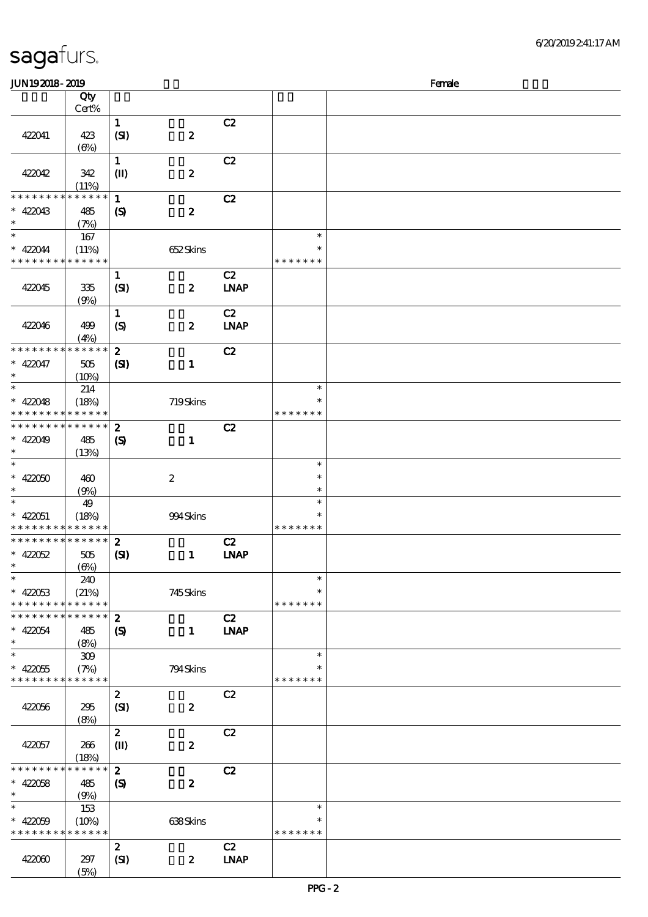| <b>JUN192018-2019</b>       |              |                             |                  |             |               | Female |
|-----------------------------|--------------|-----------------------------|------------------|-------------|---------------|--------|
|                             | Qty          |                             |                  |             |               |        |
|                             | Cert%        |                             |                  |             |               |        |
|                             |              | $\mathbf 1$                 |                  | C2          |               |        |
| 422041                      | 423          | (SI)                        | $\pmb{2}$        |             |               |        |
|                             | $(\Theta)$   |                             |                  |             |               |        |
|                             |              | $\mathbf{1}$                |                  | C2          |               |        |
|                             |              |                             |                  |             |               |        |
| 422042                      | 342          | $\mathbf{I}$                | $\pmb{2}$        |             |               |        |
|                             | (11%)        |                             |                  |             |               |        |
| * * * * * * *               | * * * * * *  | $\mathbf{1}$                |                  | C2          |               |        |
| $* 422043$                  | 485          | $\boldsymbol{\mathcal{S}}$  | $\pmb{2}$        |             |               |        |
| $\ast$                      | (7%)         |                             |                  |             |               |        |
| $\ast$                      | $167\,$      |                             |                  |             | $\ast$        |        |
| * 422044                    | (11%)        |                             | 652Skins         |             | $\ast$        |        |
| * * * * * * * *             | * * * * * *  |                             |                  |             | * * * * * * * |        |
|                             |              | $\mathbf{1}$                |                  | C2          |               |        |
| 422045                      | 335          | (SI)                        | $\pmb{2}$        | <b>LNAP</b> |               |        |
|                             |              |                             |                  |             |               |        |
|                             | (9%)         |                             |                  |             |               |        |
|                             |              | $\mathbf{1}$                |                  | C2          |               |        |
| 422046                      | 499          | $\boldsymbol{S}$            | $\boldsymbol{2}$ | <b>LNAP</b> |               |        |
|                             | (4%)         |                             |                  |             |               |        |
| * * * * * * * *             | * * * * * *  | $\boldsymbol{z}$            |                  | C2          |               |        |
| $* 422047$                  | $505\,$      | $\mathbf{C}$                | $\mathbf{1}$     |             |               |        |
| $\ast$                      | (10%)        |                             |                  |             |               |        |
| $\ast$                      | 214          |                             |                  |             | $\ast$        |        |
| $* 422048$                  | (18%)        |                             | 719Skins         |             | $\ast$        |        |
| * * * * * * * *             | * * * * * *  |                             |                  |             | * * * * * * * |        |
| * * * * * * * *             | * * * * * *  | $\boldsymbol{z}$            |                  |             |               |        |
|                             |              |                             |                  | C2          |               |        |
| $* 422049$<br>$\ast$        | 485          | $\boldsymbol{\mathsf{(S)}}$ | $\mathbf{1}$     |             |               |        |
|                             | (13%)        |                             |                  |             |               |        |
| $\ast$                      |              |                             |                  |             | $\ast$        |        |
| $* 422050$                  | 460          |                             | $\boldsymbol{2}$ |             | $\ast$        |        |
| $\ast$                      | (9%)         |                             |                  |             | $\ast$        |        |
| $\ast$                      | 49           |                             |                  |             | $\ast$        |        |
| $* 422051$                  | (18%)        |                             | 994Skins         |             | $\ast$        |        |
| * * * * * * * *             | * * * * * *  |                             |                  |             | * * * * * * * |        |
| * * * * * * * *             | * * * * * *  | $\boldsymbol{z}$            |                  | C2          |               |        |
| $* 42052$                   | 505          | (S)                         | $\mathbf{1}$     | <b>INAP</b> |               |        |
| $*$                         | $(\Theta\%)$ |                             |                  |             |               |        |
| $\ast$                      |              |                             |                  |             | $\ast$        |        |
|                             | 240          |                             |                  |             | $\ast$        |        |
| $* 42053$                   | (21%)        |                             | 745Skins         |             |               |        |
| * * * * * * * *             | * * * * * *  |                             |                  |             | * * * * * * * |        |
| * * * * * * *               | * * * * * *  | $\boldsymbol{z}$            |                  | C2          |               |        |
| $* 422054$                  | 485          | $\boldsymbol{\mathcal{S}}$  | $\mathbf{1}$     | <b>INAP</b> |               |        |
| $\ast$                      | (8%)         |                             |                  |             |               |        |
| $\ast$                      | 309          |                             |                  |             | $\ast$        |        |
| $* 422055$                  | (7%)         |                             | 794Skins         |             |               |        |
| * * * * * * * * * * * * * * |              |                             |                  |             | * * * * * * * |        |
|                             |              | $\boldsymbol{z}$            |                  | C2          |               |        |
| 422056                      | 295          | (SI)                        | $\pmb{2}$        |             |               |        |
|                             | (8%)         |                             |                  |             |               |        |
|                             |              | $\boldsymbol{z}$            |                  | C2          |               |        |
|                             |              |                             |                  |             |               |        |
| 422057                      | 266          | $\mathbf{I}$                | $\boldsymbol{2}$ |             |               |        |
|                             | (18%)        |                             |                  |             |               |        |
| * * * * * * * *             | * * * * * *  | $\boldsymbol{z}$            |                  | C2          |               |        |
| $* 42058$                   | 485          | $\boldsymbol{S}$            | $\boldsymbol{z}$ |             |               |        |
| $\ast$                      | (9%)         |                             |                  |             |               |        |
| $\ast$                      | 153          |                             |                  |             | $\ast$        |        |
| $* 42059$                   | (10%)        |                             | 638Skins         |             | $\ast$        |        |
| * * * * * * * *             | * * * * * *  |                             |                  |             | * * * * * * * |        |
|                             |              | $\boldsymbol{z}$            |                  | C2          |               |        |
| 422060                      | 297          | (SI)                        | $\boldsymbol{z}$ | <b>LNAP</b> |               |        |
|                             | (5%)         |                             |                  |             |               |        |
|                             |              |                             |                  |             |               |        |